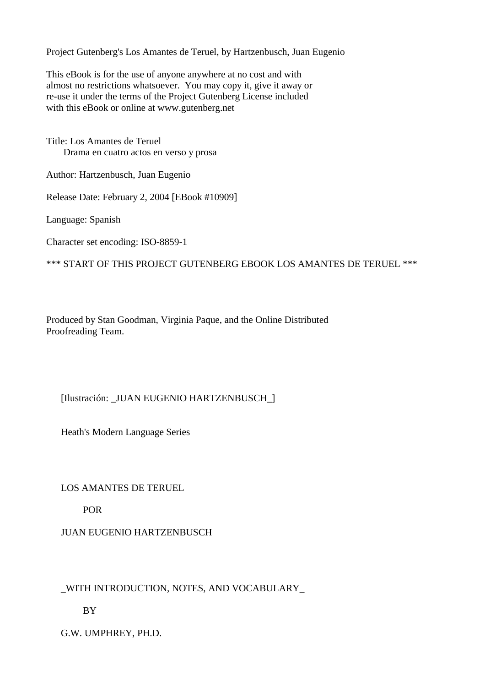Project Gutenberg's Los Amantes de Teruel, by Hartzenbusch, Juan Eugenio

This eBook is for the use of anyone anywhere at no cost and with almost no restrictions whatsoever. You may copy it, give it away or re-use it under the terms of the Project Gutenberg License included with this eBook or online at www.gutenberg.net

Title: Los Amantes de Teruel Drama en cuatro actos en verso y prosa

Author: Hartzenbusch, Juan Eugenio

Release Date: February 2, 2004 [EBook #10909]

Language: Spanish

Character set encoding: ISO-8859-1

\*\*\* START OF THIS PROJECT GUTENBERG EBOOK LOS AMANTES DE TERUEL \*\*\*

Produced by Stan Goodman, Virginia Paque, and the Online Distributed Proofreading Team.

# [Ilustración: \_JUAN EUGENIO HARTZENBUSCH\_]

Heath's Modern Language Series

LOS AMANTES DE TERUEL

POR

JUAN EUGENIO HARTZENBUSCH

\_WITH INTRODUCTION, NOTES, AND VOCABULARY\_

BY

G.W. UMPHREY, PH.D.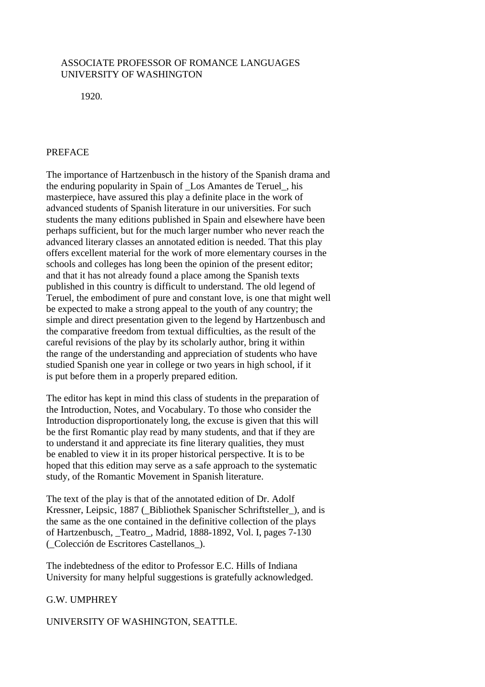# ASSOCIATE PROFESSOR OF ROMANCE LANGUAGES UNIVERSITY OF WASHINGTON

1920.

# **PREFACE**

The importance of Hartzenbusch in the history of the Spanish drama and the enduring popularity in Spain of \_Los Amantes de Teruel\_, his masterpiece, have assured this play a definite place in the work of advanced students of Spanish literature in our universities. For such students the many editions published in Spain and elsewhere have been perhaps sufficient, but for the much larger number who never reach the advanced literary classes an annotated edition is needed. That this play offers excellent material for the work of more elementary courses in the schools and colleges has long been the opinion of the present editor; and that it has not already found a place among the Spanish texts published in this country is difficult to understand. The old legend of Teruel, the embodiment of pure and constant love, is one that might well be expected to make a strong appeal to the youth of any country; the simple and direct presentation given to the legend by Hartzenbusch and the comparative freedom from textual difficulties, as the result of the careful revisions of the play by its scholarly author, bring it within the range of the understanding and appreciation of students who have studied Spanish one year in college or two years in high school, if it is put before them in a properly prepared edition.

The editor has kept in mind this class of students in the preparation of the Introduction, Notes, and Vocabulary. To those who consider the Introduction disproportionately long, the excuse is given that this will be the first Romantic play read by many students, and that if they are to understand it and appreciate its fine literary qualities, they must be enabled to view it in its proper historical perspective. It is to be hoped that this edition may serve as a safe approach to the systematic study, of the Romantic Movement in Spanish literature.

The text of the play is that of the annotated edition of Dr. Adolf Kressner, Leipsic, 1887 (\_Bibliothek Spanischer Schriftsteller\_), and is the same as the one contained in the definitive collection of the plays of Hartzenbusch, \_Teatro\_, Madrid, 1888-1892, Vol. I, pages 7-130 (\_Colección de Escritores Castellanos\_).

The indebtedness of the editor to Professor E.C. Hills of Indiana University for many helpful suggestions is gratefully acknowledged.

# G.W. UMPHREY

# UNIVERSITY OF WASHINGTON, SEATTLE.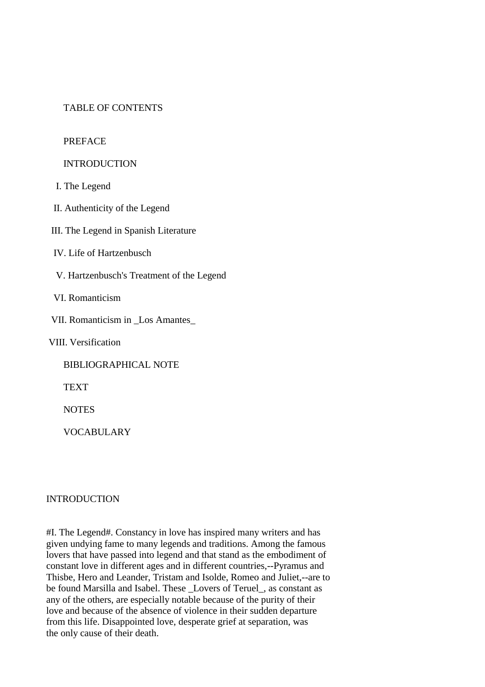# TABLE OF CONTENTS

## PREFACE

## INTRODUCTION

I. The Legend

II. Authenticity of the Legend

III. The Legend in Spanish Literature

IV. Life of Hartzenbusch

V. Hartzenbusch's Treatment of the Legend

VI. Romanticism

VII. Romanticism in \_Los Amantes\_

VIII. Versification

BIBLIOGRAPHICAL NOTE

TEXT

**NOTES** 

VOCABULARY

### INTRODUCTION

#I. The Legend#. Constancy in love has inspired many writers and has given undying fame to many legends and traditions. Among the famous lovers that have passed into legend and that stand as the embodiment of constant love in different ages and in different countries,--Pyramus and Thisbe, Hero and Leander, Tristam and Isolde, Romeo and Juliet,--are to be found Marsilla and Isabel. These \_Lovers of Teruel\_, as constant as any of the others, are especially notable because of the purity of their love and because of the absence of violence in their sudden departure from this life. Disappointed love, desperate grief at separation, was the only cause of their death.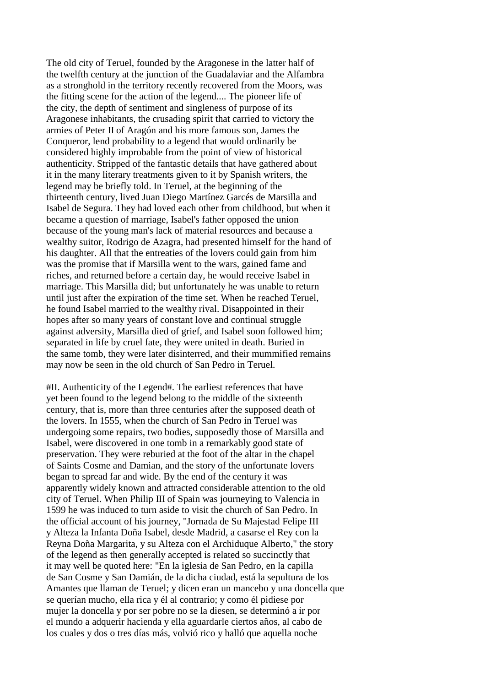The old city of Teruel, founded by the Aragonese in the latter half of the twelfth century at the junction of the Guadalaviar and the Alfambra as a stronghold in the territory recently recovered from the Moors, was the fitting scene for the action of the legend.... The pioneer life of the city, the depth of sentiment and singleness of purpose of its Aragonese inhabitants, the crusading spirit that carried to victory the armies of Peter II of Aragón and his more famous son, James the Conqueror, lend probability to a legend that would ordinarily be considered highly improbable from the point of view of historical authenticity. Stripped of the fantastic details that have gathered about it in the many literary treatments given to it by Spanish writers, the legend may be briefly told. In Teruel, at the beginning of the thirteenth century, lived Juan Diego Martínez Garcés de Marsilla and Isabel de Segura. They had loved each other from childhood, but when it became a question of marriage, Isabel's father opposed the union because of the young man's lack of material resources and because a wealthy suitor, Rodrigo de Azagra, had presented himself for the hand of his daughter. All that the entreaties of the lovers could gain from him was the promise that if Marsilla went to the wars, gained fame and riches, and returned before a certain day, he would receive Isabel in marriage. This Marsilla did; but unfortunately he was unable to return until just after the expiration of the time set. When he reached Teruel, he found Isabel married to the wealthy rival. Disappointed in their hopes after so many years of constant love and continual struggle against adversity, Marsilla died of grief, and Isabel soon followed him; separated in life by cruel fate, they were united in death. Buried in the same tomb, they were later disinterred, and their mummified remains may now be seen in the old church of San Pedro in Teruel.

#II. Authenticity of the Legend#. The earliest references that have yet been found to the legend belong to the middle of the sixteenth century, that is, more than three centuries after the supposed death of the lovers. In 1555, when the church of San Pedro in Teruel was undergoing some repairs, two bodies, supposedly those of Marsilla and Isabel, were discovered in one tomb in a remarkably good state of preservation. They were reburied at the foot of the altar in the chapel of Saints Cosme and Damian, and the story of the unfortunate lovers began to spread far and wide. By the end of the century it was apparently widely known and attracted considerable attention to the old city of Teruel. When Philip III of Spain was journeying to Valencia in 1599 he was induced to turn aside to visit the church of San Pedro. In the official account of his journey, "Jornada de Su Majestad Felipe III y Alteza la Infanta Doña Isabel, desde Madrid, a casarse el Rey con la Reyna Doña Margarita, y su Alteza con el Archiduque Alberto," the story of the legend as then generally accepted is related so succinctly that it may well be quoted here: "En la iglesia de San Pedro, en la capilla de San Cosme y San Damián, de la dicha ciudad, está la sepultura de los Amantes que llaman de Teruel; y dicen eran un mancebo y una doncella que se querían mucho, ella rica y él al contrario; y como él pidiese por mujer la doncella y por ser pobre no se la diesen, se determinó a ir por el mundo a adquerir hacienda y ella aguardarle ciertos años, al cabo de los cuales y dos o tres días más, volvió rico y halló que aquella noche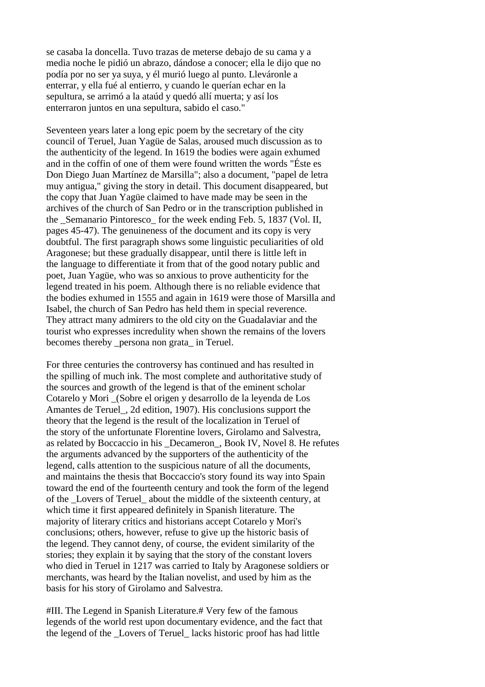se casaba la doncella. Tuvo trazas de meterse debajo de su cama y a media noche le pidió un abrazo, dándose a conocer; ella le dijo que no podía por no ser ya suya, y él murió luego al punto. Lleváronle a enterrar, y ella fué al entierro, y cuando le querían echar en la sepultura, se arrimó a la ataúd y quedó allí muerta; y así los enterraron juntos en una sepultura, sabido el caso."

Seventeen years later a long epic poem by the secretary of the city council of Teruel, Juan Yagüe de Salas, aroused much discussion as to the authenticity of the legend. In 1619 the bodies were again exhumed and in the coffin of one of them were found written the words "Éste es Don Diego Juan Martínez de Marsilla"; also a document, "papel de letra muy antigua," giving the story in detail. This document disappeared, but the copy that Juan Yagüe claimed to have made may be seen in the archives of the church of San Pedro or in the transcription published in the Semanario Pintoresco for the week ending Feb. 5, 1837 (Vol. II, pages 45-47). The genuineness of the document and its copy is very doubtful. The first paragraph shows some linguistic peculiarities of old Aragonese; but these gradually disappear, until there is little left in the language to differentiate it from that of the good notary public and poet, Juan Yagüe, who was so anxious to prove authenticity for the legend treated in his poem. Although there is no reliable evidence that the bodies exhumed in 1555 and again in 1619 were those of Marsilla and Isabel, the church of San Pedro has held them in special reverence. They attract many admirers to the old city on the Guadalaviar and the tourist who expresses incredulity when shown the remains of the lovers becomes thereby \_persona non grata\_ in Teruel.

For three centuries the controversy has continued and has resulted in the spilling of much ink. The most complete and authoritative study of the sources and growth of the legend is that of the eminent scholar Cotarelo y Mori \_(Sobre el origen y desarrollo de la leyenda de Los Amantes de Teruel, 2d edition, 1907). His conclusions support the theory that the legend is the result of the localization in Teruel of the story of the unfortunate Florentine lovers, Girolamo and Salvestra, as related by Boccaccio in his \_Decameron\_, Book IV, Novel 8. He refutes the arguments advanced by the supporters of the authenticity of the legend, calls attention to the suspicious nature of all the documents, and maintains the thesis that Boccaccio's story found its way into Spain toward the end of the fourteenth century and took the form of the legend of the Lovers of Teruel about the middle of the sixteenth century, at which time it first appeared definitely in Spanish literature. The majority of literary critics and historians accept Cotarelo y Mori's conclusions; others, however, refuse to give up the historic basis of the legend. They cannot deny, of course, the evident similarity of the stories; they explain it by saying that the story of the constant lovers who died in Teruel in 1217 was carried to Italy by Aragonese soldiers or merchants, was heard by the Italian novelist, and used by him as the basis for his story of Girolamo and Salvestra.

#III. The Legend in Spanish Literature.# Very few of the famous legends of the world rest upon documentary evidence, and the fact that the legend of the \_Lovers of Teruel\_ lacks historic proof has had little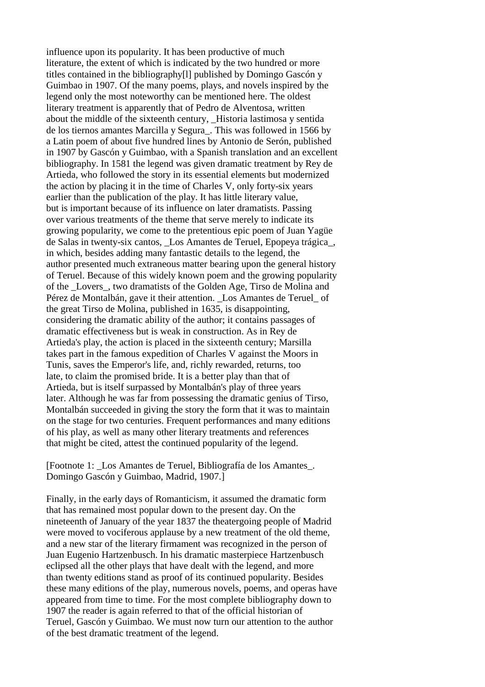influence upon its popularity. It has been productive of much literature, the extent of which is indicated by the two hundred or more titles contained in the bibliography[l] published by Domingo Gascón y Guimbao in 1907. Of the many poems, plays, and novels inspired by the legend only the most noteworthy can be mentioned here. The oldest literary treatment is apparently that of Pedro de Alventosa, written about the middle of the sixteenth century, \_Historia lastimosa y sentida de los tiernos amantes Marcilla y Segura\_. This was followed in 1566 by a Latin poem of about five hundred lines by Antonio de Serón, published in 1907 by Gascón y Guimbao, with a Spanish translation and an excellent bibliography. In 1581 the legend was given dramatic treatment by Rey de Artieda, who followed the story in its essential elements but modernized the action by placing it in the time of Charles V, only forty-six years earlier than the publication of the play. It has little literary value, but is important because of its influence on later dramatists. Passing over various treatments of the theme that serve merely to indicate its growing popularity, we come to the pretentious epic poem of Juan Yagüe de Salas in twenty-six cantos, \_Los Amantes de Teruel, Epopeya trágica\_, in which, besides adding many fantastic details to the legend, the author presented much extraneous matter bearing upon the general history of Teruel. Because of this widely known poem and the growing popularity of the \_Lovers\_, two dramatists of the Golden Age, Tirso de Molina and Pérez de Montalbán, gave it their attention. Los Amantes de Teruel of the great Tirso de Molina, published in 1635, is disappointing, considering the dramatic ability of the author; it contains passages of dramatic effectiveness but is weak in construction. As in Rey de Artieda's play, the action is placed in the sixteenth century; Marsilla takes part in the famous expedition of Charles V against the Moors in Tunis, saves the Emperor's life, and, richly rewarded, returns, too late, to claim the promised bride. It is a better play than that of Artieda, but is itself surpassed by Montalbán's play of three years later. Although he was far from possessing the dramatic genius of Tirso, Montalbán succeeded in giving the story the form that it was to maintain on the stage for two centuries. Frequent performances and many editions of his play, as well as many other literary treatments and references that might be cited, attest the continued popularity of the legend.

[Footnote 1: \_Los Amantes de Teruel, Bibliografía de los Amantes\_. Domingo Gascón y Guimbao, Madrid, 1907.]

Finally, in the early days of Romanticism, it assumed the dramatic form that has remained most popular down to the present day. On the nineteenth of January of the year 1837 the theatergoing people of Madrid were moved to vociferous applause by a new treatment of the old theme, and a new star of the literary firmament was recognized in the person of Juan Eugenio Hartzenbusch. In his dramatic masterpiece Hartzenbusch eclipsed all the other plays that have dealt with the legend, and more than twenty editions stand as proof of its continued popularity. Besides these many editions of the play, numerous novels, poems, and operas have appeared from time to time. For the most complete bibliography down to 1907 the reader is again referred to that of the official historian of Teruel, Gascón y Guimbao. We must now turn our attention to the author of the best dramatic treatment of the legend.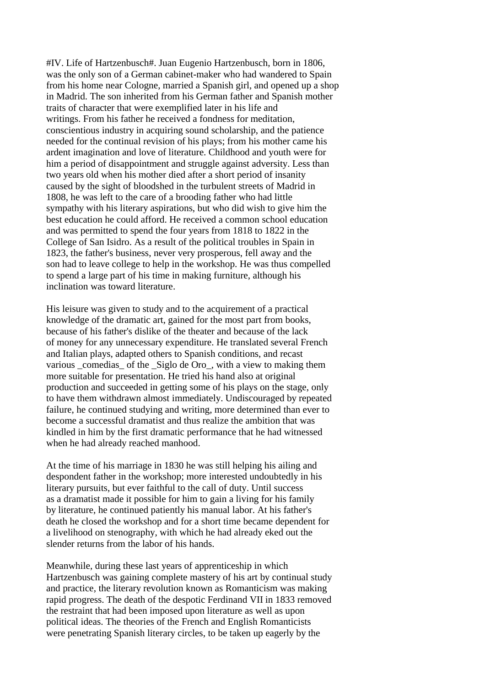#IV. Life of Hartzenbusch#. Juan Eugenio Hartzenbusch, born in 1806, was the only son of a German cabinet-maker who had wandered to Spain from his home near Cologne, married a Spanish girl, and opened up a shop in Madrid. The son inherited from his German father and Spanish mother traits of character that were exemplified later in his life and writings. From his father he received a fondness for meditation, conscientious industry in acquiring sound scholarship, and the patience needed for the continual revision of his plays; from his mother came his ardent imagination and love of literature. Childhood and youth were for him a period of disappointment and struggle against adversity. Less than two years old when his mother died after a short period of insanity caused by the sight of bloodshed in the turbulent streets of Madrid in 1808, he was left to the care of a brooding father who had little sympathy with his literary aspirations, but who did wish to give him the best education he could afford. He received a common school education and was permitted to spend the four years from 1818 to 1822 in the College of San Isidro. As a result of the political troubles in Spain in 1823, the father's business, never very prosperous, fell away and the son had to leave college to help in the workshop. He was thus compelled to spend a large part of his time in making furniture, although his inclination was toward literature.

His leisure was given to study and to the acquirement of a practical knowledge of the dramatic art, gained for the most part from books, because of his father's dislike of the theater and because of the lack of money for any unnecessary expenditure. He translated several French and Italian plays, adapted others to Spanish conditions, and recast various \_comedias\_ of the \_Siglo de Oro\_, with a view to making them more suitable for presentation. He tried his hand also at original production and succeeded in getting some of his plays on the stage, only to have them withdrawn almost immediately. Undiscouraged by repeated failure, he continued studying and writing, more determined than ever to become a successful dramatist and thus realize the ambition that was kindled in him by the first dramatic performance that he had witnessed when he had already reached manhood.

At the time of his marriage in 1830 he was still helping his ailing and despondent father in the workshop; more interested undoubtedly in his literary pursuits, but ever faithful to the call of duty. Until success as a dramatist made it possible for him to gain a living for his family by literature, he continued patiently his manual labor. At his father's death he closed the workshop and for a short time became dependent for a livelihood on stenography, with which he had already eked out the slender returns from the labor of his hands.

Meanwhile, during these last years of apprenticeship in which Hartzenbusch was gaining complete mastery of his art by continual study and practice, the literary revolution known as Romanticism was making rapid progress. The death of the despotic Ferdinand VII in 1833 removed the restraint that had been imposed upon literature as well as upon political ideas. The theories of the French and English Romanticists were penetrating Spanish literary circles, to be taken up eagerly by the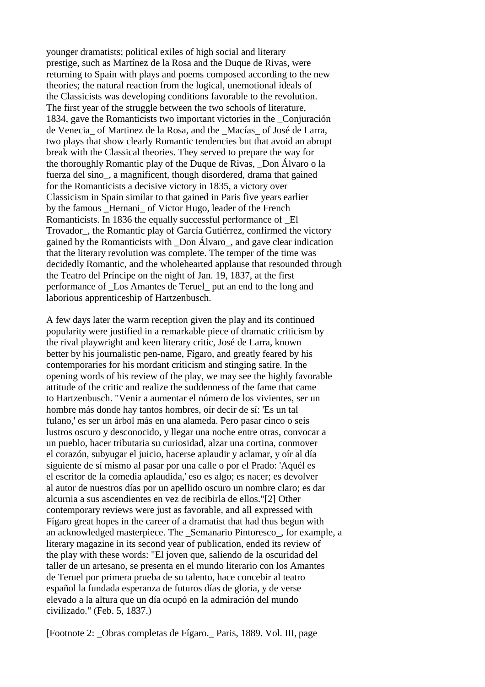younger dramatists; political exiles of high social and literary prestige, such as Martínez de la Rosa and the Duque de Rivas, were returning to Spain with plays and poems composed according to the new theories; the natural reaction from the logical, unemotional ideals of the Classicists was developing conditions favorable to the revolution. The first year of the struggle between the two schools of literature, 1834, gave the Romanticists two important victories in the \_Conjuración de Venecia\_ of Martinez de la Rosa, and the \_Macías\_ of José de Larra, two plays that show clearly Romantic tendencies but that avoid an abrupt break with the Classical theories. They served to prepare the way for the thoroughly Romantic play of the Duque de Rivas, \_Don Álvaro o la fuerza del sino\_, a magnificent, though disordered, drama that gained for the Romanticists a decisive victory in 1835, a victory over Classicism in Spain similar to that gained in Paris five years earlier by the famous Hernani of Victor Hugo, leader of the French Romanticists. In 1836 the equally successful performance of \_El Trovador\_, the Romantic play of García Gutiérrez, confirmed the victory gained by the Romanticists with \_Don Álvaro\_, and gave clear indication that the literary revolution was complete. The temper of the time was decidedly Romantic, and the wholehearted applause that resounded through the Teatro del Príncipe on the night of Jan. 19, 1837, at the first performance of \_Los Amantes de Teruel\_ put an end to the long and laborious apprenticeship of Hartzenbusch.

A few days later the warm reception given the play and its continued popularity were justified in a remarkable piece of dramatic criticism by the rival playwright and keen literary critic, José de Larra, known better by his journalistic pen-name, Fígaro, and greatly feared by his contemporaries for his mordant criticism and stinging satire. In the opening words of his review of the play, we may see the highly favorable attitude of the critic and realize the suddenness of the fame that came to Hartzenbusch. "Venir a aumentar el número de los vivientes, ser un hombre más donde hay tantos hombres, oír decir de sí: 'Es un tal fulano,' es ser un árbol más en una alameda. Pero pasar cinco o seis lustros oscuro y desconocido, y llegar una noche entre otras, convocar a un pueblo, hacer tributaria su curiosidad, alzar una cortina, conmover el corazón, subyugar el juicio, hacerse aplaudir y aclamar, y oír al día siguiente de sí mismo al pasar por una calle o por el Prado: 'Aquél es el escritor de la comedia aplaudida,' eso es algo; es nacer; es devolver al autor de nuestros días por un apellido oscuro un nombre claro; es dar alcurnia a sus ascendientes en vez de recibirla de ellos."[2] Other contemporary reviews were just as favorable, and all expressed with Fígaro great hopes in the career of a dramatist that had thus begun with an acknowledged masterpiece. The \_Semanario Pintoresco\_, for example, a literary magazine in its second year of publication, ended its review of the play with these words: "El joven que, saliendo de la oscuridad del taller de un artesano, se presenta en el mundo literario con los Amantes de Teruel por primera prueba de su talento, hace concebir al teatro español la fundada esperanza de futuros días de gloria, y de verse elevado a la altura que un día ocupó en la admiración del mundo civilizado." (Feb. 5, 1837.)

[Footnote 2: \_Obras completas de Fígaro.\_ Paris, 1889. Vol. III, page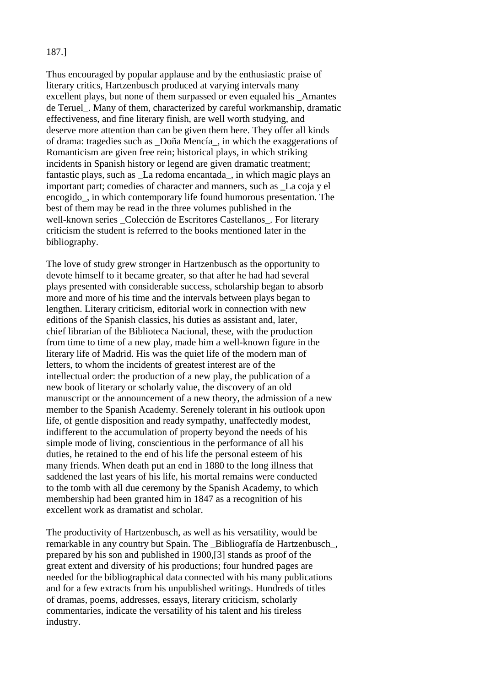# 187.]

Thus encouraged by popular applause and by the enthusiastic praise of literary critics, Hartzenbusch produced at varying intervals many excellent plays, but none of them surpassed or even equaled his \_Amantes de Teruel. Many of them, characterized by careful workmanship, dramatic effectiveness, and fine literary finish, are well worth studying, and deserve more attention than can be given them here. They offer all kinds of drama: tragedies such as \_Doña Mencía\_, in which the exaggerations of Romanticism are given free rein; historical plays, in which striking incidents in Spanish history or legend are given dramatic treatment; fantastic plays, such as \_La redoma encantada\_, in which magic plays an important part; comedies of character and manners, such as \_La coja y el encogido\_, in which contemporary life found humorous presentation. The best of them may be read in the three volumes published in the well-known series Colección de Escritores Castellanos. For literary criticism the student is referred to the books mentioned later in the bibliography.

The love of study grew stronger in Hartzenbusch as the opportunity to devote himself to it became greater, so that after he had had several plays presented with considerable success, scholarship began to absorb more and more of his time and the intervals between plays began to lengthen. Literary criticism, editorial work in connection with new editions of the Spanish classics, his duties as assistant and, later, chief librarian of the Biblioteca Nacional, these, with the production from time to time of a new play, made him a well-known figure in the literary life of Madrid. His was the quiet life of the modern man of letters, to whom the incidents of greatest interest are of the intellectual order: the production of a new play, the publication of a new book of literary or scholarly value, the discovery of an old manuscript or the announcement of a new theory, the admission of a new member to the Spanish Academy. Serenely tolerant in his outlook upon life, of gentle disposition and ready sympathy, unaffectedly modest, indifferent to the accumulation of property beyond the needs of his simple mode of living, conscientious in the performance of all his duties, he retained to the end of his life the personal esteem of his many friends. When death put an end in 1880 to the long illness that saddened the last years of his life, his mortal remains were conducted to the tomb with all due ceremony by the Spanish Academy, to which membership had been granted him in 1847 as a recognition of his excellent work as dramatist and scholar.

The productivity of Hartzenbusch, as well as his versatility, would be remarkable in any country but Spain. The \_Bibliografía de Hartzenbusch\_, prepared by his son and published in 1900,[3] stands as proof of the great extent and diversity of his productions; four hundred pages are needed for the bibliographical data connected with his many publications and for a few extracts from his unpublished writings. Hundreds of titles of dramas, poems, addresses, essays, literary criticism, scholarly commentaries, indicate the versatility of his talent and his tireless industry.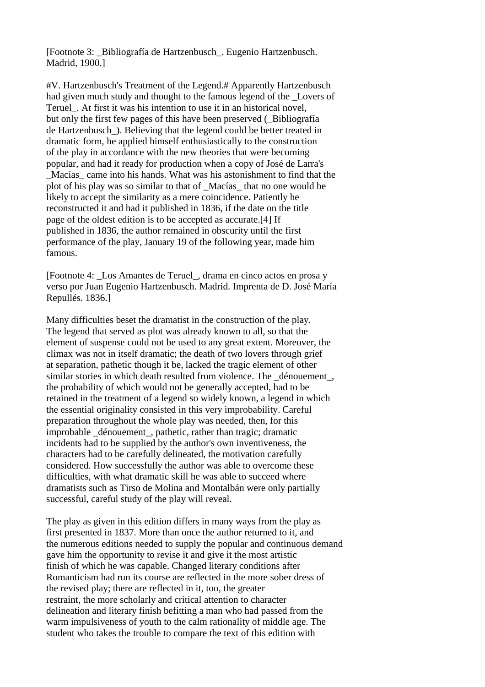[Footnote 3: \_Bibliografía de Hartzenbusch\_. Eugenio Hartzenbusch. Madrid, 1900.]

#V. Hartzenbusch's Treatment of the Legend.# Apparently Hartzenbusch had given much study and thought to the famous legend of the Lovers of Teruel. At first it was his intention to use it in an historical novel. but only the first few pages of this have been preserved ( $\overline{\text{Bibliografia}}$ ) de Hartzenbusch\_). Believing that the legend could be better treated in dramatic form, he applied himself enthusiastically to the construction of the play in accordance with the new theories that were becoming popular, and had it ready for production when a copy of José de Larra's \_Macías\_ came into his hands. What was his astonishment to find that the plot of his play was so similar to that of \_Macías\_ that no one would be likely to accept the similarity as a mere coincidence. Patiently he reconstructed it and had it published in 1836, if the date on the title page of the oldest edition is to be accepted as accurate.[4] If published in 1836, the author remained in obscurity until the first performance of the play, January 19 of the following year, made him famous.

[Footnote 4: \_Los Amantes de Teruel\_, drama en cinco actos en prosa y verso por Juan Eugenio Hartzenbusch. Madrid. Imprenta de D. José María Repullés. 1836.]

Many difficulties beset the dramatist in the construction of the play. The legend that served as plot was already known to all, so that the element of suspense could not be used to any great extent. Moreover, the climax was not in itself dramatic; the death of two lovers through grief at separation, pathetic though it be, lacked the tragic element of other similar stories in which death resulted from violence. The \_dénouement\_, the probability of which would not be generally accepted, had to be retained in the treatment of a legend so widely known, a legend in which the essential originality consisted in this very improbability. Careful preparation throughout the whole play was needed, then, for this improbable \_dénouement\_, pathetic, rather than tragic; dramatic incidents had to be supplied by the author's own inventiveness, the characters had to be carefully delineated, the motivation carefully considered. How successfully the author was able to overcome these difficulties, with what dramatic skill he was able to succeed where dramatists such as Tirso de Molina and Montalbán were only partially successful, careful study of the play will reveal.

The play as given in this edition differs in many ways from the play as first presented in 1837. More than once the author returned to it, and the numerous editions needed to supply the popular and continuous demand gave him the opportunity to revise it and give it the most artistic finish of which he was capable. Changed literary conditions after Romanticism had run its course are reflected in the more sober dress of the revised play; there are reflected in it, too, the greater restraint, the more scholarly and critical attention to character delineation and literary finish befitting a man who had passed from the warm impulsiveness of youth to the calm rationality of middle age. The student who takes the trouble to compare the text of this edition with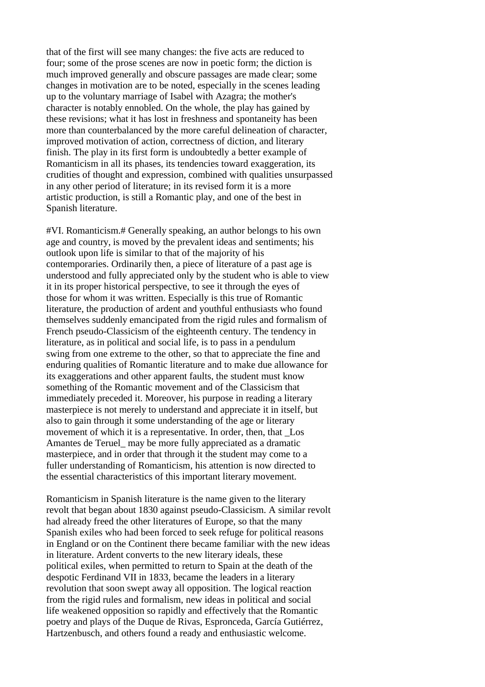that of the first will see many changes: the five acts are reduced to four; some of the prose scenes are now in poetic form; the diction is much improved generally and obscure passages are made clear; some changes in motivation are to be noted, especially in the scenes leading up to the voluntary marriage of Isabel with Azagra; the mother's character is notably ennobled. On the whole, the play has gained by these revisions; what it has lost in freshness and spontaneity has been more than counterbalanced by the more careful delineation of character, improved motivation of action, correctness of diction, and literary finish. The play in its first form is undoubtedly a better example of Romanticism in all its phases, its tendencies toward exaggeration, its crudities of thought and expression, combined with qualities unsurpassed in any other period of literature; in its revised form it is a more artistic production, is still a Romantic play, and one of the best in Spanish literature.

#VI. Romanticism.# Generally speaking, an author belongs to his own age and country, is moved by the prevalent ideas and sentiments; his outlook upon life is similar to that of the majority of his contemporaries. Ordinarily then, a piece of literature of a past age is understood and fully appreciated only by the student who is able to view it in its proper historical perspective, to see it through the eyes of those for whom it was written. Especially is this true of Romantic literature, the production of ardent and youthful enthusiasts who found themselves suddenly emancipated from the rigid rules and formalism of French pseudo-Classicism of the eighteenth century. The tendency in literature, as in political and social life, is to pass in a pendulum swing from one extreme to the other, so that to appreciate the fine and enduring qualities of Romantic literature and to make due allowance for its exaggerations and other apparent faults, the student must know something of the Romantic movement and of the Classicism that immediately preceded it. Moreover, his purpose in reading a literary masterpiece is not merely to understand and appreciate it in itself, but also to gain through it some understanding of the age or literary movement of which it is a representative. In order, then, that \_Los Amantes de Teruel may be more fully appreciated as a dramatic masterpiece, and in order that through it the student may come to a fuller understanding of Romanticism, his attention is now directed to the essential characteristics of this important literary movement.

Romanticism in Spanish literature is the name given to the literary revolt that began about 1830 against pseudo-Classicism. A similar revolt had already freed the other literatures of Europe, so that the many Spanish exiles who had been forced to seek refuge for political reasons in England or on the Continent there became familiar with the new ideas in literature. Ardent converts to the new literary ideals, these political exiles, when permitted to return to Spain at the death of the despotic Ferdinand VII in 1833, became the leaders in a literary revolution that soon swept away all opposition. The logical reaction from the rigid rules and formalism, new ideas in political and social life weakened opposition so rapidly and effectively that the Romantic poetry and plays of the Duque de Rivas, Espronceda, García Gutiérrez, Hartzenbusch, and others found a ready and enthusiastic welcome.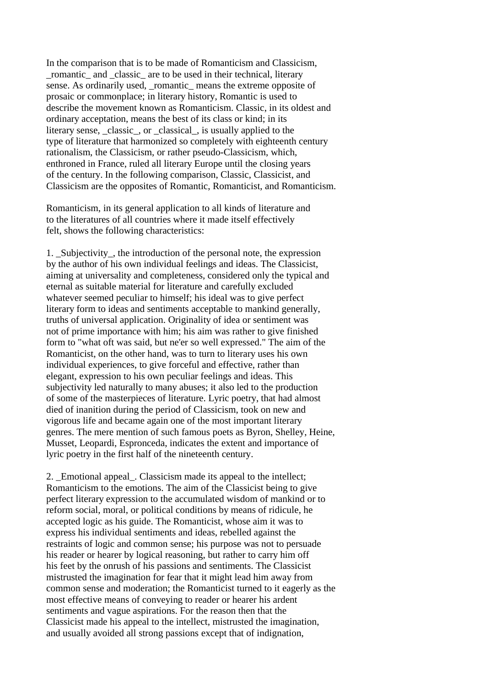In the comparison that is to be made of Romanticism and Classicism, \_romantic\_ and \_classic\_ are to be used in their technical, literary sense. As ordinarily used, romantic means the extreme opposite of prosaic or commonplace; in literary history, Romantic is used to describe the movement known as Romanticism. Classic, in its oldest and ordinary acceptation, means the best of its class or kind; in its literary sense, classic, or classical, is usually applied to the type of literature that harmonized so completely with eighteenth century rationalism, the Classicism, or rather pseudo-Classicism, which, enthroned in France, ruled all literary Europe until the closing years of the century. In the following comparison, Classic, Classicist, and Classicism are the opposites of Romantic, Romanticist, and Romanticism.

Romanticism, in its general application to all kinds of literature and to the literatures of all countries where it made itself effectively felt, shows the following characteristics:

1. \_Subjectivity\_, the introduction of the personal note, the expression by the author of his own individual feelings and ideas. The Classicist, aiming at universality and completeness, considered only the typical and eternal as suitable material for literature and carefully excluded whatever seemed peculiar to himself; his ideal was to give perfect literary form to ideas and sentiments acceptable to mankind generally, truths of universal application. Originality of idea or sentiment was not of prime importance with him; his aim was rather to give finished form to "what oft was said, but ne'er so well expressed." The aim of the Romanticist, on the other hand, was to turn to literary uses his own individual experiences, to give forceful and effective, rather than elegant, expression to his own peculiar feelings and ideas. This subjectivity led naturally to many abuses; it also led to the production of some of the masterpieces of literature. Lyric poetry, that had almost died of inanition during the period of Classicism, took on new and vigorous life and became again one of the most important literary genres. The mere mention of such famous poets as Byron, Shelley, Heine, Musset, Leopardi, Espronceda, indicates the extent and importance of lyric poetry in the first half of the nineteenth century.

2. Emotional appeal. Classicism made its appeal to the intellect; Romanticism to the emotions. The aim of the Classicist being to give perfect literary expression to the accumulated wisdom of mankind or to reform social, moral, or political conditions by means of ridicule, he accepted logic as his guide. The Romanticist, whose aim it was to express his individual sentiments and ideas, rebelled against the restraints of logic and common sense; his purpose was not to persuade his reader or hearer by logical reasoning, but rather to carry him off his feet by the onrush of his passions and sentiments. The Classicist mistrusted the imagination for fear that it might lead him away from common sense and moderation; the Romanticist turned to it eagerly as the most effective means of conveying to reader or hearer his ardent sentiments and vague aspirations. For the reason then that the Classicist made his appeal to the intellect, mistrusted the imagination, and usually avoided all strong passions except that of indignation,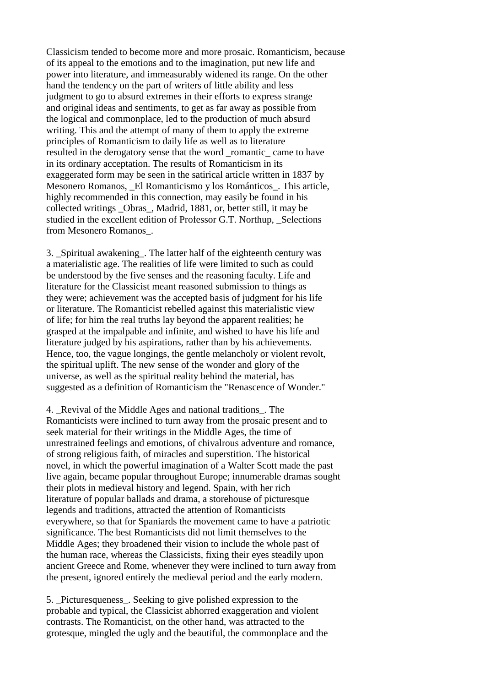Classicism tended to become more and more prosaic. Romanticism, because of its appeal to the emotions and to the imagination, put new life and power into literature, and immeasurably widened its range. On the other hand the tendency on the part of writers of little ability and less judgment to go to absurd extremes in their efforts to express strange and original ideas and sentiments, to get as far away as possible from the logical and commonplace, led to the production of much absurd writing. This and the attempt of many of them to apply the extreme principles of Romanticism to daily life as well as to literature resulted in the derogatory sense that the word \_romantic\_ came to have in its ordinary acceptation. The results of Romanticism in its exaggerated form may be seen in the satirical article written in 1837 by Mesonero Romanos, El Romanticismo y los Románticos. This article, highly recommended in this connection, may easily be found in his collected writings \_Obras\_, Madrid, 1881, or, better still, it may be studied in the excellent edition of Professor G.T. Northup, Selections from Mesonero Romanos\_.

3. \_Spiritual awakening\_. The latter half of the eighteenth century was a materialistic age. The realities of life were limited to such as could be understood by the five senses and the reasoning faculty. Life and literature for the Classicist meant reasoned submission to things as they were; achievement was the accepted basis of judgment for his life or literature. The Romanticist rebelled against this materialistic view of life; for him the real truths lay beyond the apparent realities; he grasped at the impalpable and infinite, and wished to have his life and literature judged by his aspirations, rather than by his achievements. Hence, too, the vague longings, the gentle melancholy or violent revolt, the spiritual uplift. The new sense of the wonder and glory of the universe, as well as the spiritual reality behind the material, has suggested as a definition of Romanticism the "Renascence of Wonder."

4. Revival of the Middle Ages and national traditions. The Romanticists were inclined to turn away from the prosaic present and to seek material for their writings in the Middle Ages, the time of unrestrained feelings and emotions, of chivalrous adventure and romance, of strong religious faith, of miracles and superstition. The historical novel, in which the powerful imagination of a Walter Scott made the past live again, became popular throughout Europe; innumerable dramas sought their plots in medieval history and legend. Spain, with her rich literature of popular ballads and drama, a storehouse of picturesque legends and traditions, attracted the attention of Romanticists everywhere, so that for Spaniards the movement came to have a patriotic significance. The best Romanticists did not limit themselves to the Middle Ages; they broadened their vision to include the whole past of the human race, whereas the Classicists, fixing their eyes steadily upon ancient Greece and Rome, whenever they were inclined to turn away from the present, ignored entirely the medieval period and the early modern.

5. Pictures queness. Seeking to give polished expression to the probable and typical, the Classicist abhorred exaggeration and violent contrasts. The Romanticist, on the other hand, was attracted to the grotesque, mingled the ugly and the beautiful, the commonplace and the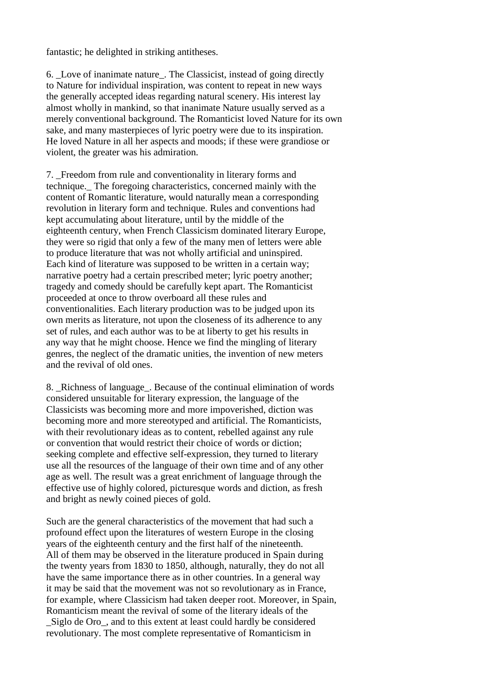fantastic; he delighted in striking antitheses.

6. \_Love of inanimate nature\_. The Classicist, instead of going directly to Nature for individual inspiration, was content to repeat in new ways the generally accepted ideas regarding natural scenery. His interest lay almost wholly in mankind, so that inanimate Nature usually served as a merely conventional background. The Romanticist loved Nature for its own sake, and many masterpieces of lyric poetry were due to its inspiration. He loved Nature in all her aspects and moods; if these were grandiose or violent, the greater was his admiration.

7. Freedom from rule and conventionality in literary forms and technique.\_ The foregoing characteristics, concerned mainly with the content of Romantic literature, would naturally mean a corresponding revolution in literary form and technique. Rules and conventions had kept accumulating about literature, until by the middle of the eighteenth century, when French Classicism dominated literary Europe, they were so rigid that only a few of the many men of letters were able to produce literature that was not wholly artificial and uninspired. Each kind of literature was supposed to be written in a certain way; narrative poetry had a certain prescribed meter; lyric poetry another; tragedy and comedy should be carefully kept apart. The Romanticist proceeded at once to throw overboard all these rules and conventionalities. Each literary production was to be judged upon its own merits as literature, not upon the closeness of its adherence to any set of rules, and each author was to be at liberty to get his results in any way that he might choose. Hence we find the mingling of literary genres, the neglect of the dramatic unities, the invention of new meters and the revival of old ones.

8. \_Richness of language\_. Because of the continual elimination of words considered unsuitable for literary expression, the language of the Classicists was becoming more and more impoverished, diction was becoming more and more stereotyped and artificial. The Romanticists, with their revolutionary ideas as to content, rebelled against any rule or convention that would restrict their choice of words or diction; seeking complete and effective self-expression, they turned to literary use all the resources of the language of their own time and of any other age as well. The result was a great enrichment of language through the effective use of highly colored, picturesque words and diction, as fresh and bright as newly coined pieces of gold.

Such are the general characteristics of the movement that had such a profound effect upon the literatures of western Europe in the closing years of the eighteenth century and the first half of the nineteenth. All of them may be observed in the literature produced in Spain during the twenty years from 1830 to 1850, although, naturally, they do not all have the same importance there as in other countries. In a general way it may be said that the movement was not so revolutionary as in France, for example, where Classicism had taken deeper root. Moreover, in Spain, Romanticism meant the revival of some of the literary ideals of the Siglo de Oro, and to this extent at least could hardly be considered revolutionary. The most complete representative of Romanticism in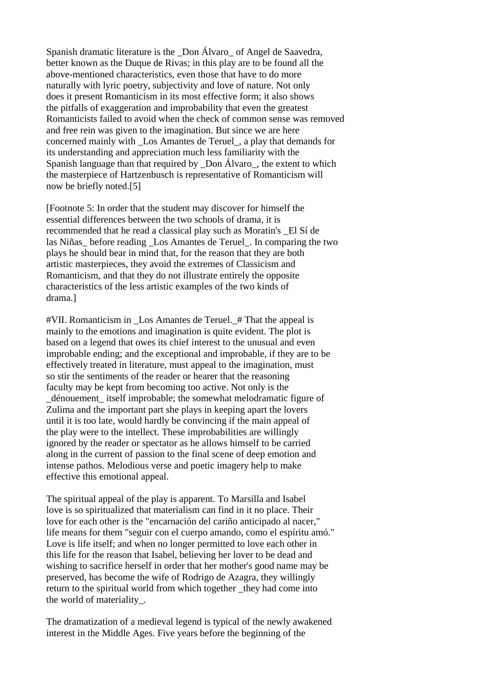Spanish dramatic literature is the Don Álvaro of Angel de Saavedra, better known as the Duque de Rivas; in this play are to be found all the above-mentioned characteristics, even those that have to do more naturally with lyric poetry, subjectivity and love of nature. Not only does it present Romanticism in its most effective form; it also shows the pitfalls of exaggeration and improbability that even the greatest Romanticists failed to avoid when the check of common sense was removed and free rein was given to the imagination. But since we are here concerned mainly with \_Los Amantes de Teruel\_, a play that demands for its understanding and appreciation much less familiarity with the Spanish language than that required by Don Álvaro, the extent to which the masterpiece of Hartzenbusch is representative of Romanticism will now be briefly noted.[5]

[Footnote 5: In order that the student may discover for himself the essential differences between the two schools of drama, it is recommended that he read a classical play such as Moratin's \_El Sí de las Niñas\_ before reading \_Los Amantes de Teruel\_. In comparing the two plays he should bear in mind that, for the reason that they are both artistic masterpieces, they avoid the extremes of Classicism and Romanticism, and that they do not illustrate entirely the opposite characteristics of the less artistic examples of the two kinds of drama.]

#VII. Romanticism in \_Los Amantes de Teruel.\_# That the appeal is mainly to the emotions and imagination is quite evident. The plot is based on a legend that owes its chief interest to the unusual and even improbable ending; and the exceptional and improbable, if they are to be effectively treated in literature, must appeal to the imagination, must so stir the sentiments of the reader or hearer that the reasoning faculty may be kept from becoming too active. Not only is the \_dénouement\_ itself improbable; the somewhat melodramatic figure of Zulima and the important part she plays in keeping apart the lovers until it is too late, would hardly be convincing if the main appeal of the play were to the intellect. These improbabilities are willingly ignored by the reader or spectator as he allows himself to be carried along in the current of passion to the final scene of deep emotion and intense pathos. Melodious verse and poetic imagery help to make effective this emotional appeal.

The spiritual appeal of the play is apparent. To Marsilla and Isabel love is so spiritualized that materialism can find in it no place. Their love for each other is the "encarnación del cariño anticipado al nacer," life means for them "seguir con el cuerpo amando, como el espíritu amó." Love is life itself; and when no longer permitted to love each other in this life for the reason that Isabel, believing her lover to be dead and wishing to sacrifice herself in order that her mother's good name may be preserved, has become the wife of Rodrigo de Azagra, they willingly return to the spiritual world from which together they had come into the world of materiality\_.

The dramatization of a medieval legend is typical of the newly awakened interest in the Middle Ages. Five years before the beginning of the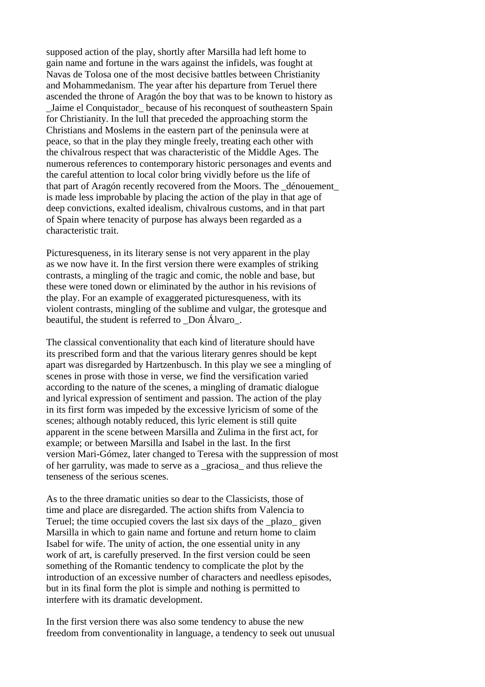supposed action of the play, shortly after Marsilla had left home to gain name and fortune in the wars against the infidels, was fought at Navas de Tolosa one of the most decisive battles between Christianity and Mohammedanism. The year after his departure from Teruel there ascended the throne of Aragón the boy that was to be known to history as Jaime el Conquistador because of his reconquest of southeastern Spain for Christianity. In the lull that preceded the approaching storm the Christians and Moslems in the eastern part of the peninsula were at peace, so that in the play they mingle freely, treating each other with the chivalrous respect that was characteristic of the Middle Ages. The numerous references to contemporary historic personages and events and the careful attention to local color bring vividly before us the life of that part of Aragón recently recovered from the Moors. The \_dénouement\_ is made less improbable by placing the action of the play in that age of deep convictions, exalted idealism, chivalrous customs, and in that part of Spain where tenacity of purpose has always been regarded as a characteristic trait.

Picturesqueness, in its literary sense is not very apparent in the play as we now have it. In the first version there were examples of striking contrasts, a mingling of the tragic and comic, the noble and base, but these were toned down or eliminated by the author in his revisions of the play. For an example of exaggerated picturesqueness, with its violent contrasts, mingling of the sublime and vulgar, the grotesque and beautiful, the student is referred to Don Álvaro.

The classical conventionality that each kind of literature should have its prescribed form and that the various literary genres should be kept apart was disregarded by Hartzenbusch. In this play we see a mingling of scenes in prose with those in verse, we find the versification varied according to the nature of the scenes, a mingling of dramatic dialogue and lyrical expression of sentiment and passion. The action of the play in its first form was impeded by the excessive lyricism of some of the scenes; although notably reduced, this lyric element is still quite apparent in the scene between Marsilla and Zulima in the first act, for example; or between Marsilla and Isabel in the last. In the first version Mari-Gómez, later changed to Teresa with the suppression of most of her garrulity, was made to serve as a \_graciosa\_ and thus relieve the tenseness of the serious scenes.

As to the three dramatic unities so dear to the Classicists, those of time and place are disregarded. The action shifts from Valencia to Teruel; the time occupied covers the last six days of the \_plazo\_ given Marsilla in which to gain name and fortune and return home to claim Isabel for wife. The unity of action, the one essential unity in any work of art, is carefully preserved. In the first version could be seen something of the Romantic tendency to complicate the plot by the introduction of an excessive number of characters and needless episodes, but in its final form the plot is simple and nothing is permitted to interfere with its dramatic development.

In the first version there was also some tendency to abuse the new freedom from conventionality in language, a tendency to seek out unusual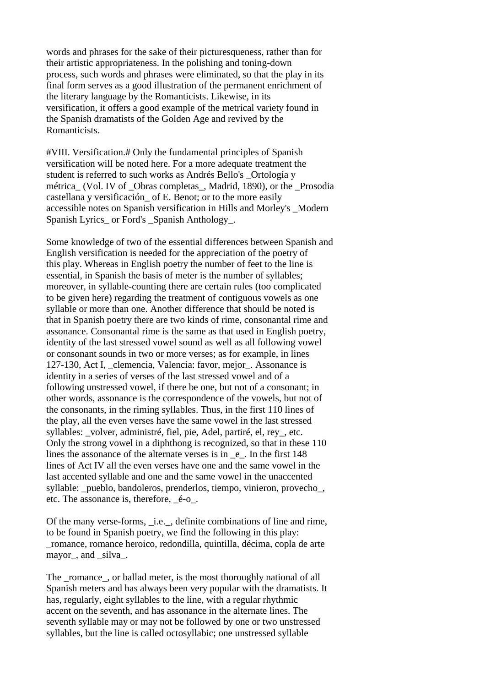words and phrases for the sake of their picturesqueness, rather than for their artistic appropriateness. In the polishing and toning-down process, such words and phrases were eliminated, so that the play in its final form serves as a good illustration of the permanent enrichment of the literary language by the Romanticists. Likewise, in its versification, it offers a good example of the metrical variety found in the Spanish dramatists of the Golden Age and revived by the Romanticists.

#VIII. Versification.# Only the fundamental principles of Spanish versification will be noted here. For a more adequate treatment the student is referred to such works as Andrés Bello's \_Ortología y métrica (Vol. IV of Obras completas, Madrid, 1890), or the Prosodia castellana y versificación\_ of E. Benot; or to the more easily accessible notes on Spanish versification in Hills and Morley's \_Modern Spanish Lyrics or Ford's Spanish Anthology.

Some knowledge of two of the essential differences between Spanish and English versification is needed for the appreciation of the poetry of this play. Whereas in English poetry the number of feet to the line is essential, in Spanish the basis of meter is the number of syllables; moreover, in syllable-counting there are certain rules (too complicated to be given here) regarding the treatment of contiguous vowels as one syllable or more than one. Another difference that should be noted is that in Spanish poetry there are two kinds of rime, consonantal rime and assonance. Consonantal rime is the same as that used in English poetry, identity of the last stressed vowel sound as well as all following vowel or consonant sounds in two or more verses; as for example, in lines 127-130, Act I, \_clemencia, Valencia: favor, mejor\_. Assonance is identity in a series of verses of the last stressed vowel and of a following unstressed vowel, if there be one, but not of a consonant; in other words, assonance is the correspondence of the vowels, but not of the consonants, in the riming syllables. Thus, in the first 110 lines of the play, all the even verses have the same vowel in the last stressed syllables: \_volver, administré, fiel, pie, Adel, partiré, el, rey\_, etc. Only the strong vowel in a diphthong is recognized, so that in these 110 lines the assonance of the alternate verses is in \_e\_. In the first 148 lines of Act IV all the even verses have one and the same vowel in the last accented syllable and one and the same vowel in the unaccented svllable: pueblo, bandoleros, prenderlos, tiempo, vinieron, provecho\_, etc. The assonance is, therefore, \_é-o\_.

Of the many verse-forms, \_i.e.\_, definite combinations of line and rime, to be found in Spanish poetry, we find the following in this play: \_romance, romance heroico, redondilla, quintilla, décima, copla de arte mayor, and silva.

The romance, or ballad meter, is the most thoroughly national of all Spanish meters and has always been very popular with the dramatists. It has, regularly, eight syllables to the line, with a regular rhythmic accent on the seventh, and has assonance in the alternate lines. The seventh syllable may or may not be followed by one or two unstressed syllables, but the line is called octosyllabic; one unstressed syllable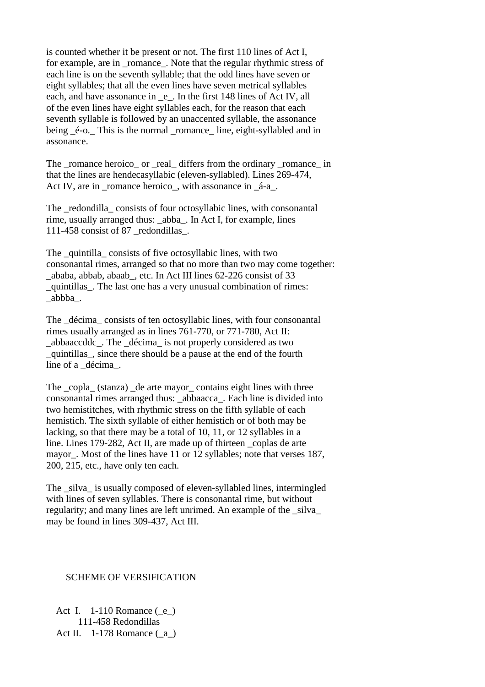is counted whether it be present or not. The first 110 lines of Act I, for example, are in \_romance\_. Note that the regular rhythmic stress of each line is on the seventh syllable; that the odd lines have seven or eight syllables; that all the even lines have seven metrical syllables each, and have assonance in \_e\_. In the first 148 lines of Act IV, all of the even lines have eight syllables each, for the reason that each seventh syllable is followed by an unaccented syllable, the assonance being  $\acute{e}$ -o. This is the normal romance line, eight-syllabled and in assonance.

The \_romance heroico\_ or \_real\_ differs from the ordinary \_romance\_ in that the lines are hendecasyllabic (eleven-syllabled). Lines 269-474, Act IV, are in \_romance heroico\_, with assonance in \_á-a\_.

The \_redondilla\_ consists of four octosyllabic lines, with consonantal rime, usually arranged thus: abba. In Act I, for example, lines 111-458 consist of 87 \_redondillas\_.

The \_quintilla\_ consists of five octosyllabic lines, with two consonantal rimes, arranged so that no more than two may come together: \_ababa, abbab, abaab\_, etc. In Act III lines 62-226 consist of 33 \_quintillas\_. The last one has a very unusual combination of rimes: \_abbba\_.

The \_décima\_ consists of ten octosyllabic lines, with four consonantal rimes usually arranged as in lines 761-770, or 771-780, Act II: \_abbaaccddc\_. The \_décima\_ is not properly considered as two \_quintillas\_, since there should be a pause at the end of the fourth line of a \_décima\_.

The \_copla\_ (stanza) \_de arte mayor\_ contains eight lines with three consonantal rimes arranged thus: \_abbaacca\_. Each line is divided into two hemistitches, with rhythmic stress on the fifth syllable of each hemistich. The sixth syllable of either hemistich or of both may be lacking, so that there may be a total of 10, 11, or 12 syllables in a line. Lines 179-282, Act II, are made up of thirteen \_coplas de arte mayor\_. Most of the lines have 11 or 12 syllables; note that verses 187, 200, 215, etc., have only ten each.

The silva is usually composed of eleven-syllabled lines, intermingled with lines of seven syllables. There is consonantal rime, but without regularity; and many lines are left unrimed. An example of the \_silva\_ may be found in lines 309-437, Act III.

# SCHEME OF VERSIFICATION

 Act I. 1-110 Romance (\_e\_) 111-458 Redondillas Act II. 1-178 Romance ( $a$ )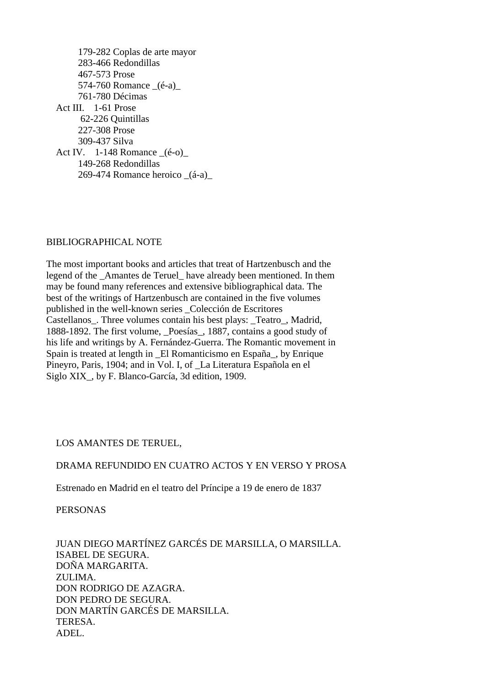179-282 Coplas de arte mayor 283-466 Redondillas 467-573 Prose 574-760 Romance  $(é-a)$  761-780 Décimas Act III. 1-61 Prose 62-226 Quintillas 227-308 Prose 309-437 Silva Act IV.  $1-148$  Romance  $(6-0)$  149-268 Redondillas 269-474 Romance heroico \_(á-a)\_

### BIBLIOGRAPHICAL NOTE

The most important books and articles that treat of Hartzenbusch and the legend of the \_Amantes de Teruel\_ have already been mentioned. In them may be found many references and extensive bibliographical data. The best of the writings of Hartzenbusch are contained in the five volumes published in the well-known series \_Colección de Escritores Castellanos\_. Three volumes contain his best plays: \_Teatro\_, Madrid, 1888-1892. The first volume, \_Poesías\_, 1887, contains a good study of his life and writings by A. Fernández-Guerra. The Romantic movement in Spain is treated at length in El Romanticismo en España, by Enrique Pineyro, Paris, 1904; and in Vol. I, of \_La Literatura Española en el Siglo XIX\_, by F. Blanco-García, 3d edition, 1909.

# LOS AMANTES DE TERUEL,

### DRAMA REFUNDIDO EN CUATRO ACTOS Y EN VERSO Y PROSA

Estrenado en Madrid en el teatro del Príncipe a 19 de enero de 1837

PERSONAS

 JUAN DIEGO MARTÍNEZ GARCÉS DE MARSILLA, O MARSILLA. ISABEL DE SEGURA. DOÑA MARGARITA. ZULIMA. DON RODRIGO DE AZAGRA. DON PEDRO DE SEGURA. DON MARTÍN GARCÉS DE MARSILLA. TERESA. ADEL.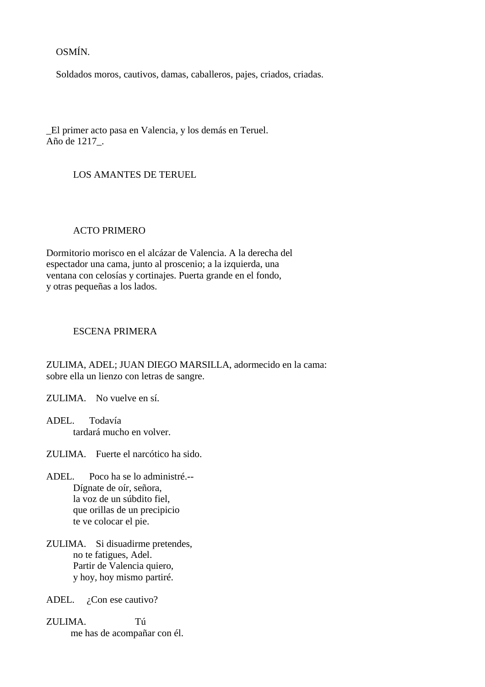OSMÍN.

Soldados moros, cautivos, damas, caballeros, pajes, criados, criadas.

\_El primer acto pasa en Valencia, y los demás en Teruel. Año de 1217\_.

# LOS AMANTES DE TERUEL

### ACTO PRIMERO

Dormitorio morisco en el alcázar de Valencia. A la derecha del espectador una cama, junto al proscenio; a la izquierda, una ventana con celosías y cortinajes. Puerta grande en el fondo, y otras pequeñas a los lados.

#### ESCENA PRIMERA

ZULIMA, ADEL; JUAN DIEGO MARSILLA, adormecido en la cama: sobre ella un lienzo con letras de sangre.

ZULIMA. No vuelve en sí.

ADEL. Todavía tardará mucho en volver.

ZULIMA. Fuerte el narcótico ha sido.

- ADEL. Poco ha se lo administré.-- Dígnate de oír, señora, la voz de un súbdito fiel, que orillas de un precipicio te ve colocar el pie.
- ZULIMA. Si disuadirme pretendes, no te fatigues, Adel. Partir de Valencia quiero, y hoy, hoy mismo partiré.

ADEL. ¿Con ese cautivo?

ZULIMA. Tú me has de acompañar con él.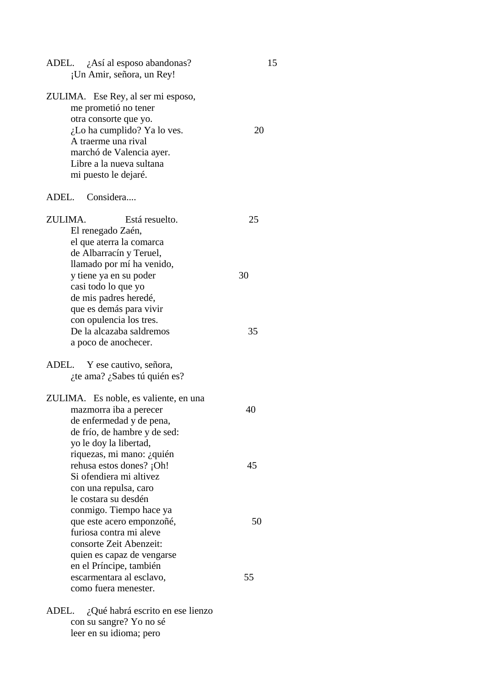| ADEL. $i$ Así al esposo abandonas?<br>¡Un Amir, señora, un Rey!                                                                                                                                                              | 15 |
|------------------------------------------------------------------------------------------------------------------------------------------------------------------------------------------------------------------------------|----|
| ZULIMA. Ese Rey, al ser mi esposo,<br>me prometió no tener<br>otra consorte que yo.<br>$i$ Lo ha cumplido? Ya lo ves.<br>A traerme una rival<br>marchó de Valencia ayer.<br>Libre a la nueva sultana<br>mi puesto le dejaré. | 20 |
| ADEL. Considera                                                                                                                                                                                                              |    |
| ZULIMA.<br>Está resuelto.<br>El renegado Zaén,<br>el que aterra la comarca<br>de Albarracín y Teruel,<br>llamado por mí ha venido,                                                                                           | 25 |
| y tiene ya en su poder<br>casi todo lo que yo<br>de mis padres heredé,<br>que es demás para vivir<br>con opulencia los tres.                                                                                                 | 30 |
| De la alcazaba saldremos<br>a poco de anochecer.                                                                                                                                                                             | 35 |
| ADEL. Y ese cautivo, señora,<br>¿te ama? ¿Sabes tú quién es?                                                                                                                                                                 |    |
| ZULIMA. Es noble, es valiente, en una<br>mazmorra iba a perecer<br>de enfermedad y de pena,<br>de frío, de hambre y de sed:<br>yo le doy la libertad,                                                                        | 40 |
| riquezas, mi mano: ¿quién<br>rehusa estos dones? ¡Oh!<br>Si ofendiera mi altivez<br>con una repulsa, caro<br>le costara su desdén                                                                                            | 45 |
| conmigo. Tiempo hace ya<br>que este acero emponzoñé,<br>furiosa contra mi aleve<br>consorte Zeit Abenzeit:<br>quien es capaz de vengarse<br>en el Príncipe, también                                                          | 50 |
| escarmentara al esclavo,<br>como fuera menester.                                                                                                                                                                             | 55 |
| ADEL.<br>¿Qué habrá escrito en ese lienzo<br>con su sangre? Yo no sé<br>leer en su idioma; pero                                                                                                                              |    |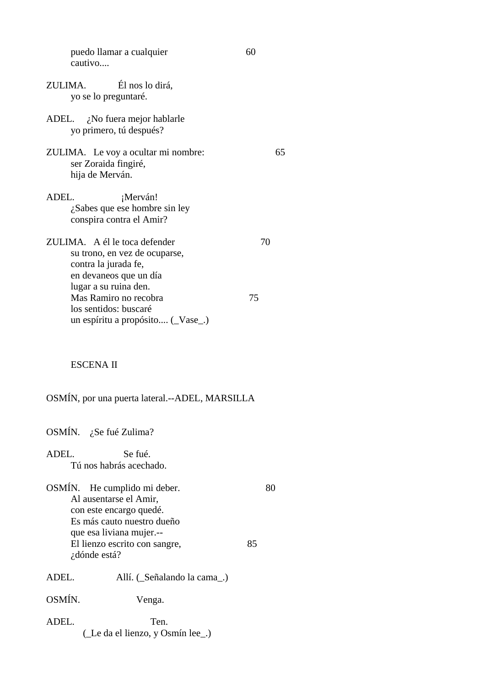| puedo llamar a cualquier<br>cautivo                                                                              | 60 |    |
|------------------------------------------------------------------------------------------------------------------|----|----|
| Él nos lo dirá,<br>ZULIMA.<br>yo se lo preguntaré.                                                               |    |    |
| ADEL. $\chi$ No fuera mejor hablarle<br>yo primero, tú después?                                                  |    |    |
| ZULIMA. Le voy a ocultar mi nombre:<br>ser Zoraida fingiré,<br>hija de Merván.                                   |    | 65 |
| ADEL.<br>¡Merván!<br>$i$ Sabes que ese hombre sin ley<br>conspira contra el Amir?                                |    |    |
| ZULIMA. A él le toca defender<br>su trono, en vez de ocuparse,<br>contra la jurada fe,<br>en devaneos que un día | 70 |    |
| lugar a su ruina den.<br>Mas Ramiro no recobra<br>los sentidos: buscaré<br>un espíritu a propósito (Vase_.)      | 75 |    |

# ESCENA II

OSMÍN, por una puerta lateral.--ADEL, MARSILLA

OSMÍN. ¿Se fué Zulima?

ADEL. Se fué. Tú nos habrás acechado.

OSMÍN. He cumplido mi deber. 80 Al ausentarse el Amir, con este encargo quedé. Es más cauto nuestro dueño que esa liviana mujer.-- El lienzo escrito con sangre, 85 ¿dónde está?

ADEL. Allí. (\_Señalando la cama\_.)

OSMÍN. Venga.

ADEL. Ten. (\_Le da el lienzo, y Osmín lee\_.)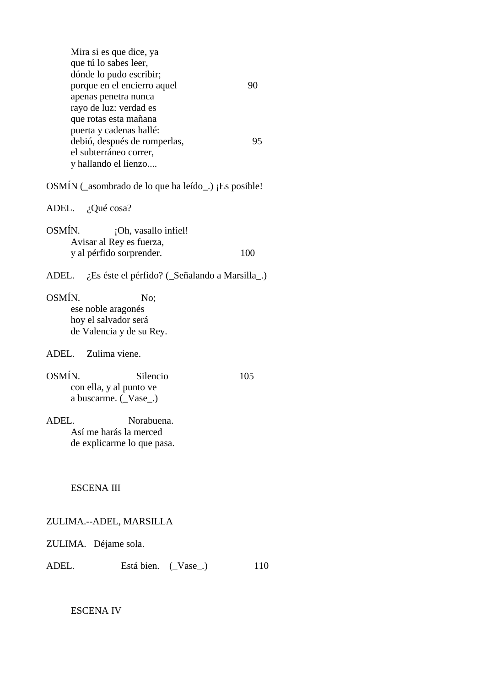|        | Mira si es que dice, ya<br>que tú lo sabes leer,<br>dónde lo pudo escribir;                               |     |
|--------|-----------------------------------------------------------------------------------------------------------|-----|
|        | porque en el encierro aquel<br>apenas penetra nunca<br>rayo de luz: verdad es<br>que rotas esta mañana    | 90  |
|        | puerta y cadenas hallé:<br>debió, después de romperlas,<br>el subterráneo correr,<br>y hallando el lienzo | 95  |
|        | OSMÍN (_asombrado de lo que ha leído_.) ¡Es posible!                                                      |     |
|        | ADEL. ¿Qué cosa?                                                                                          |     |
| OSMÍN. | ¡Oh, vasallo infiel!<br>Avisar al Rey es fuerza,<br>y al pérfido sorprender.                              | 100 |
|        | ADEL. ¿Es éste el pérfido? (_Señalando a Marsilla_.)                                                      |     |
| OSMÍN. | No:<br>ese noble aragonés<br>hoy el salvador será<br>de Valencia y de su Rey.                             |     |
|        | ADEL. Zulima viene.                                                                                       |     |
| OSMÍN. | Silencio<br>con ella, y al punto ve<br>a buscarme. (Vase_.)                                               | 105 |
| ADEL.  | Norabuena.<br>Así me harás la merced<br>de explicarme lo que pasa.                                        |     |
|        | <b>ESCENA III</b>                                                                                         |     |
|        | ZULIMA.--ADEL, MARSILLA                                                                                   |     |
|        | ZULIMA. Déjame sola.                                                                                      |     |
| ADEL.  | Está bien. (Vase)                                                                                         | 110 |

ESCENA IV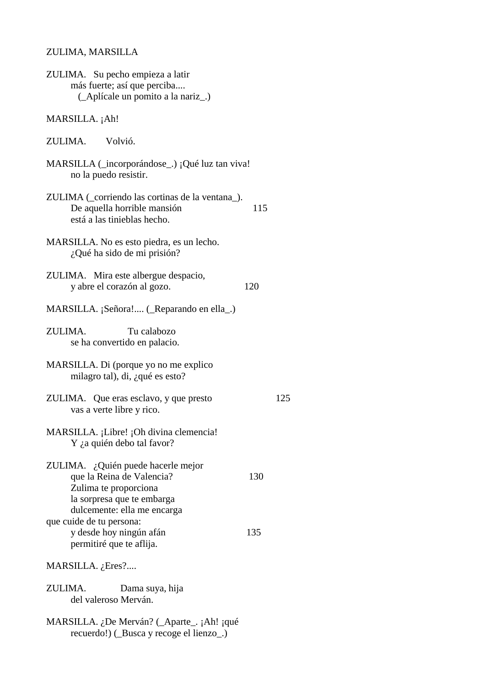#### ZULIMA, MARSILLA

| ZULIMA. Su pecho empieza a latir   |
|------------------------------------|
| más fuerte; así que perciba        |
| (_Aplícale un pomito a la nariz_.) |

#### MARSILLA. ¡Ah!

## ZULIMA. Volvió.

| MARSILLA (_incorporándose_.) ¡Qué luz tan viva! |
|-------------------------------------------------|
| no la puedo resistir.                           |

- ZULIMA (\_corriendo las cortinas de la ventana\_). De aquella horrible mansión 115 está a las tinieblas hecho.
- MARSILLA. No es esto piedra, es un lecho. ¿Qué ha sido de mi prisión?
- ZULIMA. Mira este albergue despacio, y abre el corazón al gozo. 120
- MARSILLA. ¡Señora!.... (\_Reparando en ella\_.)

ZULIMA. Tu calabozo se ha convertido en palacio.

- MARSILLA. Di (porque yo no me explico milagro tal), di, ¿qué es esto?
- ZULIMA. Que eras esclavo, y que presto 125 vas a verte libre y rico.
- MARSILLA. ¡Libre! ¡Oh divina clemencia! Y ¿a quién debo tal favor?
- ZULIMA. ¿Quién puede hacerle mejor que la Reina de Valencia? 130 Zulima te proporciona la sorpresa que te embarga dulcemente: ella me encarga que cuide de tu persona: y desde hoy ningún afán 135 permitiré que te aflija.

MARSILLA. ¿Eres?....

ZULIMA. Dama suya, hija del valeroso Merván.

MARSILLA. ¿De Merván? (\_Aparte\_. ¡Ah! ¡qué recuerdo!) (\_Busca y recoge el lienzo\_.)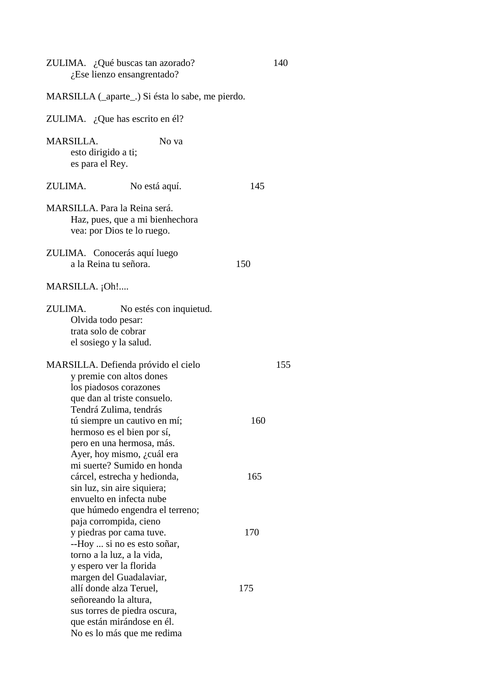| ZULIMA. ¿Qué buscas tan azorado?<br>$i$ Ese lienzo ensangrentado?                                                                                    | 140 |
|------------------------------------------------------------------------------------------------------------------------------------------------------|-----|
| MARSILLA (_aparte_.) Si ésta lo sabe, me pierdo.                                                                                                     |     |
| ZULIMA. ¿Que has escrito en él?                                                                                                                      |     |
| <b>MARSILLA.</b><br>No va<br>esto dirigido a ti;<br>es para el Rey.                                                                                  |     |
| ZULIMA.<br>No está aquí.                                                                                                                             | 145 |
| MARSILLA. Para la Reina será.<br>Haz, pues, que a mi bienhechora<br>vea: por Dios te lo ruego.                                                       |     |
| ZULIMA. Conocerás aquí luego<br>a la Reina tu señora.                                                                                                | 150 |
| $MARSILLA.$ $[Oh!$                                                                                                                                   |     |
| ZULIMA.<br>No estés con inquietud.<br>Olvida todo pesar:<br>trata solo de cobrar<br>el sosiego y la salud.                                           |     |
| MARSILLA. Defienda próvido el cielo<br>y premie con altos dones<br>los piadosos corazones<br>que dan al triste consuelo.<br>Tendrá Zulima, tendrás   | 155 |
| tú siempre un cautivo en mí;<br>hermoso es el bien por sí,<br>pero en una hermosa, más.<br>Ayer, hoy mismo, ¿cuál era<br>mi suerte? Sumido en honda  | 160 |
| cárcel, estrecha y hedionda,<br>sin luz, sin aire siquiera;<br>envuelto en infecta nube<br>que húmedo engendra el terreno;<br>paja corrompida, cieno | 165 |
| y piedras por cama tuve.<br>--Hoy  si no es esto soñar,<br>torno a la luz, a la vida,<br>y espero ver la florida<br>margen del Guadalaviar,          | 170 |
| allí donde alza Teruel,<br>señoreando la altura,<br>sus torres de piedra oscura,<br>que están mirándose en él.<br>No es lo más que me redima         | 175 |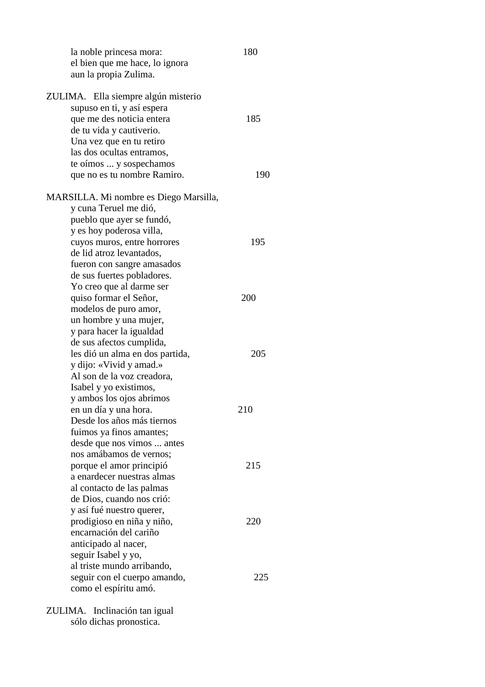la noble princesa mora: 180 el bien que me hace, lo ignora aun la propia Zulima. ZULIMA. Ella siempre algún misterio supuso en ti, y así espera que me des noticia entera 185 de tu vida y cautiverio. Una vez que en tu retiro las dos ocultas entramos, te oímos ... y sospechamos que no es tu nombre Ramiro. 190 MARSILLA. Mi nombre es Diego Marsilla, y cuna Teruel me dió, pueblo que ayer se fundó, y es hoy poderosa villa, cuyos muros, entre horrores 195 de lid atroz levantados, fueron con sangre amasados de sus fuertes pobladores. Yo creo que al darme ser quiso formar el Señor, 200 modelos de puro amor, un hombre y una mujer, y para hacer la igualdad de sus afectos cumplida, les dió un alma en dos partida, 205 y dijo: «Vivid y amad.» Al son de la voz creadora, Isabel y yo existimos, y ambos los ojos abrimos en un día y una hora. 210 Desde los años más tiernos fuimos ya finos amantes; desde que nos vimos ... antes nos amábamos de vernos; porque el amor principió 215 a enardecer nuestras almas al contacto de las palmas de Dios, cuando nos crió: y así fué nuestro querer, prodigioso en niña y niño, 220 encarnación del cariño anticipado al nacer, seguir Isabel y yo, al triste mundo arribando, seguir con el cuerpo amando, 225 como el espíritu amó. ZULIMA. Inclinación tan igual sólo dichas pronostica.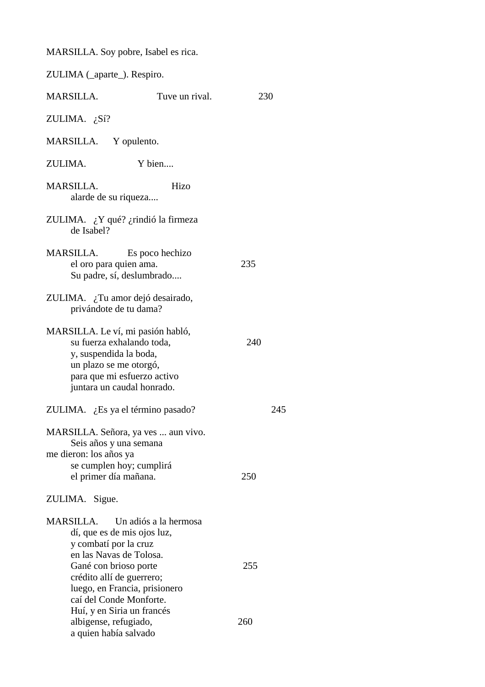MARSILLA. Soy pobre, Isabel es rica.

| ZULIMA (_aparte_). Respiro.                                                                                                                                                     |                                     |     |
|---------------------------------------------------------------------------------------------------------------------------------------------------------------------------------|-------------------------------------|-----|
| MARSILLA.                                                                                                                                                                       | Tuve un rival.                      | 230 |
| ZULIMA. $i$ Sí?                                                                                                                                                                 |                                     |     |
| MARSILLA. Y opulento.                                                                                                                                                           |                                     |     |
| ZULIMA.                                                                                                                                                                         | Y bien                              |     |
| <b>MARSILLA.</b><br>alarde de su riqueza                                                                                                                                        | Hizo                                |     |
| ZULIMA. ¿Y qué? ¿rindió la firmeza<br>de Isabel?                                                                                                                                |                                     |     |
| MARSILLA. Es poco hechizo<br>el oro para quien ama.                                                                                                                             | Su padre, sí, deslumbrado           | 235 |
| ZULIMA. ¿Tu amor dejó desairado,<br>privándote de tu dama?                                                                                                                      |                                     |     |
| MARSILLA. Le ví, mi pasión habló,<br>su fuerza exhalando toda,<br>y, suspendida la boda,<br>un plazo se me otorgó,<br>para que mi esfuerzo activo<br>juntara un caudal honrado. |                                     | 240 |
| ZULIMA. ¿Es ya el término pasado?                                                                                                                                               |                                     | 245 |
| Seis años y una semana<br>me dieron: los años ya<br>se cumplen hoy; cumplirá<br>el primer día mañana.                                                                           | MARSILLA. Señora, ya ves  aun vivo. | 250 |
| ZULIMA. Sigue.                                                                                                                                                                  |                                     |     |
| <b>MARSILLA.</b><br>dí, que es de mis ojos luz,<br>y combatí por la cruz<br>en las Navas de Tolosa.                                                                             | Un adiós a la hermosa               |     |
| Gané con brioso porte<br>crédito allí de guerrero;<br>caí del Conde Monforte.<br>Huí, y en Siria un francés                                                                     | luego, en Francia, prisionero       | 255 |
| albigense, refugiado,<br>a quien había salvado                                                                                                                                  |                                     | 260 |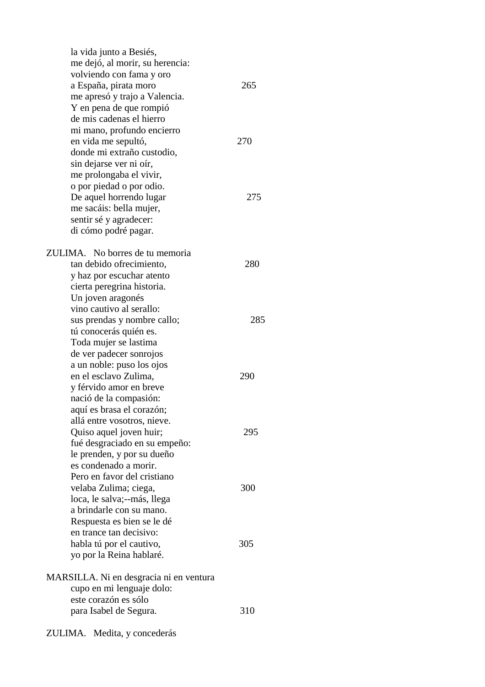la vida junto a Besiés, me dejó, al morir, su herencia: volviendo con fama y oro a España, pirata moro 265 me apresó y trajo a Valencia. Y en pena de que rompió de mis cadenas el hierro mi mano, profundo encierro en vida me sepultó, 270 donde mi extraño custodio, sin dejarse ver ni oír, me prolongaba el vivir, o por piedad o por odio. De aquel horrendo lugar 275 me sacáis: bella mujer, sentir sé y agradecer: di cómo podré pagar. ZULIMA. No borres de tu memoria tan debido ofrecimiento, 280 y haz por escuchar atento cierta peregrina historia. Un joven aragonés vino cautivo al serallo: sus prendas y nombre callo; 285 tú conocerás quién es. Toda mujer se lastima de ver padecer sonrojos a un noble: puso los ojos en el esclavo Zulima, 290 y férvido amor en breve nació de la compasión: aquí es brasa el corazón; allá entre vosotros, nieve. Quiso aquel joven huir; 295 fué desgraciado en su empeño: le prenden, y por su dueño es condenado a morir. Pero en favor del cristiano velaba Zulima; ciega, 300 loca, le salva;--más, llega a brindarle con su mano. Respuesta es bien se le dé en trance tan decisivo: habla tú por el cautivo,  $305$  yo por la Reina hablaré. MARSILLA. Ni en desgracia ni en ventura cupo en mi lenguaje dolo: este corazón es sólo para Isabel de Segura. 310

ZULIMA. Medita, y concederás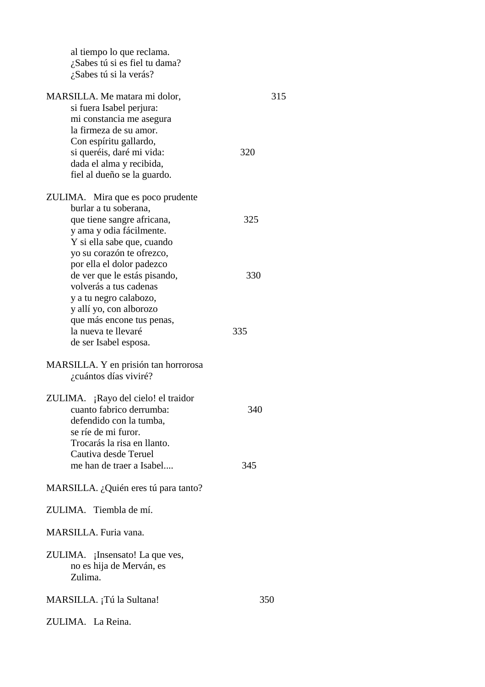| al tiempo lo que reclama.<br>¿Sabes tú si es fiel tu dama?<br>¿Sabes tú si la verás?                                                       |     |
|--------------------------------------------------------------------------------------------------------------------------------------------|-----|
| MARSILLA. Me matara mi dolor,<br>si fuera Isabel perjura:<br>mi constancia me asegura                                                      | 315 |
| la firmeza de su amor.<br>Con espíritu gallardo,<br>si queréis, daré mi vida:<br>dada el alma y recibida,<br>fiel al dueño se la guardo.   | 320 |
| ZULIMA. Mira que es poco prudente                                                                                                          |     |
| burlar a tu soberana,<br>que tiene sangre africana,<br>y ama y odia fácilmente.<br>Y si ella sabe que, cuando                              | 325 |
| yo su corazón te ofrezco,<br>por ella el dolor padezco<br>de ver que le estás pisando,<br>volverás a tus cadenas<br>y a tu negro calabozo, | 330 |
| y allí yo, con alborozo<br>que más encone tus penas,<br>la nueva te llevaré<br>de ser Isabel esposa.                                       | 335 |
| MARSILLA. Y en prisión tan horrorosa<br>¿cuántos días viviré?                                                                              |     |
| ZULIMA. ¡Rayo del cielo! el traidor<br>cuanto fabrico derrumba:<br>defendido con la tumba,<br>se ríe de mi furor.                          | 340 |
| Trocarás la risa en llanto.<br>Cautiva desde Teruel<br>me han de traer a Isabel                                                            | 345 |
| MARSILLA. ¿Quién eres tú para tanto?                                                                                                       |     |
| ZULIMA. Tiembla de mí.                                                                                                                     |     |
| MARSILLA. Furia vana.                                                                                                                      |     |
| ZULIMA. ¡Insensato! La que ves,<br>no es hija de Merván, es<br>Zulima.                                                                     |     |
| MARSILLA. ¡Tú la Sultana!                                                                                                                  | 350 |
| ZULIMA. La Reina.                                                                                                                          |     |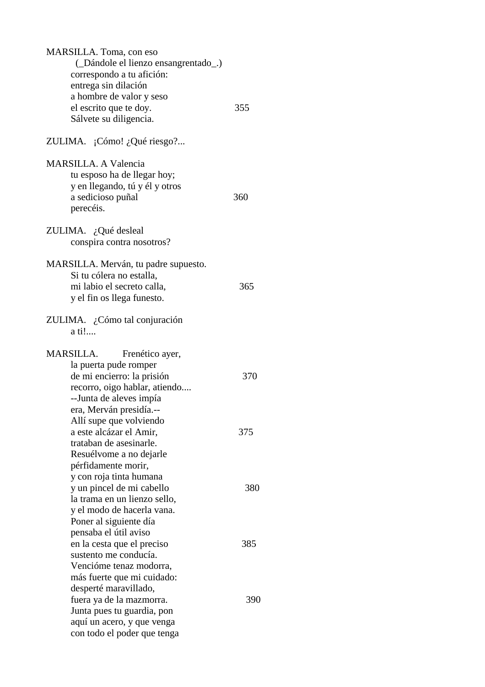| MARSILLA. Toma, con eso<br>(Dándole el lienzo ensangrentado)<br>correspondo a tu afición:<br>entrega sin dilación<br>a hombre de valor y seso<br>el escrito que te doy.<br>Sálvete su diligencia.<br>ZULIMA. ¡Cómo! ¿Qué riesgo? | 355 |
|----------------------------------------------------------------------------------------------------------------------------------------------------------------------------------------------------------------------------------|-----|
| <b>MARSILLA. A Valencia</b><br>tu esposo ha de llegar hoy;<br>y en llegando, tú y él y otros<br>a sedicioso puñal<br>perecéis.                                                                                                   | 360 |
| ZULIMA. ¿Qué desleal<br>conspira contra nosotros?                                                                                                                                                                                |     |
| MARSILLA. Merván, tu padre supuesto.<br>Si tu cólera no estalla,<br>mi labio el secreto calla,<br>y el fin os llega funesto.                                                                                                     | 365 |
| ZULIMA. ¿Cómo tal conjuración<br>a ti!                                                                                                                                                                                           |     |
| MARSILLA.<br>Frenético ayer,<br>la puerta pude romper<br>de mi encierro: la prisión<br>recorro, oigo hablar, atiendo<br>--Junta de aleves impía                                                                                  | 370 |
| era, Merván presidía.--<br>Allí supe que volviendo<br>a este alcázar el Amir,<br>trataban de asesinarle.<br>Resuélvome a no dejarle                                                                                              | 375 |
| pérfidamente morir,<br>y con roja tinta humana<br>y un pincel de mi cabello<br>la trama en un lienzo sello,<br>y el modo de hacerla vana.                                                                                        | 380 |
| Poner al siguiente día<br>pensaba el útil aviso<br>en la cesta que el preciso<br>sustento me conducía.<br>Vencióme tenaz modorra,                                                                                                | 385 |
| más fuerte que mi cuidado:<br>desperté maravillado,<br>fuera ya de la mazmorra.<br>Junta pues tu guardia, pon<br>aquí un acero, y que venga<br>con todo el poder que tenga                                                       | 390 |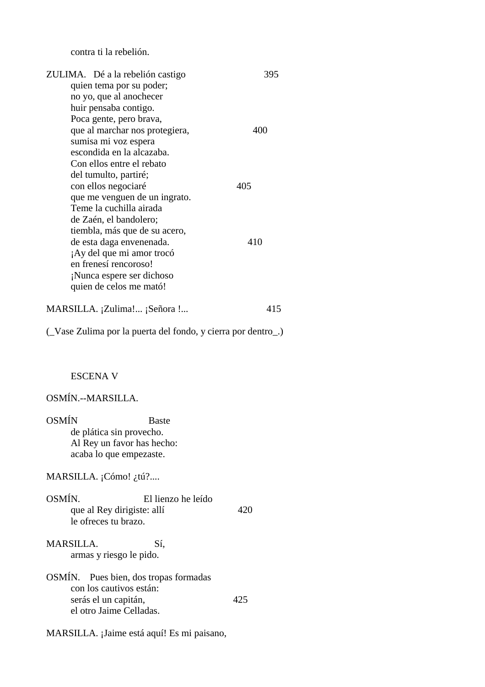contra ti la rebelión.

| ZULIMA. Dé a la rebelión castigo                           | 395 |
|------------------------------------------------------------|-----|
| quien tema por su poder;                                   |     |
| no yo, que al anochecer                                    |     |
| huir pensaba contigo.                                      |     |
| Poca gente, pero brava,                                    |     |
| que al marchar nos protegiera,                             | 400 |
| sumisa mi voz espera                                       |     |
| escondida en la alcazaba.                                  |     |
| Con ellos entre el rebato                                  |     |
| del tumulto, partiré;                                      |     |
| con ellos negociaré                                        | 405 |
| que me venguen de un ingrato.                              |     |
| Teme la cuchilla airada<br>de Zaén, el bandolero;          |     |
| tiembla, más que de su acero,                              |     |
| de esta daga envenenada.                                   | 410 |
| ¡Ay del que mi amor trocó                                  |     |
| en frenesí rencoroso!                                      |     |
| ¡Nunca espere ser dichoso                                  |     |
| quien de celos me mató!                                    |     |
|                                                            |     |
| MARSILLA. ¡Zulima! ¡Señora !                               | 415 |
|                                                            |     |
| (Vase Zulima por la puerta del fondo, y cierra por dentro) |     |
|                                                            |     |
|                                                            |     |
| <b>ESCENA V</b>                                            |     |
|                                                            |     |
| OSMÍN.--MARSILLA.                                          |     |
| <b>OSMÍN</b><br><b>Baste</b>                               |     |
| de plática sin provecho.                                   |     |
| Al Rey un favor has hecho:                                 |     |
| acaba lo que empezaste.                                    |     |
|                                                            |     |
| MARSILLA. $i^{C6}$ mo! $\lambda$ tú?                       |     |
|                                                            |     |
| OSMÍN.<br>El lienzo he leído                               |     |
| que al Rey dirigiste: allí                                 | 420 |
| le ofreces tu brazo.                                       |     |
| <b>MARSILLA.</b><br>Sí,                                    |     |
|                                                            |     |
| armas y riesgo le pido.                                    |     |
| OSMÍN. Pues bien, dos tropas formadas                      |     |
| con los cautivos están:                                    |     |
| serás el un capitán,                                       | 425 |
| el otro Jaime Celladas.                                    |     |
|                                                            |     |
| MARSILLA. ¡Jaime está aquí! Es mi paisano,                 |     |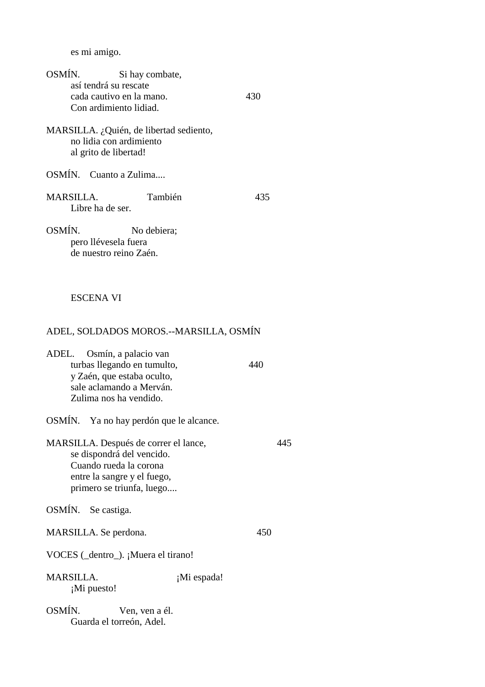es mi amigo.

| OSMÍN.                               | Si hay combate,<br>así tendrá su rescate<br>cada cautivo en la mano.<br>Con ardimiento lidiad.                                                           | 430         |     |
|--------------------------------------|----------------------------------------------------------------------------------------------------------------------------------------------------------|-------------|-----|
|                                      | MARSILLA. ¿Quién, de libertad sediento,<br>no lidia con ardimiento<br>al grito de libertad!                                                              |             |     |
| OSMÍN. Cuanto a Zulima               |                                                                                                                                                          |             |     |
| <b>MARSILLA.</b><br>Libre ha de ser. | También                                                                                                                                                  | 435         |     |
| OSMÍN.                               | No debiera;<br>pero llévesela fuera<br>de nuestro reino Zaén.                                                                                            |             |     |
| <b>ESCENA VI</b>                     |                                                                                                                                                          |             |     |
|                                      | ADEL, SOLDADOS MOROS.--MARSILLA, OSMÍN                                                                                                                   |             |     |
| ADEL.                                | Osmín, a palacio van<br>turbas llegando en tumulto,<br>y Zaén, que estaba oculto,<br>sale aclamando a Merván.<br>Zulima nos ha vendido.                  | 440         |     |
| OSMÍN.                               | Ya no hay perdón que le alcance.                                                                                                                         |             |     |
|                                      | MARSILLA. Después de correr el lance,<br>se dispondrá del vencido.<br>Cuando rueda la corona<br>entre la sangre y el fuego,<br>primero se triunfa, luego |             | 445 |
| OSMÍN. Se castiga.                   |                                                                                                                                                          |             |     |
| MARSILLA. Se perdona.                |                                                                                                                                                          | 450         |     |
|                                      | VOCES (_dentro_). ¡Muera el tirano!                                                                                                                      |             |     |
| <b>MARSILLA.</b><br>¡Mi puesto!      |                                                                                                                                                          | ¡Mi espada! |     |

OSMÍN. Ven, ven a él. Guarda el torreón, Adel.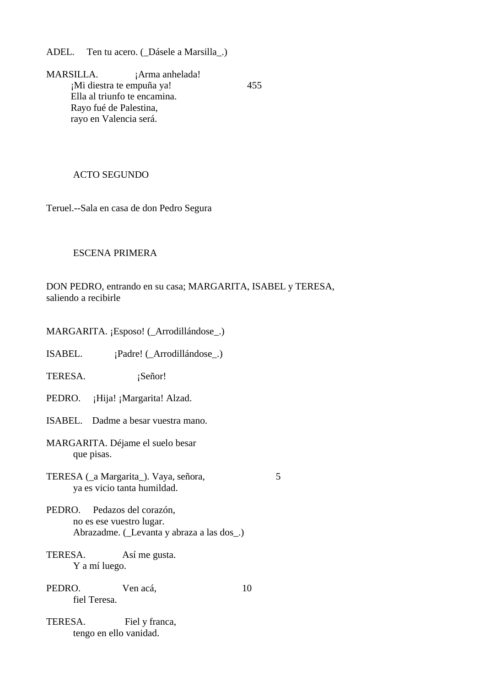ADEL. Ten tu acero. (\_Dásele a Marsilla\_.)

MARSILLA. ¡Arma anhelada! ¡Mi diestra te empuña ya! 455 Ella al triunfo te encamina. Rayo fué de Palestina, rayo en Valencia será.

# ACTO SEGUNDO

Teruel.--Sala en casa de don Pedro Segura

# ESCENA PRIMERA

DON PEDRO, entrando en su casa; MARGARITA, ISABEL y TERESA, saliendo a recibirle

- MARGARITA. ¡Esposo! (\_Arrodillándose\_.)
- ISABEL. ¡Padre! (\_Arrodillándose\_.)
- TERESA. ¡Señor!
- PEDRO. ¡Hija! ¡Margarita! Alzad.
- ISABEL. Dadme a besar vuestra mano.
- MARGARITA. Déjame el suelo besar que pisas.
- TERESA (\_a Margarita\_). Vaya, señora, 5 ya es vicio tanta humildad.

- PEDRO. Pedazos del corazón, no es ese vuestro lugar. Abrazadme. (\_Levanta y abraza a las dos\_.)
- TERESA. Así me gusta. Y a mí luego.
- PEDRO. Ven acá, 10 fiel Teresa.
- TERESA. Fiel y franca, tengo en ello vanidad.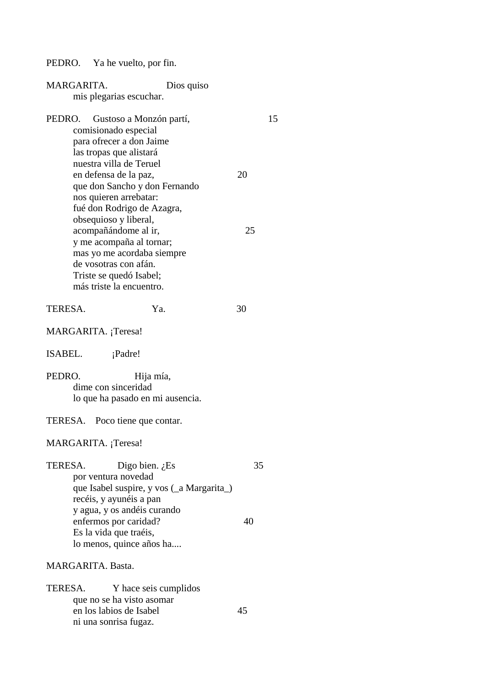PEDRO. Ya he vuelto, por fin.

| MARGARITA.<br>Dios quiso<br>mis plegarias escuchar.                                                                                                                  |    |    |
|----------------------------------------------------------------------------------------------------------------------------------------------------------------------|----|----|
| PEDRO.<br>Gustoso a Monzón partí,<br>comisionado especial<br>para ofrecer a don Jaime<br>las tropas que alistará<br>nuestra villa de Teruel<br>en defensa de la paz, | 20 | 15 |
| que don Sancho y don Fernando<br>nos quieren arrebatar:<br>fué don Rodrigo de Azagra,<br>obsequioso y liberal,                                                       |    |    |
| acompañándome al ir,<br>y me acompaña al tornar;<br>mas yo me acordaba siempre<br>de vosotras con afán.<br>Triste se quedó Isabel;<br>más triste la encuentro.       | 25 |    |
| TERESA.<br>Ya.                                                                                                                                                       | 30 |    |
| MARGARITA. ¡Teresa!                                                                                                                                                  |    |    |
| ISABEL.<br>¡Padre!                                                                                                                                                   |    |    |
| PEDRO.<br>Hija mía,<br>dime con sinceridad<br>lo que ha pasado en mi ausencia.                                                                                       |    |    |
| TERESA. Poco tiene que contar.                                                                                                                                       |    |    |
| MARGARITA. ¡Teresa!                                                                                                                                                  |    |    |
| TERESA.<br>Digo bien. $i$ Es<br>por ventura novedad<br>que Isabel suspire, y vos (a Margarita)<br>recéis, y ayunéis a pan                                            | 35 |    |
| y agua, y os andéis curando<br>enfermos por caridad?<br>Es la vida que traéis,<br>lo menos, quince años ha                                                           | 40 |    |
| <b>MARGARITA</b> . Basta.                                                                                                                                            |    |    |
| TERESA.<br>Y hace seis cumplidos<br>que no se ha visto asomar<br>en los labios de Isabel<br>ni una sonrisa fugaz.                                                    | 45 |    |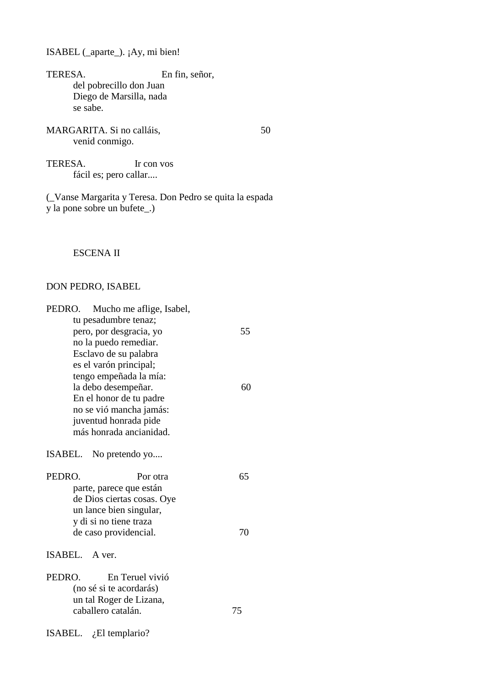ISABEL (\_aparte\_). ¡Ay, mi bien!

TERESA. En fin, señor, del pobrecillo don Juan Diego de Marsilla, nada se sabe.

MARGARITA. Si no calláis, 50 venid conmigo.

TERESA. Ir con vos fácil es; pero callar....

(\_Vanse Margarita y Teresa. Don Pedro se quita la espada y la pone sobre un bufete\_.)

# ESCENA II

### DON PEDRO, ISABEL

| PEDRO.<br>Mucho me aflige, Isabel, |    |
|------------------------------------|----|
| tu pesadumbre tenaz;               |    |
| pero, por desgracia, yo            | 55 |
| no la puedo remediar.              |    |
| Esclavo de su palabra              |    |
| es el varón principal;             |    |
| tengo empeñada la mía:             |    |
| la debo desempeñar.                | 60 |
| En el honor de tu padre            |    |
| no se vió mancha jamás:            |    |
| juventud honrada pide              |    |
| más honrada ancianidad.            |    |
|                                    |    |
| ISABEL. No pretendo yo             |    |
| PEDRO.<br>Por otra                 | 65 |
| parte, parece que están            |    |
| de Dios ciertas cosas. Oye         |    |
| un lance bien singular,            |    |
| y di si no tiene traza             |    |
| de caso providencial.              | 70 |
|                                    |    |
| ISABEL. A ver.                     |    |
| PEDRO.<br>En Teruel vivió          |    |
| (no sé si te acordarás)            |    |
| un tal Roger de Lizana,            |    |
| caballero catalán.                 | 75 |
|                                    |    |
| ISABEL. $i$ El templario?          |    |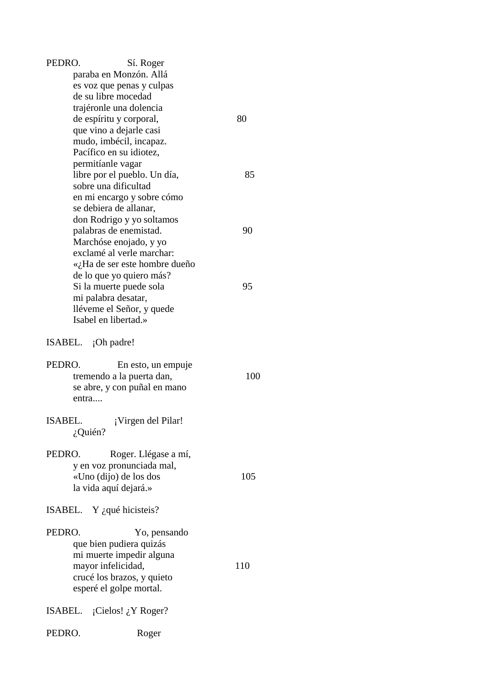| PEDRO.         | Sí. Roger                          |     |
|----------------|------------------------------------|-----|
|                | paraba en Monzón. Allá             |     |
|                | es voz que penas y culpas          |     |
|                | de su libre mocedad                |     |
|                | trajéronle una dolencia            |     |
|                | de espíritu y corporal,            | 80  |
|                | que vino a dejarle casi            |     |
|                | mudo, imbécil, incapaz.            |     |
|                |                                    |     |
|                | Pacífico en su idiotez,            |     |
|                | permitíanle vagar                  |     |
|                | libre por el pueblo. Un día,       | 85  |
|                | sobre una dificultad               |     |
|                | en mi encargo y sobre cómo         |     |
|                | se debiera de allanar,             |     |
|                | don Rodrigo y yo soltamos          |     |
|                | palabras de enemistad.             | 90  |
|                | Marchóse enojado, y yo             |     |
|                | exclamé al verle marchar:          |     |
|                | «¿Ha de ser este hombre dueño      |     |
|                | de lo que yo quiero más?           |     |
|                | Si la muerte puede sola            | 95  |
|                | mi palabra desatar,                |     |
|                |                                    |     |
|                | lléveme el Señor, y quede          |     |
|                | Isabel en libertad.»               |     |
|                | ISABEL. ¡Oh padre!                 |     |
| PEDRO.         | En esto, un empuje                 |     |
|                | tremendo a la puerta dan,          | 100 |
|                |                                    |     |
|                | se abre, y con puñal en mano       |     |
| entra          |                                    |     |
| <b>ISABEL.</b> |                                    |     |
|                | ¡Virgen del Pilar!                 |     |
|                | $i$ Quién?                         |     |
| PEDRO.         |                                    |     |
|                | Roger. Llégase a mí,               |     |
|                | y en voz pronunciada mal,          |     |
|                | «Uno (dijo) de los dos             | 105 |
|                | la vida aquí dejará.»              |     |
|                | ISABEL. Y $\zeta$ qué hicisteis?   |     |
| PEDRO.         |                                    |     |
|                | Yo, pensando                       |     |
|                | que bien pudiera quizás            |     |
|                | mi muerte impedir alguna           |     |
|                | mayor infelicidad,                 | 110 |
|                | crucé los brazos, y quieto         |     |
|                | esperé el golpe mortal.            |     |
|                |                                    |     |
|                | ISABEL. $i$ Cielos! $i$ , Y Roger? |     |
| PEDRO.         | Roger                              |     |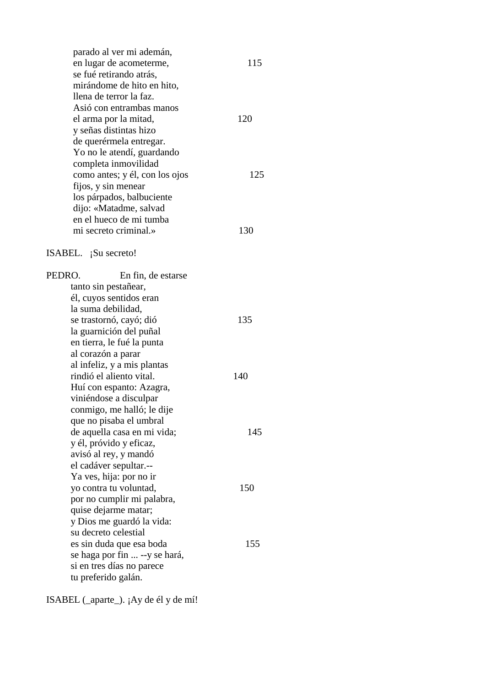parado al ver mi ademán, en lugar de acometerme, 115 se fué retirando atrás, mirándome de hito en hito, llena de terror la faz. Asió con entrambas manos el arma por la mitad, 120 y señas distintas hizo de querérmela entregar. Yo no le atendí, guardando completa inmovilidad como antes; y él, con los ojos 125 fijos, y sin menear los párpados, balbuciente dijo: «Matadme, salvad en el hueco de mi tumba mi secreto criminal.» 130 ISABEL. ¡Su secreto! PEDRO. En fin, de estarse tanto sin pestañear, él, cuyos sentidos eran la suma debilidad, se trastornó, cavó; dió 135 la guarnición del puñal en tierra, le fué la punta al corazón a parar al infeliz, y a mis plantas rindió el aliento vital. 140 Huí con espanto: Azagra, viniéndose a disculpar conmigo, me halló; le dije que no pisaba el umbral de aquella casa en mi vida; 145 y él, próvido y eficaz, avisó al rey, y mandó el cadáver sepultar.-- Ya ves, hija: por no ir yo contra tu voluntad, 150 por no cumplir mi palabra, quise dejarme matar; y Dios me guardó la vida: su decreto celestial es sin duda que esa boda 155 se haga por fin ... --y se hará, si en tres días no parece tu preferido galán.

ISABEL (\_aparte\_). ¡Ay de él y de mí!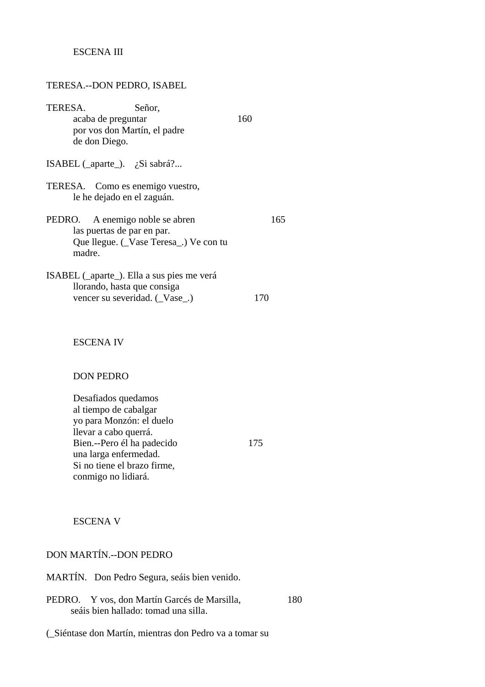## ESCENA III

#### TERESA.--DON PEDRO, ISABEL

| TERESA.                                                                   | Señor.                              |     |
|---------------------------------------------------------------------------|-------------------------------------|-----|
| acaba de preguntar                                                        |                                     | 160 |
| por vos don Martín, el padre                                              |                                     |     |
| de don Diego.                                                             |                                     |     |
| ISABEL (_aparte_). $\chi$ Si sabrá?                                       |                                     |     |
| TERESA. Como es enemigo vuestro,<br>le he dejado en el zaguán.            |                                     |     |
| PEDRO. A enemigo noble se abren                                           |                                     | 165 |
| las puertas de par en par.                                                |                                     |     |
| madre.                                                                    | Que llegue. (Vase Teresa) Ve con tu |     |
| ISABEL (_aparte_). Ella a sus pies me verá<br>llorando, hasta que consiga |                                     |     |
| vencer su severidad. (Vase )                                              |                                     |     |

#### ESCENA IV

#### DON PEDRO

 Desafiados quedamos al tiempo de cabalgar yo para Monzón: el duelo llevar a cabo querrá. Bien.--Pero él ha padecido 175 una larga enfermedad. Si no tiene el brazo firme, conmigo no lidiará.

ESCENA V

## DON MARTÍN.--DON PEDRO

- MARTÍN. Don Pedro Segura, seáis bien venido.
- PEDRO. Y vos, don Martín Garcés de Marsilla, 180 seáis bien hallado: tomad una silla.

(\_Siéntase don Martín, mientras don Pedro va a tomar su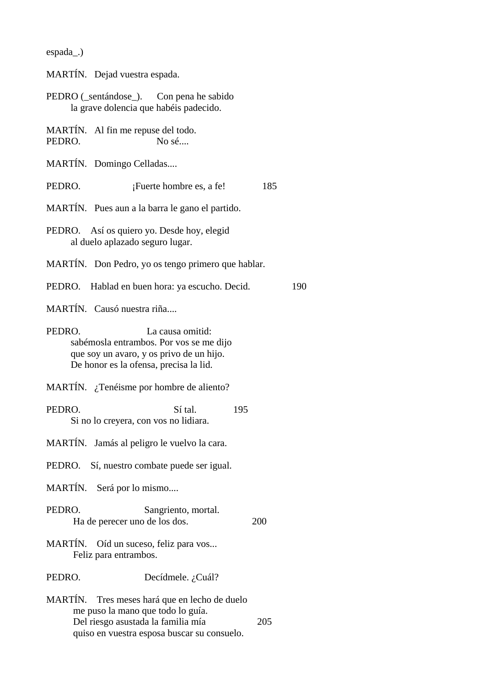| espada |  |
|--------|--|
|--------|--|

MARTÍN. Dejad vuestra espada.

| PEDRO (_sentándose_). | Con pena he sabido                     |
|-----------------------|----------------------------------------|
|                       | la grave dolencia que habéis padecido. |

MARTÍN. Al fin me repuse del todo. PEDRO. No sé....

MARTÍN. Domingo Celladas....

PEDRO. **¡Fuerte hombre es, a fe!** 185

MARTÍN. Pues aun a la barra le gano el partido.

- MARTÍN. Don Pedro, yo os tengo primero que hablar.
- PEDRO. Hablad en buen hora: ya escucho. Decid. 190

MARTÍN. Causó nuestra riña....

PEDRO. La causa omitid: sabémosla entrambos. Por vos se me dijo que soy un avaro, y os privo de un hijo. De honor es la ofensa, precisa la lid.

MARTÍN. ¿Tenéisme por hombre de aliento?

PEDRO. Sí tal. 195 Si no lo creyera, con vos no lidiara.

MARTÍN. Jamás al peligro le vuelvo la cara.

PEDRO. Sí, nuestro combate puede ser igual.

MARTÍN. Será por lo mismo....

PEDRO. Sangriento, mortal. Ha de perecer uno de los dos. 200

MARTÍN. Oíd un suceso, feliz para vos... Feliz para entrambos.

PEDRO. Decídmele. ¿Cuál?

MARTÍN. Tres meses hará que en lecho de duelo me puso la mano que todo lo guía. Del riesgo asustada la familia mía 205 quiso en vuestra esposa buscar su consuelo.

PEDRO. Así os quiero yo. Desde hoy, elegid al duelo aplazado seguro lugar.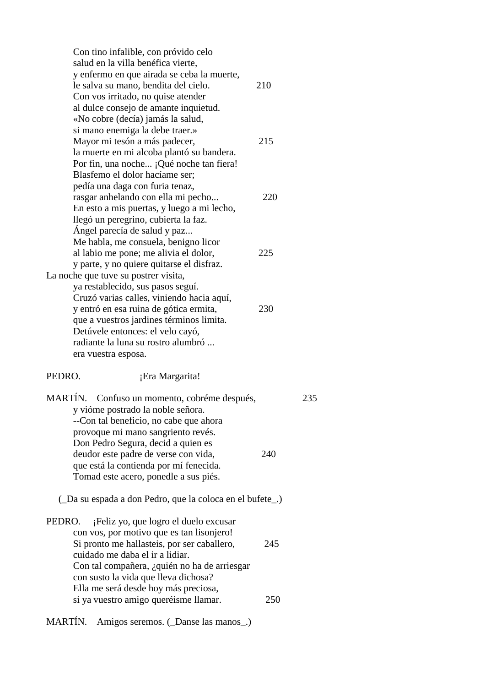Con tino infalible, con próvido celo salud en la villa benéfica vierte, y enfermo en que airada se ceba la muerte, le salva su mano, bendita del cielo. 210 Con vos irritado, no quise atender al dulce consejo de amante inquietud. «No cobre (decía) jamás la salud, si mano enemiga la debe traer.» Mayor mi tesón a más padecer, 215 la muerte en mi alcoba plantó su bandera. Por fin, una noche... ¡Qué noche tan fiera! Blasfemo el dolor hacíame ser; pedía una daga con furia tenaz, rasgar anhelando con ella mi pecho... 220 En esto a mis puertas, y luego a mi lecho, llegó un peregrino, cubierta la faz. Ángel parecía de salud y paz... Me habla, me consuela, benigno licor al labio me pone; me alivia el dolor, 225 y parte, y no quiere quitarse el disfraz. La noche que tuve su postrer visita, ya restablecido, sus pasos seguí. Cruzó varias calles, viniendo hacia aquí, y entró en esa ruina de gótica ermita, 230 que a vuestros jardines términos limita. Detúvele entonces: el velo cayó, radiante la luna su rostro alumbró ... era vuestra esposa. PEDRO. **i**Era Margarita! MARTÍN. Confuso un momento, cobréme después, 235 y vióme postrado la noble señora. --Con tal beneficio, no cabe que ahora provoque mi mano sangriento revés. Don Pedro Segura, decid a quien es deudor este padre de verse con vida, 240 que está la contienda por mí fenecida. Tomad este acero, ponedle a sus piés. (\_Da su espada a don Pedro, que la coloca en el bufete\_.) PEDRO. ¡Feliz yo, que logro el duelo excusar con vos, por motivo que es tan lisonjero! Si pronto me hallasteis, por ser caballero, 245 cuidado me daba el ir a lidiar. Con tal compañera, ¿quién no ha de arriesgar con susto la vida que lleva dichosa? Ella me será desde hoy más preciosa, si ya vuestro amigo queréisme llamar. 250

MARTÍN. Amigos seremos. (Danse las manos)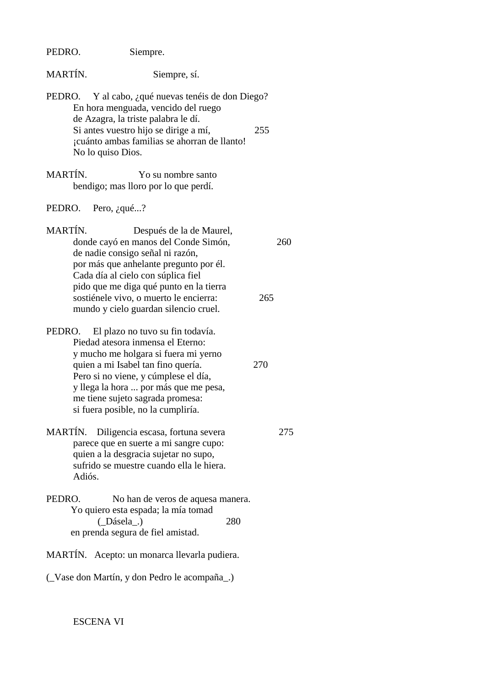| PEDRO. | Siempre. |
|--------|----------|
|--------|----------|

MARTÍN. Siempre, sí.

- PEDRO. Y al cabo, ¿qué nuevas tenéis de don Diego? En hora menguada, vencido del ruego de Azagra, la triste palabra le dí. Si antes vuestro hijo se dirige a mí, 255 ¡cuánto ambas familias se ahorran de llanto! No lo quiso Dios.
- MARTÍN. Yo su nombre santo bendigo; mas lloro por lo que perdí.
- PEDRO. Pero, ¿qué...?
- MARTÍN. Después de la de Maurel, donde cayó en manos del Conde Simón, 260 de nadie consigo señal ni razón, por más que anhelante pregunto por él. Cada día al cielo con súplica fiel pido que me diga qué punto en la tierra sostiénele vivo, o muerto le encierra: 265 mundo y cielo guardan silencio cruel.
- PEDRO. El plazo no tuvo su fin todavía. Piedad atesora inmensa el Eterno: y mucho me holgara si fuera mi yerno quien a mi Isabel tan fino quería. 270 Pero si no viene, y cúmplese el día, y llega la hora ... por más que me pesa, me tiene sujeto sagrada promesa: si fuera posible, no la cumpliría.
- MARTÍN. Diligencia escasa, fortuna severa 275 parece que en suerte a mi sangre cupo: quien a la desgracia sujetar no supo, sufrido se muestre cuando ella le hiera. Adiós.
- PEDRO. No han de veros de aquesa manera. Yo quiero esta espada; la mía tomad (\_Dásela\_.) 280 en prenda segura de fiel amistad.

MARTÍN. Acepto: un monarca llevarla pudiera.

(\_Vase don Martín, y don Pedro le acompaña\_.)

ESCENA VI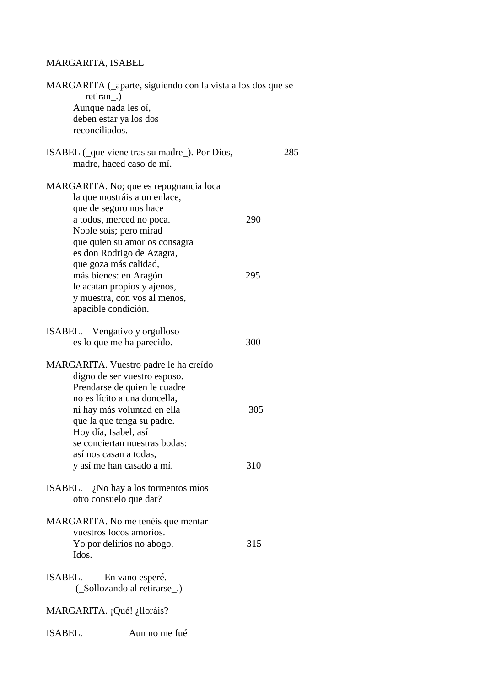## MARGARITA, ISABEL

| MARGARITA (_aparte, siguiendo con la vista a los dos que se<br>retiran.) |     |     |
|--------------------------------------------------------------------------|-----|-----|
| Aunque nada les oí,                                                      |     |     |
| deben estar ya los dos                                                   |     |     |
| reconciliados.                                                           |     |     |
|                                                                          |     |     |
| ISABEL (que viene tras su madre). Por Dios,<br>madre, haced caso de mí.  |     | 285 |
| MARGARITA. No; que es repugnancia loca                                   |     |     |
| la que mostráis a un enlace,                                             |     |     |
| que de seguro nos hace                                                   |     |     |
| a todos, merced no poca.                                                 | 290 |     |
| Noble sois; pero mirad                                                   |     |     |
| que quien su amor os consagra                                            |     |     |
| es don Rodrigo de Azagra,                                                |     |     |
| que goza más calidad,                                                    |     |     |
| más bienes: en Aragón                                                    | 295 |     |
| le acatan propios y ajenos,                                              |     |     |
| y muestra, con vos al menos,                                             |     |     |
| apacible condición.                                                      |     |     |
|                                                                          |     |     |
| ISABEL. Vengativo y orgulloso                                            |     |     |
| es lo que me ha parecido.                                                | 300 |     |
| MARGARITA. Vuestro padre le ha creído                                    |     |     |
| digno de ser vuestro esposo.                                             |     |     |
| Prendarse de quien le cuadre                                             |     |     |
| no es lícito a una doncella.                                             |     |     |
| ni hay más voluntad en ella                                              | 305 |     |
| que la que tenga su padre.                                               |     |     |
| Hoy día, Isabel, así                                                     |     |     |
| se conciertan nuestras bodas:                                            |     |     |
| así nos casan a todas,                                                   |     |     |
| y así me han casado a mí.                                                | 310 |     |
| ISABEL. $\lambda$ No hay a los tormentos míos                            |     |     |
| otro consuelo que dar?                                                   |     |     |
|                                                                          |     |     |
| MARGARITA. No me tenéis que mentar                                       |     |     |
| vuestros locos amoríos.                                                  |     |     |
| Yo por delirios no abogo.                                                | 315 |     |
| Idos.                                                                    |     |     |
|                                                                          |     |     |
| ISABEL.<br>En vano esperé.                                               |     |     |
| (Sollozando al retirarse)                                                |     |     |
| MARGARITA. ¡Qué! ¿lloráis?                                               |     |     |
| ISABEL.<br>Aun no me fué                                                 |     |     |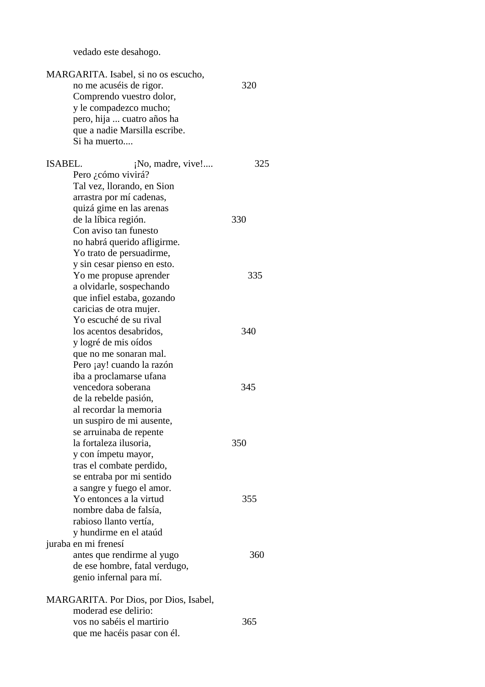vedado este desahogo.

| MARGARITA. Isabel, si no os escucho,                    |     |
|---------------------------------------------------------|-----|
| no me acuséis de rigor.                                 | 320 |
| Comprendo vuestro dolor,                                |     |
| y le compadezco mucho;                                  |     |
| pero, hija  cuatro años ha                              |     |
| que a nadie Marsilla escribe.                           |     |
| Si ha muerto                                            |     |
|                                                         |     |
| <b>ISABEL.</b><br>¡No, madre, vive!                     | 325 |
| Pero ¿cómo vivirá?                                      |     |
| Tal vez, llorando, en Sion                              |     |
| arrastra por mí cadenas,                                |     |
| quizá gime en las arenas                                |     |
| de la líbica región.<br>Con aviso tan funesto           | 330 |
|                                                         |     |
| no habrá querido afligirme.<br>Yo trato de persuadirme, |     |
| y sin cesar pienso en esto.                             |     |
| Yo me propuse aprender                                  | 335 |
| a olvidarle, sospechando                                |     |
| que infiel estaba, gozando                              |     |
| caricias de otra mujer.                                 |     |
| Yo escuché de su rival                                  |     |
| los acentos desabridos,                                 | 340 |
| y logré de mis oídos                                    |     |
| que no me sonaran mal.                                  |     |
| Pero ¡ay! cuando la razón                               |     |
| iba a proclamarse ufana                                 |     |
| vencedora soberana                                      | 345 |
| de la rebelde pasión,                                   |     |
| al recordar la memoria                                  |     |
| un suspiro de mi ausente,                               |     |
| se arruinaba de repente                                 |     |
| la fortaleza ilusoria,                                  | 350 |
| y con ímpetu mayor,                                     |     |
| tras el combate perdido,                                |     |
| se entraba por mi sentido                               |     |
| a sangre y fuego el amor.                               |     |
| Yo entonces a la virtud                                 | 355 |
| nombre daba de falsía,                                  |     |
| rabioso llanto vertía,                                  |     |
| y hundirme en el ataúd                                  |     |
| juraba en mi frenesí                                    |     |
| antes que rendirme al yugo                              | 360 |
| de ese hombre, fatal verdugo,                           |     |
| genio infernal para mí.                                 |     |
| MARGARITA. Por Dios, por Dios, Isabel,                  |     |
| moderad ese delirio:                                    |     |
| vos no sabéis el martirio                               | 365 |
| que me hacéis pasar con él.                             |     |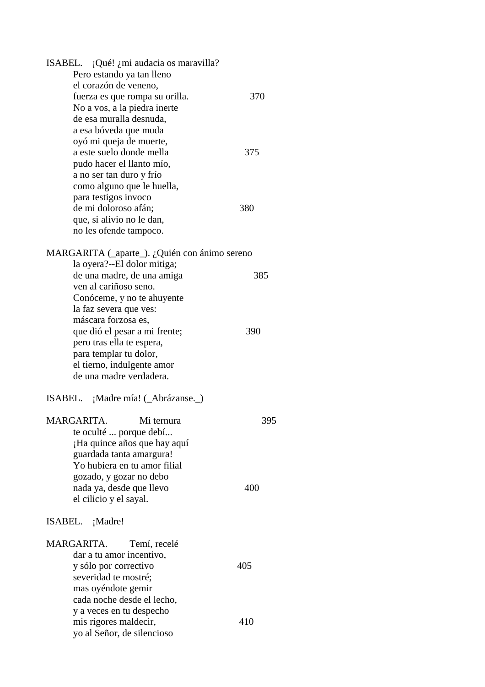| ISABEL. ¡Qué! ¿mi audacia os maravilla?       |     |
|-----------------------------------------------|-----|
| Pero estando ya tan lleno                     |     |
| el corazón de veneno,                         |     |
| fuerza es que rompa su orilla.                | 370 |
| No a vos, a la piedra inerte                  |     |
| de esa muralla desnuda,                       |     |
| a esa bóveda que muda                         |     |
| oyó mi queja de muerte,                       |     |
| a este suelo donde mella                      | 375 |
|                                               |     |
| pudo hacer el llanto mío,                     |     |
| a no ser tan duro y frío                      |     |
| como alguno que le huella,                    |     |
| para testigos invoco                          |     |
| de mi doloroso afán;                          | 380 |
| que, si alivio no le dan,                     |     |
| no les ofende tampoco.                        |     |
| MARGARITA (_aparte_). ¿Quién con ánimo sereno |     |
| la oyera?--El dolor mitiga;                   |     |
| de una madre, de una amiga                    | 385 |
| ven al cariñoso seno.                         |     |
|                                               |     |
| Conóceme, y no te ahuyente                    |     |
| la faz severa que ves:                        |     |
| máscara forzosa es,                           |     |
| que dió el pesar a mi frente;                 | 390 |
| pero tras ella te espera,                     |     |
| para templar tu dolor,                        |     |
| el tierno, indulgente amor                    |     |
| de una madre verdadera.                       |     |
| ISABEL. ¡Madre mía! (_Abrázanse._)            |     |
| MARGARITA.<br>Mi ternura                      | 395 |
| te oculté  porque debí                        |     |
| ¡Ha quince años que hay aquí                  |     |
| guardada tanta amargura!                      |     |
| Yo hubiera en tu amor filial                  |     |
|                                               |     |
| gozado, y gozar no debo                       |     |
| nada ya, desde que llevo                      | 400 |
| el cilicio y el sayal.                        |     |
| ISABEL. ¡Madre!                               |     |
| MARGARITA.<br>Temí, recelé                    |     |
| dar a tu amor incentivo,                      |     |
| y sólo por correctivo                         | 405 |
| severidad te mostré;                          |     |
| mas oyéndote gemir                            |     |
|                                               |     |
| cada noche desde el lecho,                    |     |
| y a veces en tu despecho                      |     |
| mis rigores maldecir,                         | 410 |
| yo al Señor, de silencioso                    |     |
|                                               |     |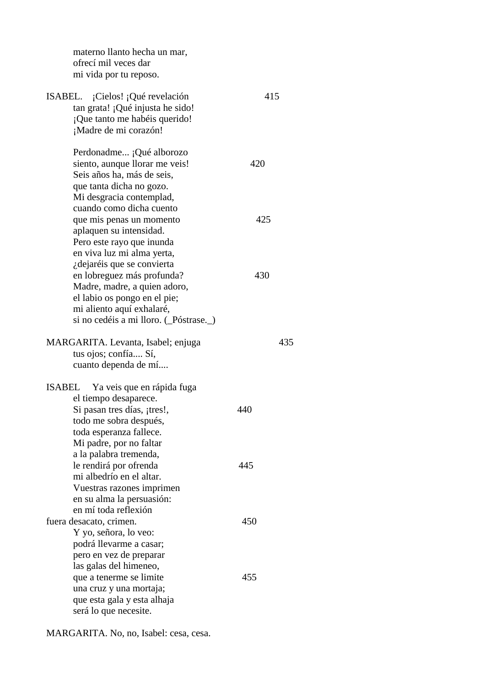materno llanto hecha un mar, ofrecí mil veces dar mi vida por tu reposo. ISABEL. ¡Cielos! ¡Qué revelación 415 tan grata! ¡Qué injusta he sido! ¡Que tanto me habéis querido! ¡Madre de mi corazón! Perdonadme... ¡Qué alborozo siento, aunque llorar me veis! 420 Seis años ha, más de seis, que tanta dicha no gozo. Mi desgracia contemplad, cuando como dicha cuento que mis penas un momento  $425$  aplaquen su intensidad. Pero este rayo que inunda en viva luz mi alma yerta, ¿dejaréis que se convierta en lobreguez más profunda? 430 Madre, madre, a quien adoro, el labio os pongo en el pie; mi aliento aquí exhalaré, si no cedéis a mi lloro. (\_Póstrase.\_) MARGARITA. Levanta, Isabel; enjuga 435 tus ojos; confía.... Sí, cuanto dependa de mí.... ISABEL Ya veis que en rápida fuga el tiempo desaparece. Si pasan tres días, <sub>i</sub>tres!, 440 todo me sobra después, toda esperanza fallece. Mi padre, por no faltar a la palabra tremenda, le rendirá por ofrenda 445 mi albedrío en el altar. Vuestras razones imprimen en su alma la persuasión: en mí toda reflexión fuera desacato, crimen. 450 Y yo, señora, lo veo: podrá llevarme a casar; pero en vez de preparar las galas del himeneo, que a tenerme se limite 455 una cruz y una mortaja; que esta gala y esta alhaja será lo que necesite.

MARGARITA. No, no, Isabel: cesa, cesa.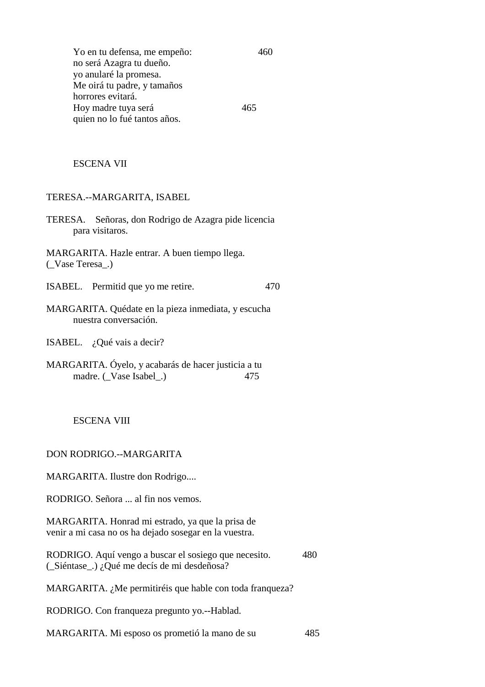Yo en tu defensa, me empeño: 460 no será Azagra tu dueño. yo anularé la promesa. Me oirá tu padre, y tamaños horrores evitará. Hoy madre tuya será 465 quien no lo fué tantos años.

#### ESCENA VII

#### TERESA.--MARGARITA, ISABEL

TERESA. Señoras, don Rodrigo de Azagra pide licencia para visitaros.

MARGARITA. Hazle entrar. A buen tiempo llega. (\_Vase Teresa\_.)

ISABEL. Permitid que yo me retire. 470

MARGARITA. Quédate en la pieza inmediata, y escucha nuestra conversación.

ISABEL. ¿Qué vais a decir?

MARGARITA. Óyelo, y acabarás de hacer justicia a tu madre. ( $\angle$ Vase Isabel $\angle$ .) 475

#### ESCENA VIII

#### DON RODRIGO.--MARGARITA

MARGARITA. Ilustre don Rodrigo....

RODRIGO. Señora ... al fin nos vemos.

MARGARITA. Honrad mi estrado, ya que la prisa de venir a mi casa no os ha dejado sosegar en la vuestra.

RODRIGO. Aquí vengo a buscar el sosiego que necesito. 480 (\_Siéntase\_.) ¿Qué me decís de mi desdeñosa?

MARGARITA. ¿Me permitiréis que hable con toda franqueza?

RODRIGO. Con franqueza pregunto yo.--Hablad.

MARGARITA. Mi esposo os prometió la mano de su 485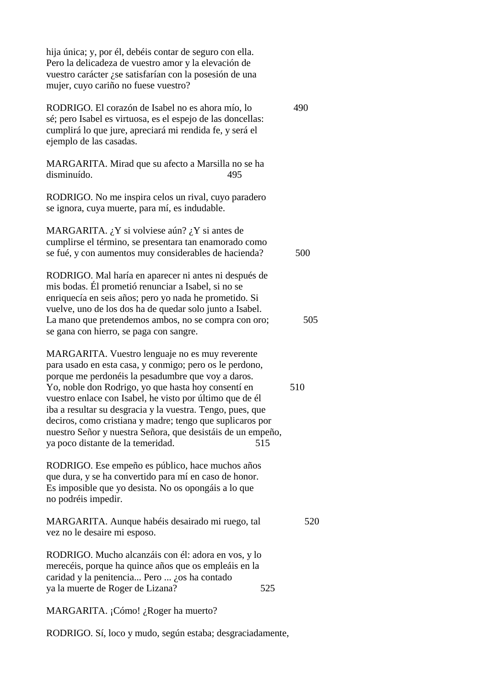hija única; y, por él, debéis contar de seguro con ella. Pero la delicadeza de vuestro amor y la elevación de vuestro carácter ¿se satisfarían con la posesión de una mujer, cuyo cariño no fuese vuestro? RODRIGO. El corazón de Isabel no es ahora mío, lo 490 sé; pero Isabel es virtuosa, es el espejo de las doncellas: cumplirá lo que jure, apreciará mi rendida fe, y será el ejemplo de las casadas.

MARGARITA. Mirad que su afecto a Marsilla no se ha disminuído. 495

RODRIGO. No me inspira celos un rival, cuyo paradero se ignora, cuya muerte, para mí, es indudable.

MARGARITA. ¿Y si volviese aún? ¿Y si antes de cumplirse el término, se presentara tan enamorado como se fué, y con aumentos muy considerables de hacienda? 500

RODRIGO. Mal haría en aparecer ni antes ni después de mis bodas. Él prometió renunciar a Isabel, si no se enriquecía en seis años; pero yo nada he prometido. Si vuelve, uno de los dos ha de quedar solo junto a Isabel. La mano que pretendemos ambos, no se compra con oro; 505 se gana con hierro, se paga con sangre.

MARGARITA. Vuestro lenguaje no es muy reverente para usado en esta casa, y conmigo; pero os le perdono, porque me perdonéis la pesadumbre que voy a daros. Yo, noble don Rodrigo, yo que hasta hoy consentí en 510 vuestro enlace con Isabel, he visto por último que de él iba a resultar su desgracia y la vuestra. Tengo, pues, que deciros, como cristiana y madre; tengo que suplicaros por nuestro Señor y nuestra Señora, que desistáis de un empeño, ya poco distante de la temeridad. 515

RODRIGO. Ese empeño es público, hace muchos años que dura, y se ha convertido para mí en caso de honor. Es imposible que yo desista. No os opongáis a lo que no podréis impedir.

MARGARITA. Aunque habéis desairado mi ruego, tal 520 vez no le desaire mi esposo.

RODRIGO. Mucho alcanzáis con él: adora en vos, y lo merecéis, porque ha quince años que os empleáis en la caridad y la penitencia... Pero ... ¿os ha contado ya la muerte de Roger de Lizana? 525

MARGARITA. ¡Cómo! ¿Roger ha muerto?

RODRIGO. Sí, loco y mudo, según estaba; desgraciadamente,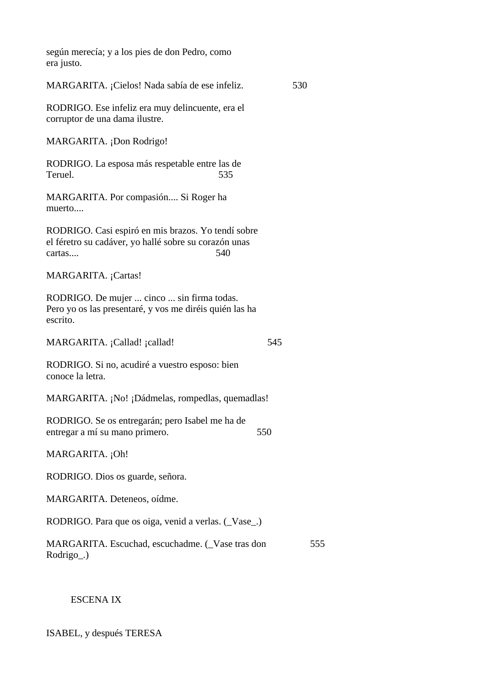según merecía; y a los pies de don Pedro, como era justo.

MARGARITA. ¡Cielos! Nada sabía de ese infeliz. 530

RODRIGO. Ese infeliz era muy delincuente, era el corruptor de una dama ilustre.

MARGARITA. ¡Don Rodrigo!

RODRIGO. La esposa más respetable entre las de Teruel. 535

MARGARITA. Por compasión.... Si Roger ha muerto....

RODRIGO. Casi espiró en mis brazos. Yo tendí sobre el féretro su cadáver, yo hallé sobre su corazón unas cartas.... 540

MARGARITA. ¡Cartas!

RODRIGO. De mujer ... cinco ... sin firma todas. Pero yo os las presentaré, y vos me diréis quién las ha escrito.

MARGARITA. ¡Callad! ¡callad! 545

RODRIGO. Si no, acudiré a vuestro esposo: bien conoce la letra.

MARGARITA. ¡No! ¡Dádmelas, rompedlas, quemadlas!

RODRIGO. Se os entregarán; pero Isabel me ha de entregar a mí su mano primero. 550

MARGARITA. ¡Oh!

RODRIGO. Dios os guarde, señora.

MARGARITA. Deteneos, oídme.

RODRIGO. Para que os oiga, venid a verlas. (\_Vase\_.)

MARGARITA. Escuchad, escuchadme. (Vase tras don 555 Rodrigo\_.)

### ESCENA IX

ISABEL, y después TERESA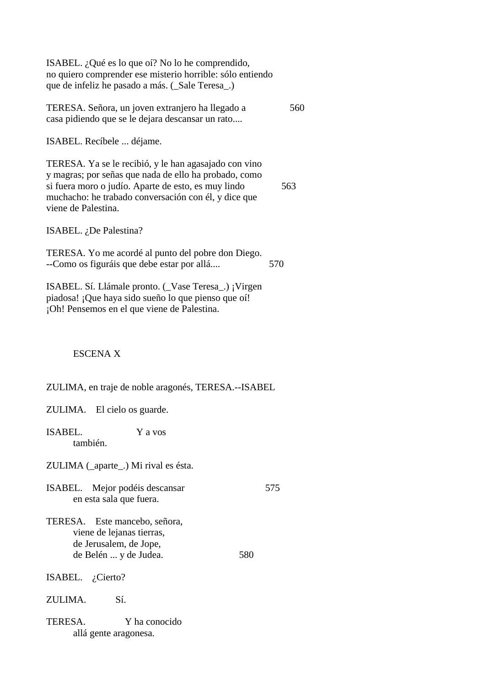ISABEL. ¿Qué es lo que oí? No lo he comprendido, no quiero comprender ese misterio horrible: sólo entiendo que de infeliz he pasado a más. (\_Sale Teresa\_.) TERESA. Señora, un joven extranjero ha llegado a 560 casa pidiendo que se le dejara descansar un rato.... ISABEL. Recíbele ... déjame. TERESA. Ya se le recibió, y le han agasajado con vino y magras; por señas que nada de ello ha probado, como si fuera moro o judío. Aparte de esto, es muy lindo 563 muchacho: he trabado conversación con él, y dice que viene de Palestina. ISABEL. ¿De Palestina? TERESA. Yo me acordé al punto del pobre don Diego. --Como os figuráis que debe estar por allá.... 570 ISABEL. Sí. Llámale pronto. (\_Vase Teresa\_.) ¡Virgen piadosa! ¡Que haya sido sueño lo que pienso que oí! ¡Oh! Pensemos en el que viene de Palestina. ESCENA X ZULIMA, en traje de noble aragonés, TERESA.--ISABEL ZULIMA. El cielo os guarde. ISABEL. Y a vos también. ZULIMA (\_aparte\_.) Mi rival es ésta. ISABEL. Mejor podéis descansar 575 en esta sala que fuera.

- TERESA. Este mancebo, señora, viene de lejanas tierras, de Jerusalem, de Jope, de Belén ... y de Judea. 580
- ISABEL. ¿Cierto?
- ZULIMA. Sí.
- TERESA. Y ha conocido allá gente aragonesa.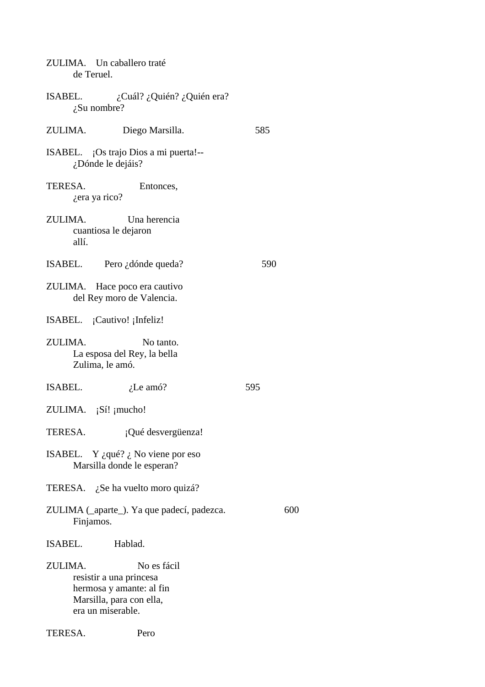| ZULIMA. Un caballero traté<br>de Teruel.                                                                                       |     |
|--------------------------------------------------------------------------------------------------------------------------------|-----|
| ISABEL.<br>$i$ Cuál? $i$ Quién? $i$ Quién era?<br>$i$ . Su nombre?                                                             |     |
| ZULIMA.<br>Diego Marsilla.                                                                                                     | 585 |
| ISABEL. ¡Os trajo Dios a mi puerta!--<br>¿Dónde le dejáis?                                                                     |     |
| TERESA.<br>Entonces,<br><i>i</i> era ya rico?                                                                                  |     |
| ZULIMA.<br>Una herencia<br>cuantiosa le dejaron<br>allí.                                                                       |     |
| ISABEL. Pero ¿dónde queda?                                                                                                     | 590 |
| ZULIMA. Hace poco era cautivo<br>del Rey moro de Valencia.                                                                     |     |
| ISABEL. ¡Cautivo! ¡Infeliz!                                                                                                    |     |
| ZULIMA.<br>No tanto.<br>La esposa del Rey, la bella<br>Zulima, le amó.                                                         |     |
| ISABEL.<br>$i$ . Le amó?                                                                                                       | 595 |
| ZULIMA. $i$ Sí! $j$ mucho!                                                                                                     |     |
| TERESA.<br>¡Qué desvergüenza!                                                                                                  |     |
| ISABEL. Y ¿qué? ¿ No viene por eso<br>Marsilla donde le esperan?                                                               |     |
| TERESA. ¿Se ha vuelto moro quizá?                                                                                              |     |
| ZULIMA (_aparte_). Ya que padecí, padezca.<br>Finjamos.                                                                        | 600 |
| ISABEL. Hablad.                                                                                                                |     |
| ZULIMA.<br>No es fácil<br>resistir a una princesa<br>hermosa y amante: al fin<br>Marsilla, para con ella,<br>era un miserable. |     |

TERESA. Pero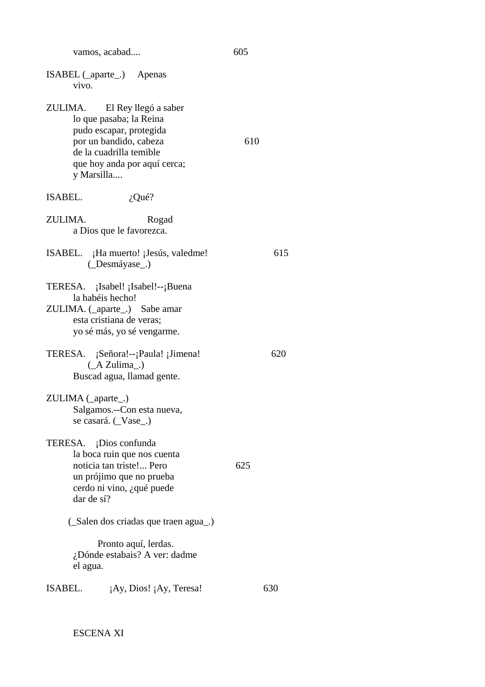| vamos, acabad | 605 |
|---------------|-----|
|---------------|-----|

| ISABEL (_aparte_.) Apenas       |  |
|---------------------------------|--|
| V <sub>1</sub> V <sub>O</sub> . |  |

- ZULIMA. El Rey llegó a saber lo que pasaba; la Reina pudo escapar, protegida por un bandido, cabeza 610 de la cuadrilla temible que hoy anda por aquí cerca; y Marsilla....
- ISABEL.  $i$ , Qué?
- ZULIMA. Rogad a Dios que le favorezca.
- ISABEL. ¡Ha muerto! ¡Jesús, valedme! 615 (\_Desmáyase\_.)
- TERESA. ¡Isabel! ¡Isabel!--¡Buena la habéis hecho!
- ZULIMA. (\_aparte\_.) Sabe amar esta cristiana de veras; yo sé más, yo sé vengarme.
- TERESA. ¡Señora!--¡Paula! ¡Jimena! 620 (\_A Zulima\_.) Buscad agua, llamad gente.
- ZULIMA ( aparte .) Salgamos.--Con esta nueva, se casará. (\_Vase\_.)
- TERESA. ¡Dios confunda la boca ruin que nos cuenta noticia tan triste!... Pero 625 un prójimo que no prueba cerdo ni vino, ¿qué puede dar de sí?
	- (\_Salen dos criadas que traen agua\_.)

 Pronto aquí, lerdas. ¿Dónde estabais? A ver: dadme el agua.

ISABEL.  $iAy, Dios! iAy, Teresa!$  630

ESCENA XI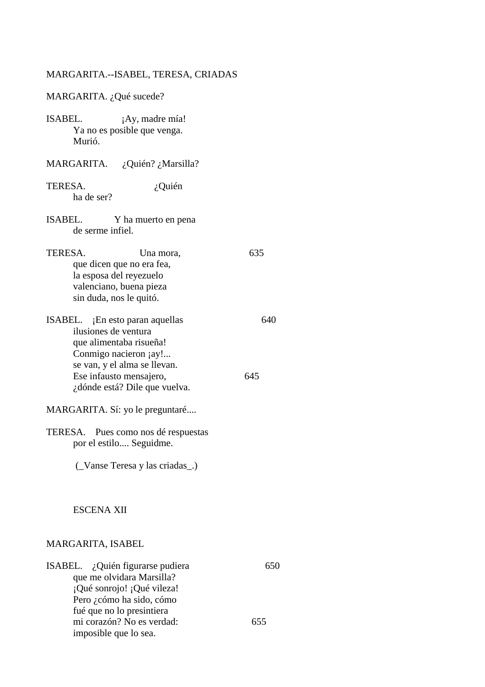## MARGARITA.--ISABEL, TERESA, CRIADAS

| MARGARITA. ¿Qué sucede?                                                                                                                                                                                 |            |
|---------------------------------------------------------------------------------------------------------------------------------------------------------------------------------------------------------|------------|
| ISABEL.<br>¡Ay, madre mía!<br>Ya no es posible que venga.<br>Murió.                                                                                                                                     |            |
| MARGARITA. ¿Quién? ¿Marsilla?                                                                                                                                                                           |            |
| TERESA.<br>¿Quién<br>ha de ser?                                                                                                                                                                         |            |
| ISABEL.<br>Y ha muerto en pena<br>de serme infiel.                                                                                                                                                      |            |
| TERESA.<br>Una mora,<br>que dicen que no era fea,<br>la esposa del reyezuelo<br>valenciano, buena pieza<br>sin duda, nos le quitó.                                                                      | 635        |
| ISABEL. ¡En esto paran aquellas<br>ilusiones de ventura<br>que alimentaba risueña!<br>Conmigo nacieron ¡ay!<br>se van, y el alma se llevan.<br>Ese infausto mensajero,<br>¿dónde está? Dile que vuelva. | 640<br>645 |
| MARGARITA. Sí: yo le preguntaré                                                                                                                                                                         |            |
| TERESA. Pues como nos dé respuestas<br>por el estilo Seguidme.<br>(Vanse Teresa y las criadas)                                                                                                          |            |
| ESCENA XII                                                                                                                                                                                              |            |
| MARGARITA, ISABEL                                                                                                                                                                                       |            |
| ISABEL. ¿Quién figurarse pudiera<br>que me olvidara Marsilla?<br>¡Qué sonrojo! ¡Qué vileza!<br>Pero ¿cómo ha sido, cómo<br>fué que no lo presintiera                                                    | 650        |
| mi corazón? No es verdad:<br>imposible que lo sea.                                                                                                                                                      | 655        |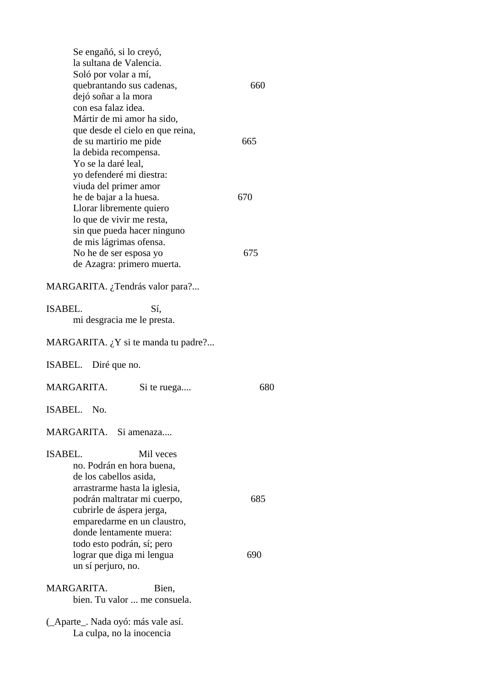| Se engañó, si lo creyó,<br>la sultana de Valencia.<br>Soló por volar a mí,<br>quebrantando sus cadenas,<br>dejó soñar a la mora<br>con esa falaz idea.<br>Mártir de mi amor ha sido,                                      | 660        |
|---------------------------------------------------------------------------------------------------------------------------------------------------------------------------------------------------------------------------|------------|
| que desde el cielo en que reina,<br>de su martirio me pide<br>la debida recompensa.<br>Yo se la daré leal,                                                                                                                | 665        |
| yo defenderé mi diestra:<br>viuda del primer amor<br>he de bajar a la huesa.<br>Llorar libremente quiero<br>lo que de vivir me resta,<br>sin que pueda hacer ninguno<br>de mis lágrimas ofensa.<br>No he de ser esposa yo | 670<br>675 |
| de Azagra: primero muerta.                                                                                                                                                                                                |            |
| MARGARITA. ¿Tendrás valor para?                                                                                                                                                                                           |            |
| <b>ISABEL.</b><br>Sí,<br>mi desgracia me le presta.                                                                                                                                                                       |            |
| MARGARITA. ¿Y si te manda tu padre?                                                                                                                                                                                       |            |
| ISABEL. Diré que no.                                                                                                                                                                                                      |            |
| MARGARITA.<br>Si te ruega                                                                                                                                                                                                 | 680        |
| ISABEL. No                                                                                                                                                                                                                |            |
| MARGARITA. Si amenaza                                                                                                                                                                                                     |            |
| ISABEL.<br>Mil veces<br>no. Podrán en hora buena,<br>de los cabellos asida,<br>arrastrarme hasta la iglesia,                                                                                                              |            |
| podrán maltratar mi cuerpo,<br>cubrirle de áspera jerga,<br>emparedarme en un claustro,<br>donde lentamente muera:                                                                                                        | 685        |
| todo esto podrán, sí; pero<br>lograr que diga mi lengua<br>un sí perjuro, no.                                                                                                                                             | 690        |
| MARGARITA.<br>Bien,<br>bien. Tu valor  me consuela.                                                                                                                                                                       |            |
| (_Aparte_. Nada oyó: más vale así.<br>La culpa, no la inocencia                                                                                                                                                           |            |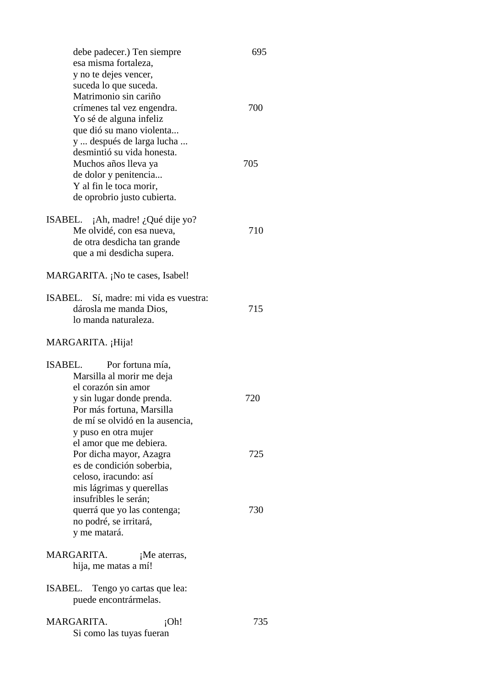| debe padecer.) Ten siempre                       | 695 |
|--------------------------------------------------|-----|
| esa misma fortaleza,                             |     |
| y no te dejes vencer,                            |     |
| suceda lo que suceda.                            |     |
| Matrimonio sin cariño                            |     |
| crímenes tal vez engendra.                       | 700 |
| Yo sé de alguna infeliz                          |     |
| que dió su mano violenta                         |     |
| y  después de larga lucha                        |     |
| desmintió su vida honesta.                       |     |
| Muchos años lleva ya                             | 705 |
| de dolor y penitencia                            |     |
| Y al fin le toca morir,                          |     |
| de oprobrio justo cubierta.                      |     |
|                                                  |     |
| ISABEL. ¡Ah, madre! ¿Qué dije yo?                |     |
| Me olvidé, con esa nueva,                        | 710 |
| de otra desdicha tan grande                      |     |
| que a mi desdicha supera.                        |     |
|                                                  |     |
| MARGARITA. ¡No te cases, Isabel!                 |     |
| Sí, madre: mi vida es vuestra:<br>ISABEL.        |     |
| dárosla me manda Dios,                           | 715 |
| lo manda naturaleza.                             |     |
|                                                  |     |
| MARGARITA. ¡Hija!                                |     |
| ISABEL.<br>Por fortuna mía,                      |     |
|                                                  |     |
| Marsilla al morir me deja<br>el corazón sin amor |     |
|                                                  |     |
| y sin lugar donde prenda.                        | 720 |
| Por más fortuna, Marsilla                        |     |
| de mí se olvidó en la ausencia,                  |     |
| y puso en otra mujer                             |     |
| el amor que me debiera.                          |     |
| Por dicha mayor, Azagra                          | 725 |
| es de condición soberbia,                        |     |
| celoso, iracundo: así                            |     |
| mis lágrimas y querellas                         |     |
| insufribles le serán;                            |     |
| querrá que yo las contenga;                      | 730 |
| no podré, se irritará,                           |     |
| y me matará.                                     |     |
|                                                  |     |
| MARGARITA.<br>¡Me aterras,                       |     |
| hija, me matas a mí!                             |     |
| ISABEL.<br>Tengo yo cartas que lea:              |     |
| puede encontrármelas.                            |     |
|                                                  |     |
| MARGARITA.<br>iOh!                               | 735 |
| Si como las tuyas fueran                         |     |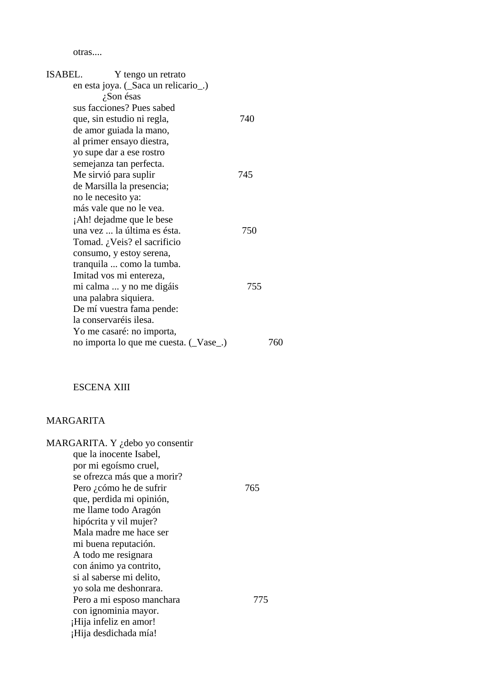otras....

| ISABEL.<br>Y tengo un retrato         |     |     |
|---------------------------------------|-----|-----|
| en esta joya. (Saca un relicario).    |     |     |
| ¿Son ésas                             |     |     |
| sus facciones? Pues sabed             |     |     |
| que, sin estudio ni regla,            | 740 |     |
| de amor guiada la mano,               |     |     |
| al primer ensayo diestra,             |     |     |
| yo supe dar a ese rostro              |     |     |
| semejanza tan perfecta.               |     |     |
| Me sirvió para suplir                 | 745 |     |
| de Marsilla la presencia;             |     |     |
| no le necesito ya:                    |     |     |
| más vale que no le vea.               |     |     |
| Ah! dejadme que le bese               |     |     |
| una vez  la última es ésta.           | 750 |     |
| Tomad. ¿Veis? el sacrificio           |     |     |
| consumo, y estoy serena,              |     |     |
| tranquila  como la tumba.             |     |     |
| Imitad vos mi entereza,               |     |     |
| mi calma  y no me digáis              | 755 |     |
| una palabra siquiera.                 |     |     |
| De mí vuestra fama pende:             |     |     |
| la conservaréis ilesa.                |     |     |
| Yo me casaré: no importa,             |     |     |
| no importa lo que me cuesta. (Vase _) |     | 760 |
|                                       |     |     |

## ESCENA XIII

## MARGARITA

| MARGARITA. Y ¿debo yo consentir |     |
|---------------------------------|-----|
| que la inocente Isabel,         |     |
| por mi egoísmo cruel,           |     |
| se ofrezca más que a morir?     |     |
| Pero ¿cómo he de sufrir         | 765 |
| que, perdida mi opinión,        |     |
| me llame todo Aragón            |     |
| hipócrita y vil mujer?          |     |
| Mala madre me hace ser          |     |
| mi buena reputación.            |     |
| A todo me resignara             |     |
| con ánimo ya contrito,          |     |
| si al saberse mi delito,        |     |
| yo sola me deshonrara.          |     |
| Pero a mi esposo manchara       | 775 |
| con ignominia mayor.            |     |
| ¡Hija infeliz en amor!          |     |
| ¡Hija desdichada mía!           |     |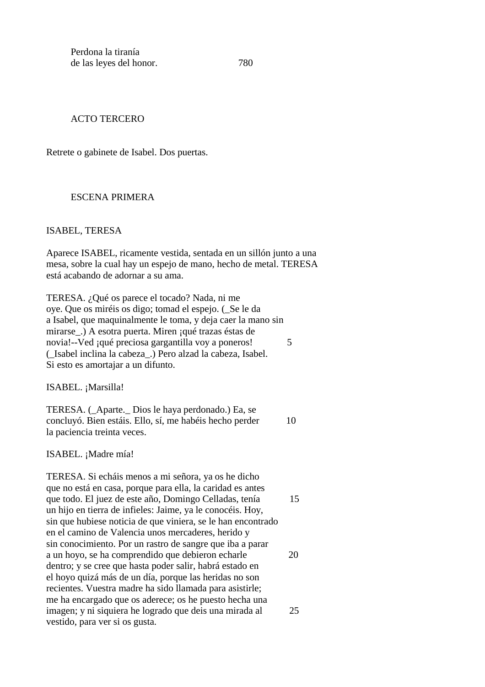Perdona la tiranía de las leyes del honor. 780

#### ACTO TERCERO

Retrete o gabinete de Isabel. Dos puertas.

#### ESCENA PRIMERA

#### ISABEL, TERESA

Aparece ISABEL, ricamente vestida, sentada en un sillón junto a una mesa, sobre la cual hay un espejo de mano, hecho de metal. TERESA está acabando de adornar a su ama.

TERESA. ¿Qué os parece el tocado? Nada, ni me oye. Que os miréis os digo; tomad el espejo. (\_Se le da a Isabel, que maquinalmente le toma, y deja caer la mano sin mirarse\_.) A esotra puerta. Miren ¡qué trazas éstas de novia!--Ved ; qué preciosa gargantilla voy a poneros! (\_Isabel inclina la cabeza\_.) Pero alzad la cabeza, Isabel. Si esto es amortajar a un difunto.

ISABEL. ¡Marsilla!

TERESA. (\_Aparte.\_ Dios le haya perdonado.) Ea, se concluyó. Bien estáis. Ello, sí, me habéis hecho perder 10 la paciencia treinta veces.

ISABEL. ¡Madre mía!

TERESA. Si echáis menos a mi señora, ya os he dicho que no está en casa, porque para ella, la caridad es antes que todo. El juez de este año, Domingo Celladas, tenía 15 un hijo en tierra de infieles: Jaime, ya le conocéis. Hoy, sin que hubiese noticia de que viniera, se le han encontrado en el camino de Valencia unos mercaderes, herido y sin conocimiento. Por un rastro de sangre que iba a parar a un hoyo, se ha comprendido que debieron echarle 20 dentro; y se cree que hasta poder salir, habrá estado en el hoyo quizá más de un día, porque las heridas no son recientes. Vuestra madre ha sido llamada para asistirle; me ha encargado que os aderece; os he puesto hecha una imagen; y ni siquiera he logrado que deis una mirada al 25 vestido, para ver si os gusta.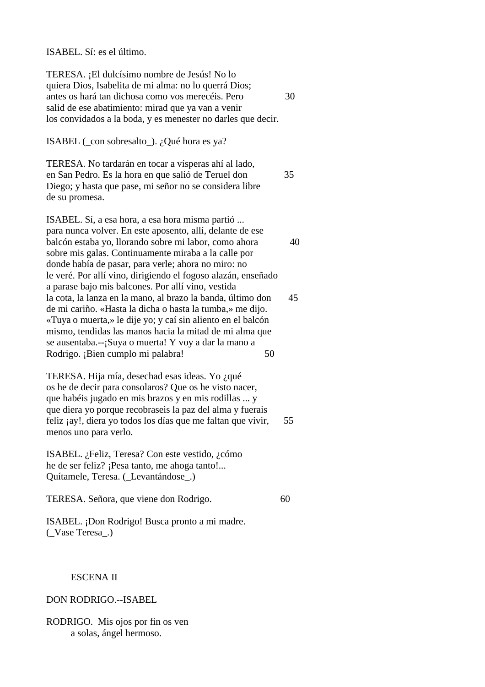#### ISABEL. Sí: es el último.

TERESA. ¡El dulcísimo nombre de Jesús! No lo quiera Dios, Isabelita de mi alma: no lo querrá Dios; antes os hará tan dichosa como vos merecéis. Pero 30 salid de ese abatimiento: mirad que ya van a venir los convidados a la boda, y es menester no darles que decir.

ISABEL ( $\cos$  sobresalto.). ¿Qué hora es ya?

TERESA. No tardarán en tocar a vísperas ahí al lado, en San Pedro. Es la hora en que salió de Teruel don 35 Diego; y hasta que pase, mi señor no se considera libre de su promesa.

ISABEL. Sí, a esa hora, a esa hora misma partió ... para nunca volver. En este aposento, allí, delante de ese balcón estaba yo, llorando sobre mi labor, como ahora 40 sobre mis galas. Continuamente miraba a la calle por donde había de pasar, para verle; ahora no miro: no le veré. Por allí vino, dirigiendo el fogoso alazán, enseñado a parase bajo mis balcones. Por allí vino, vestida la cota, la lanza en la mano, al brazo la banda, último don 45 de mi cariño. «Hasta la dicha o hasta la tumba,» me dijo. «Tuya o muerta,» le dije yo; y caí sin aliento en el balcón mismo, tendidas las manos hacia la mitad de mi alma que se ausentaba.--¡Suya o muerta! Y voy a dar la mano a Rodrigo. ¡Bien cumplo mi palabra! 50

TERESA. Hija mía, desechad esas ideas. Yo ¿qué os he de decir para consolaros? Que os he visto nacer, que habéis jugado en mis brazos y en mis rodillas ... y que diera yo porque recobraseis la paz del alma y fuerais feliz  $i$ ay!, diera yo todos los días que me faltan que vivir, 55 menos uno para verlo.

ISABEL. ¿Feliz, Teresa? Con este vestido, ¿cómo he de ser feliz? ¡Pesa tanto, me ahoga tanto!... Quítamele, Teresa. (\_Levantándose\_.)

|  |  |  |  |  | TERESA. Señora, que viene don Rodrigo. | 60 |  |
|--|--|--|--|--|----------------------------------------|----|--|
|--|--|--|--|--|----------------------------------------|----|--|

ISABEL. ¡Don Rodrigo! Busca pronto a mi madre. (\_Vase Teresa\_.)

#### ESCENA II

DON RODRIGO.--ISABEL

RODRIGO. Mis ojos por fin os ven a solas, ángel hermoso.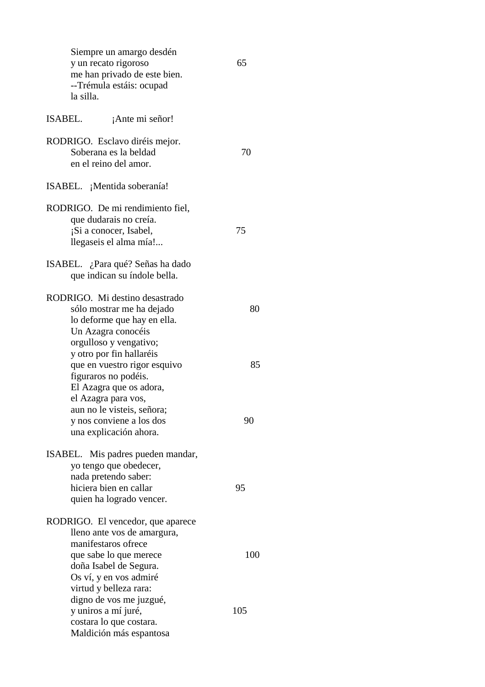| Siempre un amargo desdén<br>y un recato rigoroso<br>me han privado de este bien.<br>--Trémula estáis: ocupad<br>la silla.                              | 65         |
|--------------------------------------------------------------------------------------------------------------------------------------------------------|------------|
| ISABEL.<br>¡Ante mi señor!                                                                                                                             |            |
| RODRIGO. Esclavo diréis mejor.<br>Soberana es la beldad<br>en el reino del amor.                                                                       | 70         |
| ISABEL. ¡Mentida soberanía!                                                                                                                            |            |
| RODRIGO. De mi rendimiento fiel,<br>que dudarais no creía.<br>¡Si a conocer, Isabel,<br>llegaseis el alma mía!                                         | 75         |
| ISABEL. ¿Para qué? Señas ha dado<br>que indican su índole bella.                                                                                       |            |
| RODRIGO. Mi destino desastrado<br>sólo mostrar me ha dejado<br>lo deforme que hay en ella.<br>Un Azagra conocéis<br>orgulloso y vengativo;             | 80         |
| y otro por fin hallaréis<br>que en vuestro rigor esquivo<br>figuraros no podéis.<br>El Azagra que os adora,<br>el Azagra para vos,                     | 85         |
| aun no le visteis, señora;<br>y nos conviene a los dos<br>una explicación ahora.                                                                       | 90         |
| ISABEL. Mis padres pueden mandar,<br>yo tengo que obedecer,<br>nada pretendo saber:<br>hiciera bien en callar<br>quien ha logrado vencer.              | 95         |
| RODRIGO. El vencedor, que aparece<br>lleno ante vos de amargura,<br>manifestaros ofrece                                                                |            |
| que sabe lo que merece<br>doña Isabel de Segura.<br>Os ví, y en vos admiré<br>virtud y belleza rara:<br>digno de vos me juzgué,<br>y uniros a mí juré, | 100<br>105 |
| costara lo que costara.<br>Maldición más espantosa                                                                                                     |            |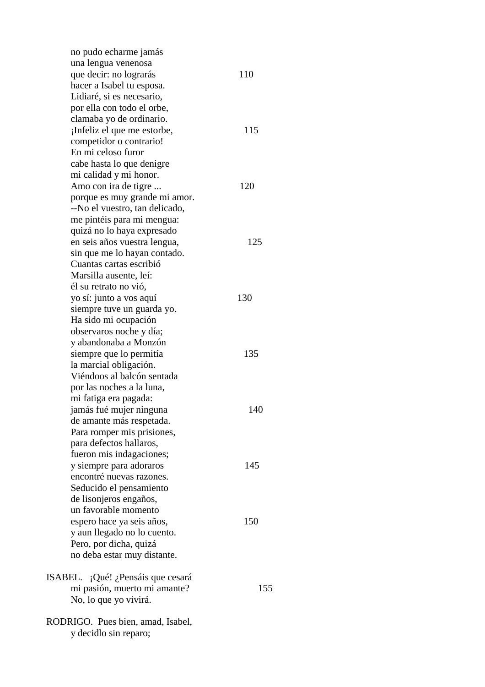no pudo echarme jamás una lengua venenosa que decir: no lograrás 110 hacer a Isabel tu esposa. Lidiaré, si es necesario, por ella con todo el orbe, clamaba yo de ordinario. ¡Infeliz el que me estorbe, 115 competidor o contrario! En mi celoso furor cabe hasta lo que denigre mi calidad y mi honor. Amo con ira de tigre ... 120 porque es muy grande mi amor. --No el vuestro, tan delicado, me pintéis para mi mengua: quizá no lo haya expresado en seis años vuestra lengua, 125 sin que me lo hayan contado. Cuantas cartas escribió Marsilla ausente, leí: él su retrato no vió, yo sí: junto a vos aquí 130 siempre tuve un guarda yo. Ha sido mi ocupación observaros noche y día; y abandonaba a Monzón siempre que lo permitía de 135 la marcial obligación. Viéndoos al balcón sentada por las noches a la luna, mi fatiga era pagada: jamás fué mujer ninguna 140 de amante más respetada. Para romper mis prisiones, para defectos hallaros, fueron mis indagaciones; y siempre para adoraros 145 encontré nuevas razones. Seducido el pensamiento de lisonjeros engaños, un favorable momento espero hace ya seis años, 150 y aun llegado no lo cuento. Pero, por dicha, quizá no deba estar muy distante. ISABEL. ¡Qué! ¿Pensáis que cesará mi pasión, muerto mi amante? 155 No, lo que yo vivirá. RODRIGO. Pues bien, amad, Isabel, y decidlo sin reparo;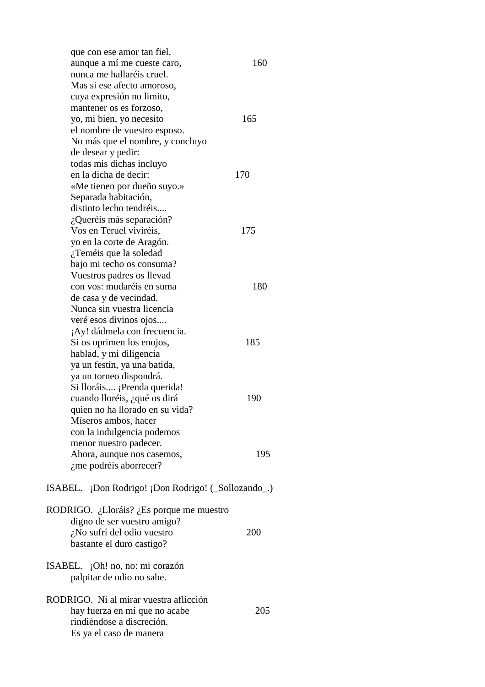que con ese amor tan fiel, aunque a mí me cueste caro, 160 nunca me hallaréis cruel. Mas si ese afecto amoroso, cuya expresión no limito, mantener os es forzoso, yo, mi bien, yo necesito 165 el nombre de vuestro esposo. No más que el nombre, y concluyo de desear y pedir: todas mis dichas incluyo en la dicha de decir: 170 «Me tienen por dueño suyo.» Separada habitación, distinto lecho tendréis.... ¿Queréis más separación? Vos en Teruel viviréis, 175 yo en la corte de Aragón. ¿Teméis que la soledad bajo mi techo os consuma? Vuestros padres os llevad con vos: mudaréis en suma 180 de casa y de vecindad. Nunca sin vuestra licencia veré esos divinos ojos.... ¡Ay! dádmela con frecuencia. Si os oprimen los enojos, 185 hablad, y mi diligencia ya un festín, ya una batida, ya un torneo dispondrá. Si lloráis.... ¡Prenda querida! cuando lloréis, ¿qué os dirá 190 quien no ha llorado en su vida? Míseros ambos, hacer con la indulgencia podemos menor nuestro padecer. Ahora, aunque nos casemos, 195 ¿me podréis aborrecer? ISABEL. ¡Don Rodrigo! ¡Don Rodrigo! (\_Sollozando\_.) RODRIGO. ¿Lloráis? ¿Es porque me muestro digno de ser vuestro amigo? ¿No sufrí del odio vuestro 200 bastante el duro castigo? ISABEL. ¡Oh! no, no: mi corazón palpitar de odio no sabe. RODRIGO. Ni al mirar vuestra aflicción hay fuerza en mí que no acabe 205 rindiéndose a discreción. Es ya el caso de manera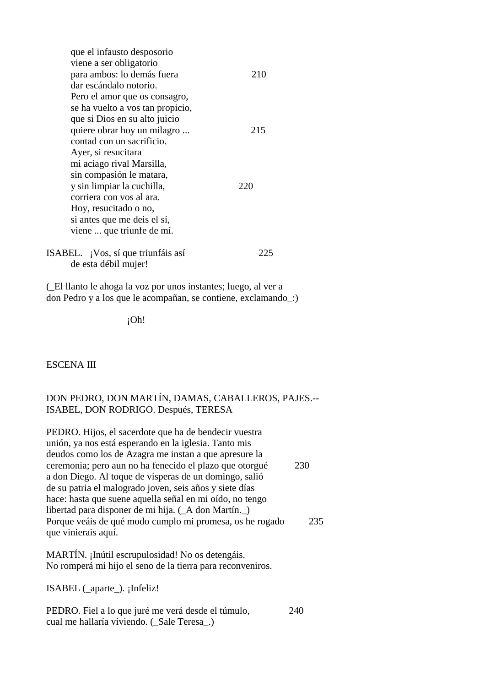| que el infausto desposorio         |     |
|------------------------------------|-----|
| viene a ser obligatorio            |     |
| para ambos: lo demás fuera         | 210 |
| dar escándalo notorio.             |     |
| Pero el amor que os consagro,      |     |
| se ha vuelto a vos tan propicio,   |     |
| que si Dios en su alto juicio      |     |
| quiere obrar hoy un milagro        | 215 |
| contad con un sacrificio.          |     |
| Ayer, si resucitara                |     |
| mi aciago rival Marsilla,          |     |
| sin compasión le matara,           |     |
| y sin limpiar la cuchilla,         | 220 |
| corriera con vos al ara.           |     |
| Hoy, resucitado o no,              |     |
| si antes que me deis el sí,        |     |
| viene  que triunfe de mí.          |     |
| ISABEL. ¡Vos, sí que triunfáis así | ツハ  |
| de esta débil mujer!               |     |

(\_El llanto le ahoga la voz por unos instantes; luego, al ver a don Pedro y a los que le acompañan, se contiene, exclamando\_:)

¡Oh!

ESCENA III

### DON PEDRO, DON MARTÍN, DAMAS, CABALLEROS, PAJES.-- ISABEL, DON RODRIGO. Después, TERESA

PEDRO. Hijos, el sacerdote que ha de bendecir vuestra unión, ya nos está esperando en la iglesia. Tanto mis deudos como los de Azagra me instan a que apresure la ceremonia; pero aun no ha fenecido el plazo que otorgué 230 a don Diego. Al toque de vísperas de un domingo, salió de su patria el malogrado joven, seis años y siete días hace: hasta que suene aquella señal en mi oído, no tengo libertad para disponer de mi hija. (\_A don Martín.\_) Porque veáis de qué modo cumplo mi promesa, os he rogado 235 que vinierais aquí.

MARTÍN. ¡Inútil escrupulosidad! No os detengáis. No romperá mi hijo el seno de la tierra para reconveniros.

ISABEL (\_aparte\_). ¡Infeliz!

PEDRO. Fiel a lo que juré me verá desde el túmulo, 240 cual me hallaría viviendo. ( Sale Teresa.)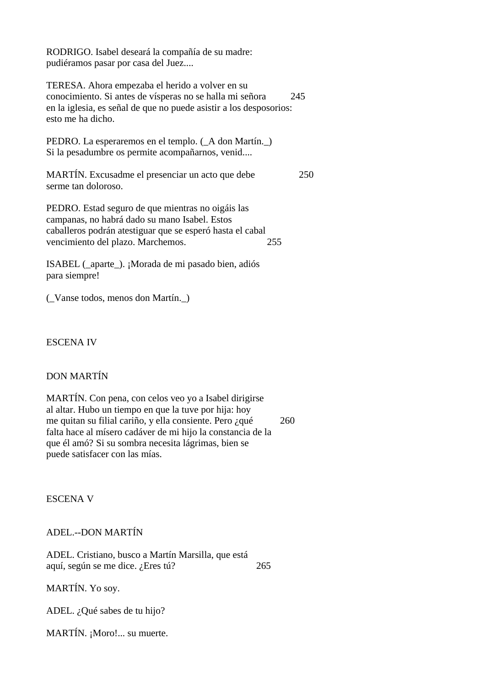RODRIGO. Isabel deseará la compañía de su madre: pudiéramos pasar por casa del Juez....

TERESA. Ahora empezaba el herido a volver en su conocimiento. Si antes de vísperas no se halla mi señora 245 en la iglesia, es señal de que no puede asistir a los desposorios: esto me ha dicho.

PEDRO. La esperaremos en el templo. (\_A don Martín.\_) Si la pesadumbre os permite acompañarnos, venid....

MARTÍN. Excusadme el presenciar un acto que debe 250 serme tan doloroso.

PEDRO. Estad seguro de que mientras no oigáis las campanas, no habrá dado su mano Isabel. Estos caballeros podrán atestiguar que se esperó hasta el cabal vencimiento del plazo. Marchemos. 255

ISABEL (\_aparte\_). ¡Morada de mi pasado bien, adiós para siempre!

(\_Vanse todos, menos don Martín.\_)

ESCENA IV

## DON MARTÍN

MARTÍN. Con pena, con celos veo yo a Isabel dirigirse al altar. Hubo un tiempo en que la tuve por hija: hoy me quitan su filial cariño, y ella consiente. Pero ¿qué 260 falta hace al mísero cadáver de mi hijo la constancia de la que él amó? Si su sombra necesita lágrimas, bien se puede satisfacer con las mías.

ESCENA V

ADEL.--DON MARTÍN

ADEL. Cristiano, busco a Martín Marsilla, que está aquí, según se me dice. ¿Eres tú? 265

MARTÍN. Yo soy.

ADEL. ¿Qué sabes de tu hijo?

MARTÍN. ¡Moro!... su muerte.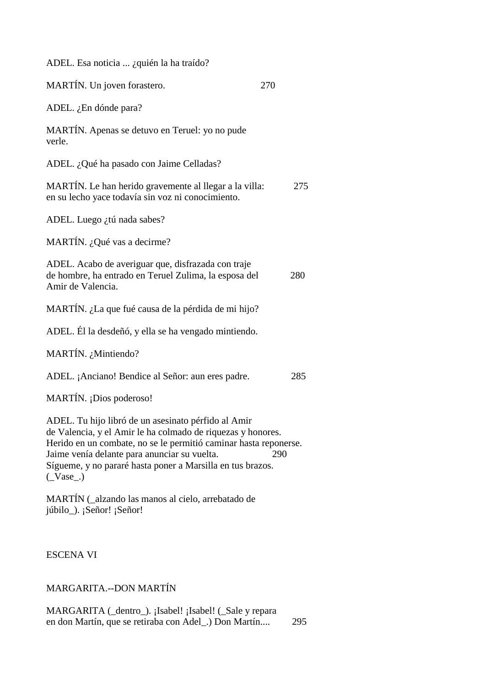| ADEL. Esa noticia  ¿quién la ha traído?                                                                                                                                                                                                                                                                             |     |
|---------------------------------------------------------------------------------------------------------------------------------------------------------------------------------------------------------------------------------------------------------------------------------------------------------------------|-----|
| MARTÍN. Un joven forastero.                                                                                                                                                                                                                                                                                         | 270 |
| ADEL. $i$ En dónde para?                                                                                                                                                                                                                                                                                            |     |
| MARTÍN. Apenas se detuvo en Teruel: yo no pude<br>verle.                                                                                                                                                                                                                                                            |     |
| ADEL. ¿Qué ha pasado con Jaime Celladas?                                                                                                                                                                                                                                                                            |     |
| MARTÍN. Le han herido gravemente al llegar a la villa:<br>en su lecho yace todavía sin voz ni conocimiento.                                                                                                                                                                                                         | 275 |
| ADEL. Luego ¿tú nada sabes?                                                                                                                                                                                                                                                                                         |     |
| MARTÍN. ¿Qué vas a decirme?                                                                                                                                                                                                                                                                                         |     |
| ADEL. Acabo de averiguar que, disfrazada con traje<br>de hombre, ha entrado en Teruel Zulima, la esposa del<br>Amir de Valencia.                                                                                                                                                                                    | 280 |
| MARTÍN. ¿La que fué causa de la pérdida de mi hijo?                                                                                                                                                                                                                                                                 |     |
| ADEL. Él la desdeñó, y ella se ha vengado mintiendo.                                                                                                                                                                                                                                                                |     |
| MARTÍN. ¿Mintiendo?                                                                                                                                                                                                                                                                                                 |     |
| ADEL. ¡Anciano! Bendice al Señor: aun eres padre.                                                                                                                                                                                                                                                                   | 285 |
| MARTÍN. ¡Dios poderoso!                                                                                                                                                                                                                                                                                             |     |
| ADEL. Tu hijo libró de un asesinato pérfido al Amir<br>de Valencia, y el Amir le ha colmado de riquezas y honores.<br>Herido en un combate, no se le permitió caminar hasta reponerse.<br>Jaime venía delante para anunciar su vuelta.<br>Sígueme, y no pararé hasta poner a Marsilla en tus brazos.<br>$($ Vase_.) | 290 |
| MARTÍN (_alzando las manos al cielo, arrebatado de<br>júbilo_). ¡Señor! ¡Señor!                                                                                                                                                                                                                                     |     |
| <b>ESCENA VI</b>                                                                                                                                                                                                                                                                                                    |     |

MARGARITA.--DON MARTÍN

MARGARITA (\_dentro\_). ¡Isabel! ¡Isabel! (\_Sale y repara en don Martín, que se retiraba con Adel\_.) Don Martín.... 295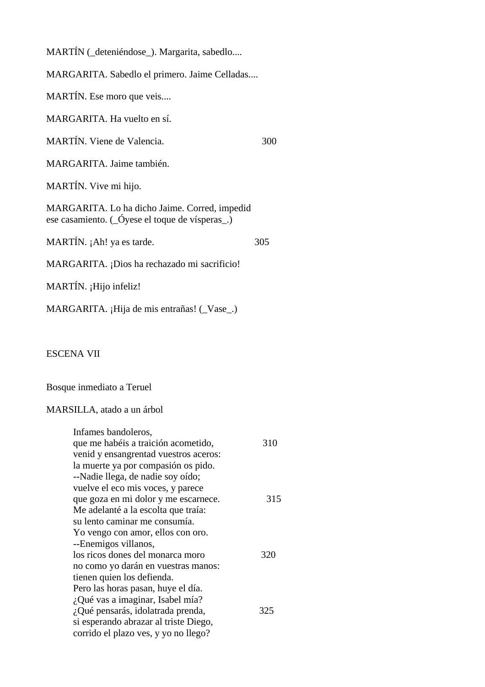MARTÍN (\_deteniéndose\_). Margarita, sabedlo....

MARGARITA. Sabedlo el primero. Jaime Celladas....

MARTÍN. Ese moro que veis....

MARGARITA. Ha vuelto en sí.

MARTÍN. Viene de Valencia. 300

MARGARITA. Jaime también.

MARTÍN. Vive mi hijo.

MARGARITA. Lo ha dicho Jaime. Corred, impedid ese casamiento. (\_Óyese el toque de vísperas\_.)

MARTÍN. ¡Ah! ya es tarde. 305

MARGARITA. ¡Dios ha rechazado mi sacrificio!

MARTÍN. ¡Hijo infeliz!

MARGARITA. ¡Hija de mis entrañas! (Vase.)

ESCENA VII

Bosque inmediato a Teruel

#### MARSILLA, atado a un árbol

| Infames bandoleros,<br>que me habéis a traición acometido,<br>venid y ensangrentad vuestros aceros:                                                                                                                           | 310 |
|-------------------------------------------------------------------------------------------------------------------------------------------------------------------------------------------------------------------------------|-----|
| la muerte ya por compasión os pido.<br>--Nadie llega, de nadie soy oído;<br>vuelve el eco mis voces, y parece<br>que goza en mi dolor y me escarnece.<br>Me adelanté a la escolta que traía:<br>su lento caminar me consumía. | 315 |
| Yo vengo con amor, ellos con oro.<br>--Enemigos villanos,<br>los ricos dones del monarca moro<br>no como yo darán en vuestras manos:<br>tienen quien los defienda.                                                            | 320 |
| Pero las horas pasan, huye el día.<br>¿Qué vas a imaginar, Isabel mía?<br>¿Qué pensarás, idolatrada prenda,<br>si esperando abrazar al triste Diego,<br>corrido el plazo ves, y yo no llego?                                  | 325 |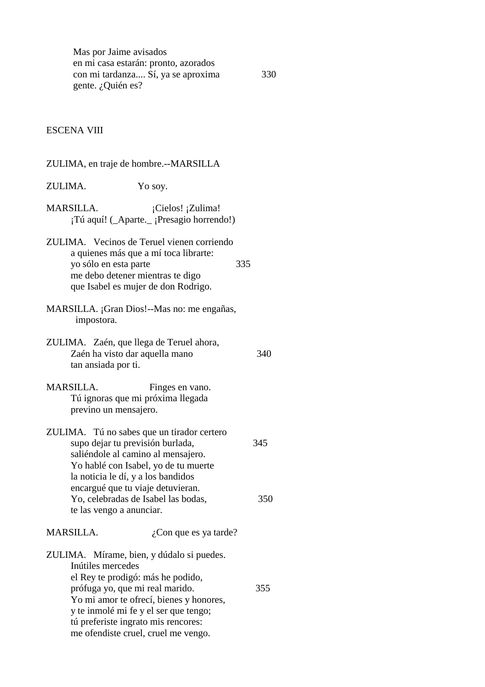Mas por Jaime avisados en mi casa estarán: pronto, azorados con mi tardanza.... Sí, ya se aproxima 330 gente. ¿Quién es?

#### ESCENA VIII

|                                                                                                   | ZULIMA, en traje de hombre.--MARSILLA                                                                                                                                                                                                            |     |
|---------------------------------------------------------------------------------------------------|--------------------------------------------------------------------------------------------------------------------------------------------------------------------------------------------------------------------------------------------------|-----|
| ZULIMA.                                                                                           | Yo soy.                                                                                                                                                                                                                                          |     |
| <b>MARSILLA.</b>                                                                                  | ¡Cielos! ¡Zulima!<br>¡Tú aquí! (_Aparte._; Presagio horrendo!)                                                                                                                                                                                   |     |
| yo sólo en esta parte                                                                             | ZULIMA. Vecinos de Teruel vienen corriendo<br>a quienes más que a mí toca librarte:<br>335<br>me debo detener mientras te digo<br>que Isabel es mujer de don Rodrigo.                                                                            |     |
| impostora.                                                                                        | MARSILLA. ¡Gran Dios!--Mas no: me engañas,                                                                                                                                                                                                       |     |
| ZULIMA. Zaén, que llega de Teruel ahora,<br>Zaén ha visto dar aquella mano<br>tan ansiada por ti. |                                                                                                                                                                                                                                                  | 340 |
| <b>MARSILLA.</b><br>previno un mensajero.                                                         | Finges en vano.<br>Tú ignoras que mi próxima llegada                                                                                                                                                                                             |     |
| supo dejar tu previsión burlada,<br>la noticia le dí, y a los bandidos                            | ZULIMA. Tú no sabes que un tirador certero<br>saliéndole al camino al mensajero.<br>Yo hablé con Isabel, yo de tu muerte                                                                                                                         | 345 |
| te las vengo a anunciar.                                                                          | encargué que tu viaje detuvieran.<br>Yo, celebradas de Isabel las bodas,                                                                                                                                                                         | 350 |
| MARSILLA.                                                                                         | ¿Con que es ya tarde?                                                                                                                                                                                                                            |     |
| Inútiles mercedes<br>prófuga yo, que mi real marido.                                              | ZULIMA. Mírame, bien, y dúdalo si puedes.<br>el Rey te prodigó: más he podido,<br>Yo mi amor te ofrecí, bienes y honores,<br>y te inmolé mi fe y el ser que tengo;<br>tú preferiste ingrato mis rencores:<br>me ofendiste cruel, cruel me vengo. | 355 |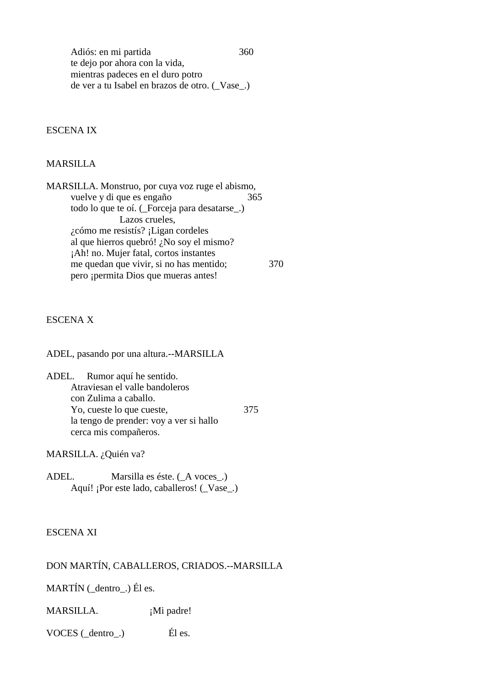Adiós: en mi partida 360 te dejo por ahora con la vida, mientras padeces en el duro potro de ver a tu Isabel en brazos de otro. (\_Vase\_.)

#### ESCENA IX

#### MARSILLA

MARSILLA. Monstruo, por cuya voz ruge el abismo, vuelve y di que es engaño  $365$  todo lo que te oí. (\_Forceja para desatarse\_.) Lazos crueles, ¿cómo me resistís? ¡Ligan cordeles al que hierros quebró! ¿No soy el mismo? ¡Ah! no. Mujer fatal, cortos instantes me quedan que vivir, si no has mentido; 370 pero ¡permita Dios que mueras antes!

### ESCENA X

ADEL, pasando por una altura.--MARSILLA

ADEL. Rumor aquí he sentido. Atraviesan el valle bandoleros con Zulima a caballo. Yo, cueste lo que cueste, 375 la tengo de prender: voy a ver si hallo cerca mis compañeros.

MARSILLA. ¿Quién va?

ADEL. Marsilla es éste. ( $\angle A$  voces $\angle$ .) Aquí! ¡Por este lado, caballeros! (\_Vase\_.)

#### ESCENA XI

### DON MARTÍN, CABALLEROS, CRIADOS.--MARSILLA

MARTÍN (\_dentro\_.) Él es.

MARSILLA. ¡Mi padre!

VOCES (\_dentro\_.) Él es.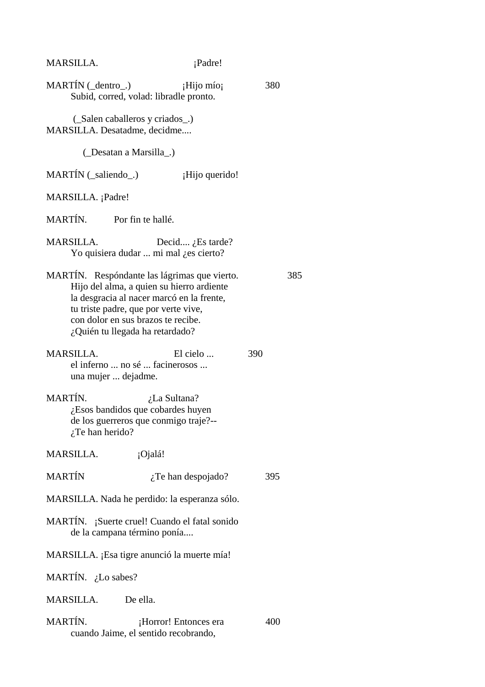# MARSILLA.  $i$ Padre!

| $MARTIN ( _{dentro }.)$                 | ¡Hijo mío¡<br>Subid, corred, volad: libradle pronto.                                                                                                                                                                                                    | 380 |     |
|-----------------------------------------|---------------------------------------------------------------------------------------------------------------------------------------------------------------------------------------------------------------------------------------------------------|-----|-----|
| MARSILLA. Desatadme, decidme            | (Salen caballeros y criados)                                                                                                                                                                                                                            |     |     |
| (Desatan a Marsilla)                    |                                                                                                                                                                                                                                                         |     |     |
| MARTÍN (_saliendo_.)                    | ¡Hijo querido!                                                                                                                                                                                                                                          |     |     |
| MARSILLA. ¡Padre!                       |                                                                                                                                                                                                                                                         |     |     |
| MARTÍN. Por fin te hallé.               |                                                                                                                                                                                                                                                         |     |     |
| <b>MARSILLA.</b>                        | Decid $i$ Es tarde?<br>Yo quisiera dudar  mi mal ¿es cierto?                                                                                                                                                                                            |     |     |
|                                         | MARTÍN. Respóndante las lágrimas que vierto.<br>Hijo del alma, a quien su hierro ardiente<br>la desgracia al nacer marcó en la frente,<br>tu triste padre, que por verte vive,<br>con dolor en sus brazos te recibe.<br>¿Quién tu llegada ha retardado? |     | 385 |
| <b>MARSILLA.</b><br>una mujer  dejadme. | El cielo<br>el inferno  no sé  facinerosos                                                                                                                                                                                                              | 390 |     |
| MARTÍN.<br>$i$ Te han herido?           | <i>i</i> .La Sultana?<br>¿Esos bandidos que cobardes huyen<br>de los guerreros que conmigo traje?--                                                                                                                                                     |     |     |
| MARSILLA.                               | ¡Ojalá!                                                                                                                                                                                                                                                 |     |     |
| <b>MARTÍN</b>                           | $i$ Te han despojado?                                                                                                                                                                                                                                   | 395 |     |
|                                         | MARSILLA. Nada he perdido: la esperanza sólo.                                                                                                                                                                                                           |     |     |
| de la campana término ponía             | MARTÍN. ¡Suerte cruel! Cuando el fatal sonido                                                                                                                                                                                                           |     |     |
|                                         | MARSILLA. ¡Esa tigre anunció la muerte mía!                                                                                                                                                                                                             |     |     |
| MARTÍN. ¿Lo sabes?                      |                                                                                                                                                                                                                                                         |     |     |
| MARSILLA.                               | De ella.                                                                                                                                                                                                                                                |     |     |
| MARTÍN.                                 | ¡Horror! Entonces era<br>cuando Jaime, el sentido recobrando,                                                                                                                                                                                           | 400 |     |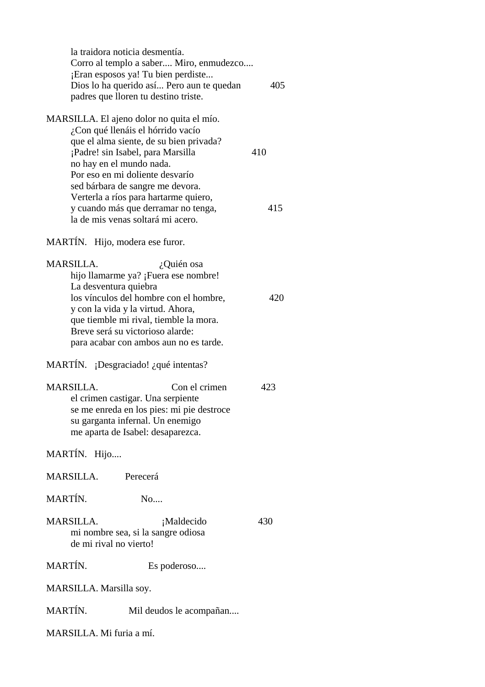| la traidora noticia desmentía.<br>Corro al templo a saber Miro, enmudezco<br>Eran esposos ya! Tu bien perdiste<br>Dios lo ha querido así Pero aun te quedan<br>padres que lloren tu destino triste. | 405 |
|-----------------------------------------------------------------------------------------------------------------------------------------------------------------------------------------------------|-----|
| MARSILLA. El ajeno dolor no quita el mío.                                                                                                                                                           |     |
| ¿Con qué llenáis el hórrido vacío                                                                                                                                                                   |     |
| que el alma siente, de su bien privada?<br>¡Padre! sin Isabel, para Marsilla                                                                                                                        | 410 |
| no hay en el mundo nada.                                                                                                                                                                            |     |
| Por eso en mi doliente desvarío                                                                                                                                                                     |     |
| sed bárbara de sangre me devora.                                                                                                                                                                    |     |
| Verterla a ríos para hartarme quiero,                                                                                                                                                               | 415 |
| y cuando más que derramar no tenga,<br>la de mis venas soltará mi acero.                                                                                                                            |     |
|                                                                                                                                                                                                     |     |
| MARTÍN. Hijo, modera ese furor.                                                                                                                                                                     |     |
| <b>MARSILLA.</b><br>¿Quién osa                                                                                                                                                                      |     |
| hijo llamarme ya? ¡Fuera ese nombre!                                                                                                                                                                |     |
| La desventura quiebra                                                                                                                                                                               |     |
| los vínculos del hombre con el hombre,                                                                                                                                                              | 420 |
| y con la vida y la virtud. Ahora,<br>que tiemble mi rival, tiemble la mora.                                                                                                                         |     |
| Breve será su victorioso alarde:                                                                                                                                                                    |     |
| para acabar con ambos aun no es tarde.                                                                                                                                                              |     |
|                                                                                                                                                                                                     |     |
| MARTÍN. ¡Desgraciado! ¿qué intentas?                                                                                                                                                                |     |
| Con el crimen<br>MARSILLA.                                                                                                                                                                          | 423 |
| el crimen castigar. Una serpiente                                                                                                                                                                   |     |
| se me enreda en los pies: mi pie destroce                                                                                                                                                           |     |
| su garganta infernal. Un enemigo                                                                                                                                                                    |     |
| me aparta de Isabel: desaparezca.                                                                                                                                                                   |     |
| MARTÍN. Hijo                                                                                                                                                                                        |     |
| MARSILLA.<br>Perecerá                                                                                                                                                                               |     |
| MARTÍN.<br>No                                                                                                                                                                                       |     |
| <b>MARSILLA.</b><br>¡Maldecido                                                                                                                                                                      | 430 |
| mi nombre sea, si la sangre odiosa                                                                                                                                                                  |     |
| de mi rival no vierto!                                                                                                                                                                              |     |
| MARTÍN.<br>Es poderoso                                                                                                                                                                              |     |
| MARSILLA. Marsilla soy.                                                                                                                                                                             |     |
| MARTÍN.<br>Mil deudos le acompañan                                                                                                                                                                  |     |
| MARSILLA. Mi furia a mí.                                                                                                                                                                            |     |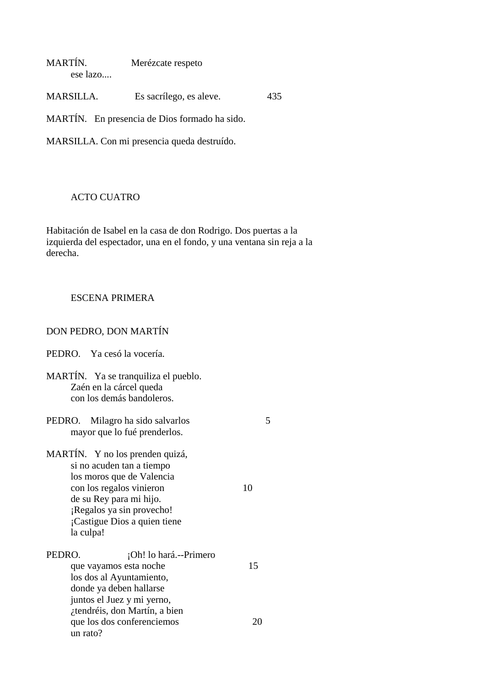| MARTÍN.  | Merézcate respeto |  |
|----------|-------------------|--|
| ese lazo |                   |  |

MARSILLA. Es sacrílego, es aleve. 435

MARTÍN. En presencia de Dios formado ha sido.

MARSILLA. Con mi presencia queda destruído.

#### ACTO CUATRO

Habitación de Isabel en la casa de don Rodrigo. Dos puertas a la izquierda del espectador, una en el fondo, y una ventana sin reja a la derecha.

### ESCENA PRIMERA

## DON PEDRO, DON MARTÍN

| PEDRO. Ya cesó la vocería.                                                                                                                                                                                                 |    |
|----------------------------------------------------------------------------------------------------------------------------------------------------------------------------------------------------------------------------|----|
| MARTÍN. Ya se tranquiliza el pueblo.<br>Zaén en la cárcel queda<br>con los demás bandoleros.                                                                                                                               |    |
| PEDRO. Milagro ha sido salvarlos<br>mayor que lo fué prenderlos.                                                                                                                                                           | 5  |
| MARTÍN. Y no los prenden quizá,<br>si no acuden tan a tiempo<br>los moros que de Valencia<br>con los regalos vinieron<br>de su Rey para mi hijo.<br>¡Regalos ya sin provecho!<br>¡Castigue Dios a quien tiene<br>la culpa! | 10 |
| PEDRO.<br>¡Oh! lo hará.--Primero<br>que vayamos esta noche<br>los dos al Ayuntamiento,<br>donde ya deben hallarse                                                                                                          | 15 |
| juntos el Juez y mi yerno,<br>tendréis, don Martín, a bien<br>que los dos conferenciemos<br>un rato?                                                                                                                       | 20 |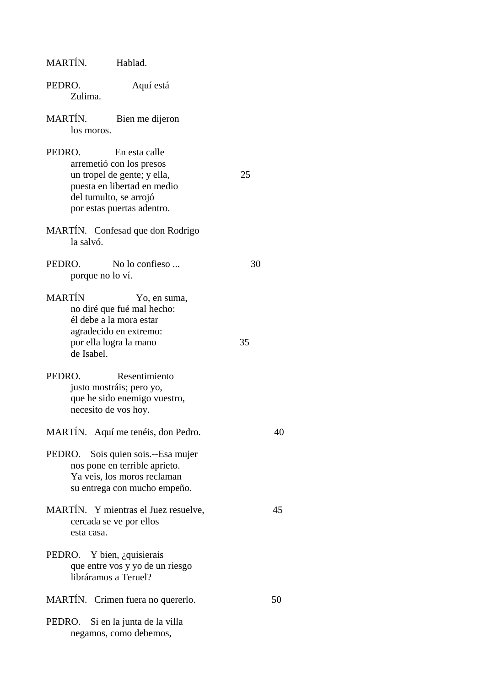| MARTÍN.<br>Hablad.                                                                                                                                                        |    |
|---------------------------------------------------------------------------------------------------------------------------------------------------------------------------|----|
| PEDRO.<br>Aquí está<br>Zulima.                                                                                                                                            |    |
| MARTÍN.<br>Bien me dijeron<br>los moros.                                                                                                                                  |    |
| PEDRO.<br>En esta calle<br>arremetió con los presos<br>un tropel de gente; y ella,<br>puesta en libertad en medio<br>del tumulto, se arrojó<br>por estas puertas adentro. | 25 |
| MARTÍN. Confesad que don Rodrigo<br>la salvó.                                                                                                                             |    |
| PEDRO.<br>No lo confieso<br>porque no lo ví.                                                                                                                              | 30 |
| <b>MARTÍN</b><br>Yo, en suma,<br>no diré que fué mal hecho:<br>él debe a la mora estar<br>agradecido en extremo:<br>por ella logra la mano<br>de Isabel.                  | 35 |
| PEDRO.<br>Resentimiento<br>justo mostráis; pero yo,<br>que he sido enemigo vuestro,<br>necesito de vos hoy.                                                               |    |
| MARTÍN. Aquí me tenéis, don Pedro.                                                                                                                                        | 40 |
| PEDRO. Sois quien sois.--Esa mujer<br>nos pone en terrible aprieto.<br>Ya veis, los moros reclaman<br>su entrega con mucho empeño.                                        |    |
| MARTÍN. Y mientras el Juez resuelve,<br>cercada se ve por ellos<br>esta casa.                                                                                             | 45 |
| PEDRO. Y bien, ¿quisierais<br>que entre vos y yo de un riesgo<br>libráramos a Teruel?                                                                                     |    |
| MARTÍN. Crimen fuera no quererlo.                                                                                                                                         | 50 |
| PEDRO. Si en la junta de la villa<br>negamos, como debemos,                                                                                                               |    |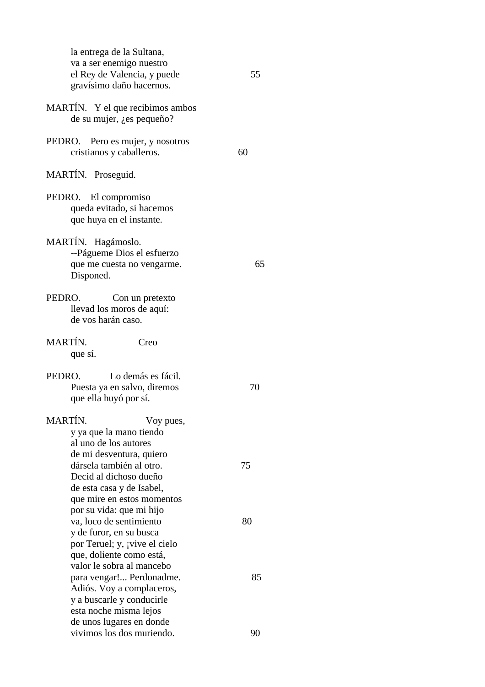| la entrega de la Sultana,<br>va a ser enemigo nuestro<br>el Rey de Valencia, y puede<br>gravísimo daño hacernos.                                     | 55 |
|------------------------------------------------------------------------------------------------------------------------------------------------------|----|
| MARTÍN. Y el que recibimos ambos<br>de su mujer, <i>i</i> , es pequeño?                                                                              |    |
| Pero es mujer, y nosotros<br>PEDRO.<br>cristianos y caballeros.                                                                                      | 60 |
| MARTÍN. Proseguid.                                                                                                                                   |    |
| PEDRO.<br>El compromiso<br>queda evitado, si hacemos<br>que huya en el instante.                                                                     |    |
| MARTÍN. Hagámoslo.<br>--Págueme Dios el esfuerzo<br>que me cuesta no vengarme.<br>Disponed.                                                          | 65 |
| PEDRO.<br>Con un pretexto<br>llevad los moros de aquí:<br>de vos harán caso.                                                                         |    |
| MARTÍN.<br>Creo<br>que sí.                                                                                                                           |    |
| PEDRO.<br>Lo demás es fácil.<br>Puesta ya en salvo, diremos<br>que ella huyó por sí.                                                                 | 70 |
| MARTÍN.<br>Voy pues,<br>y ya que la mano tiendo<br>al uno de los autores<br>de mi desventura, quiero                                                 |    |
| dársela también al otro.<br>Decid al dichoso dueño<br>de esta casa y de Isabel,<br>que mire en estos momentos<br>por su vida: que mi hijo            | 75 |
| va, loco de sentimiento<br>y de furor, en su busca<br>por Teruel; y, <i>j</i> vive el cielo<br>que, doliente como está,<br>valor le sobra al mancebo | 80 |
| para vengar! Perdonadme.<br>Adiós. Voy a complaceros,<br>y a buscarle y conducirle<br>esta noche misma lejos<br>de unos lugares en donde             | 85 |
| vivimos los dos muriendo.                                                                                                                            | 90 |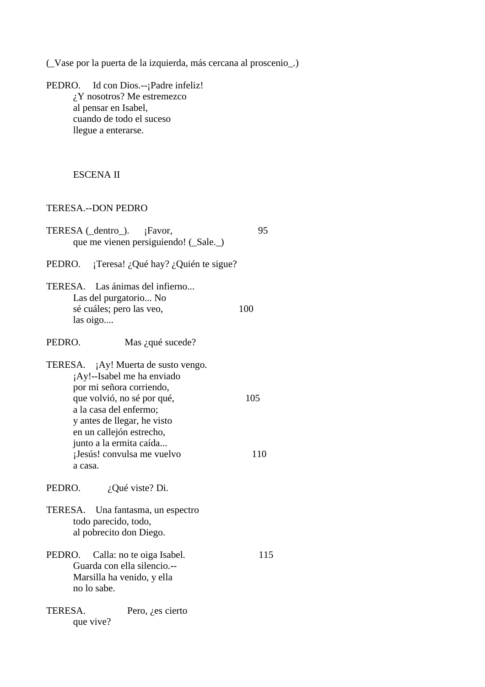(\_Vase por la puerta de la izquierda, más cercana al proscenio\_.)

PEDRO. Id con Dios.--; Padre infeliz! ¿Y nosotros? Me estremezco al pensar en Isabel, cuando de todo el suceso llegue a enterarse.

### ESCENA II

## TERESA.--DON PEDRO

| TERESA (_dentro_). ¡Favor,<br>que me vienen persiguiendo! (_Sale._)                                                                                                                                                                                                                  | 95         |
|--------------------------------------------------------------------------------------------------------------------------------------------------------------------------------------------------------------------------------------------------------------------------------------|------------|
| ¡Teresa! ¿Qué hay? ¿Quién te sigue?<br>PEDRO.                                                                                                                                                                                                                                        |            |
| TERESA. Las ánimas del infierno<br>Las del purgatorio No<br>sé cuáles; pero las veo,<br>las oigo                                                                                                                                                                                     | 100        |
| PEDRO.<br>Mas ¿qué sucede?                                                                                                                                                                                                                                                           |            |
| TERESA. ¡Ay! Muerta de susto vengo.<br>¡Ay!--Isabel me ha enviado<br>por mi señora corriendo,<br>que volvió, no sé por qué,<br>a la casa del enfermo;<br>y antes de llegar, he visto<br>en un callejón estrecho,<br>junto a la ermita caída<br>¡Jesús! convulsa me vuelvo<br>a casa. | 105<br>110 |
| PEDRO.<br>¿Qué viste? Di.<br>TERESA. Una fantasma, un espectro<br>todo parecido, todo,                                                                                                                                                                                               |            |
| al pobrecito don Diego.<br>PEDRO.<br>Calla: no te oiga Isabel.<br>Guarda con ella silencio.--<br>Marsilla ha venido, y ella<br>no lo sabe.                                                                                                                                           | 115        |
| <b>TERESA.</b><br>Pero, <i>i</i> , es cierto<br>que vive?                                                                                                                                                                                                                            |            |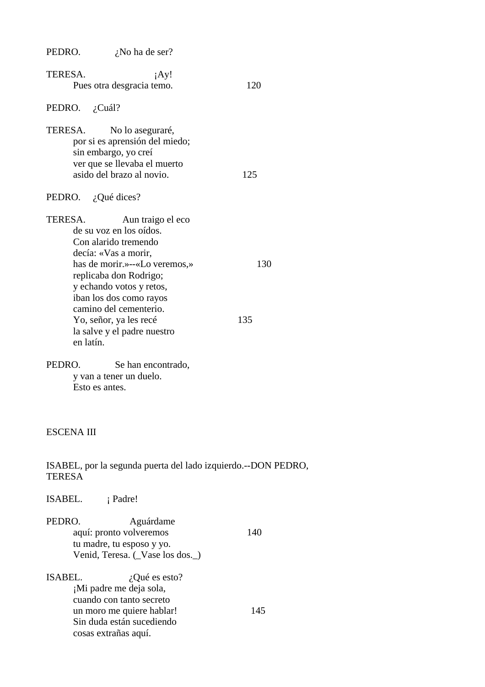PEDRO.  $i$ No ha de ser?

- TERESA. **iAy!** Pues otra desgracia temo. 120 PEDRO. ¿Cuál?
- TERESA. No lo aseguraré, por si es aprensión del miedo; sin embargo, yo creí ver que se llevaba el muerto asido del brazo al novio. 125
- PEDRO. ¿Qué dices?

TERESA. Aun traigo el eco de su voz en los oídos. Con alarido tremendo decía: «Vas a morir, has de morir.»--«Lo veremos,» 130 replicaba don Rodrigo; y echando votos y retos, iban los dos como rayos camino del cementerio. Yo, señor, ya les recé 135 la salve y el padre nuestro en latín.

PEDRO. Se han encontrado, y van a tener un duelo. Esto es antes.

#### ESCENA III

ISABEL, por la segunda puerta del lado izquierdo.--DON PEDRO, **TERESA** 

ISABEL. **i** Padre!

- PEDRO. Aguárdame aquí: pronto volveremos 140 tu madre, tu esposo y yo. Venid, Teresa. (\_Vase los dos.\_)
- ISABEL.  $i$ , Qué es esto? ¡Mi padre me deja sola, cuando con tanto secreto un moro me quiere hablar! 145 Sin duda están sucediendo cosas extrañas aquí.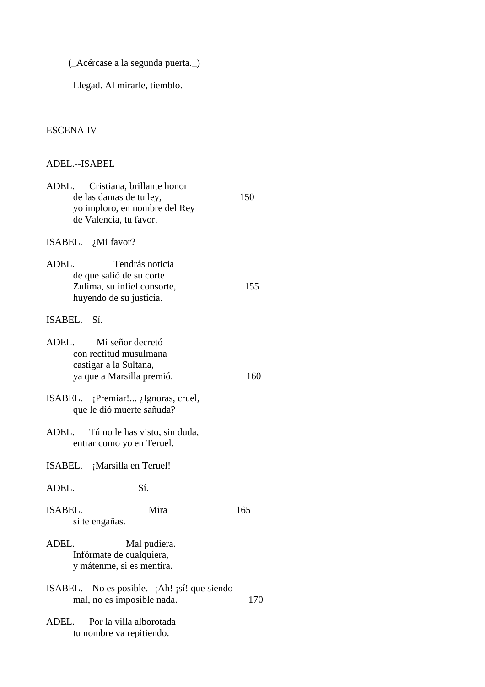(\_Acércase a la segunda puerta.\_)

Llegad. Al mirarle, tiemblo.

# ESCENA IV

| ADEL.--ISABEL                                                                                                             |     |
|---------------------------------------------------------------------------------------------------------------------------|-----|
| ADEL.<br>Cristiana, brillante honor<br>de las damas de tu ley,<br>yo imploro, en nombre del Rey<br>de Valencia, tu favor. | 150 |
| ISABEL. $\chi$ Mi favor?                                                                                                  |     |
| ADEL.<br>Tendrás noticia<br>de que salió de su corte<br>Zulima, su infiel consorte,<br>huyendo de su justicia.            | 155 |
| ISABEL. Sí.                                                                                                               |     |
| ADEL.<br>Mi señor decretó<br>con rectitud musulmana<br>castigar a la Sultana,<br>ya que a Marsilla premió.                | 160 |
| ISABEL. $i$ Premiar! $i$ Ignoras, cruel,<br>que le dió muerte sañuda?                                                     |     |
| ADEL.<br>Tú no le has visto, sin duda,<br>entrar como yo en Teruel.                                                       |     |
| ISABEL. ¡Marsilla en Teruel!                                                                                              |     |
| ADEL.<br>Sí.                                                                                                              |     |
| ISABEL.<br>Mira<br>si te engañas.                                                                                         | 165 |
| ADEL.<br>Mal pudiera.<br>Infórmate de cualquiera,<br>y mátenme, si es mentira.                                            |     |
| ISABEL. No es posible. $-i$ Ah! $i$ sí! que siendo<br>mal, no es imposible nada.                                          | 170 |
| ADEL.<br>Por la villa alborotada                                                                                          |     |

tu nombre va repitiendo.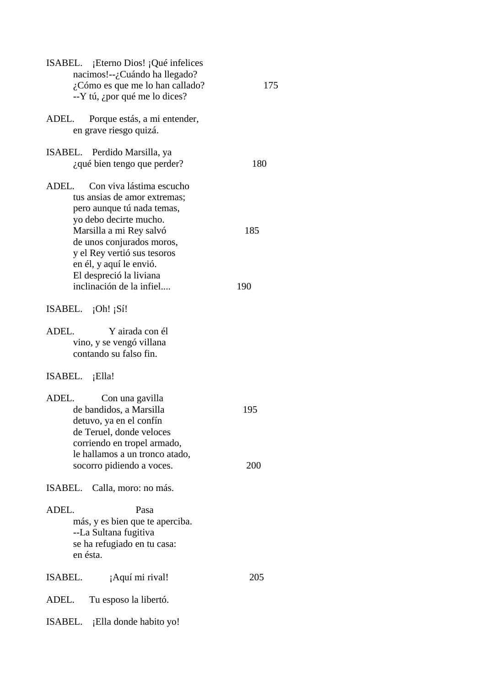| ISABEL. ¡Eterno Dios! ¡Qué infelices<br>nacimos!--¿Cuándo ha llegado?<br>$i$ Cómo es que me lo han callado?<br>$-Y$ tú, ¿por qué me lo dices?                                                                                                                                                      | 175        |
|----------------------------------------------------------------------------------------------------------------------------------------------------------------------------------------------------------------------------------------------------------------------------------------------------|------------|
| Porque estás, a mi entender,<br>ADEL.<br>en grave riesgo quizá.                                                                                                                                                                                                                                    |            |
| ISABEL. Perdido Marsilla, ya<br>¿qué bien tengo que perder?                                                                                                                                                                                                                                        | 180        |
| Con viva lástima escucho<br>ADEL.<br>tus ansias de amor extremas;<br>pero aunque tú nada temas,<br>yo debo decirte mucho.<br>Marsilla a mi Rey salvó<br>de unos conjurados moros,<br>y el Rey vertió sus tesoros<br>en él, y aquí le envió.<br>El despreció la liviana<br>inclinación de la infiel | 185<br>190 |
| ISABEL. $\{Oh! \}$                                                                                                                                                                                                                                                                                 |            |
| ADEL.<br>Y airada con él<br>vino, y se vengó villana<br>contando su falso fin.                                                                                                                                                                                                                     |            |
| ISABEL. ¡Ella!                                                                                                                                                                                                                                                                                     |            |
| ADEL.<br>Con una gavilla<br>de bandidos, a Marsilla<br>detuvo, ya en el confín<br>de Teruel, donde veloces<br>corriendo en tropel armado,<br>le hallamos a un tronco atado,<br>socorro pidiendo a voces.                                                                                           | 195<br>200 |
| ISABEL. Calla, moro: no más.                                                                                                                                                                                                                                                                       |            |
| ADEL.<br>Pasa<br>más, y es bien que te aperciba.<br>--La Sultana fugitiva<br>se ha refugiado en tu casa:<br>en ésta.                                                                                                                                                                               |            |
| ISABEL.<br>¡Aquí mi rival!                                                                                                                                                                                                                                                                         | 205        |
| Tu esposo la libertó.<br>ADEL.                                                                                                                                                                                                                                                                     |            |
| ISABEL. ¡Ella donde habito yo!                                                                                                                                                                                                                                                                     |            |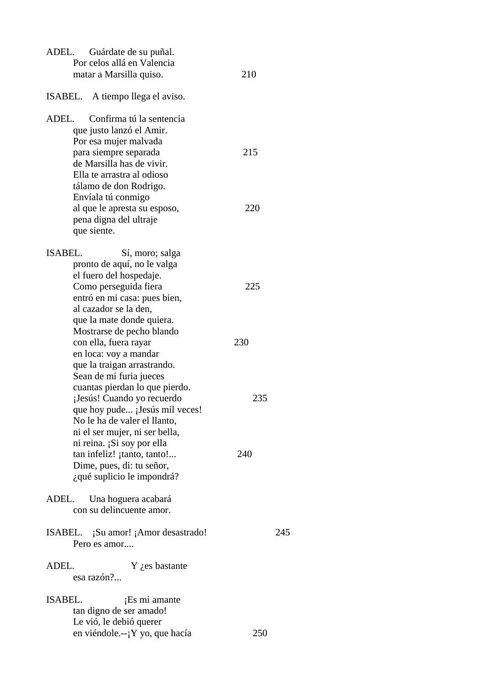| ADEL.<br>Guárdate de su puñal.<br>Por celos allá en Valencia<br>matar a Marsilla quiso.                                                                                                                                                                                                                                                                                     | 210        |
|-----------------------------------------------------------------------------------------------------------------------------------------------------------------------------------------------------------------------------------------------------------------------------------------------------------------------------------------------------------------------------|------------|
| ISABEL. A tiempo llega el aviso.                                                                                                                                                                                                                                                                                                                                            |            |
| ADEL.<br>Confirma tú la sentencia<br>que justo lanzó el Amir.                                                                                                                                                                                                                                                                                                               |            |
| Por esa mujer malvada<br>para siempre separada<br>de Marsilla has de vivir.                                                                                                                                                                                                                                                                                                 | 215        |
| Ella te arrastra al odioso<br>tálamo de don Rodrigo.<br>Envíala tú conmigo<br>al que le apresta su esposo,                                                                                                                                                                                                                                                                  | 220        |
| pena digna del ultraje<br>que siente.                                                                                                                                                                                                                                                                                                                                       |            |
| ISABEL.<br>Sí, moro; salga<br>pronto de aquí, no le valga<br>el fuero del hospedaje.<br>Como perseguida fiera<br>entró en mi casa: pues bien,<br>al cazador se la den,<br>que la mate donde quiera.<br>Mostrarse de pecho blando                                                                                                                                            | 225        |
| con ella, fuera rayar                                                                                                                                                                                                                                                                                                                                                       | 230        |
| en loca: voy a mandar<br>que la traigan arrastrando.<br>Sean de mi furia jueces<br>cuantas pierdan lo que pierdo.<br>¡Jesús! Cuando yo recuerdo<br>que hoy pude ¡Jesús mil veces!<br>No le ha de valer el llanto,<br>ni el ser mujer, ni ser bella,<br>ni reina. ¡Si soy por ella<br>tan infeliz! ¡tanto, tanto!<br>Dime, pues, di: tu señor,<br>¿qué suplicio le impondrá? | 235<br>240 |
| Una hoguera acabará<br>ADEL.<br>con su delincuente amor.                                                                                                                                                                                                                                                                                                                    |            |
| ISABEL. ¡Su amor! ¡Amor desastrado!<br>Pero es amor                                                                                                                                                                                                                                                                                                                         | 245        |
| ADEL.<br>$Y$ <i>i</i> , es bastante<br>esa razón?                                                                                                                                                                                                                                                                                                                           |            |
| <b>ISABEL.</b><br>¡Es mi amante<br>tan digno de ser amado!<br>Le vió, le debió querer<br>en viéndole.-- $Y$ yo, que hacía                                                                                                                                                                                                                                                   | 250        |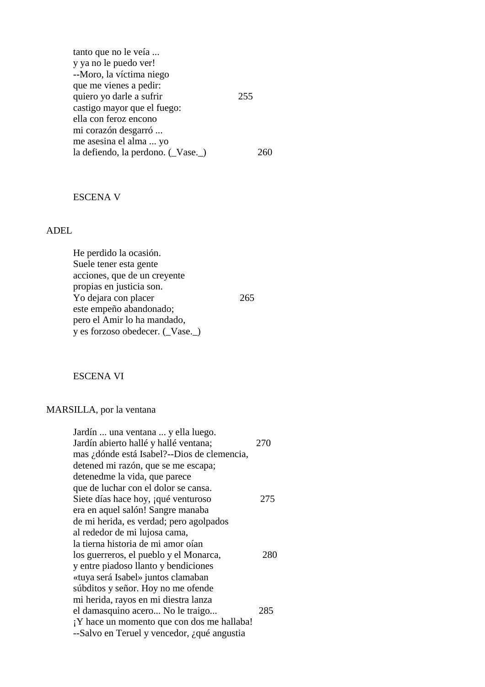| tanto que no le veía             |     |
|----------------------------------|-----|
| y ya no le puedo ver!            |     |
| --Moro, la víctima niego         |     |
| que me vienes a pedir:           |     |
| quiero yo darle a sufrir         | 255 |
| castigo mayor que el fuego:      |     |
| ella con feroz encono            |     |
| mi corazón desgarró              |     |
| me asesina el alma  yo           |     |
| la defiendo, la perdono. (Vase.) |     |

### ESCENA V

## ADEL

 He perdido la ocasión. Suele tener esta gente acciones, que de un creyente propias en justicia son. Yo dejara con placer 265 este empeño abandonado; pero el Amir lo ha mandado, y es forzoso obedecer. (\_Vase.\_)

ESCENA VI

# MARSILLA, por la ventana

| Jardín  una ventana  y ella luego.<br>Jardín abierto hallé y hallé ventana; | 270 |
|-----------------------------------------------------------------------------|-----|
| mas ¿dónde está Isabel?--Dios de clemencia,                                 |     |
| detened mi razón, que se me escapa;                                         |     |
| detenedme la vida, que parece                                               |     |
| que de luchar con el dolor se cansa.                                        |     |
| Siete días hace hoy, qué venturoso                                          | 275 |
| era en aquel salón! Sangre manaba                                           |     |
| de mi herida, es verdad; pero agolpados                                     |     |
| al rededor de mi lujosa cama,                                               |     |
| la tierna historia de mi amor oían                                          |     |
| los guerreros, el pueblo y el Monarca,                                      | 280 |
| y entre piadoso llanto y bendiciones                                        |     |
| «tuya será Isabel» juntos clamaban                                          |     |
| súbditos y señor. Hoy no me ofende                                          |     |
| mi herida, rayos en mi diestra lanza                                        |     |
| el damasquino acero No le traigo                                            | 285 |
| ¡Y hace un momento que con dos me hallaba!                                  |     |
| --Salvo en Teruel y vencedor, ¿qué angustia                                 |     |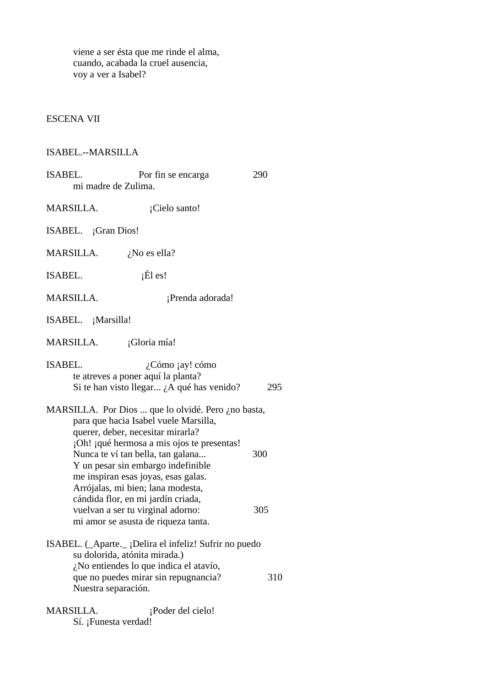viene a ser ésta que me rinde el alma, cuando, acabada la cruel ausencia, voy a ver a Isabel?

# ESCENA VII

# ISABEL.--MARSILLA

| ISABEL.<br>mi madre de Zulima.    | Por fin se encarga                                                                                                                                                                                                                                                                               | 290 |
|-----------------------------------|--------------------------------------------------------------------------------------------------------------------------------------------------------------------------------------------------------------------------------------------------------------------------------------------------|-----|
| <b>MARSILLA.</b>                  | ¡Cielo santo!                                                                                                                                                                                                                                                                                    |     |
| ISABEL. ¡Gran Dios!               |                                                                                                                                                                                                                                                                                                  |     |
| MARSILLA.                         | $i$ No es ella?                                                                                                                                                                                                                                                                                  |     |
| ISABEL.                           | $i\text{E1}$ es!                                                                                                                                                                                                                                                                                 |     |
| <b>MARSILLA.</b>                  | ¡Prenda adorada!                                                                                                                                                                                                                                                                                 |     |
| ISABEL. ¡Marsilla!                |                                                                                                                                                                                                                                                                                                  |     |
| MARSILLA.                         | ¡Gloria mía!                                                                                                                                                                                                                                                                                     |     |
| ISABEL.                           | $i$ Cómo jay! cómo<br>te atreves a poner aquí la planta?<br>Si te han visto llegar ¿A qué has venido?                                                                                                                                                                                            | 295 |
|                                   | MARSILLA. Por Dios  que lo olvidé. Pero ¿no basta,<br>para que hacia Isabel vuele Marsilla,<br>querer, deber, necesitar mirarla?<br>¡Oh! ¡qué hermosa a mis ojos te presentas!<br>Nunca te ví tan bella, tan galana<br>Y un pesar sin embargo indefinible<br>me inspiran esas joyas, esas galas. | 300 |
|                                   | Arrójalas, mi bien; lana modesta,<br>cándida flor, en mi jardín criada,<br>vuelvan a ser tu virginal adorno:<br>mi amor se asusta de riqueza tanta.                                                                                                                                              | 305 |
| Nuestra separación.               | ISABEL. (_Aparte._; Delira el infeliz! Sufrir no puedo<br>su dolorida, atónita mirada.)<br>¿No entiendes lo que indica el atavío,<br>que no puedes mirar sin repugnancia?                                                                                                                        | 310 |
| MARSILLA.<br>Sí. ¡Funesta verdad! | ¡Poder del cielo!                                                                                                                                                                                                                                                                                |     |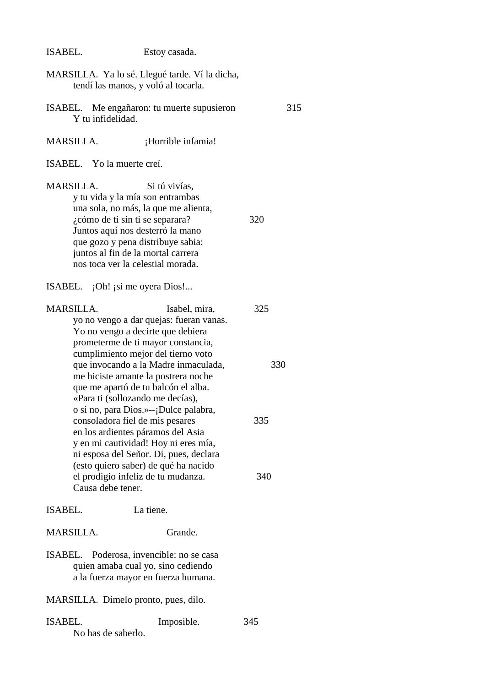| ISABEL. | Estoy casada. |
|---------|---------------|
|---------|---------------|

|                                                     | MARSILLA. Ya lo sé. Llegué tarde. Ví la dicha,<br>tendí las manos, y voló al tocarla.                                                                                                                                                                                                                                                                                                                                                                                                                                                                                                                                |                          |
|-----------------------------------------------------|----------------------------------------------------------------------------------------------------------------------------------------------------------------------------------------------------------------------------------------------------------------------------------------------------------------------------------------------------------------------------------------------------------------------------------------------------------------------------------------------------------------------------------------------------------------------------------------------------------------------|--------------------------|
| Y tu infidelidad.                                   | ISABEL. Me engañaron: tu muerte supusieron                                                                                                                                                                                                                                                                                                                                                                                                                                                                                                                                                                           | 315                      |
| <b>MARSILLA.</b>                                    | ¡Horrible infamia!                                                                                                                                                                                                                                                                                                                                                                                                                                                                                                                                                                                                   |                          |
| ISABEL. Yo la muerte creí.                          |                                                                                                                                                                                                                                                                                                                                                                                                                                                                                                                                                                                                                      |                          |
| <b>MARSILLA.</b><br>¿cómo de ti sin ti se separara? | Si tú vivías,<br>y tu vida y la mía son entrambas<br>una sola, no más, la que me alienta,<br>Juntos aquí nos desterró la mano<br>que gozo y pena distribuye sabia:<br>juntos al fin de la mortal carrera<br>nos toca ver la celestial morada.                                                                                                                                                                                                                                                                                                                                                                        | 320                      |
| ISABEL. ¡Oh! ¡si me oyera Dios!                     |                                                                                                                                                                                                                                                                                                                                                                                                                                                                                                                                                                                                                      |                          |
| <b>MARSILLA.</b><br>Causa debe tener.               | Isabel, mira,<br>yo no vengo a dar quejas: fueran vanas.<br>Yo no vengo a decirte que debiera<br>prometerme de ti mayor constancia,<br>cumplimiento mejor del tierno voto<br>que invocando a la Madre inmaculada,<br>me hiciste amante la postrera noche<br>que me apartó de tu balcón el alba.<br>«Para ti (sollozando me decías),<br>o si no, para Dios.»--;Dulce palabra,<br>consoladora fiel de mis pesares<br>en los ardientes páramos del Asia<br>y en mi cautividad! Hoy ni eres mía,<br>ni esposa del Señor. Di, pues, declara<br>(esto quiero saber) de qué ha nacido<br>el prodigio infeliz de tu mudanza. | 325<br>330<br>335<br>340 |
| <b>ISABEL.</b>                                      | La tiene.                                                                                                                                                                                                                                                                                                                                                                                                                                                                                                                                                                                                            |                          |
| <b>MARSILLA.</b>                                    | Grande.                                                                                                                                                                                                                                                                                                                                                                                                                                                                                                                                                                                                              |                          |
| ISABEL.                                             | Poderosa, invencible: no se casa<br>quien amaba cual yo, sino cediendo<br>a la fuerza mayor en fuerza humana.                                                                                                                                                                                                                                                                                                                                                                                                                                                                                                        |                          |
| MARSILLA. Dímelo pronto, pues, dilo.                |                                                                                                                                                                                                                                                                                                                                                                                                                                                                                                                                                                                                                      |                          |
| ISABEL.<br>No has de saberlo.                       | Imposible.                                                                                                                                                                                                                                                                                                                                                                                                                                                                                                                                                                                                           | 345                      |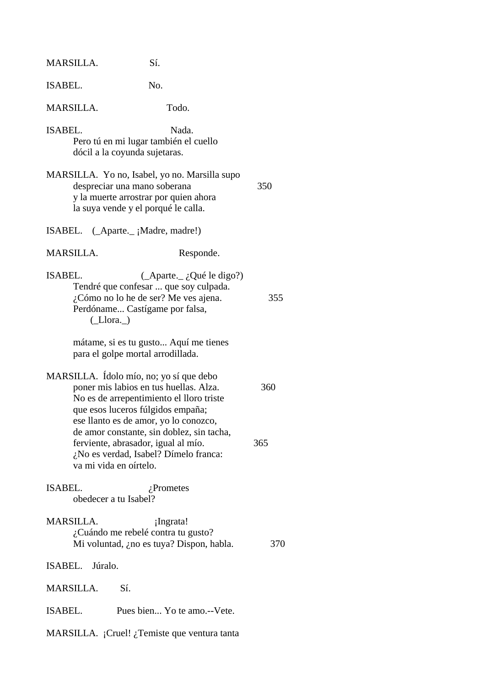| MARSILLA.       | Sí.                                                                                                                                                                                                         |     |
|-----------------|-------------------------------------------------------------------------------------------------------------------------------------------------------------------------------------------------------------|-----|
| ISABEL.         | No.                                                                                                                                                                                                         |     |
| MARSILLA.       | Todo.                                                                                                                                                                                                       |     |
| ISABEL.         | Nada.<br>Pero tú en mi lugar también el cuello<br>dócil a la coyunda sujetaras.                                                                                                                             |     |
|                 | MARSILLA. Yo no, Isabel, yo no. Marsilla supo<br>despreciar una mano soberana<br>y la muerte arrostrar por quien ahora<br>la suya vende y el porqué le calla.                                               | 350 |
|                 | ISABEL. (Aparte. _ ; Madre, madre!)                                                                                                                                                                         |     |
| MARSILLA.       | Responde.                                                                                                                                                                                                   |     |
| ISABEL.         | $(\_\text{Aparte.}\_\iota Q$ ué le digo?)<br>Tendré que confesar  que soy culpada.<br>¿Cómo no lo he de ser? Me ves ajena.<br>Perdóname Castígame por falsa,<br>$(\_$ Llora. $\_)$                          | 355 |
|                 | mátame, si es tu gusto Aquí me tienes<br>para el golpe mortal arrodillada.                                                                                                                                  |     |
|                 | MARSILLA. Ídolo mío, no; yo sí que debo<br>poner mis labios en tus huellas. Alza.<br>No es de arrepentimiento el lloro triste<br>que esos luceros fúlgidos empaña;<br>ese llanto es de amor, yo lo conozco, | 360 |
|                 | de amor constante, sin doblez, sin tacha,<br>ferviente, abrasador, igual al mío.<br>¿No es verdad, Isabel? Dímelo franca:<br>va mi vida en oírtelo.                                                         | 365 |
| ISABEL.         | $i$ Prometes<br>obedecer a tu Isabel?                                                                                                                                                                       |     |
| MARSILLA.       | ¡Ingrata!<br>¿Cuándo me rebelé contra tu gusto?<br>Mi voluntad, ¿no es tuya? Dispon, habla.                                                                                                                 | 370 |
| ISABEL. Júralo. |                                                                                                                                                                                                             |     |
| MARSILLA.       | Sí.                                                                                                                                                                                                         |     |
| ISABEL.         | Pues bien Yo te amo.--Vete.                                                                                                                                                                                 |     |
|                 | MARSILLA. ¡Cruel! ¿Temiste que ventura tanta                                                                                                                                                                |     |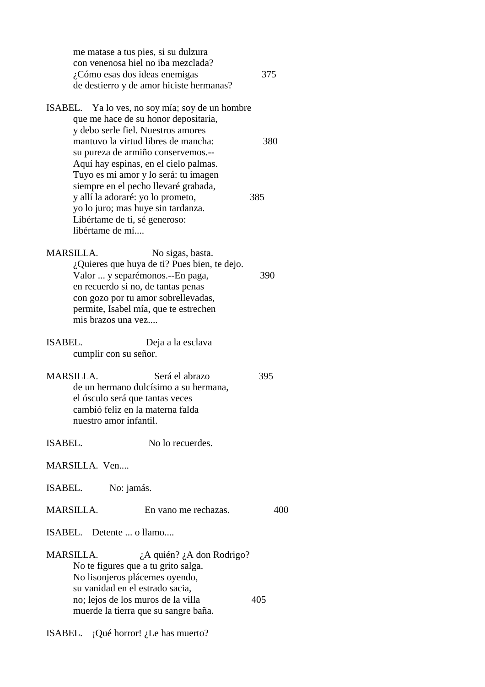me matase a tus pies, si su dulzura con venenosa hiel no iba mezclada? ¿Cómo esas dos ideas enemigas 375 de destierro y de amor hiciste hermanas?

ISABEL. Ya lo ves, no soy mía; soy de un hombre que me hace de su honor depositaria, y debo serle fiel. Nuestros amores mantuvo la virtud libres de mancha: 380 su pureza de armiño conservemos.-- Aquí hay espinas, en el cielo palmas. Tuyo es mi amor y lo será: tu imagen siempre en el pecho llevaré grabada, y allí la adoraré: yo lo prometo, 385 yo lo juro; mas huye sin tardanza. Libértame de ti, sé generoso: libértame de mí....

MARSILLA. No sigas, basta. ¿Quieres que huya de ti? Pues bien, te dejo. Valor ... y separémonos.--En paga, 390 en recuerdo si no, de tantas penas con gozo por tu amor sobrellevadas, permite, Isabel mía, que te estrechen mis brazos una vez....

ISABEL. Deja a la esclava cumplir con su señor.

MARSILLA. Será el abrazo 395 de un hermano dulcísimo a su hermana, el ósculo será que tantas veces cambió feliz en la materna falda nuestro amor infantil.

ISABEL. No lo recuerdes.

MARSILLA. Ven....

ISABEL. No: jamás.

MARSILLA. En vano me rechazas. 400

ISABEL. Detente ... o llamo....

MARSILLA.  $\lambda$  *i*A quién? *i*A don Rodrigo? No te figures que a tu grito salga. No lisonjeros plácemes oyendo, su vanidad en el estrado sacia, no; lejos de los muros de la villa 405 muerde la tierra que su sangre baña.

ISABEL. ¡Qué horror! ¿Le has muerto?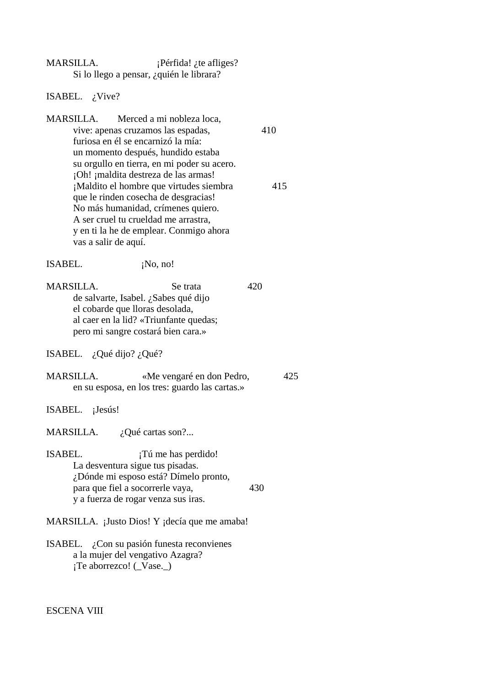| MARSILLA. | $i$ Pérfida! <i>i</i> te afliges?        |
|-----------|------------------------------------------|
|           | Si lo llego a pensar, ¿quién le librara? |

ISABEL. ¿Vive?

MARSILLA. Merced a mi nobleza loca, vive: apenas cruzamos las espadas, 410 furiosa en él se encarnizó la mía: un momento después, hundido estaba su orgullo en tierra, en mi poder su acero. ¡Oh! ¡maldita destreza de las armas! ¡Maldito el hombre que virtudes siembra 415 que le rinden cosecha de desgracias! No más humanidad, crímenes quiero. A ser cruel tu crueldad me arrastra, y en ti la he de emplear. Conmigo ahora vas a salir de aquí.

ISABEL.  $iNo, no!$ 

MARSILLA. Se trata 420 de salvarte, Isabel. ¿Sabes qué dijo el cobarde que lloras desolada, al caer en la lid? «Triunfante quedas; pero mi sangre costará bien cara.»

ISABEL. ¿Qué dijo? ¿Qué?

- MARSILLA. «Me vengaré en don Pedro, 425 en su esposa, en los tres: guardo las cartas.»
- ISABEL. ¡Jesús!

MARSILLA. ¿Qué cartas son?...

- ISABEL. ¡Tú me has perdido! La desventura sigue tus pisadas. ¿Dónde mi esposo está? Dímelo pronto, para que fiel a socorrerle vaya, 430 y a fuerza de rogar venza sus iras.
- MARSILLA. ¡Justo Dios! Y ¡decía que me amaba!
- ISABEL. ¿Con su pasión funesta reconvienes a la mujer del vengativo Azagra? ¡Te aborrezco! (\_Vase.\_)

ESCENA VIII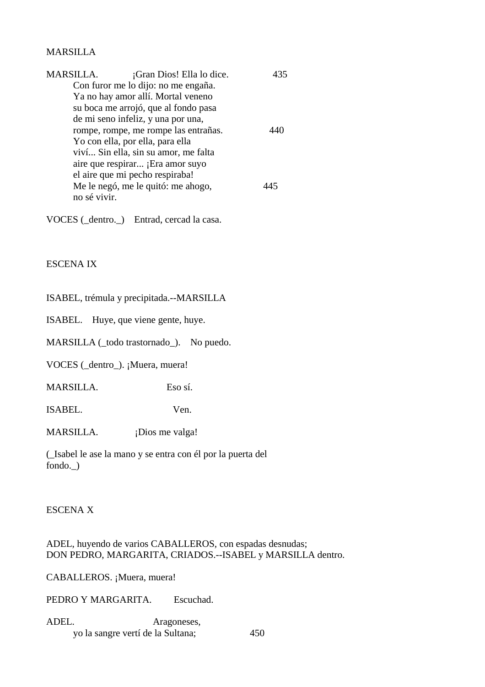# MARSILLA

| MARSILLA.    | ¡Gran Dios! Ella lo dice.            |  |
|--------------|--------------------------------------|--|
|              | Con furor me lo dijo: no me engaña.  |  |
|              | Ya no hay amor allí. Mortal veneno   |  |
|              | su boca me arrojó, que al fondo pasa |  |
|              | de mi seno infeliz, y una por una,   |  |
|              | rompe, rompe, me rompe las entrañas. |  |
|              | Yo con ella, por ella, para ella     |  |
|              | viví Sin ella, sin su amor, me falta |  |
|              | aire que respirar ¡Era amor suyo     |  |
|              | el aire que mi pecho respiraba!      |  |
|              | Me le negó, me le quitó: me ahogo,   |  |
| no sé vivir. |                                      |  |

VOCES (\_dentro.\_) Entrad, cercad la casa.

# ESCENA IX

ISABEL, trémula y precipitada.--MARSILLA

ISABEL. Huye, que viene gente, huye.

MARSILLA (\_todo trastornado\_). No puedo.

VOCES (\_dentro\_). ¡Muera, muera!

MARSILLA. Eso sí.

ISABEL. Ven.

MARSILLA. ¡Dios me valga!

(\_Isabel le ase la mano y se entra con él por la puerta del fondo.\_)

## ESCENA X

ADEL, huyendo de varios CABALLEROS, con espadas desnudas; DON PEDRO, MARGARITA, CRIADOS.--ISABEL y MARSILLA dentro.

CABALLEROS. ¡Muera, muera!

PEDRO Y MARGARITA. Escuchad.

| ADEL. | Aragoneses,                       |     |
|-------|-----------------------------------|-----|
|       | yo la sangre vertí de la Sultana; | 450 |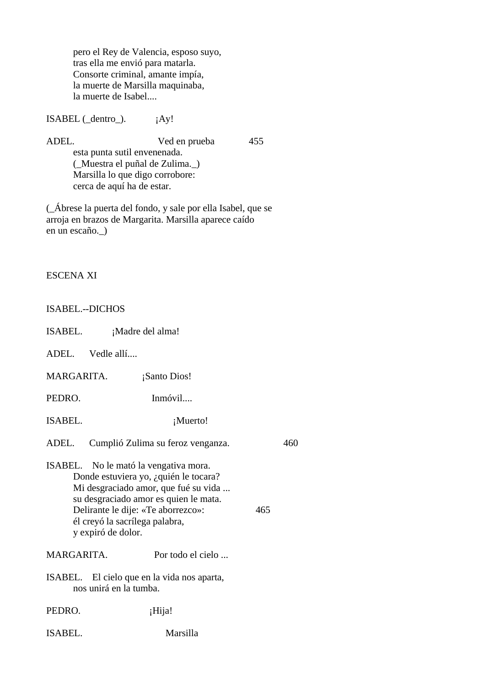pero el Rey de Valencia, esposo suyo, tras ella me envió para matarla. Consorte criminal, amante impía, la muerte de Marsilla maquinaba, la muerte de Isabel....

 $ISABEL ( _dentro _).$   $iAy!$ 

ADEL. Ved en prueba 455 esta punta sutil envenenada. (\_Muestra el puñal de Zulima.\_) Marsilla lo que digo corrobore: cerca de aquí ha de estar.

(\_Ábrese la puerta del fondo, y sale por ella Isabel, que se arroja en brazos de Margarita. Marsilla aparece caído en un escaño.\_)

| <b>ESCENA XI</b>                                                                                                                                                                                                                                                     |                                   |     |
|----------------------------------------------------------------------------------------------------------------------------------------------------------------------------------------------------------------------------------------------------------------------|-----------------------------------|-----|
| <b>ISABEL.--DICHOS</b>                                                                                                                                                                                                                                               |                                   |     |
| ISABEL.<br>¡Madre del alma!                                                                                                                                                                                                                                          |                                   |     |
| ADEL. Vedle allí                                                                                                                                                                                                                                                     |                                   |     |
| MARGARITA.                                                                                                                                                                                                                                                           | ¡Santo Dios!                      |     |
| PEDRO.                                                                                                                                                                                                                                                               | Inmóvil                           |     |
| <b>ISABEL.</b>                                                                                                                                                                                                                                                       | ¡Muerto!                          |     |
| ADEL.                                                                                                                                                                                                                                                                | Cumplió Zulima su feroz venganza. | 460 |
| ISABEL. No le mató la vengativa mora.<br>Donde estuviera yo, ¿quién le tocara?<br>Mi desgraciado amor, que fué su vida<br>su desgraciado amor es quien le mata.<br>Delirante le dije: «Te aborrezco»:<br>465<br>él creyó la sacrílega palabra,<br>y expiró de dolor. |                                   |     |
| MARGARITA.                                                                                                                                                                                                                                                           | Por todo el cielo                 |     |
| ISABEL. El cielo que en la vida nos aparta,<br>nos unirá en la tumba.                                                                                                                                                                                                |                                   |     |

PEDRO. ¡Hija!

ISABEL. Marsilla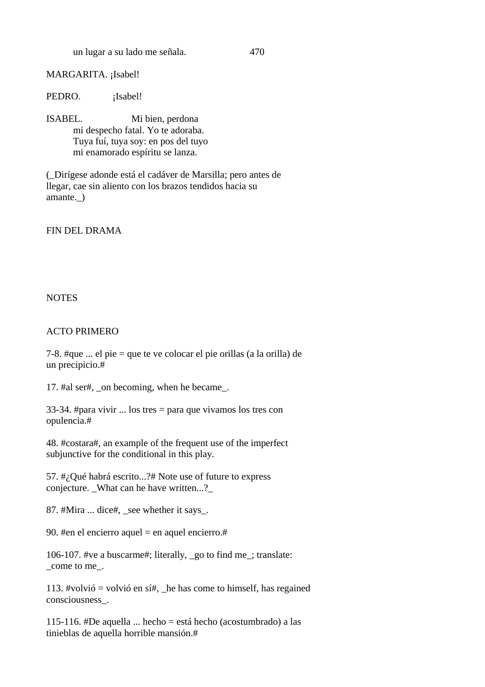un lugar a su lado me señala. 470

# MARGARITA. ¡Isabel!

PEDRO. **i**Isabel!

ISABEL. Mi bien, perdona mi despecho fatal. Yo te adoraba. Tuya fuí, tuya soy: en pos del tuyo mi enamorado espíritu se lanza.

(\_Dirígese adonde está el cadáver de Marsilla; pero antes de llegar, cae sin aliento con los brazos tendidos hacia su amante. )

FIN DEL DRAMA

## **NOTES**

### ACTO PRIMERO

7-8. #que ... el pie = que te ve colocar el pie orillas (a la orilla) de un precipicio.#

17. #al ser#, \_on becoming, when he became\_.

33-34. #para vivir ... los tres = para que vivamos los tres con opulencia.#

48. #costara#, an example of the frequent use of the imperfect subjunctive for the conditional in this play.

57. #¿Qué habrá escrito...?# Note use of future to express conjecture. What can he have written...?

87. #Mira ... dice#, \_see whether it says\_.

90. #en el encierro aquel = en aquel encierro.#

106-107. #ve a buscarme#; literally, \_go to find me\_; translate: \_come to me\_.

113. #volvió = volvió en sí#, \_he has come to himself, has regained consciousness\_.

115-116. #De aquella ... hecho = está hecho (acostumbrado) a las tinieblas de aquella horrible mansión.#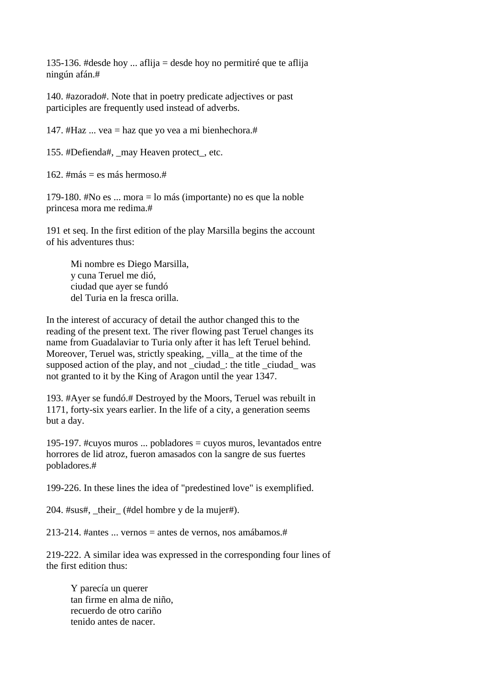135-136. #desde hoy ... aflija = desde hoy no permitiré que te aflija ningún afán.#

140. #azorado#. Note that in poetry predicate adjectives or past participles are frequently used instead of adverbs.

147. #Haz  $\ldots$  vea = haz que yo vea a mi bienhechora.#

155. #Defienda#, may Heaven protect, etc.

162. #más = es más hermoso.#

179-180. #No es ... mora = lo más (importante) no es que la noble princesa mora me redima.#

191 et seq. In the first edition of the play Marsilla begins the account of his adventures thus:

 Mi nombre es Diego Marsilla, y cuna Teruel me dió, ciudad que ayer se fundó del Turia en la fresca orilla.

In the interest of accuracy of detail the author changed this to the reading of the present text. The river flowing past Teruel changes its name from Guadalaviar to Turia only after it has left Teruel behind. Moreover, Teruel was, strictly speaking, villa at the time of the supposed action of the play, and not \_ciudad\_: the title \_ciudad\_ was not granted to it by the King of Aragon until the year 1347.

193. #Ayer se fundó.# Destroyed by the Moors, Teruel was rebuilt in 1171, forty-six years earlier. In the life of a city, a generation seems but a day.

195-197. #cuyos muros ... pobladores = cuyos muros, levantados entre horrores de lid atroz, fueron amasados con la sangre de sus fuertes pobladores.#

199-226. In these lines the idea of "predestined love" is exemplified.

204. #sus#, \_their\_ (#del hombre y de la mujer#).

213-214. #antes ... vernos = antes de vernos, nos amábamos.#

219-222. A similar idea was expressed in the corresponding four lines of the first edition thus:

 Y parecía un querer tan firme en alma de niño, recuerdo de otro cariño tenido antes de nacer.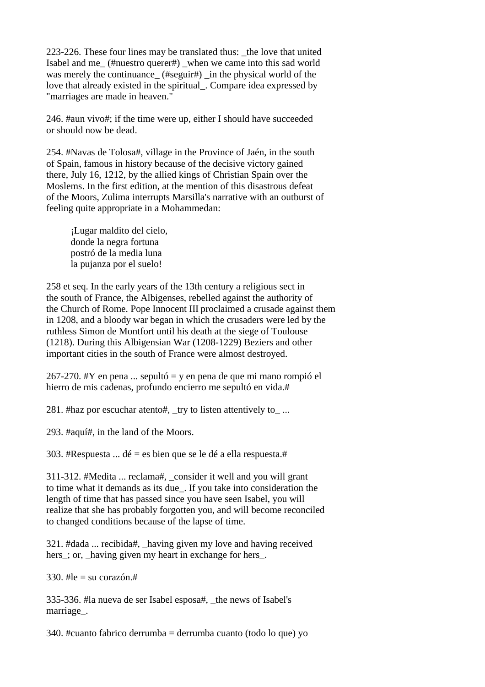223-226. These four lines may be translated thus: the love that united Isabel and me\_ (#nuestro querer#) \_when we came into this sad world was merely the continuance\_ (#seguir#) \_in the physical world of the love that already existed in the spiritual\_. Compare idea expressed by "marriages are made in heaven."

246. #aun vivo#; if the time were up, either I should have succeeded or should now be dead.

254. #Navas de Tolosa#, village in the Province of Jaén, in the south of Spain, famous in history because of the decisive victory gained there, July 16, 1212, by the allied kings of Christian Spain over the Moslems. In the first edition, at the mention of this disastrous defeat of the Moors, Zulima interrupts Marsilla's narrative with an outburst of feeling quite appropriate in a Mohammedan:

 ¡Lugar maldito del cielo, donde la negra fortuna postró de la media luna la pujanza por el suelo!

258 et seq. In the early years of the 13th century a religious sect in the south of France, the Albigenses, rebelled against the authority of the Church of Rome. Pope Innocent III proclaimed a crusade against them in 1208, and a bloody war began in which the crusaders were led by the ruthless Simon de Montfort until his death at the siege of Toulouse (1218). During this Albigensian War (1208-1229) Beziers and other important cities in the south of France were almost destroyed.

267-270. #Y en pena ... sepultó = y en pena de que mi mano rompió el hierro de mis cadenas, profundo encierro me sepultó en vida.#

281. #haz por escuchar atento#, \_try to listen attentively to\_ ...

293. #aquí#, in the land of the Moors.

303. #Respuesta ... dé = es bien que se le dé a ella respuesta.#

311-312. #Medita ... reclama#, \_consider it well and you will grant to time what it demands as its due\_. If you take into consideration the length of time that has passed since you have seen Isabel, you will realize that she has probably forgotten you, and will become reconciled to changed conditions because of the lapse of time.

321. #dada ... recibida#, \_having given my love and having received hers ; or, having given my heart in exchange for hers.

330.  $\#$ le = su corazón  $\#$ 

335-336. #la nueva de ser Isabel esposa#, \_the news of Isabel's marriage\_.

 $340.$  #cuanto fabrico derrumba = derrumba cuanto (todo lo que) yo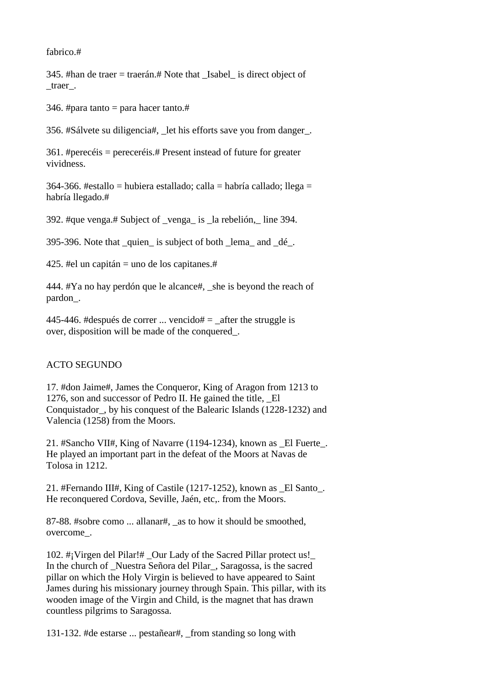fabrico.#

345. #han de traer = traerán.# Note that \_Isabel\_ is direct object of \_traer\_.

346. #para tanto = para hacer tanto.#

356. #Sálvete su diligencia#, \_let his efforts save you from danger\_.

361. #perecéis = pereceréis.# Present instead of future for greater vividness.

364-366. #estallo = hubiera estallado; calla = habría callado; llega = habría llegado.#

392. #que venga.# Subject of \_venga\_ is \_la rebelión,\_ line 394.

395-396. Note that \_quien\_ is subject of both \_lema\_ and \_dé\_.

425. #el un capitán = uno de los capitanes.#

444. #Ya no hay perdón que le alcance#, \_she is beyond the reach of pardon\_.

445-446. #después de correr ... vencido#  $=$   $_{\text{after}}$  the struggle is over, disposition will be made of the conquered\_.

## ACTO SEGUNDO

17. #don Jaime#, James the Conqueror, King of Aragon from 1213 to 1276, son and successor of Pedro II. He gained the title. El Conquistador\_, by his conquest of the Balearic Islands (1228-1232) and Valencia (1258) from the Moors.

21. #Sancho VII#, King of Navarre (1194-1234), known as \_El Fuerte\_. He played an important part in the defeat of the Moors at Navas de Tolosa in 1212.

21. #Fernando III#, King of Castile (1217-1252), known as \_El Santo\_. He reconquered Cordova, Seville, Jaén, etc,. from the Moors.

87-88. #sobre como ... allanar#, \_as to how it should be smoothed, overcome\_.

102. #¡Virgen del Pilar!# \_Our Lady of the Sacred Pillar protect us!\_ In the church of \_Nuestra Señora del Pilar\_, Saragossa, is the sacred pillar on which the Holy Virgin is believed to have appeared to Saint James during his missionary journey through Spain. This pillar, with its wooden image of the Virgin and Child, is the magnet that has drawn countless pilgrims to Saragossa.

131-132. #de estarse ... pestañear#, \_from standing so long with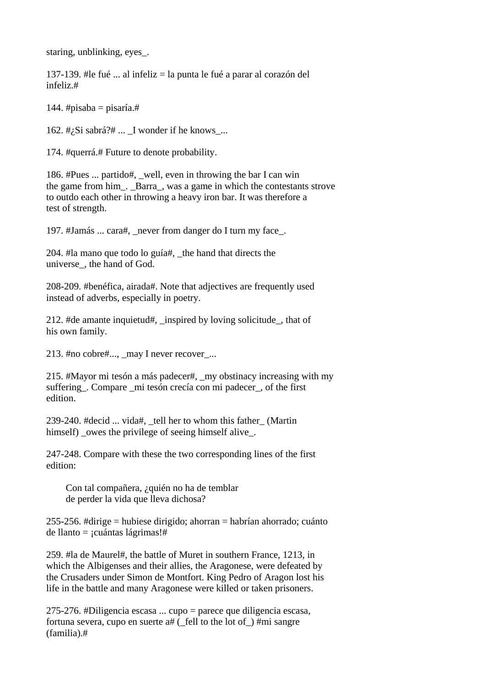staring, unblinking, eyes\_.

137-139. #le fué ... al infeliz = la punta le fué a parar al corazón del infeliz.#

144. #pisaba = pisaría.#

162.  $\#$ <sub>i</sub>Si sabrá? $\#$  ... I wonder if he knows ...

174. #querrá.# Future to denote probability.

186. #Pues ... partido#, well, even in throwing the bar I can win the game from him\_. \_Barra\_, was a game in which the contestants strove to outdo each other in throwing a heavy iron bar. It was therefore a test of strength.

197. #Jamás ... cara#, \_never from danger do I turn my face\_.

204. #la mano que todo lo guía#, \_the hand that directs the universe\_, the hand of God.

208-209. #benéfica, airada#. Note that adjectives are frequently used instead of adverbs, especially in poetry.

212. #de amante inquietud#, \_inspired by loving solicitude\_, that of his own family.

213. #no cobre#..., may I never recover ...

215. #Mayor mi tesón a más padecer#, \_my obstinacy increasing with my suffering\_. Compare \_mi tesón crecía con mi padecer\_, of the first edition.

239-240. #decid ... vida#, \_tell her to whom this father\_ (Martin himself) \_owes the privilege of seeing himself alive\_.

247-248. Compare with these the two corresponding lines of the first edition:

 Con tal compañera, ¿quién no ha de temblar de perder la vida que lleva dichosa?

255-256. #dirige = hubiese dirigido; ahorran = habrían ahorrado; cuánto de llanto = ¡cuántas lágrimas!#

259. #la de Maurel#, the battle of Muret in southern France, 1213, in which the Albigenses and their allies, the Aragonese, were defeated by the Crusaders under Simon de Montfort. King Pedro of Aragon lost his life in the battle and many Aragonese were killed or taken prisoners.

275-276. #Diligencia escasa ... cupo = parece que diligencia escasa, fortuna severa, cupo en suerte  $a#$  ( fell to the lot of ) #mi sangre (familia).#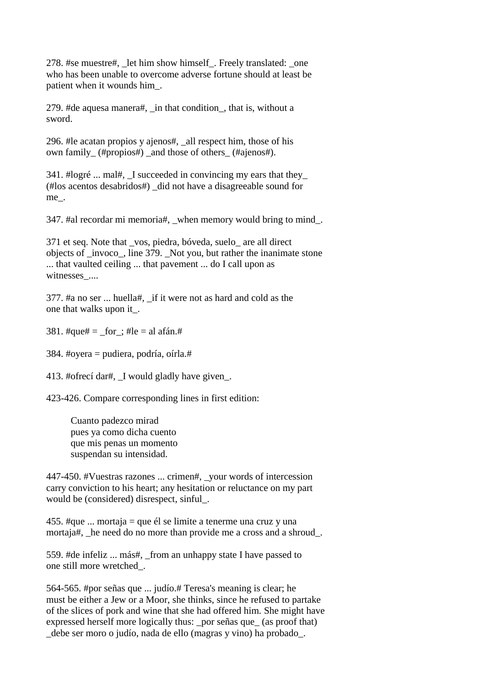278. #se muestre#, \_let him show himself\_. Freely translated: \_one who has been unable to overcome adverse fortune should at least be patient when it wounds him\_.

279. #de aquesa manera#, \_in that condition\_, that is, without a sword.

296. #le acatan propios y ajenos#, \_all respect him, those of his own family (#propios#) and those of others (#ajenos#).

341. #logré ... mal#, \_I succeeded in convincing my ears that they\_ (#los acentos desabridos#) \_did not have a disagreeable sound for me\_.

347. #al recordar mi memoria#, when memory would bring to mind.

371 et seq. Note that \_vos, piedra, bóveda, suelo\_ are all direct objects of \_invoco\_, line 379. \_Not you, but rather the inanimate stone ... that vaulted ceiling ... that pavement ... do I call upon as witnesses\_....

377. #a no ser ... huella#, \_if it were not as hard and cold as the one that walks upon it\_.

381. #que# =  $for$ ; #le = al afán.#

384. #oyera = pudiera, podría, oírla.#

413. #ofrecí dar#, \_I would gladly have given\_.

423-426. Compare corresponding lines in first edition:

 Cuanto padezco mirad pues ya como dicha cuento que mis penas un momento suspendan su intensidad.

447-450. #Vuestras razones ... crimen#, \_your words of intercession carry conviction to his heart; any hesitation or reluctance on my part would be (considered) disrespect, sinful\_.

455. #que ... mortaja = que él se limite a tenerme una cruz y una mortaja#, he need do no more than provide me a cross and a shroud.

559. #de infeliz ... más#, \_from an unhappy state I have passed to one still more wretched\_.

564-565. #por señas que ... judío.# Teresa's meaning is clear; he must be either a Jew or a Moor, she thinks, since he refused to partake of the slices of pork and wine that she had offered him. She might have expressed herself more logically thus: por señas que (as proof that) \_debe ser moro o judío, nada de ello (magras y vino) ha probado\_.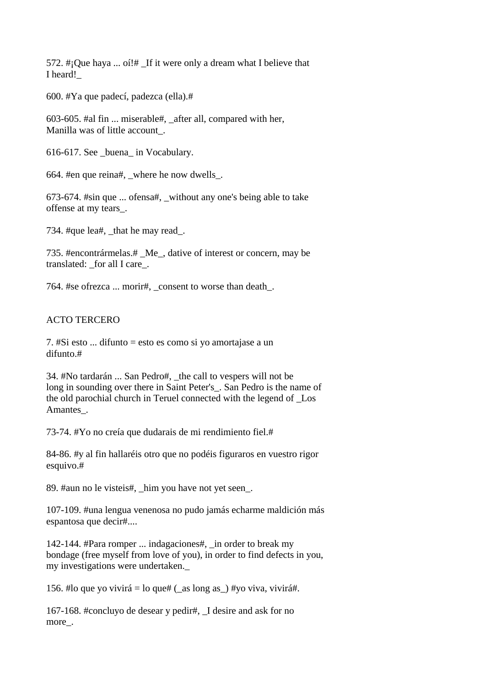572.  $\#$ ; Que haya ... oí! $\#$  If it were only a dream what I believe that I heard!\_

600. #Ya que padecí, padezca (ella).#

603-605. #al fin ... miserable#, \_after all, compared with her, Manilla was of little account\_.

616-617. See \_buena\_ in Vocabulary.

664. #en que reina#, \_where he now dwells\_.

673-674. #sin que ... ofensa#, \_without any one's being able to take offense at my tears\_.

734. #que lea#, that he may read.

735. #encontrármelas.# \_Me\_, dative of interest or concern, may be translated: for all I care.

764. #se ofrezca ... morir#, \_consent to worse than death\_.

## ACTO TERCERO

7. #Si esto ... difunto = esto es como si yo amortajase a un difunto.#

34. #No tardarán ... San Pedro#, \_the call to vespers will not be long in sounding over there in Saint Peter's\_. San Pedro is the name of the old parochial church in Teruel connected with the legend of \_Los Amantes.

73-74. #Yo no creía que dudarais de mi rendimiento fiel.#

84-86. #y al fin hallaréis otro que no podéis figuraros en vuestro rigor esquivo.#

89. #aun no le visteis#, him you have not yet seen.

107-109. #una lengua venenosa no pudo jamás echarme maldición más espantosa que decir#....

142-144. #Para romper ... indagaciones#, \_in order to break my bondage (free myself from love of you), in order to find defects in you, my investigations were undertaken.\_

156. #lo que yo vivirá = lo que# ( $\alpha$ as long as) #yo viva, vivirá#.

167-168. #concluyo de desear y pedir#, \_I desire and ask for no more.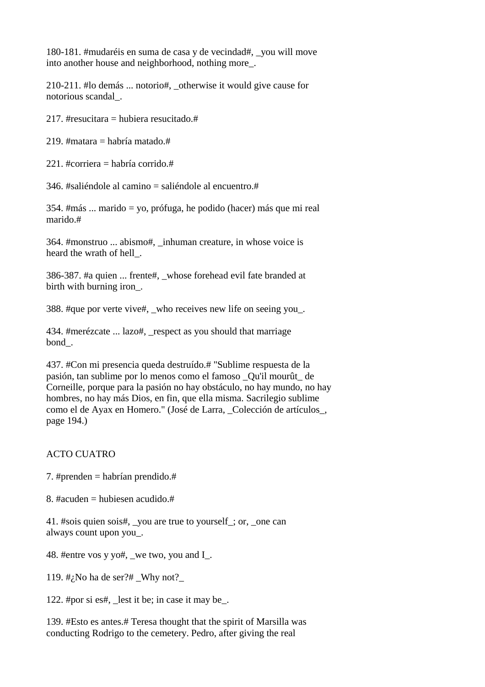180-181. #mudaréis en suma de casa y de vecindad#, \_you will move into another house and neighborhood, nothing more\_.

210-211. #lo demás ... notorio#, \_otherwise it would give cause for notorious scandal\_.

217. #resucitara = hubiera resucitado.#

219. #matara = habría matado.#

221. #corriera = habría corrido.#

346. #saliéndole al camino  $=$  saliéndole al encuentro. #

354. #más ... marido = yo, prófuga, he podido (hacer) más que mi real marido.#

364. #monstruo ... abismo#, \_inhuman creature, in whose voice is heard the wrath of hell\_.

386-387. #a quien ... frente#, \_whose forehead evil fate branded at birth with burning iron\_.

388. #que por verte vive#, who receives new life on seeing you.

434. #merézcate ... lazo#, \_respect as you should that marriage bond\_.

437. #Con mi presencia queda destruído.# "Sublime respuesta de la pasión, tan sublime por lo menos como el famoso \_Qu'il mourût\_ de Corneille, porque para la pasión no hay obstáculo, no hay mundo, no hay hombres, no hay más Dios, en fin, que ella misma. Sacrilegio sublime como el de Ayax en Homero." (José de Larra, \_Colección de artículos\_, page 194.)

## ACTO CUATRO

- 7. #prenden = habrían prendido.#
- 8. #acuden = hubiesen acudido.#

41. #sois quien sois#, \_you are true to yourself\_; or, \_one can always count upon you\_.

48. #entre vos y yo#, we two, you and I.

119.  $\#$ ; No ha de ser? $\#$  \_Why not?

122. #por si es#, \_lest it be; in case it may be\_.

139. #Esto es antes.# Teresa thought that the spirit of Marsilla was conducting Rodrigo to the cemetery. Pedro, after giving the real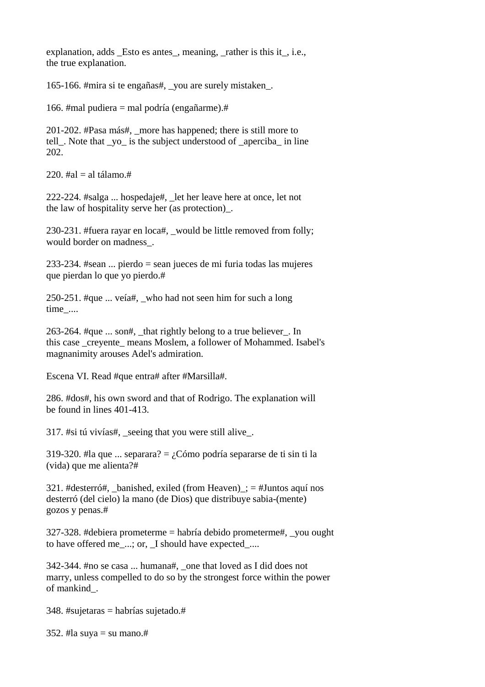explanation, adds Esto es antes, meaning, rather is this it, i.e., the true explanation.

165-166. #mira si te engañas#, \_you are surely mistaken\_.

166. #mal pudiera = mal podría (engañarme).#

201-202. #Pasa más#, \_more has happened; there is still more to tell. Note that yo is the subject understood of aperciba in line 202.

220.  $\#al = al$  tálamo. $\#$ 

222-224. #salga ... hospedaje#, \_let her leave here at once, let not the law of hospitality serve her (as protection)\_.

230-231. #fuera rayar en loca#, \_would be little removed from folly; would border on madness\_.

233-234. #sean ... pierdo = sean jueces de mi furia todas las mujeres que pierdan lo que yo pierdo.#

250-251. #que ... veía#, \_who had not seen him for such a long time\_....

263-264. #que  $\ldots$  son#, that rightly belong to a true believer. In this case \_creyente\_ means Moslem, a follower of Mohammed. Isabel's magnanimity arouses Adel's admiration.

Escena VI. Read #que entra# after #Marsilla#.

286. #dos#, his own sword and that of Rodrigo. The explanation will be found in lines 401-413.

317. #si tú vivías#, \_seeing that you were still alive\_.

319-320. #la que ... separara? = ¿Cómo podría separarse de ti sin ti la (vida) que me alienta?#

321. #desterró#, banished, exiled (from Heaven)  $\pm =$  #Juntos aquí nos desterró (del cielo) la mano (de Dios) que distribuye sabia-(mente) gozos y penas.#

327-328. #debiera prometerme = habría debido prometerme#, \_you ought to have offered me\_...; or, \_I should have expected\_....

342-344. #no se casa ... humana#, \_one that loved as I did does not marry, unless compelled to do so by the strongest force within the power of mankind\_.

348. #sujetaras = habrías sujetado.#

352. #la suya = su mano.#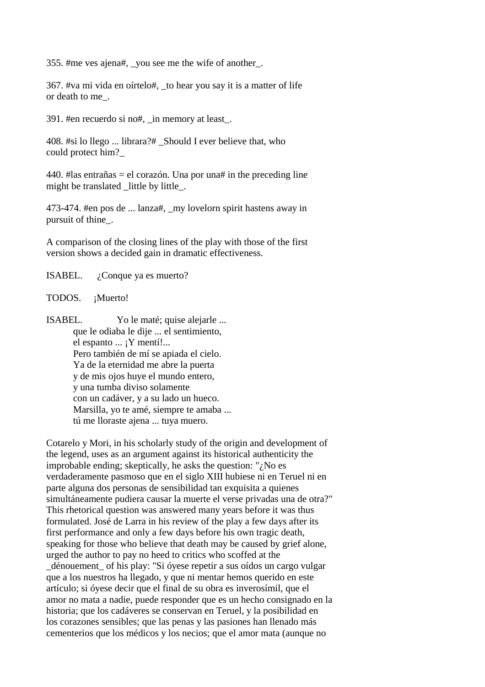355. #me ves ajena#, \_you see me the wife of another\_.

367. #va mi vida en oírtelo#, \_to hear you say it is a matter of life or death to me\_.

391. #en recuerdo si no#, \_in memory at least\_.

408. #si lo llego ... librara?# Should I ever believe that, who could protect him?\_

440. #las entrañas = el corazón. Una por una# in the preceding line might be translated little by little.

473-474. #en pos de ... lanza#, \_my lovelorn spirit hastens away in pursuit of thine\_.

A comparison of the closing lines of the play with those of the first version shows a decided gain in dramatic effectiveness.

ISABEL. ¿Conque ya es muerto?

TODOS. ¡Muerto!

ISABEL. Yo le maté; quise alejarle ... que le odiaba le dije ... el sentimiento, el espanto ... ¡Y mentí!... Pero también de mí se apiada el cielo. Ya de la eternidad me abre la puerta y de mis ojos huye el mundo entero, y una tumba diviso solamente con un cadáver, y a su lado un hueco. Marsilla, yo te amé, siempre te amaba ... tú me lloraste ajena ... tuya muero.

Cotarelo y Mori, in his scholarly study of the origin and development of the legend, uses as an argument against its historical authenticity the improbable ending; skeptically, he asks the question: "¿No es verdaderamente pasmoso que en el siglo XIII hubiese ni en Teruel ni en parte alguna dos personas de sensibilidad tan exquisita a quienes simultáneamente pudiera causar la muerte el verse privadas una de otra?" This rhetorical question was answered many years before it was thus formulated. José de Larra in his review of the play a few days after its first performance and only a few days before his own tragic death, speaking for those who believe that death may be caused by grief alone, urged the author to pay no heed to critics who scoffed at the \_dénouement\_ of his play: "Si óyese repetir a sus oídos un cargo vulgar que a los nuestros ha llegado, y que ni mentar hemos querido en este artículo; si óyese decir que el final de su obra es inverosímil, que el amor no mata a nadie, puede responder que es un hecho consignado en la historia; que los cadáveres se conservan en Teruel, y la posibilidad en los corazones sensibles; que las penas y las pasiones han llenado más cementerios que los médicos y los necios; que el amor mata (aunque no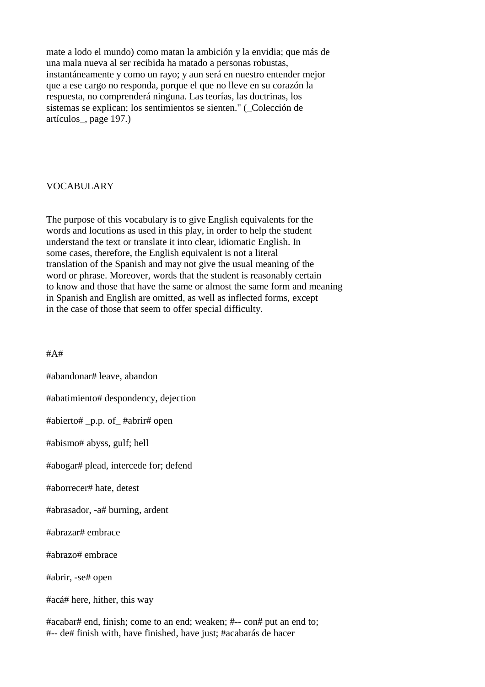mate a lodo el mundo) como matan la ambición y la envidia; que más de una mala nueva al ser recibida ha matado a personas robustas, instantáneamente y como un rayo; y aun será en nuestro entender mejor que a ese cargo no responda, porque el que no lleve en su corazón la respuesta, no comprenderá ninguna. Las teorías, las doctrinas, los sistemas se explican; los sentimientos se sienten." (\_Colección de artículos\_, page 197.)

### VOCABULARY

The purpose of this vocabulary is to give English equivalents for the words and locutions as used in this play, in order to help the student understand the text or translate it into clear, idiomatic English. In some cases, therefore, the English equivalent is not a literal translation of the Spanish and may not give the usual meaning of the word or phrase. Moreover, words that the student is reasonably certain to know and those that have the same or almost the same form and meaning in Spanish and English are omitted, as well as inflected forms, except in the case of those that seem to offer special difficulty.

#A#

#abandonar# leave, abandon #abatimiento# despondency, dejection #abierto# \_p.p. of\_ #abrir# open #abismo# abyss, gulf; hell #abogar# plead, intercede for; defend #aborrecer# hate, detest #abrasador, -a# burning, ardent #abrazar# embrace #abrazo# embrace #abrir, -se# open #acá# here, hither, this way

#acabar# end, finish; come to an end; weaken; #-- con# put an end to; #-- de# finish with, have finished, have just; #acabarás de hacer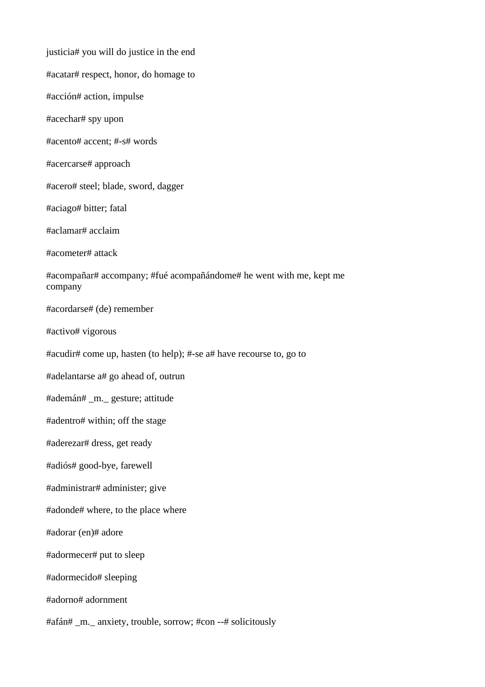justicia# you will do justice in the end #acatar# respect, honor, do homage to #acción# action, impulse #acechar# spy upon #acento# accent; #-s# words #acercarse# approach #acero# steel; blade, sword, dagger #aciago# bitter; fatal #aclamar# acclaim #acometer# attack #acompañar# accompany; #fué acompañándome# he went with me, kept me company #acordarse# (de) remember #activo# vigorous #acudir# come up, hasten (to help); #-se a# have recourse to, go to #adelantarse a# go ahead of, outrun #ademán# \_m.\_ gesture; attitude #adentro# within; off the stage #aderezar# dress, get ready #adiós# good-bye, farewell #administrar# administer; give #adonde# where, to the place where #adorar (en)# adore #adormecer# put to sleep #adormecido# sleeping #adorno# adornment #afán# \_m.\_ anxiety, trouble, sorrow; #con --# solicitously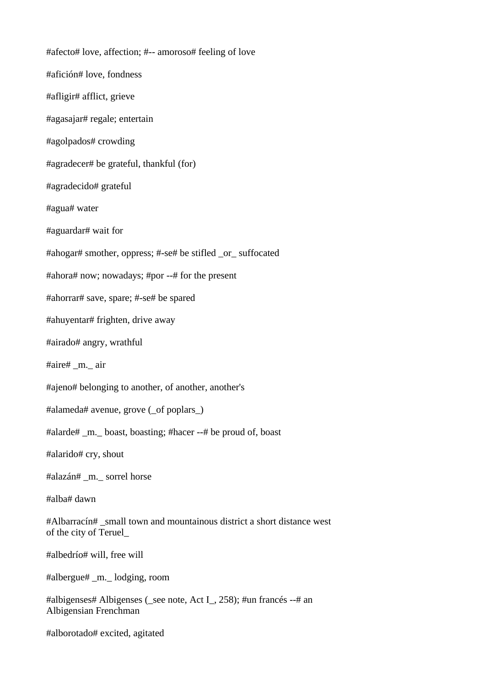#afecto# love, affection; #-- amoroso# feeling of love #afición# love, fondness #afligir# afflict, grieve #agasajar# regale; entertain #agolpados# crowding #agradecer# be grateful, thankful (for) #agradecido# grateful #agua# water #aguardar# wait for #ahogar# smother, oppress; #-se# be stifled \_or\_ suffocated #ahora# now; nowadays; #por --# for the present #ahorrar# save, spare; #-se# be spared #ahuyentar# frighten, drive away #airado# angry, wrathful #aire# \_m.\_ air #ajeno# belonging to another, of another, another's #alameda# avenue, grove (\_of poplars\_) #alarde# \_m.\_ boast, boasting; #hacer --# be proud of, boast #alarido# cry, shout #alazán# \_m.\_ sorrel horse #alba# dawn #Albarracín# \_small town and mountainous district a short distance west of the city of Teruel\_ #albedrío# will, free will #albergue# \_m.\_ lodging, room #albigenses# Albigenses (see note, Act I, 258); #un francés --# an Albigensian Frenchman #alborotado# excited, agitated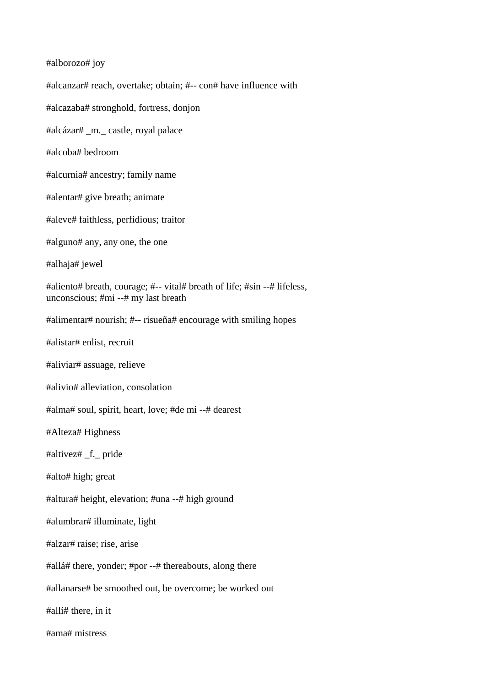#alborozo# joy #alcanzar# reach, overtake; obtain; #-- con# have influence with #alcazaba# stronghold, fortress, donjon #alcázar# \_m.\_ castle, royal palace #alcoba# bedroom #alcurnia# ancestry; family name #alentar# give breath; animate #aleve# faithless, perfidious; traitor #alguno# any, any one, the one #alhaja# jewel #aliento# breath, courage; #-- vital# breath of life; #sin --# lifeless, unconscious; #mi --# my last breath #alimentar# nourish; #-- risueña# encourage with smiling hopes #alistar# enlist, recruit #aliviar# assuage, relieve #alivio# alleviation, consolation #alma# soul, spirit, heart, love; #de mi --# dearest #Alteza# Highness #altivez# \_f.\_ pride #alto# high; great #altura# height, elevation; #una --# high ground #alumbrar# illuminate, light #alzar# raise; rise, arise #allá# there, yonder; #por --# thereabouts, along there #allanarse# be smoothed out, be overcome; be worked out #allí# there, in it #ama# mistress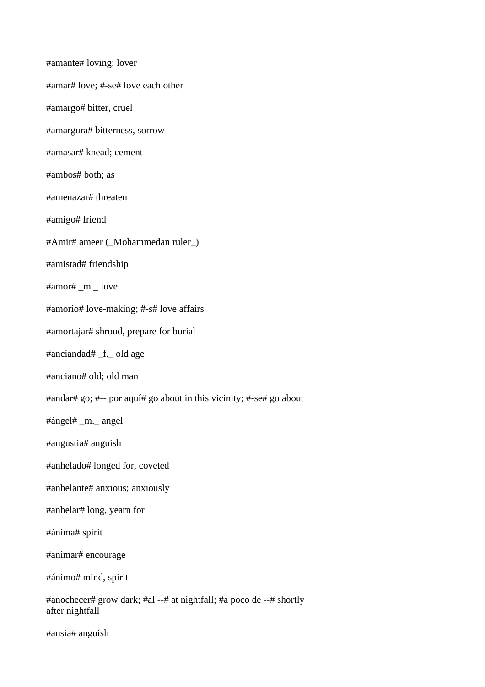#amante# loving; lover #amar# love; #-se# love each other #amargo# bitter, cruel #amargura# bitterness, sorrow #amasar# knead; cement #ambos# both; as #amenazar# threaten #amigo# friend #Amir# ameer (\_Mohammedan ruler\_) #amistad# friendship #amor# \_m.\_ love #amorío# love-making; #-s# love affairs #amortajar# shroud, prepare for burial #anciandad# \_f.\_ old age #anciano# old; old man #andar# go; #-- por aquí# go about in this vicinity; #-se# go about #ángel# \_m.\_ angel #angustia# anguish #anhelado# longed for, coveted #anhelante# anxious; anxiously #anhelar# long, yearn for #ánima# spirit #animar# encourage #ánimo# mind, spirit #anochecer# grow dark; #al --# at nightfall; #a poco de --# shortly after nightfall #ansia# anguish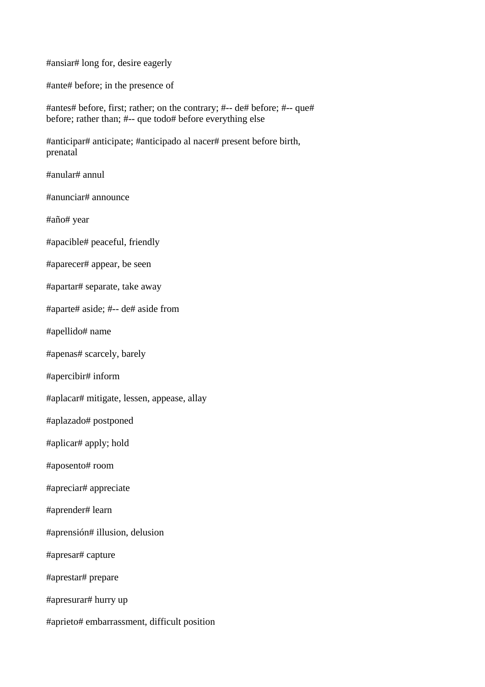#ansiar# long for, desire eagerly

#ante# before; in the presence of

#antes# before, first; rather; on the contrary; #-- de# before; #-- que# before; rather than; #-- que todo# before everything else

#anticipar# anticipate; #anticipado al nacer# present before birth, prenatal

#anular# annul

#anunciar# announce

#año# year

#apacible# peaceful, friendly

#aparecer# appear, be seen

#apartar# separate, take away

#aparte# aside; #-- de# aside from

#apellido# name

#apenas# scarcely, barely

#apercibir# inform

#aplacar# mitigate, lessen, appease, allay

#aplazado# postponed

#aplicar# apply; hold

#aposento# room

#apreciar# appreciate

#aprender# learn

#aprensión# illusion, delusion

#apresar# capture

#aprestar# prepare

#apresurar# hurry up

#aprieto# embarrassment, difficult position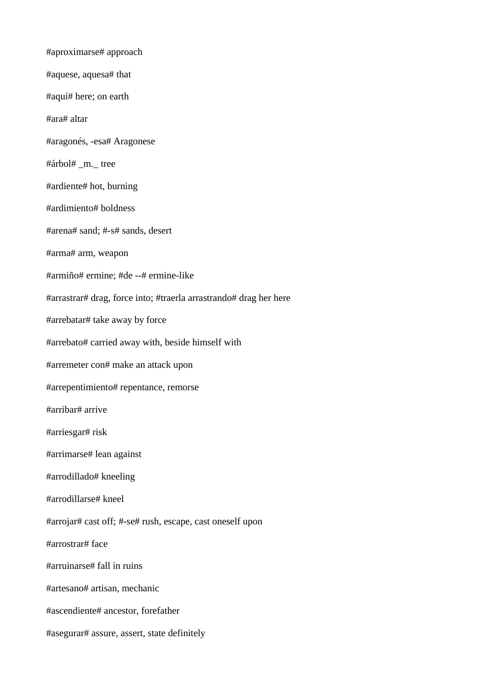#aproximarse# approach #aquese, aquesa# that #aquí# here; on earth #ara# altar #aragonés, -esa# Aragonese #árbol# \_m.\_ tree #ardiente# hot, burning #ardimiento# boldness #arena# sand; #-s# sands, desert #arma# arm, weapon #armiño# ermine; #de --# ermine-like #arrastrar# drag, force into; #traerla arrastrando# drag her here #arrebatar# take away by force #arrebato# carried away with, beside himself with #arremeter con# make an attack upon #arrepentimiento# repentance, remorse #arribar# arrive #arriesgar# risk #arrimarse# lean against #arrodillado# kneeling #arrodillarse# kneel #arrojar# cast off; #-se# rush, escape, cast oneself upon #arrostrar# face #arruinarse# fall in ruins #artesano# artisan, mechanic #ascendiente# ancestor, forefather #asegurar# assure, assert, state definitely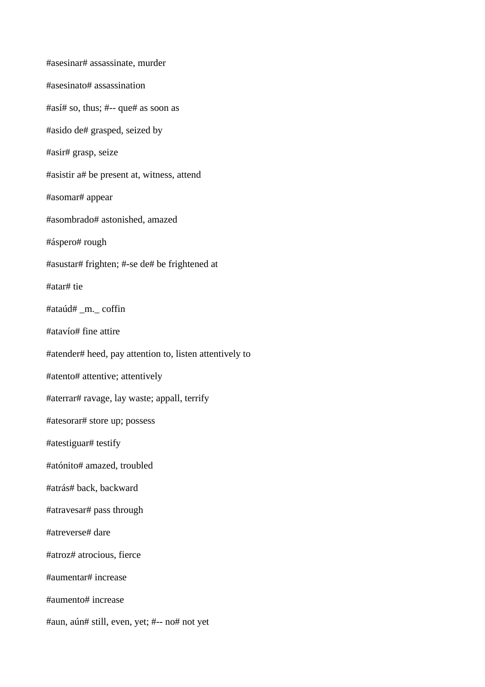#asesinar# assassinate, murder #asesinato# assassination #así# so, thus; #-- que# as soon as #asido de# grasped, seized by #asir# grasp, seize #asistir a# be present at, witness, attend #asomar# appear #asombrado# astonished, amazed #áspero# rough #asustar# frighten; #-se de# be frightened at #atar# tie #ataúd# \_m.\_ coffin #atavío# fine attire #atender# heed, pay attention to, listen attentively to #atento# attentive; attentively #aterrar# ravage, lay waste; appall, terrify #atesorar# store up; possess #atestiguar# testify #atónito# amazed, troubled #atrás# back, backward #atravesar# pass through #atreverse# dare #atroz# atrocious, fierce #aumentar# increase #aumento# increase #aun, aún# still, even, yet; #-- no# not yet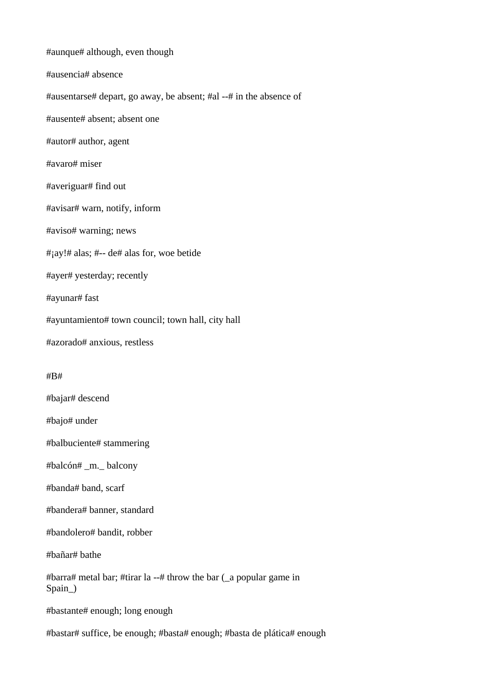#aunque# although, even though #ausencia# absence #ausentarse# depart, go away, be absent; #al --# in the absence of #ausente# absent; absent one #autor# author, agent #avaro# miser #averiguar# find out #avisar# warn, notify, inform #aviso# warning; news #¡ay!# alas; #-- de# alas for, woe betide #ayer# yesterday; recently #ayunar# fast #ayuntamiento# town council; town hall, city hall #azorado# anxious, restless #B#

#bajar# descend

#bajo# under

#balbuciente# stammering

#balcón# \_m.\_ balcony

#banda# band, scarf

#bandera# banner, standard

#bandolero# bandit, robber

#bañar# bathe

#barra# metal bar; #tirar la --# throw the bar (\_a popular game in Spain\_)

#bastante# enough; long enough

#bastar# suffice, be enough; #basta# enough; #basta de plática# enough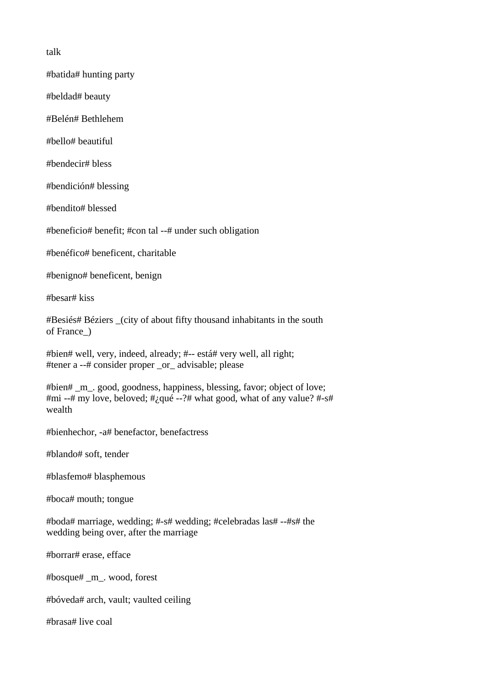talk

#batida# hunting party

#beldad# beauty

#Belén# Bethlehem

#bello# beautiful

#bendecir# bless

#bendición# blessing

#bendito# blessed

#beneficio# benefit; #con tal --# under such obligation

#benéfico# beneficent, charitable

#benigno# beneficent, benign

#besar# kiss

#Besiés# Béziers \_(city of about fifty thousand inhabitants in the south of France\_)

#bien# well, very, indeed, already; #-- está# very well, all right; #tener a --# consider proper \_or\_ advisable; please

#bien# \_m\_. good, goodness, happiness, blessing, favor; object of love; #mi --# my love, beloved;  $\#$ ; qué --?# what good, what of any value?  $\#$ -s# wealth

#bienhechor, -a# benefactor, benefactress

#blando# soft, tender

#blasfemo# blasphemous

#boca# mouth; tongue

#boda# marriage, wedding; #-s# wedding; #celebradas las# --#s# the wedding being over, after the marriage

#borrar# erase, efface

#bosque# \_m\_. wood, forest

#bóveda# arch, vault; vaulted ceiling

#brasa# live coal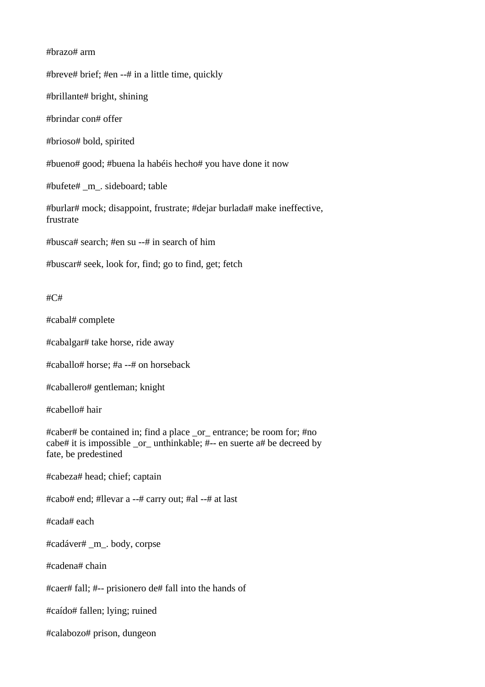## #brazo# arm

#breve# brief; #en --# in a little time, quickly

#brillante# bright, shining

#brindar con# offer

#brioso# bold, spirited

#bueno# good; #buena la habéis hecho# you have done it now

#bufete# \_m\_. sideboard; table

#burlar# mock; disappoint, frustrate; #dejar burlada# make ineffective, frustrate

#busca# search; #en su --# in search of him

#buscar# seek, look for, find; go to find, get; fetch

### #C#

#cabal# complete

#cabalgar# take horse, ride away

#caballo# horse; #a --# on horseback

#caballero# gentleman; knight

#cabello# hair

#caber# be contained in; find a place \_or\_ entrance; be room for; #no cabe# it is impossible \_or\_ unthinkable; #-- en suerte a# be decreed by fate, be predestined

#cabeza# head; chief; captain

#cabo# end; #llevar a --# carry out; #al --# at last

#cada# each

#cadáver# \_m\_. body, corpse

#cadena# chain

#caer# fall; #-- prisionero de# fall into the hands of

#caído# fallen; lying; ruined

#calabozo# prison, dungeon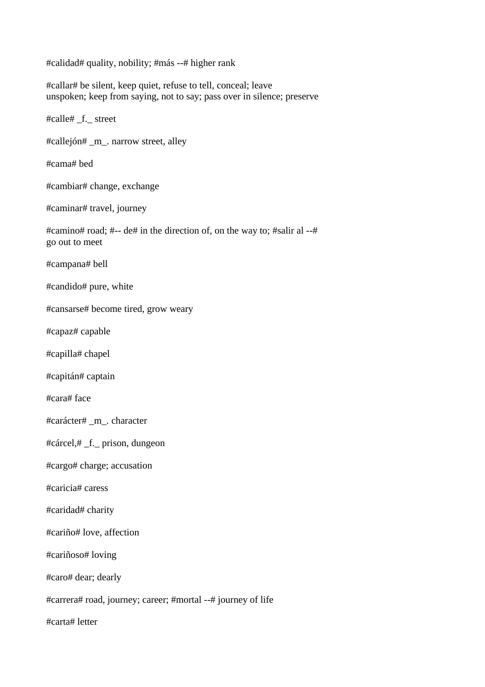#calidad# quality, nobility; #más --# higher rank

#callar# be silent, keep quiet, refuse to tell, conceal; leave unspoken; keep from saying, not to say; pass over in silence; preserve

#calle# \_f.\_ street

#callejón# \_m\_. narrow street, alley

#cama# bed

#cambiar# change, exchange

#caminar# travel, journey

#camino# road; #-- de# in the direction of, on the way to; #salir al --# go out to meet

#campana# bell

#candido# pure, white

#cansarse# become tired, grow weary

#capaz# capable

#capilla# chapel

#capitán# captain

#cara# face

#carácter# \_m\_. character

#cárcel,# \_f.\_ prison, dungeon

#cargo# charge; accusation

#caricia# caress

#caridad# charity

#cariño# love, affection

#cariñoso# loving

#caro# dear; dearly

#carrera# road, journey; career; #mortal --# journey of life

#carta# letter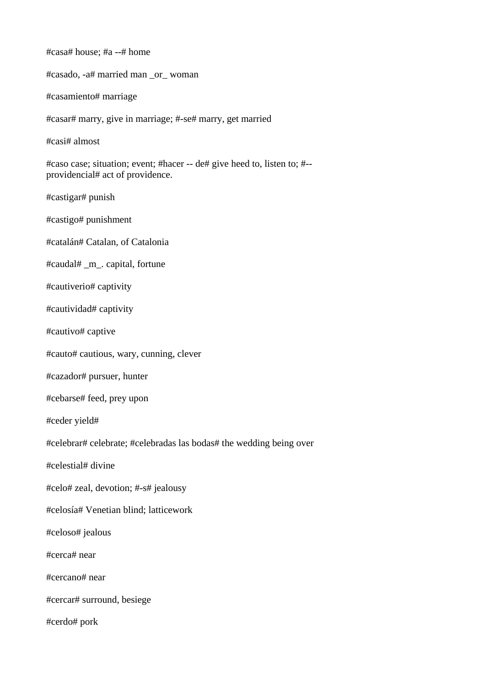#casa# house; #a --# home #casado, -a# married man \_or\_ woman #casamiento# marriage #casar# marry, give in marriage; #-se# marry, get married #casi# almost #caso case; situation; event; #hacer -- de# give heed to, listen to; #- providencial# act of providence. #castigar# punish #castigo# punishment #catalán# Catalan, of Catalonia #caudal# \_m\_. capital, fortune #cautiverio# captivity #cautividad# captivity #cautivo# captive #cauto# cautious, wary, cunning, clever #cazador# pursuer, hunter #cebarse# feed, prey upon #ceder yield# #celebrar# celebrate; #celebradas las bodas# the wedding being over #celestial# divine #celo# zeal, devotion; #-s# jealousy #celosía# Venetian blind; latticework #celoso# jealous #cerca# near #cercano# near #cercar# surround, besiege #cerdo# pork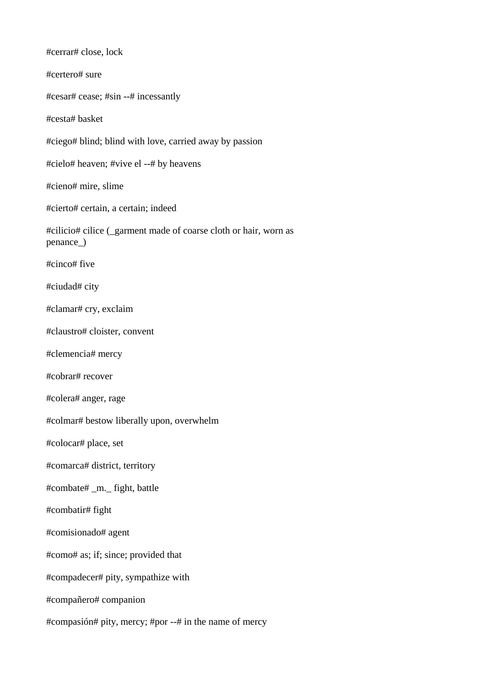#cerrar# close, lock #certero# sure #cesar# cease; #sin --# incessantly #cesta# basket #ciego# blind; blind with love, carried away by passion #cielo# heaven; #vive el --# by heavens #cieno# mire, slime #cierto# certain, a certain; indeed #cilicio# cilice (\_garment made of coarse cloth or hair, worn as penance\_) #cinco# five #ciudad# city #clamar# cry, exclaim #claustro# cloister, convent #clemencia# mercy #cobrar# recover #colera# anger, rage #colmar# bestow liberally upon, overwhelm #colocar# place, set #comarca# district, territory #combate# \_m.\_ fight, battle #combatir# fight #comisionado# agent #como# as; if; since; provided that #compadecer# pity, sympathize with #compañero# companion #compasión# pity, mercy; #por --# in the name of mercy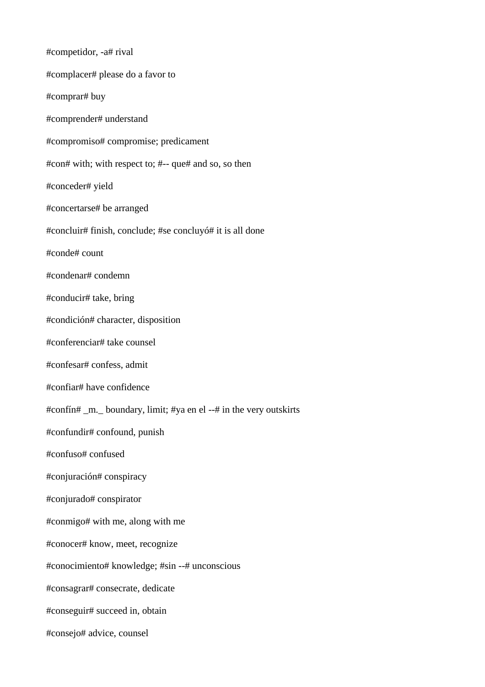#competidor, -a# rival #complacer# please do a favor to #comprar# buy #comprender# understand #compromiso# compromise; predicament #con# with; with respect to; #-- que# and so, so then #conceder# yield #concertarse# be arranged #concluir# finish, conclude; #se concluyó# it is all done #conde# count #condenar# condemn #conducir# take, bring #condición# character, disposition #conferenciar# take counsel #confesar# confess, admit #confiar# have confidence #confín# \_m.\_ boundary, limit; #ya en el --# in the very outskirts #confundir# confound, punish #confuso# confused #conjuración# conspiracy #conjurado# conspirator #conmigo# with me, along with me #conocer# know, meet, recognize #conocimiento# knowledge; #sin --# unconscious #consagrar# consecrate, dedicate #conseguir# succeed in, obtain #consejo# advice, counsel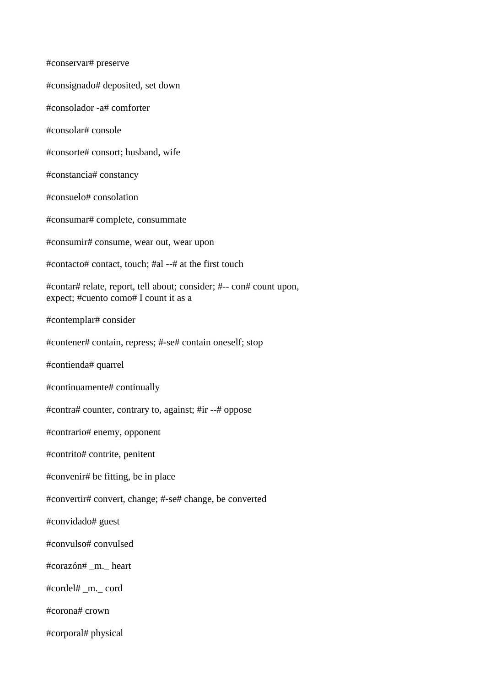#conservar# preserve #consignado# deposited, set down #consolador -a# comforter #consolar# console #consorte# consort; husband, wife #constancia# constancy #consuelo# consolation #consumar# complete, consummate #consumir# consume, wear out, wear upon #contacto# contact, touch; #al --# at the first touch #contar# relate, report, tell about; consider; #-- con# count upon, expect; #cuento como# I count it as a #contemplar# consider #contener# contain, repress; #-se# contain oneself; stop #contienda# quarrel #continuamente# continually #contra# counter, contrary to, against; #ir --# oppose #contrario# enemy, opponent #contrito# contrite, penitent #convenir# be fitting, be in place #convertir# convert, change; #-se# change, be converted #convidado# guest #convulso# convulsed #corazón# \_m.\_ heart #cordel# \_m.\_ cord #corona# crown #corporal# physical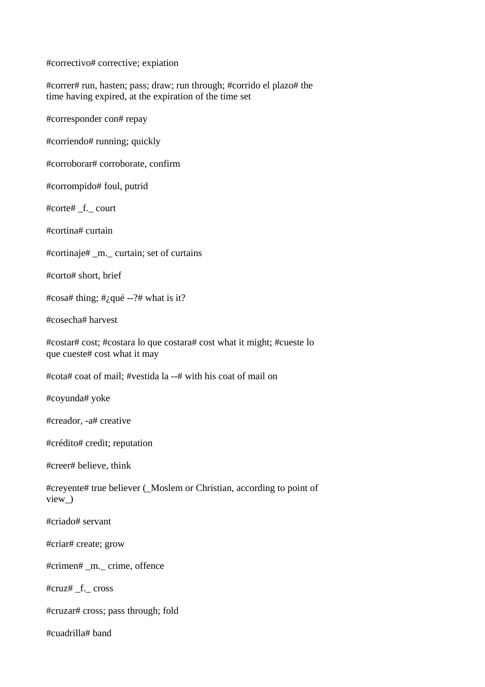#correctivo# corrective; expiation

#correr# run, hasten; pass; draw; run through; #corrido el plazo# the time having expired, at the expiration of the time set

#corresponder con# repay

#corriendo# running; quickly

#corroborar# corroborate, confirm

#corrompido# foul, putrid

#corte# \_f.\_ court

#cortina# curtain

#cortinaje# \_m.\_ curtain; set of curtains

#corto# short, brief

# $\cos \theta$  thing; # $\omega$ qué --?# what is it?

#cosecha# harvest

#costar# cost; #costara lo que costara# cost what it might; #cueste lo que cueste# cost what it may

#cota# coat of mail; #vestida la --# with his coat of mail on

#coyunda# yoke

#creador, -a# creative

#crédito# credit; reputation

#creer# believe, think

#creyente# true believer (\_Moslem or Christian, according to point of view\_)

#criado# servant

#criar# create; grow

#crimen# \_m.\_ crime, offence

#cruz# \_f.\_ cross

#cruzar# cross; pass through; fold

#cuadrilla# band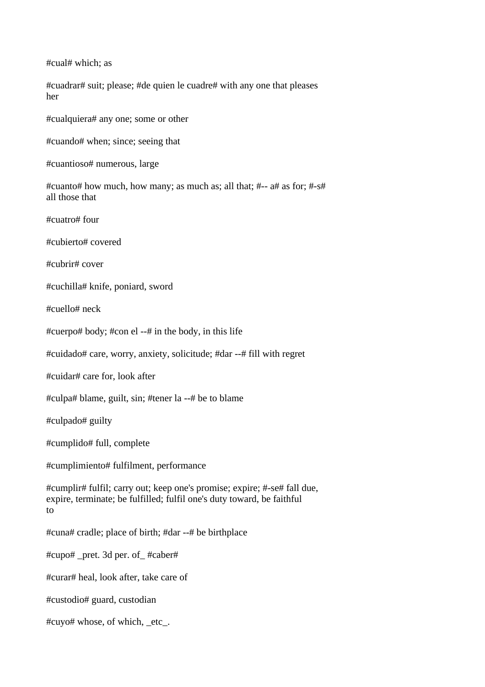#cual# which; as

#cuadrar# suit; please; #de quien le cuadre# with any one that pleases her

#cualquiera# any one; some or other

#cuando# when; since; seeing that

#cuantioso# numerous, large

#cuanto# how much, how many; as much as; all that; #-- a# as for; #-s# all those that

#cuatro# four

#cubierto# covered

#cubrir# cover

#cuchilla# knife, poniard, sword

#cuello# neck

#cuerpo# body; #con el --# in the body, in this life

#cuidado# care, worry, anxiety, solicitude; #dar --# fill with regret

#cuidar# care for, look after

#culpa# blame, guilt, sin; #tener la --# be to blame

#culpado# guilty

#cumplido# full, complete

#cumplimiento# fulfilment, performance

#cumplir# fulfil; carry out; keep one's promise; expire; #-se# fall due, expire, terminate; be fulfilled; fulfil one's duty toward, be faithful to

#cuna# cradle; place of birth; #dar --# be birthplace

#cupo# \_pret. 3d per. of\_ #caber#

#curar# heal, look after, take care of

#custodio# guard, custodian

#cuyo# whose, of which, \_etc\_.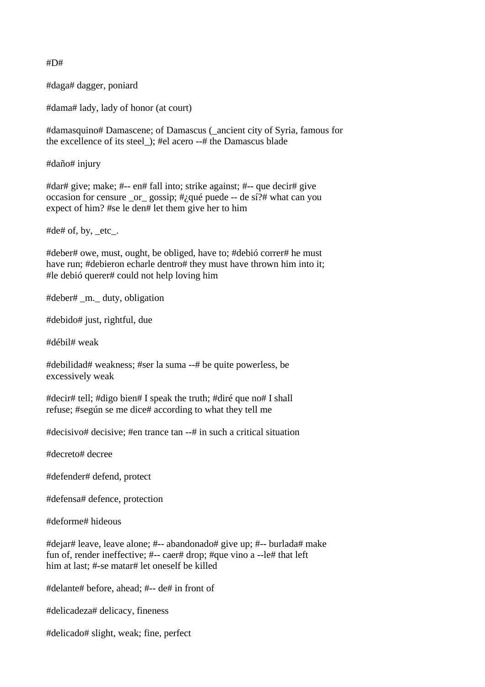#D#

#daga# dagger, poniard

#dama# lady, lady of honor (at court)

#damasquino# Damascene; of Damascus (\_ancient city of Syria, famous for the excellence of its steel\_); #el acero --# the Damascus blade

#daño# injury

#dar# give; make; #-- en# fall into; strike against; #-- que decir# give occasion for censure \_or\_ gossip; #¿qué puede -- de sí?# what can you expect of him? #se le den# let them give her to him

#de# of, by, etc.

#deber# owe, must, ought, be obliged, have to; #debió correr# he must have run; #debieron echarle dentro# they must have thrown him into it; #le debió querer# could not help loving him

#deber# \_m.\_ duty, obligation

#debido# just, rightful, due

#débil# weak

#debilidad# weakness; #ser la suma --# be quite powerless, be excessively weak

#decir# tell; #digo bien# I speak the truth; #diré que no# I shall refuse; #según se me dice# according to what they tell me

#decisivo# decisive; #en trance tan --# in such a critical situation

#decreto# decree

#defender# defend, protect

#defensa# defence, protection

#deforme# hideous

#dejar# leave, leave alone; #-- abandonado# give up; #-- burlada# make fun of, render ineffective; #-- caer# drop; #que vino a --le# that left him at last; #-se matar# let oneself be killed

#delante# before, ahead; #-- de# in front of

#delicadeza# delicacy, fineness

#delicado# slight, weak; fine, perfect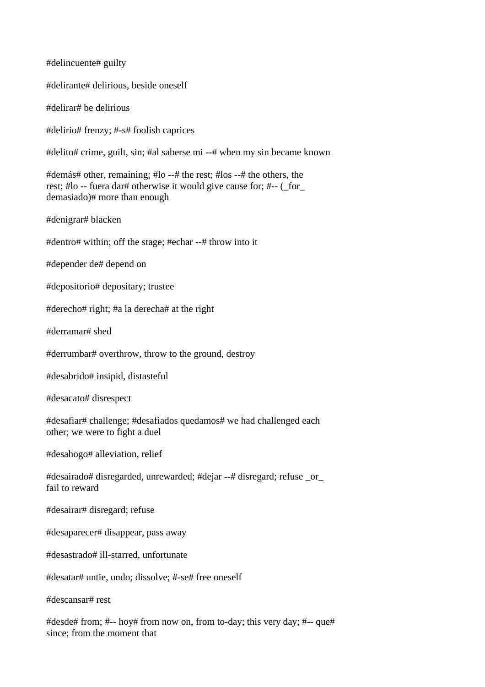#delincuente# guilty #delirante# delirious, beside oneself #delirar# be delirious #delirio# frenzy; #-s# foolish caprices #delito# crime, guilt, sin; #al saberse mi --# when my sin became known #demás# other, remaining; #lo --# the rest; #los --# the others, the rest; #lo -- fuera dar# otherwise it would give cause for; #-- (\_for\_ demasiado)# more than enough #denigrar# blacken #dentro# within; off the stage; #echar --# throw into it #depender de# depend on #depositorio# depositary; trustee #derecho# right; #a la derecha# at the right #derramar# shed #derrumbar# overthrow, throw to the ground, destroy #desabrido# insipid, distasteful #desacato# disrespect #desafiar# challenge; #desafiados quedamos# we had challenged each other; we were to fight a duel #desahogo# alleviation, relief #desairado# disregarded, unrewarded; #dejar --# disregard; refuse \_or\_ fail to reward #desairar# disregard; refuse #desaparecer# disappear, pass away #desastrado# ill-starred, unfortunate #desatar# untie, undo; dissolve; #-se# free oneself #descansar# rest #desde# from; #-- hoy# from now on, from to-day; this very day; #-- que#

since; from the moment that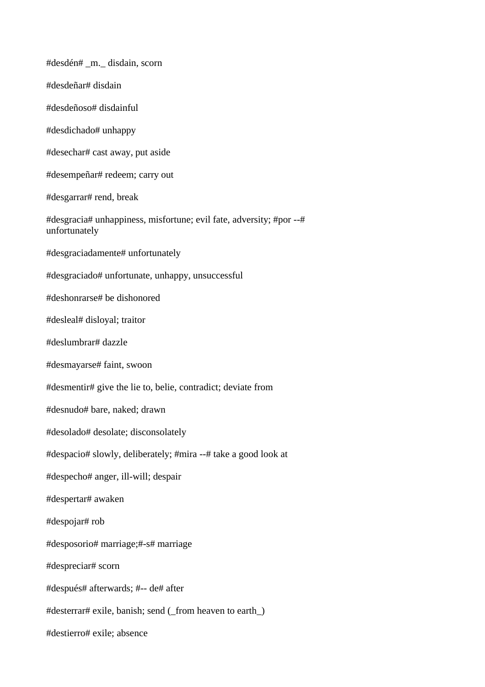#desdén# \_m.\_ disdain, scorn #desdeñar# disdain #desdeñoso# disdainful #desdichado# unhappy #desechar# cast away, put aside #desempeñar# redeem; carry out #desgarrar# rend, break #desgracia# unhappiness, misfortune; evil fate, adversity; #por --# unfortunately #desgraciadamente# unfortunately #desgraciado# unfortunate, unhappy, unsuccessful #deshonrarse# be dishonored #desleal# disloyal; traitor #deslumbrar# dazzle #desmayarse# faint, swoon #desmentir# give the lie to, belie, contradict; deviate from #desnudo# bare, naked; drawn #desolado# desolate; disconsolately #despacio# slowly, deliberately; #mira --# take a good look at #despecho# anger, ill-will; despair #despertar# awaken #despojar# rob #desposorio# marriage;#-s# marriage #despreciar# scorn #después# afterwards; #-- de# after #desterrar# exile, banish; send (\_from heaven to earth\_) #destierro# exile; absence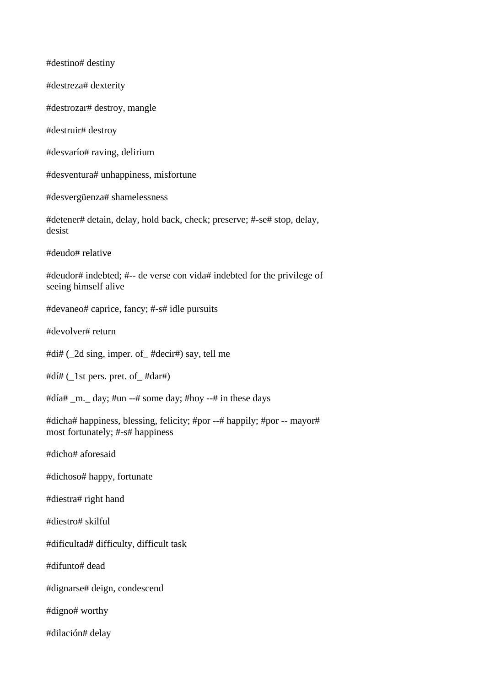#destino# destiny #destreza# dexterity #destrozar# destroy, mangle #destruir# destroy #desvarío# raving, delirium #desventura# unhappiness, misfortune #desvergüenza# shamelessness #detener# detain, delay, hold back, check; preserve; #-se# stop, delay, desist #deudo# relative #deudor# indebted; #-- de verse con vida# indebted for the privilege of seeing himself alive #devaneo# caprice, fancy; #-s# idle pursuits #devolver# return #di# ( $2d \text{ sing}$ , imper. of  $\# \text{decir}\#$ ) say, tell me #dí# (\_1st pers. pret. of\_ #dar#) #día# m. day; #un --# some day; #hoy --# in these days #dicha# happiness, blessing, felicity; #por --# happily; #por -- mayor# most fortunately; #-s# happiness #dicho# aforesaid #dichoso# happy, fortunate #diestra# right hand #diestro# skilful #dificultad# difficulty, difficult task #difunto# dead #dignarse# deign, condescend #digno# worthy #dilación# delay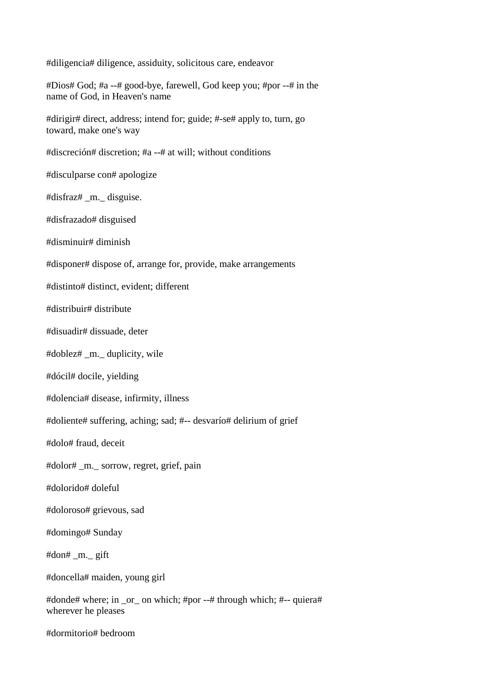#diligencia# diligence, assiduity, solicitous care, endeavor

#Dios# God; #a --# good-bye, farewell, God keep you; #por --# in the name of God, in Heaven's name

#dirigir# direct, address; intend for; guide; #-se# apply to, turn, go toward, make one's way

#discreción# discretion; #a --# at will; without conditions

#disculparse con# apologize

#disfraz# \_m.\_ disguise.

#disfrazado# disguised

#disminuir# diminish

#disponer# dispose of, arrange for, provide, make arrangements

#distinto# distinct, evident; different

#distribuir# distribute

#disuadir# dissuade, deter

#doblez# \_m.\_ duplicity, wile

#dócil# docile, yielding

#dolencia# disease, infirmity, illness

#doliente# suffering, aching; sad; #-- desvarío# delirium of grief

#dolo# fraud, deceit

#dolor# \_m.\_ sorrow, regret, grief, pain

#dolorido# doleful

#doloroso# grievous, sad

#domingo# Sunday

#don# \_m.\_ gift

#doncella# maiden, young girl

#donde# where; in \_or\_ on which; #por --# through which; #-- quiera# wherever he pleases

#dormitorio# bedroom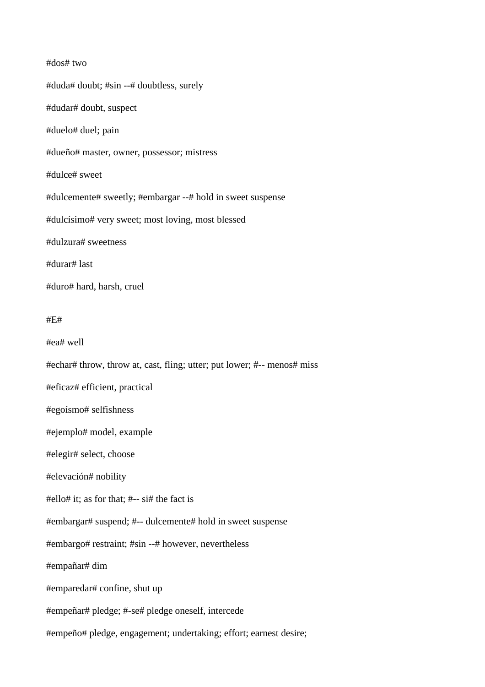## #dos# two

#duda# doubt; #sin --# doubtless, surely #dudar# doubt, suspect #duelo# duel; pain #dueño# master, owner, possessor; mistress #dulce# sweet #dulcemente# sweetly; #embargar --# hold in sweet suspense #dulcísimo# very sweet; most loving, most blessed #dulzura# sweetness #durar# last #duro# hard, harsh, cruel

## #E#

#ea# well

#echar# throw, throw at, cast, fling; utter; put lower; #-- menos# miss

#eficaz# efficient, practical

#egoísmo# selfishness

#ejemplo# model, example

#elegir# select, choose

#elevación# nobility

#ello# it; as for that; #-- si# the fact is

#embargar# suspend; #-- dulcemente# hold in sweet suspense

#embargo# restraint; #sin --# however, nevertheless

#empañar# dim

#emparedar# confine, shut up

#empeñar# pledge; #-se# pledge oneself, intercede

#empeño# pledge, engagement; undertaking; effort; earnest desire;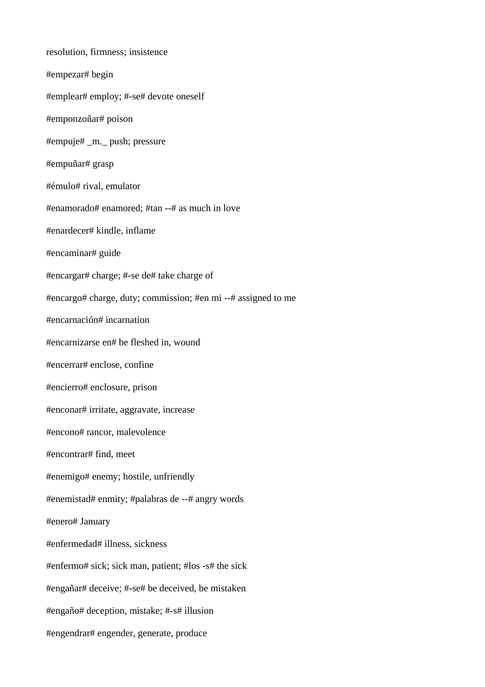resolution, firmness; insistence #empezar# begin #emplear# employ; #-se# devote oneself #emponzoñar# poison #empuje# \_m.\_ push; pressure #empuñar# grasp #émulo# rival, emulator #enamorado# enamored; #tan --# as much in love #enardecer# kindle, inflame #encaminar# guide #encargar# charge; #-se de# take charge of #encargo# charge, duty; commission; #en mi --# assigned to me #encarnación# incarnation #encarnizarse en# be fleshed in, wound #encerrar# enclose, confine #encierro# enclosure, prison #enconar# irritate, aggravate, increase #encono# rancor, malevolence #encontrar# find, meet #enemigo# enemy; hostile, unfriendly #enemistad# enmity; #palabras de --# angry words #enero# January #enfermedad# illness, sickness #enfermo# sick; sick man, patient; #los -s# the sick #engañar# deceive; #-se# be deceived, be mistaken #engaño# deception, mistake; #-s# illusion #engendrar# engender, generate, produce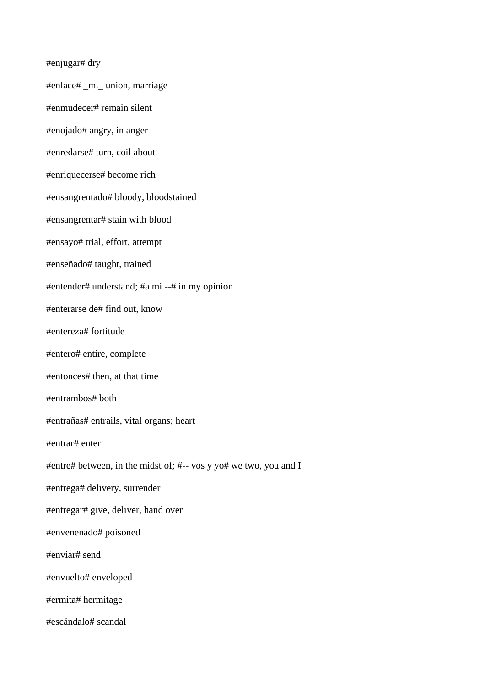#enjugar# dry

#enlace# \_m.\_ union, marriage

#enmudecer# remain silent

#enojado# angry, in anger

#enredarse# turn, coil about

#enriquecerse# become rich

#ensangrentado# bloody, bloodstained

#ensangrentar# stain with blood

#ensayo# trial, effort, attempt

#enseñado# taught, trained

#entender# understand; #a mi --# in my opinion

#enterarse de# find out, know

#entereza# fortitude

#entero# entire, complete

#entonces# then, at that time

#entrambos# both

#entrañas# entrails, vital organs; heart

#entrar# enter

#entre# between, in the midst of; #-- vos y yo# we two, you and I

#entrega# delivery, surrender

#entregar# give, deliver, hand over

#envenenado# poisoned

#enviar# send

#envuelto# enveloped

#ermita# hermitage

#escándalo# scandal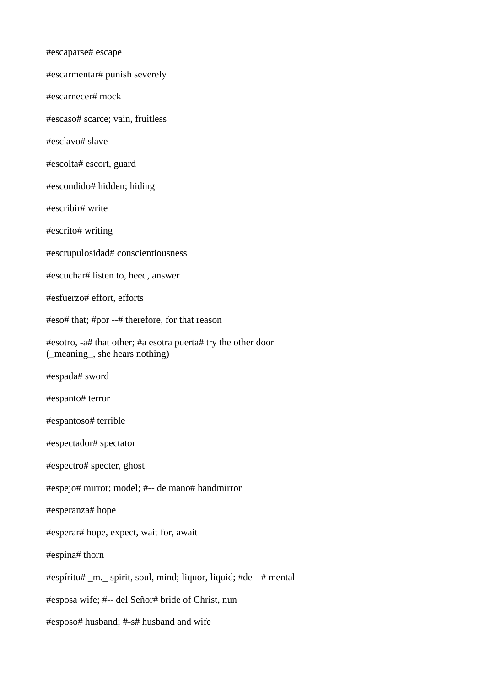#escaparse# escape #escarmentar# punish severely #escarnecer# mock #escaso# scarce; vain, fruitless #esclavo# slave #escolta# escort, guard #escondido# hidden; hiding #escribir# write #escrito# writing #escrupulosidad# conscientiousness #escuchar# listen to, heed, answer #esfuerzo# effort, efforts #eso# that; #por --# therefore, for that reason #esotro, -a# that other; #a esotra puerta# try the other door (\_meaning\_, she hears nothing) #espada# sword #espanto# terror #espantoso# terrible #espectador# spectator #espectro# specter, ghost #espejo# mirror; model; #-- de mano# handmirror #esperanza# hope #esperar# hope, expect, wait for, await #espina# thorn #espíritu# \_m.\_ spirit, soul, mind; liquor, liquid; #de --# mental #esposa wife; #-- del Señor# bride of Christ, nun

#esposo# husband; #-s# husband and wife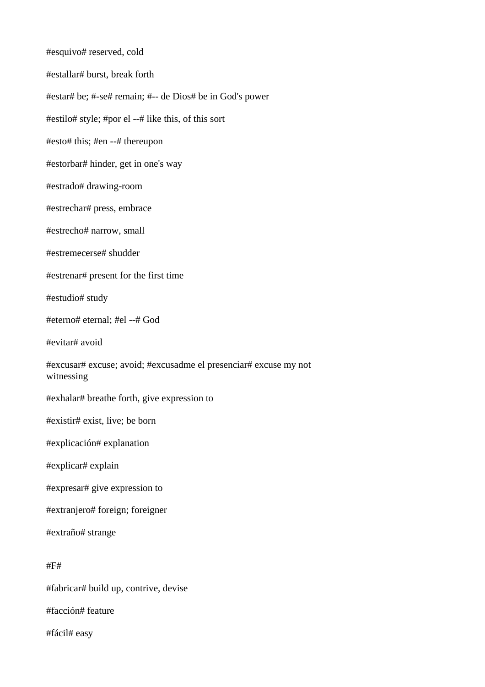#esquivo# reserved, cold #estallar# burst, break forth #estar# be; #-se# remain; #-- de Dios# be in God's power #estilo# style; #por el --# like this, of this sort #esto# this; #en --# thereupon #estorbar# hinder, get in one's way #estrado# drawing-room #estrechar# press, embrace #estrecho# narrow, small #estremecerse# shudder #estrenar# present for the first time #estudio# study #eterno# eternal; #el --# God #evitar# avoid #excusar# excuse; avoid; #excusadme el presenciar# excuse my not witnessing #exhalar# breathe forth, give expression to #existir# exist, live; be born #explicación# explanation #explicar# explain #expresar# give expression to #extranjero# foreign; foreigner #extraño# strange #F# #fabricar# build up, contrive, devise #facción# feature #fácil# easy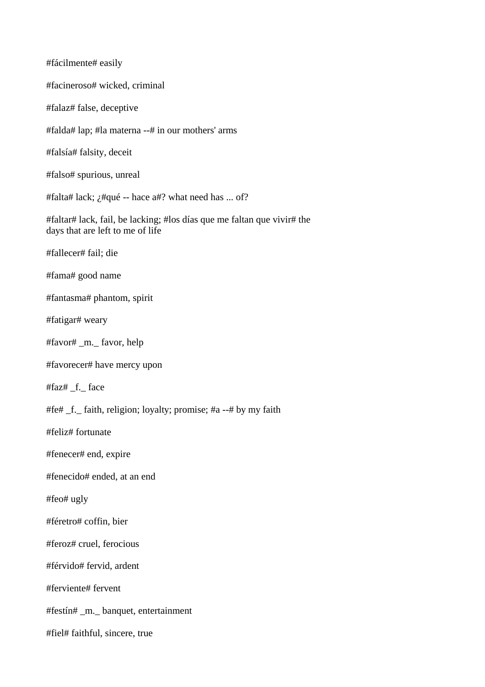#fácilmente# easily #facineroso# wicked, criminal #falaz# false, deceptive #falda# lap; #la materna --# in our mothers' arms #falsía# falsity, deceit #falso# spurious, unreal #falta# lack;  $\chi$ #qué -- hace a#? what need has ... of? #faltar# lack, fail, be lacking; #los días que me faltan que vivir# the days that are left to me of life #fallecer# fail; die #fama# good name #fantasma# phantom, spirit #fatigar# weary #favor# \_m.\_ favor, help #favorecer# have mercy upon #faz# \_f.\_ face #fe# \_f.\_ faith, religion; loyalty; promise; #a --# by my faith #feliz# fortunate #fenecer# end, expire #fenecido# ended, at an end #feo# ugly #féretro# coffin, bier #feroz# cruel, ferocious #férvido# fervid, ardent #ferviente# fervent #festín# \_m.\_ banquet, entertainment #fiel# faithful, sincere, true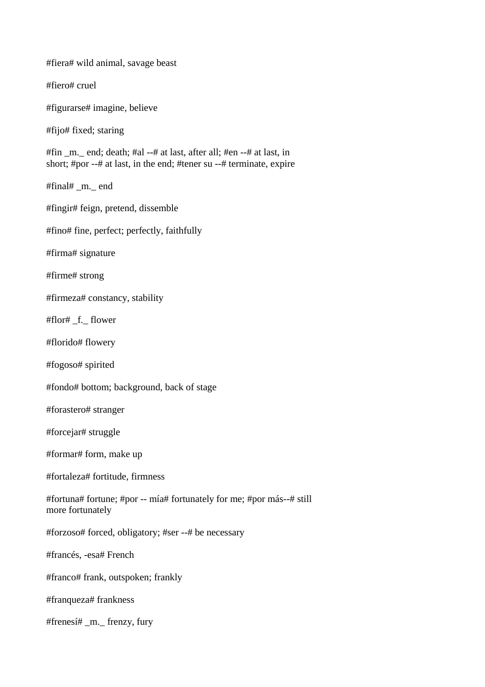#fiera# wild animal, savage beast

#fiero# cruel

#figurarse# imagine, believe

#fijo# fixed; staring

#fin  $m$ . end; death; #al --# at last, after all; #en --# at last, in short; #por --# at last, in the end; #tener su --# terminate, expire

#final# \_m.\_ end

#fingir# feign, pretend, dissemble

#fino# fine, perfect; perfectly, faithfully

#firma# signature

#firme# strong

#firmeza# constancy, stability

#flor# \_f.\_ flower

#florido# flowery

#fogoso# spirited

#fondo# bottom; background, back of stage

#forastero# stranger

#forcejar# struggle

#formar# form, make up

#fortaleza# fortitude, firmness

#fortuna# fortune; #por -- mía# fortunately for me; #por más--# still more fortunately

#forzoso# forced, obligatory; #ser --# be necessary

#francés, -esa# French

#franco# frank, outspoken; frankly

#franqueza# frankness

#frenesí# \_m.\_ frenzy, fury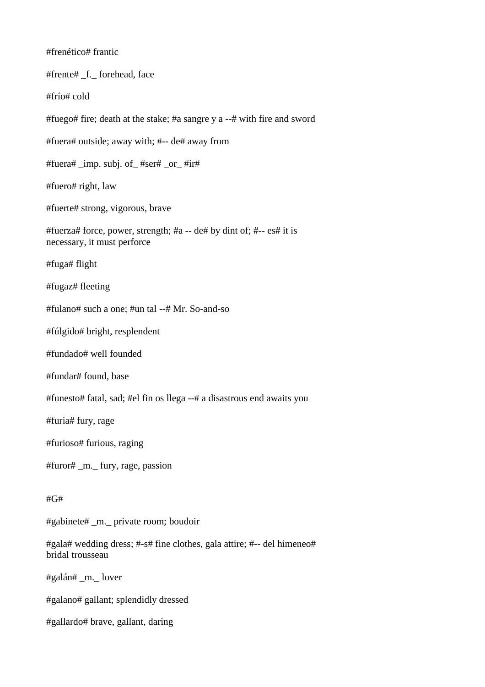#frenético# frantic #frente# \_f.\_ forehead, face #frío# cold #fuego# fire; death at the stake; #a sangre y a --# with fire and sword #fuera# outside; away with; #-- de# away from #fuera# \_imp. subj. of\_ #ser# \_or\_ #ir# #fuero# right, law #fuerte# strong, vigorous, brave #fuerza# force, power, strength; #a -- de# by dint of; #-- es# it is necessary, it must perforce #fuga# flight #fugaz# fleeting #fulano# such a one; #un tal --# Mr. So-and-so #fúlgido# bright, resplendent #fundado# well founded #fundar# found, base #funesto# fatal, sad; #el fin os llega --# a disastrous end awaits you #furia# fury, rage #furioso# furious, raging #furor# \_m.\_ fury, rage, passion  $#G#$ #gabinete# \_m.\_ private room; boudoir #gala# wedding dress; #-s# fine clothes, gala attire; #-- del himeneo# bridal trousseau #galán# \_m.\_ lover #galano# gallant; splendidly dressed #gallardo# brave, gallant, daring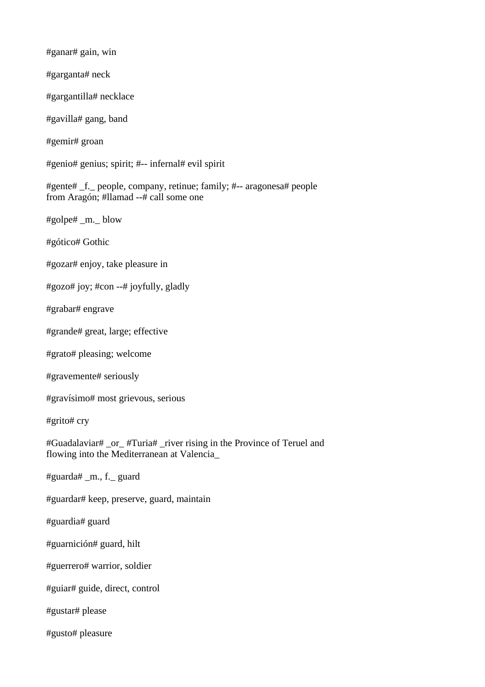#ganar# gain, win #garganta# neck #gargantilla# necklace #gavilla# gang, band #gemir# groan #genio# genius; spirit; #-- infernal# evil spirit #gente# \_f.\_ people, company, retinue; family; #-- aragonesa# people from Aragón; #llamad --# call some one #golpe# \_m.\_ blow #gótico# Gothic #gozar# enjoy, take pleasure in #gozo# joy; #con --# joyfully, gladly #grabar# engrave #grande# great, large; effective #grato# pleasing; welcome #gravemente# seriously #gravísimo# most grievous, serious #grito# cry #Guadalaviar# \_or\_ #Turia# \_river rising in the Province of Teruel and flowing into the Mediterranean at Valencia\_ #guarda# \_m., f.\_ guard #guardar# keep, preserve, guard, maintain #guardia# guard #guarnición# guard, hilt #guerrero# warrior, soldier #guiar# guide, direct, control #gustar# please #gusto# pleasure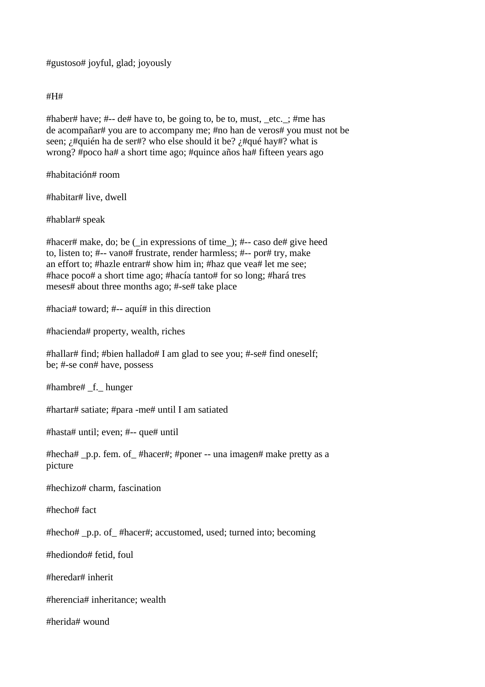#gustoso# joyful, glad; joyously

#H#

#haber# have; #-- de# have to, be going to, be to, must, \_etc.\_; #me has de acompañar# you are to accompany me; #no han de veros# you must not be seen; *i*#quién ha de ser#? who else should it be? *i*#qué hay#? what is wrong? #poco ha# a short time ago; #quince años ha# fifteen years ago

#habitación# room

#habitar# live, dwell

#hablar# speak

#hacer# make, do; be (\_in expressions of time\_); #-- caso de# give heed to, listen to; #-- vano# frustrate, render harmless; #-- por# try, make an effort to; #hazle entrar# show him in; #haz que vea# let me see; #hace poco# a short time ago; #hacía tanto# for so long; #hará tres meses# about three months ago; #-se# take place

#hacia# toward; #-- aquí# in this direction

#hacienda# property, wealth, riches

#hallar# find; #bien hallado# I am glad to see you; #-se# find oneself; be; #-se con# have, possess

#hambre# \_f.\_ hunger

#hartar# satiate; #para -me# until I am satiated

#hasta# until; even; #-- que# until

#hecha# \_p.p. fem. of\_ #hacer#; #poner -- una imagen# make pretty as a picture

#hechizo# charm, fascination

#hecho# fact

#hecho# \_p.p. of\_ #hacer#; accustomed, used; turned into; becoming

#hediondo# fetid, foul

#heredar# inherit

#herencia# inheritance; wealth

#herida# wound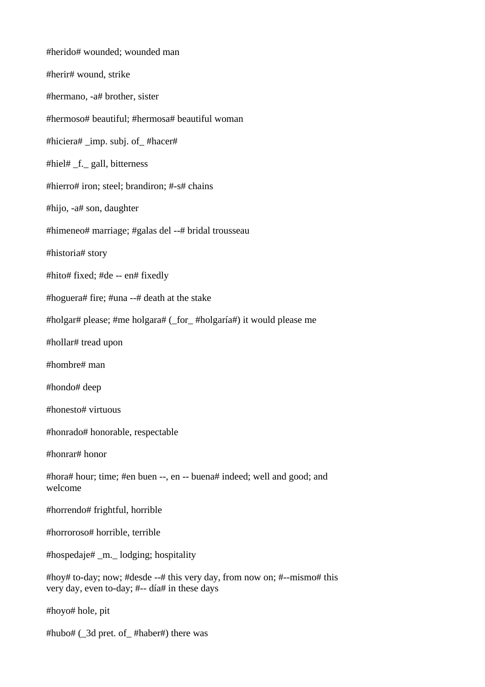#herido# wounded; wounded man #herir# wound, strike #hermano, -a# brother, sister #hermoso# beautiful; #hermosa# beautiful woman #hiciera# \_imp. subj. of\_ #hacer# #hiel# \_f.\_ gall, bitterness #hierro# iron; steel; brandiron; #-s# chains #hijo, -a# son, daughter #himeneo# marriage; #galas del --# bridal trousseau #historia# story #hito# fixed; #de -- en# fixedly #hoguera# fire; #una --# death at the stake #holgar# please; #me holgara# (\_for\_ #holgaría#) it would please me #hollar# tread upon #hombre# man #hondo# deep #honesto# virtuous #honrado# honorable, respectable #honrar# honor #hora# hour; time; #en buen --, en -- buena# indeed; well and good; and welcome #horrendo# frightful, horrible #horroroso# horrible, terrible #hospedaje# \_m.\_ lodging; hospitality #hoy# to-day; now; #desde --# this very day, from now on; #--mismo# this very day, even to-day; #-- día# in these days #hoyo# hole, pit #hubo# (\_3d pret. of\_ #haber#) there was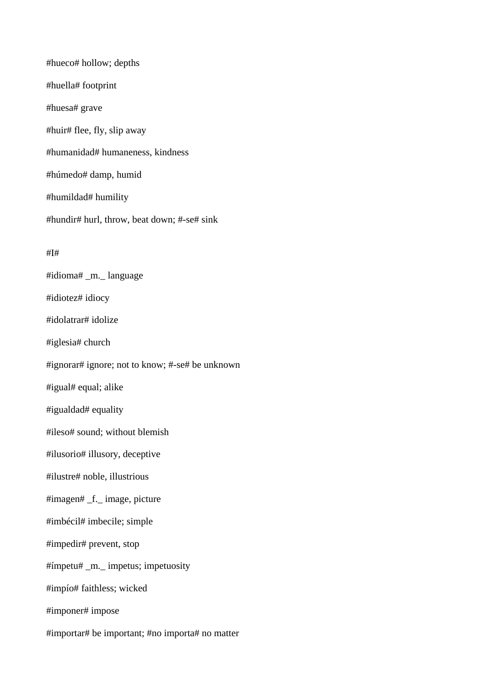#hueco# hollow; depths #huella# footprint #huesa# grave #huir# flee, fly, slip away #humanidad# humaneness, kindness #húmedo# damp, humid #humildad# humility #hundir# hurl, throw, beat down; #-se# sink #I# #idioma# \_m.\_ language #idiotez# idiocy #idolatrar# idolize #iglesia# church #ignorar# ignore; not to know; #-se# be unknown #igual# equal; alike #igualdad# equality #ileso# sound; without blemish #ilusorio# illusory, deceptive #ilustre# noble, illustrious #imagen# \_f.\_ image, picture #imbécil# imbecile; simple #impedir# prevent, stop #ímpetu# \_m.\_ impetus; impetuosity #impío# faithless; wicked #imponer# impose

#importar# be important; #no importa# no matter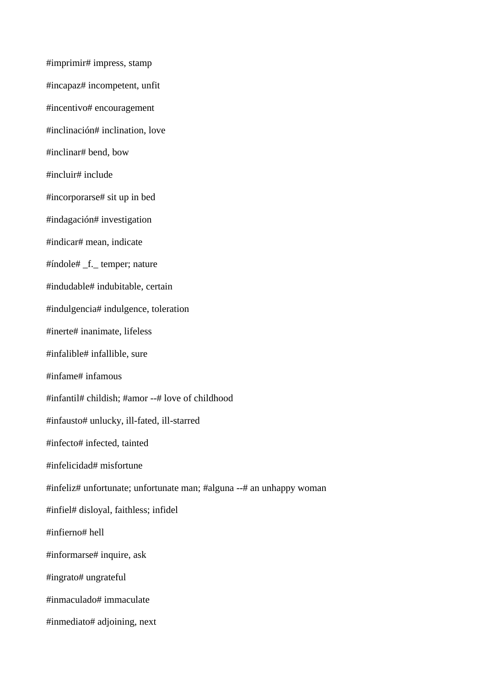#imprimir# impress, stamp #incapaz# incompetent, unfit #incentivo# encouragement #inclinación# inclination, love #inclinar# bend, bow #incluir# include #incorporarse# sit up in bed #indagación# investigation #indicar# mean, indicate #índole# \_f.\_ temper; nature #indudable# indubitable, certain #indulgencia# indulgence, toleration #inerte# inanimate, lifeless #infalible# infallible, sure #infame# infamous #infantil# childish; #amor --# love of childhood #infausto# unlucky, ill-fated, ill-starred #infecto# infected, tainted #infelicidad# misfortune #infeliz# unfortunate; unfortunate man; #alguna --# an unhappy woman #infiel# disloyal, faithless; infidel #infierno# hell #informarse# inquire, ask #ingrato# ungrateful #inmaculado# immaculate #inmediato# adjoining, next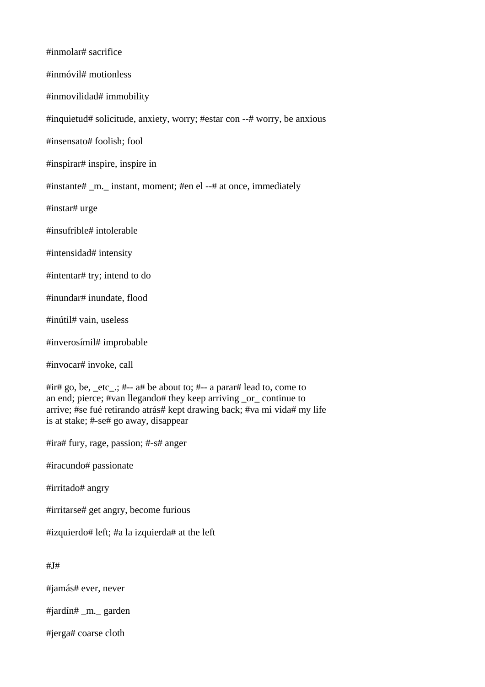| #inmolar# sacrifice                                                                                                                                                                                                                                               |
|-------------------------------------------------------------------------------------------------------------------------------------------------------------------------------------------------------------------------------------------------------------------|
| #inmóvil# motionless                                                                                                                                                                                                                                              |
| #inmovilidad# immobility                                                                                                                                                                                                                                          |
| #inquietud# solicitude, anxiety, worry; #estar con --# worry, be anxious                                                                                                                                                                                          |
| #insensato# foolish; fool                                                                                                                                                                                                                                         |
| #inspirar# inspire, inspire in                                                                                                                                                                                                                                    |
| #instante# _m. _ instant, moment; #en el --# at once, immediately                                                                                                                                                                                                 |
| #instar# urge                                                                                                                                                                                                                                                     |
| #insufrible# intolerable                                                                                                                                                                                                                                          |
| #intensidad# intensity                                                                                                                                                                                                                                            |
| #intentar# try; intend to do                                                                                                                                                                                                                                      |
| #inundar# inundate, flood                                                                                                                                                                                                                                         |
| #inútil# vain, useless                                                                                                                                                                                                                                            |
| #inverosímil# improbable                                                                                                                                                                                                                                          |
| #invocar# invoke, call                                                                                                                                                                                                                                            |
| #ir# go, be, _etc_:, #-- a# be about to; #-- a parar# lead to, come to<br>an end; pierce; #van llegando# they keep arriving _or_ continue to<br>arrive; #se fué retirando atrás# kept drawing back; #va mi vida# my life<br>is at stake; #-se# go away, disappear |
| #ira# fury, rage, passion; #-s# anger                                                                                                                                                                                                                             |
| #iracundo# passionate                                                                                                                                                                                                                                             |

#irritado# angry

#irritarse# get angry, become furious

#izquierdo# left; #a la izquierda# at the left

#J#

#jamás# ever, never

#jardín# \_m.\_ garden

#jerga# coarse cloth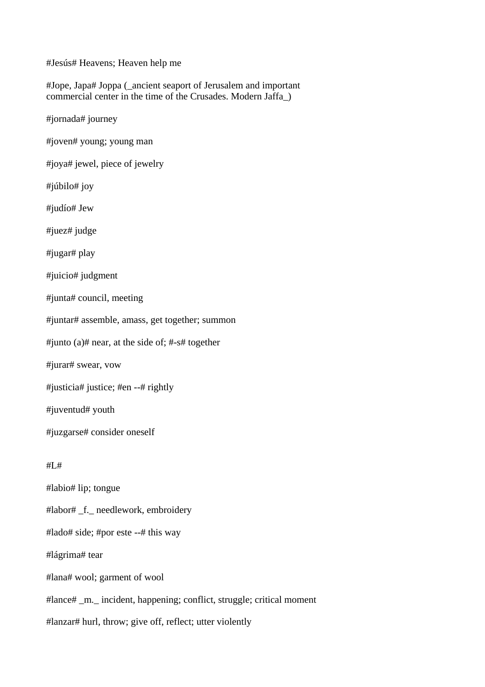#Jesús# Heavens; Heaven help me

#Jope, Japa# Joppa (\_ancient seaport of Jerusalem and important commercial center in the time of the Crusades. Modern Jaffa\_)

#jornada# journey

#joven# young; young man

#joya# jewel, piece of jewelry

#júbilo# joy

#judío# Jew

#juez# judge

#jugar# play

#juicio# judgment

#junta# council, meeting

#juntar# assemble, amass, get together; summon

#junto (a)# near, at the side of; #-s# together

#jurar# swear, vow

#justicia# justice; #en --# rightly

#juventud# youth

#juzgarse# consider oneself

#L#

#labio# lip; tongue

#labor# \_f.\_ needlework, embroidery

#lado# side; #por este --# this way

#lágrima# tear

#lana# wool; garment of wool

#lance# \_m.\_ incident, happening; conflict, struggle; critical moment

#lanzar# hurl, throw; give off, reflect; utter violently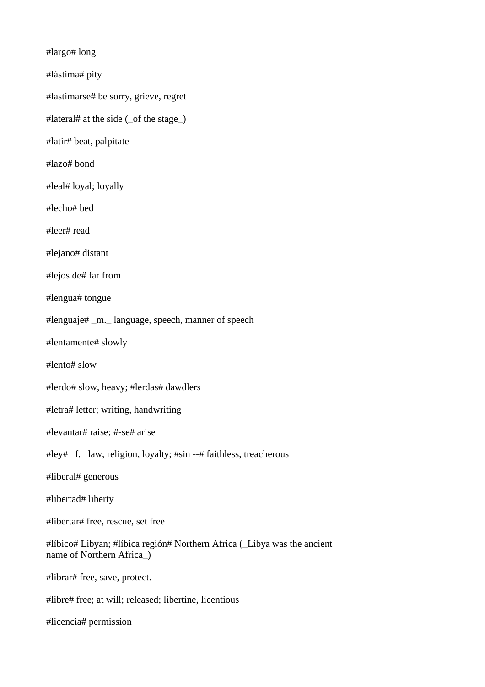#largo# long

#lástima# pity

#lastimarse# be sorry, grieve, regret

#lateral# at the side (\_of the stage\_)

#latir# beat, palpitate

#lazo# bond

#leal# loyal; loyally

#lecho# bed

#leer# read

#lejano# distant

#lejos de# far from

#lengua# tongue

#lenguaje# \_m.\_ language, speech, manner of speech

#lentamente# slowly

#lento# slow

#lerdo# slow, heavy; #lerdas# dawdlers

#letra# letter; writing, handwriting

#levantar# raise; #-se# arise

#ley# \_f.\_ law, religion, loyalty; #sin --# faithless, treacherous

#liberal# generous

#libertad# liberty

#libertar# free, rescue, set free

#líbico# Libyan; #líbica región# Northern Africa (\_Libya was the ancient name of Northern Africa\_)

#librar# free, save, protect.

#libre# free; at will; released; libertine, licentious

#licencia# permission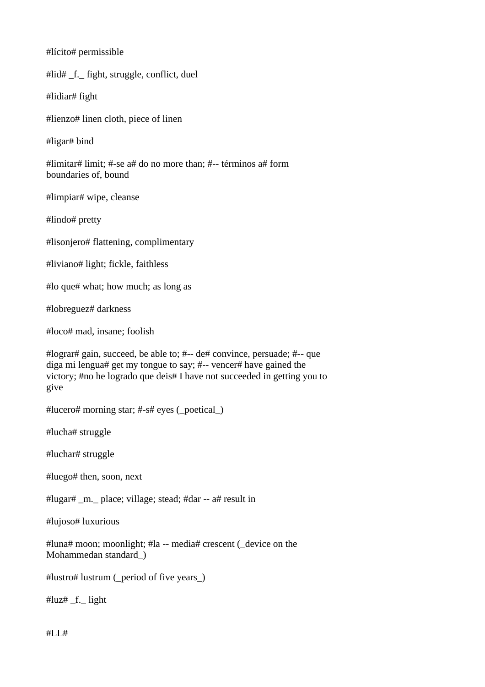#lícito# permissible

#lid# \_f.\_ fight, struggle, conflict, duel

#lidiar# fight

#lienzo# linen cloth, piece of linen

#ligar# bind

#limitar# limit; #-se a# do no more than; #-- términos a# form boundaries of, bound

#limpiar# wipe, cleanse

#lindo# pretty

#lisonjero# flattening, complimentary

#liviano# light; fickle, faithless

#lo que# what; how much; as long as

#lobreguez# darkness

#loco# mad, insane; foolish

#lograr# gain, succeed, be able to; #-- de# convince, persuade; #-- que diga mi lengua# get my tongue to say; #-- vencer# have gained the victory; #no he logrado que deis# I have not succeeded in getting you to give

#lucero# morning star; #-s# eyes (\_poetical\_)

#lucha# struggle

#luchar# struggle

#luego# then, soon, next

#lugar# \_m.\_ place; village; stead; #dar -- a# result in

#lujoso# luxurious

#luna# moon; moonlight; #la -- media# crescent (\_device on the Mohammedan standard\_)

#lustro# lustrum (\_period of five years\_)

# $\lvert u \rvert$   $\lvert$  f. light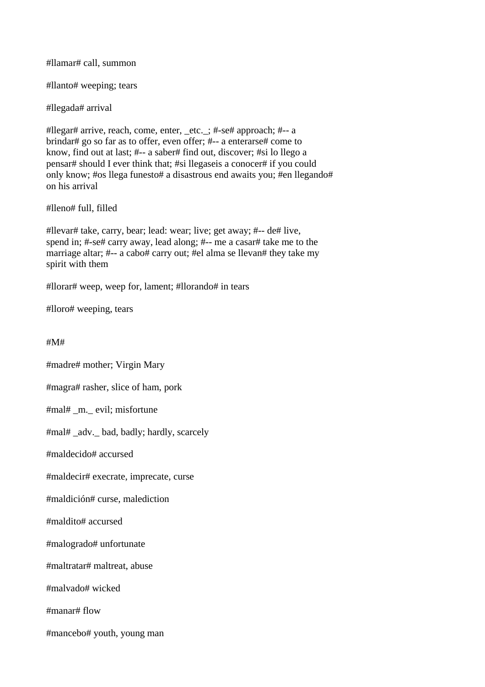#llamar# call, summon

#llanto# weeping; tears

#llegada# arrival

#llegar# arrive, reach, come, enter, \_etc.\_; #-se# approach; #-- a brindar# go so far as to offer, even offer; #-- a enterarse# come to know, find out at last; #-- a saber# find out, discover; #si lo llego a pensar# should I ever think that; #si llegaseis a conocer# if you could only know; #os llega funesto# a disastrous end awaits you; #en llegando# on his arrival

#lleno# full, filled

#llevar# take, carry, bear; lead: wear; live; get away; #-- de# live, spend in; #-se# carry away, lead along; #-- me a casar# take me to the marriage altar; #-- a cabo# carry out; #el alma se llevan# they take my spirit with them

#llorar# weep, weep for, lament; #llorando# in tears

#lloro# weeping, tears

#M#

#madre# mother; Virgin Mary

#magra# rasher, slice of ham, pork

#mal# \_m.\_ evil; misfortune

#mal# \_adv.\_ bad, badly; hardly, scarcely

#maldecido# accursed

#maldecir# execrate, imprecate, curse

#maldición# curse, malediction

#maldito# accursed

#malogrado# unfortunate

#maltratar# maltreat, abuse

#malvado# wicked

#manar# flow

#mancebo# youth, young man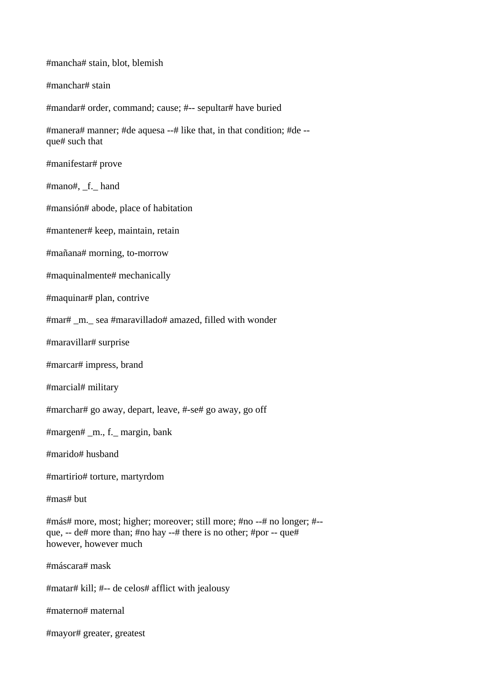#mancha# stain, blot, blemish #manchar# stain #mandar# order, command; cause; #-- sepultar# have buried #manera# manner; #de aquesa --# like that, in that condition; #de - que# such that #manifestar# prove #mano#, \_f.\_ hand #mansión# abode, place of habitation #mantener# keep, maintain, retain #mañana# morning, to-morrow #maquinalmente# mechanically #maquinar# plan, contrive #mar# \_m.\_ sea #maravillado# amazed, filled with wonder #maravillar# surprise #marcar# impress, brand #marcial# military #marchar# go away, depart, leave, #-se# go away, go off #margen# \_m., f.\_ margin, bank #marido# husband #martirio# torture, martyrdom #mas# but #más# more, most; higher; moreover; still more; #no --# no longer; #- que, -- de# more than; #no hay --# there is no other; #por -- que# however, however much #máscara# mask #matar# kill; #-- de celos# afflict with jealousy #materno# maternal #mayor# greater, greatest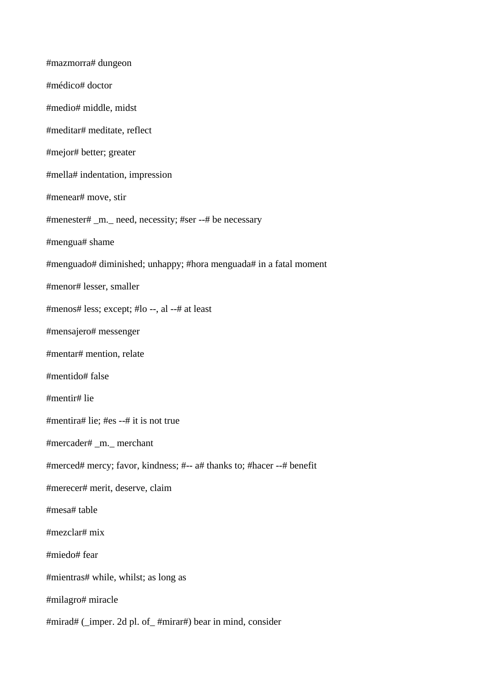#mazmorra# dungeon #médico# doctor #medio# middle, midst #meditar# meditate, reflect #mejor# better; greater #mella# indentation, impression #menear# move, stir #menester# \_m.\_ need, necessity; #ser --# be necessary #mengua# shame #menguado# diminished; unhappy; #hora menguada# in a fatal moment #menor# lesser, smaller #menos# less; except; #lo --, al --# at least #mensajero# messenger #mentar# mention, relate #mentido# false #mentir# lie #mentira# lie; #es --# it is not true #mercader# \_m.\_ merchant #merced# mercy; favor, kindness; #-- a# thanks to; #hacer --# benefit #merecer# merit, deserve, claim #mesa# table #mezclar# mix #miedo# fear #mientras# while, whilst; as long as #milagro# miracle #mirad# (\_imper. 2d pl. of\_ #mirar#) bear in mind, consider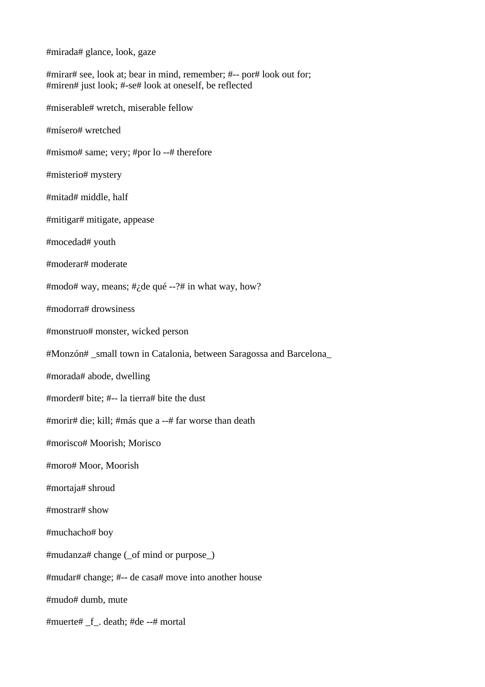#mirada# glance, look, gaze

#mirar# see, look at; bear in mind, remember; #-- por# look out for; #miren# just look; #-se# look at oneself, be reflected #miserable# wretch, miserable fellow #mísero# wretched #mismo# same; very; #por lo --# therefore #misterio# mystery #mitad# middle, half #mitigar# mitigate, appease #mocedad# youth #moderar# moderate #modo# way, means; # $\phi$  and  $\phi$  --?# in what way, how? #modorra# drowsiness #monstruo# monster, wicked person #Monzón# \_small town in Catalonia, between Saragossa and Barcelona\_ #morada# abode, dwelling #morder# bite; #-- la tierra# bite the dust #morir# die; kill; #más que a --# far worse than death #morisco# Moorish; Morisco #moro# Moor, Moorish #mortaja# shroud #mostrar# show #muchacho# boy #mudanza# change (\_of mind or purpose\_) #mudar# change; #-- de casa# move into another house #mudo# dumb, mute #muerte# \_f\_. death; #de --# mortal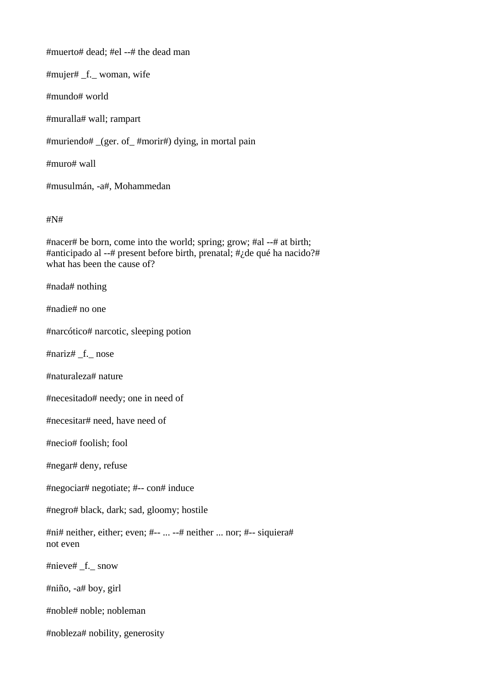#muerto# dead; #el --# the dead man

#mujer# \_f.\_ woman, wife

#mundo# world

#muralla# wall; rampart

#muriendo# \_(ger. of\_ #morir#) dying, in mortal pain

#muro# wall

#musulmán, -a#, Mohammedan

## #N#

#nacer# be born, come into the world; spring; grow; #al --# at birth; #anticipado al --# present before birth, prenatal; #¿de qué ha nacido?# what has been the cause of?

#nada# nothing

#nadie# no one

#narcótico# narcotic, sleeping potion

#nariz# \_f.\_ nose

#naturaleza# nature

#necesitado# needy; one in need of

#necesitar# need, have need of

#necio# foolish; fool

#negar# deny, refuse

#negociar# negotiate; #-- con# induce

#negro# black, dark; sad, gloomy; hostile

#ni# neither, either; even; #-- ... --# neither ... nor; #-- siquiera# not even

#nieve# \_f.\_ snow

#niño, -a# boy, girl

#noble# noble; nobleman

#nobleza# nobility, generosity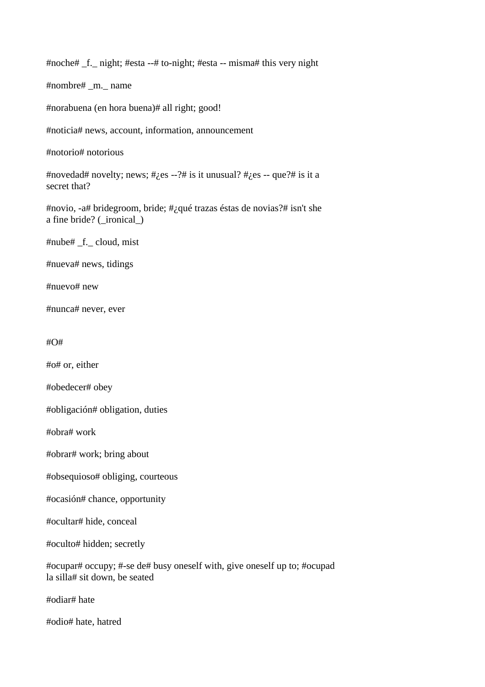#noche# \_f.\_ night; #esta --# to-night; #esta -- misma# this very night

#nombre# \_m.\_ name

#norabuena (en hora buena)# all right; good!

#noticia# news, account, information, announcement

#notorio# notorious

#novedad# novelty; news; # $i$ es --?# is it unusual? # $i$ es -- que?# is it a secret that?

#novio, -a# bridegroom, bride; #¿qué trazas éstas de novias?# isn't she a fine bride? (\_ironical\_)

#nube# \_f.\_ cloud, mist

#nueva# news, tidings

#nuevo# new

#nunca# never, ever

#O#

#o# or, either

#obedecer# obey

#obligación# obligation, duties

#obra# work

#obrar# work; bring about

#obsequioso# obliging, courteous

#ocasión# chance, opportunity

#ocultar# hide, conceal

#oculto# hidden; secretly

#ocupar# occupy; #-se de# busy oneself with, give oneself up to; #ocupad la silla# sit down, be seated

#odiar# hate

#odio# hate, hatred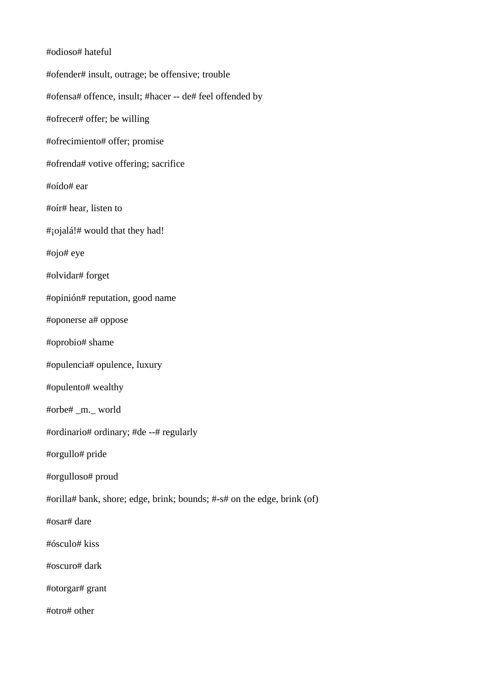#odioso# hateful #ofender# insult, outrage; be offensive; trouble #ofensa# offence, insult; #hacer -- de# feel offended by #ofrecer# offer; be willing #ofrecimiento# offer; promise #ofrenda# votive offering; sacrifice #oído# ear #oír# hear, listen to #¡ojalá!# would that they had! #ojo# eye #olvidar# forget #opinión# reputation, good name #oponerse a# oppose #oprobio# shame #opulencia# opulence, luxury #opulento# wealthy #orbe# \_m.\_ world #ordinario# ordinary; #de --# regularly #orgullo# pride #orgulloso# proud #orilla# bank, shore; edge, brink; bounds; #-s# on the edge, brink (of) #osar# dare #ósculo# kiss #oscuro# dark #otorgar# grant #otro# other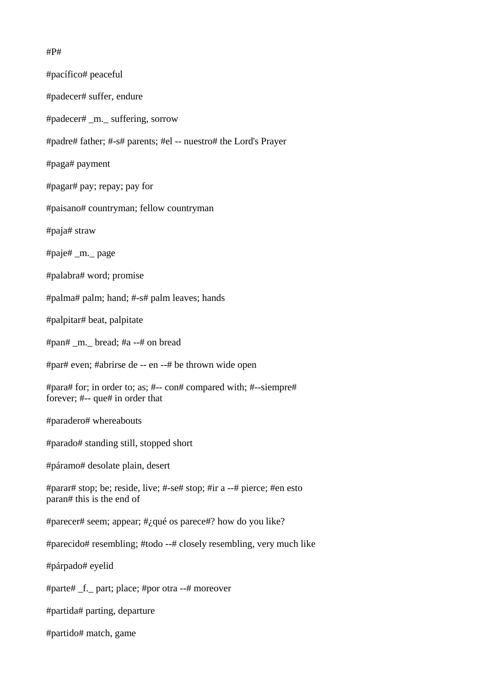#P#

#pacífico# peaceful #padecer# suffer, endure #padecer# \_m.\_ suffering, sorrow #padre# father; #-s# parents; #el -- nuestro# the Lord's Prayer #paga# payment #pagar# pay; repay; pay for #paisano# countryman; fellow countryman #paja# straw #paje# \_m.\_ page #palabra# word; promise #palma# palm; hand; #-s# palm leaves; hands #palpitar# beat, palpitate #pan# \_m.\_ bread; #a --# on bread #par# even; #abrirse de -- en --# be thrown wide open #para# for; in order to; as; #-- con# compared with; #--siempre# forever; #-- que# in order that #paradero# whereabouts #parado# standing still, stopped short #páramo# desolate plain, desert #parar# stop; be; reside, live; #-se# stop; #ir a --# pierce; #en esto paran# this is the end of #parecer# seem; appear; #¿qué os parece#? how do you like? #parecido# resembling; #todo --# closely resembling, very much like #párpado# eyelid #parte# \_f.\_ part; place; #por otra --# moreover #partida# parting, departure #partido# match, game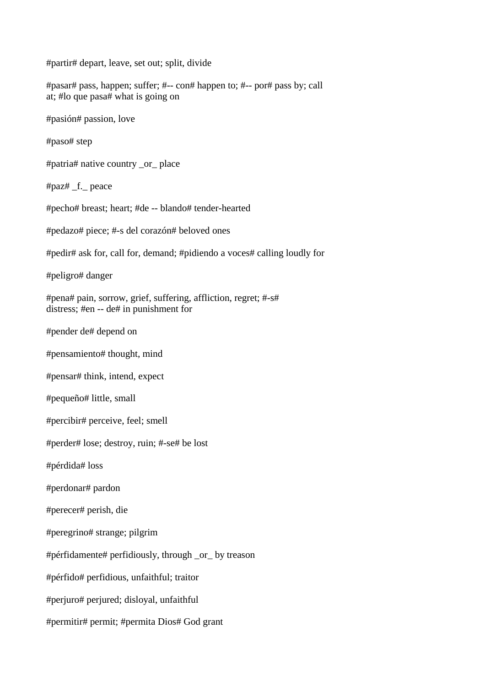#partir# depart, leave, set out; split, divide

#pasar# pass, happen; suffer; #-- con# happen to; #-- por# pass by; call at; #lo que pasa# what is going on

#pasión# passion, love

#paso# step

#patria# native country \_or\_ place

#paz# \_f.\_ peace

#pecho# breast; heart; #de -- blando# tender-hearted

#pedazo# piece; #-s del corazón# beloved ones

#pedir# ask for, call for, demand; #pidiendo a voces# calling loudly for

#peligro# danger

#pena# pain, sorrow, grief, suffering, affliction, regret; #-s# distress; #en -- de# in punishment for

#pender de# depend on

#pensamiento# thought, mind

#pensar# think, intend, expect

#pequeño# little, small

#percibir# perceive, feel; smell

#perder# lose; destroy, ruin; #-se# be lost

#pérdida# loss

#perdonar# pardon

#perecer# perish, die

#peregrino# strange; pilgrim

#pérfidamente# perfidiously, through \_or\_ by treason

#pérfido# perfidious, unfaithful; traitor

#perjuro# perjured; disloyal, unfaithful

#permitir# permit; #permita Dios# God grant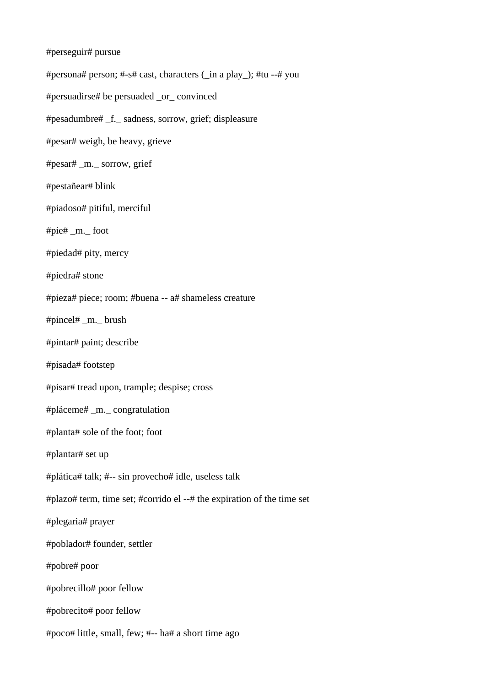#perseguir# pursue #persona# person; #-s# cast, characters (\_in a play\_); #tu --# you #persuadirse# be persuaded \_or\_ convinced #pesadumbre# \_f.\_ sadness, sorrow, grief; displeasure #pesar# weigh, be heavy, grieve #pesar# \_m.\_ sorrow, grief #pestañear# blink #piadoso# pitiful, merciful #pie# \_m.\_ foot #piedad# pity, mercy #piedra# stone #pieza# piece; room; #buena -- a# shameless creature #pincel# \_m.\_ brush #pintar# paint; describe #pisada# footstep #pisar# tread upon, trample; despise; cross #pláceme# \_m.\_ congratulation #planta# sole of the foot; foot #plantar# set up #plática# talk; #-- sin provecho# idle, useless talk #plazo# term, time set; #corrido el --# the expiration of the time set #plegaria# prayer #poblador# founder, settler #pobre# poor #pobrecillo# poor fellow #pobrecito# poor fellow #poco# little, small, few; #-- ha# a short time ago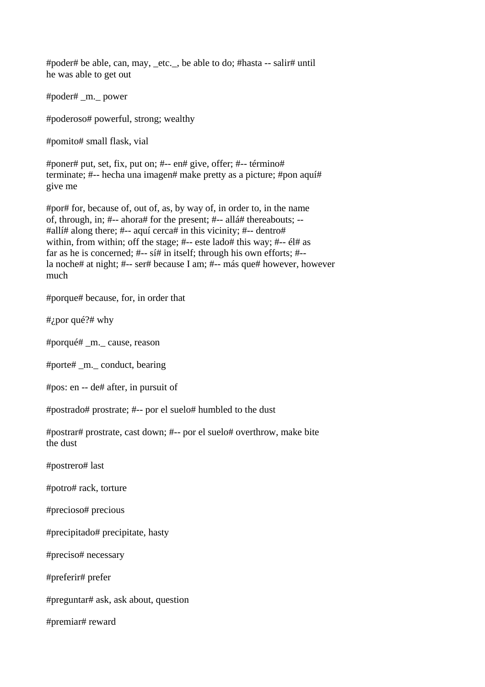#poder# be able, can, may, \_etc.\_, be able to do; #hasta -- salir# until he was able to get out

#poder# \_m.\_ power

#poderoso# powerful, strong; wealthy

#pomito# small flask, vial

#poner# put, set, fix, put on; #-- en# give, offer; #-- término# terminate; #-- hecha una imagen# make pretty as a picture; #pon aquí# give me

#por# for, because of, out of, as, by way of, in order to, in the name of, through, in; #-- ahora# for the present; #-- allá# thereabouts; -- #allí# along there; #-- aquí cerca# in this vicinity; #-- dentro# within, from within; off the stage; #-- este lado# this way; #--  $\acute{e}$ l# as far as he is concerned; #-- sí# in itself; through his own efforts; #- la noche# at night; #-- ser# because I am; #-- más que# however, however much

#porque# because, for, in order that

#¿por qué?# why

#porqué# \_m.\_ cause, reason

#porte# \_m.\_ conduct, bearing

#pos: en -- de# after, in pursuit of

#postrado# prostrate; #-- por el suelo# humbled to the dust

#postrar# prostrate, cast down; #-- por el suelo# overthrow, make bite the dust

#postrero# last

#potro# rack, torture

#precioso# precious

#precipitado# precipitate, hasty

#preciso# necessary

#preferir# prefer

#preguntar# ask, ask about, question

#premiar# reward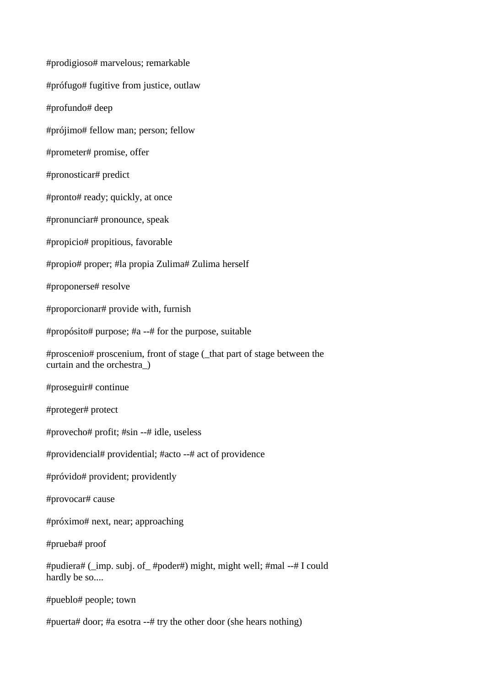#prodigioso# marvelous; remarkable #prófugo# fugitive from justice, outlaw #profundo# deep #prójimo# fellow man; person; fellow #prometer# promise, offer #pronosticar# predict #pronto# ready; quickly, at once #pronunciar# pronounce, speak #propicio# propitious, favorable #propio# proper; #la propia Zulima# Zulima herself #proponerse# resolve #proporcionar# provide with, furnish #propósito# purpose; #a --# for the purpose, suitable #proscenio# proscenium, front of stage (\_that part of stage between the curtain and the orchestra\_) #proseguir# continue #proteger# protect #provecho# profit; #sin --# idle, useless #providencial# providential; #acto --# act of providence #próvido# provident; providently #provocar# cause #próximo# next, near; approaching #prueba# proof #pudiera# (\_imp. subj. of\_ #poder#) might, might well; #mal --# I could hardly be so.... #pueblo# people; town #puerta# door; #a esotra --# try the other door (she hears nothing)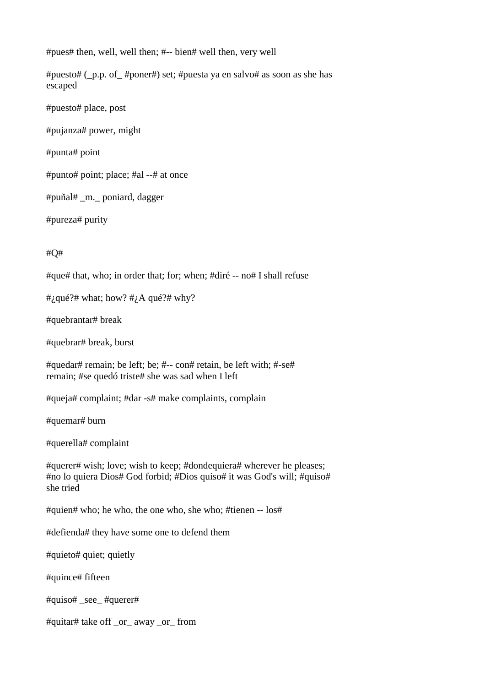#pues# then, well, well then; #-- bien# well then, very well

#puesto# (\_p.p. of\_ #poner#) set; #puesta ya en salvo# as soon as she has escaped

#puesto# place, post

#pujanza# power, might

#punta# point

#punto# point; place; #al --# at once

#puñal# \_m.\_ poniard, dagger

#pureza# purity

#Q#

#que# that, who; in order that; for; when; #diré -- no# I shall refuse

#; qué?# what; how?  $\#$ ; A qué?# why?

#quebrantar# break

#quebrar# break, burst

#quedar# remain; be left; be; #-- con# retain, be left with; #-se# remain; #se quedó triste# she was sad when I left

#queja# complaint; #dar -s# make complaints, complain

#quemar# burn

#querella# complaint

#querer# wish; love; wish to keep; #dondequiera# wherever he pleases; #no lo quiera Dios# God forbid; #Dios quiso# it was God's will; #quiso# she tried

#quien# who; he who, the one who, she who; #tienen -- los#

#defienda# they have some one to defend them

#quieto# quiet; quietly

#quince# fifteen

#quiso# \_see\_ #querer#

#quitar# take off \_or\_ away \_or\_ from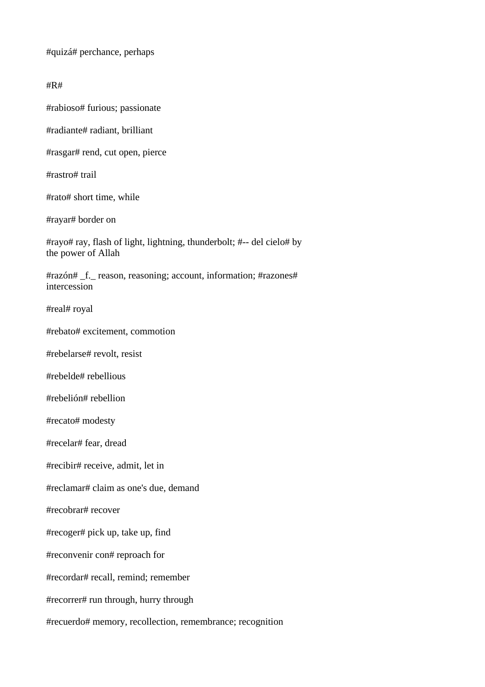#quizá# perchance, perhaps

#R#

#rabioso# furious; passionate

#radiante# radiant, brilliant

#rasgar# rend, cut open, pierce

#rastro# trail

#rato# short time, while

#rayar# border on

#rayo# ray, flash of light, lightning, thunderbolt; #-- del cielo# by the power of Allah

#razón# f. reason, reasoning; account, information; #razones# intercession

#real# royal

#rebato# excitement, commotion

#rebelarse# revolt, resist

#rebelde# rebellious

#rebelión# rebellion

#recato# modesty

#recelar# fear, dread

#recibir# receive, admit, let in

#reclamar# claim as one's due, demand

#recobrar# recover

#recoger# pick up, take up, find

#reconvenir con# reproach for

#recordar# recall, remind; remember

#recorrer# run through, hurry through

#recuerdo# memory, recollection, remembrance; recognition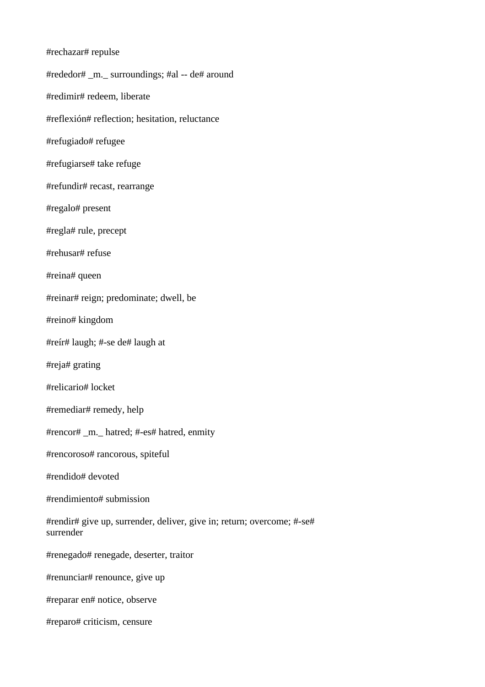| #rechazar# repulse                                                                  |
|-------------------------------------------------------------------------------------|
| #rededor# _m._ surroundings; #al -- de# around                                      |
| #redimir# redeem, liberate                                                          |
| #reflexión# reflection; hesitation, reluctance                                      |
| #refugiado# refugee                                                                 |
| #refugiarse# take refuge                                                            |
| #refundir# recast, rearrange                                                        |
| #regalo# present                                                                    |
| #regla# rule, precept                                                               |
| #rehusar# refuse                                                                    |
| #reina# queen                                                                       |
| #reinar# reign; predominate; dwell, be                                              |
| #reino# kingdom                                                                     |
| #reír# laugh; #-se de# laugh at                                                     |
| #reja# grating                                                                      |
| #relicario# locket                                                                  |
| #remediar# remedy, help                                                             |
| #rencor# _m. _ hatred; #-es# hatred, enmity                                         |
| #rencoroso# rancorous, spiteful                                                     |
| #rendido# devoted                                                                   |
| #rendimiento# submission                                                            |
| #rendir# give up, surrender, deliver, give in; return; overcome; #-se#<br>surrender |
| #renegado# renegade, deserter, traitor                                              |
| #renunciar# renounce, give up                                                       |
| #reparar en# notice, observe                                                        |
| #reparo# criticism, censure                                                         |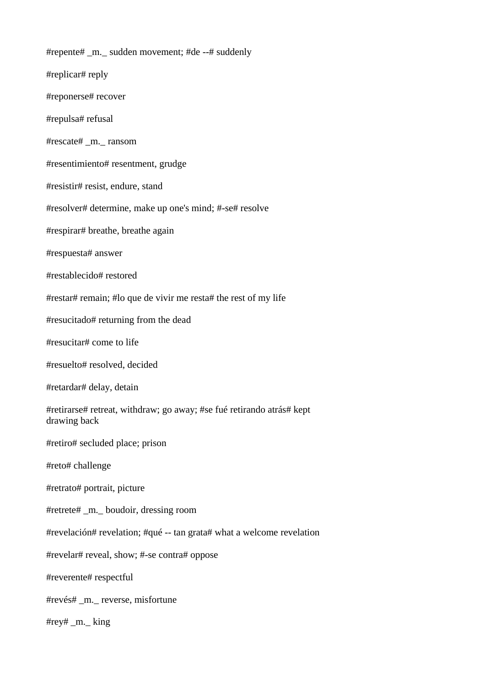#repente# \_m.\_ sudden movement; #de --# suddenly #replicar# reply #reponerse# recover #repulsa# refusal #rescate# \_m.\_ ransom #resentimiento# resentment, grudge #resistir# resist, endure, stand #resolver# determine, make up one's mind; #-se# resolve #respirar# breathe, breathe again #respuesta# answer #restablecido# restored #restar# remain; #lo que de vivir me resta# the rest of my life #resucitado# returning from the dead #resucitar# come to life #resuelto# resolved, decided #retardar# delay, detain #retirarse# retreat, withdraw; go away; #se fué retirando atrás# kept drawing back #retiro# secluded place; prison #reto# challenge #retrato# portrait, picture #retrete# \_m.\_ boudoir, dressing room #revelación# revelation; #qué -- tan grata# what a welcome revelation #revelar# reveal, show; #-se contra# oppose #reverente# respectful #revés# \_m.\_ reverse, misfortune #rey# \_m.\_ king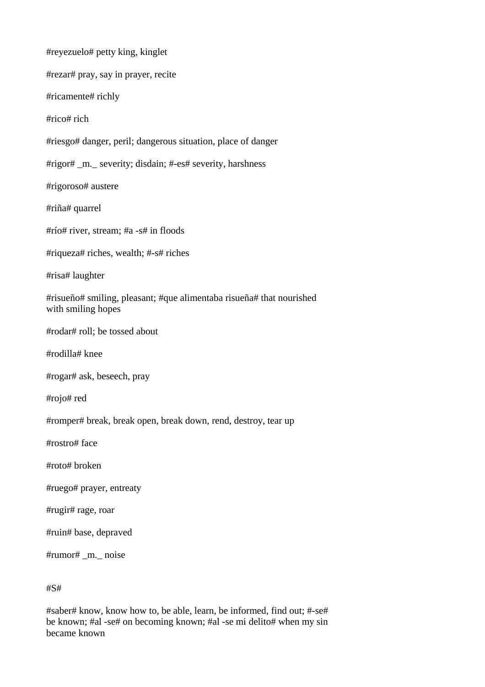#reyezuelo# petty king, kinglet

#rezar# pray, say in prayer, recite

#ricamente# richly

#rico# rich

#riesgo# danger, peril; dangerous situation, place of danger

#rigor# \_m.\_ severity; disdain; #-es# severity, harshness

#rigoroso# austere

#riña# quarrel

#río# river, stream; #a -s# in floods

#riqueza# riches, wealth; #-s# riches

#risa# laughter

#risueño# smiling, pleasant; #que alimentaba risueña# that nourished with smiling hopes

#rodar# roll; be tossed about

#rodilla# knee

#rogar# ask, beseech, pray

#rojo# red

#romper# break, break open, break down, rend, destroy, tear up

#rostro# face

#roto# broken

#ruego# prayer, entreaty

#rugir# rage, roar

#ruin# base, depraved

#rumor# \_m.\_ noise

#S#

#saber# know, know how to, be able, learn, be informed, find out; #-se# be known; #al -se# on becoming known; #al -se mi delito# when my sin became known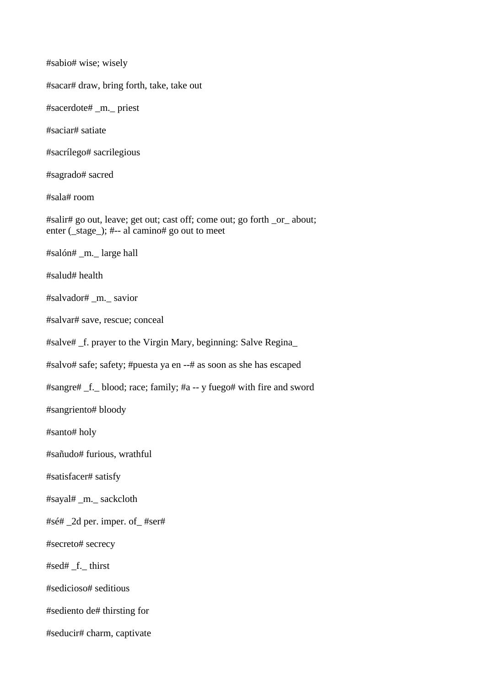#sabio# wise; wisely

#sacar# draw, bring forth, take, take out

#sacerdote# \_m.\_ priest

#saciar# satiate

#sacrílego# sacrilegious

#sagrado# sacred

#sala# room

#salir# go out, leave; get out; cast off; come out; go forth \_or\_ about; enter ( $\text{ stage }$ ); #-- al camino# go out to meet

#salón# \_m.\_ large hall

#salud# health

#salvador# \_m.\_ savior

#salvar# save, rescue; conceal

#salve# \_f. prayer to the Virgin Mary, beginning: Salve Regina\_

#salvo# safe; safety; #puesta ya en --# as soon as she has escaped

#sangre# \_f.\_ blood; race; family; #a -- y fuego# with fire and sword

#sangriento# bloody

#santo# holy

#sañudo# furious, wrathful

#satisfacer# satisfy

#sayal# \_m.\_ sackcloth

#sé# \_2d per. imper. of\_ #ser#

#secreto# secrecy

#sed# \_f.\_ thirst

#sedicioso# seditious

#sediento de# thirsting for

#seducir# charm, captivate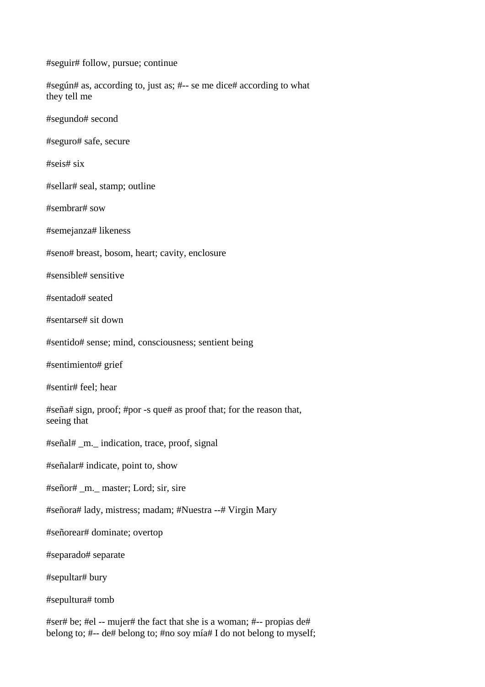#seguir# follow, pursue; continue

#según# as, according to, just as; #-- se me dice# according to what they tell me

#segundo# second

#seguro# safe, secure

#seis# six

#sellar# seal, stamp; outline

#sembrar# sow

#semejanza# likeness

#seno# breast, bosom, heart; cavity, enclosure

#sensible# sensitive

#sentado# seated

#sentarse# sit down

#sentido# sense; mind, consciousness; sentient being

#sentimiento# grief

#sentir# feel; hear

#seña# sign, proof; #por -s que# as proof that; for the reason that, seeing that

#señal# \_m.\_ indication, trace, proof, signal

#señalar# indicate, point to, show

#señor# \_m.\_ master; Lord; sir, sire

#señora# lady, mistress; madam; #Nuestra --# Virgin Mary

#señorear# dominate; overtop

#separado# separate

#sepultar# bury

#sepultura# tomb

#ser# be; #el -- mujer# the fact that she is a woman; #-- propias de# belong to; #-- de# belong to; #no soy mía# I do not belong to myself;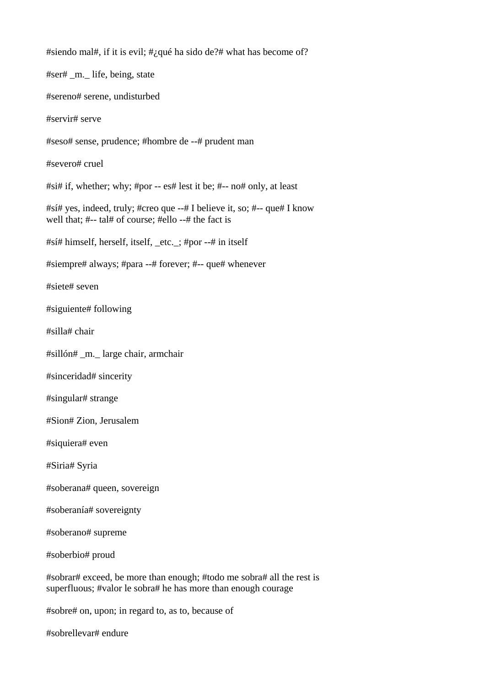#siendo mal#, if it is evil; #¿qué ha sido de?# what has become of?

#ser# \_m.\_ life, being, state #sereno# serene, undisturbed #servir# serve #seso# sense, prudence; #hombre de --# prudent man #severo# cruel #si# if, whether; why; #por -- es# lest it be; #-- no# only, at least #sí# yes, indeed, truly; #creo que --# I believe it, so; #-- que# I know well that; #-- tal# of course; #ello --# the fact is #sí# himself, herself, itself, \_etc.\_; #por --# in itself #siempre# always; #para --# forever; #-- que# whenever #siete# seven #siguiente# following #silla# chair #sillón# \_m.\_ large chair, armchair #sinceridad# sincerity #singular# strange #Sion# Zion, Jerusalem #siquiera# even #Siria# Syria #soberana# queen, sovereign #soberanía# sovereignty #soberano# supreme #soberbio# proud

#sobrar# exceed, be more than enough; #todo me sobra# all the rest is superfluous; #valor le sobra# he has more than enough courage

#sobre# on, upon; in regard to, as to, because of

#sobrellevar# endure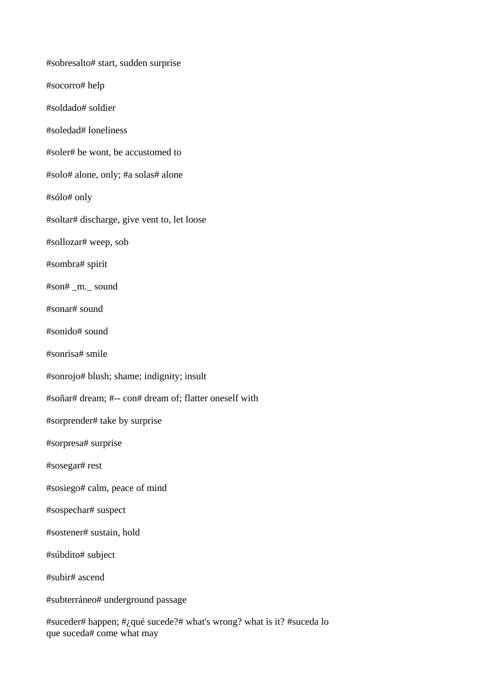#sobresalto# start, sudden surprise #socorro# help #soldado# soldier #soledad# loneliness #soler# be wont, be accustomed to #solo# alone, only; #a solas# alone #sólo# only #soltar# discharge, give vent to, let loose #sollozar# weep, sob #sombra# spirit #son# \_m.\_ sound #sonar# sound #sonido# sound #sonrisa# smile #sonrojo# blush; shame; indignity; insult #soñar# dream; #-- con# dream of; flatter oneself with #sorprender# take by surprise #sorpresa# surprise #sosegar# rest #sosiego# calm, peace of mind #sospechar# suspect #sostener# sustain, hold #súbdito# subject #subir# ascend #subterráneo# underground passage

#suceder# happen; #¿qué sucede?# what's wrong? what is it? #suceda lo que suceda# come what may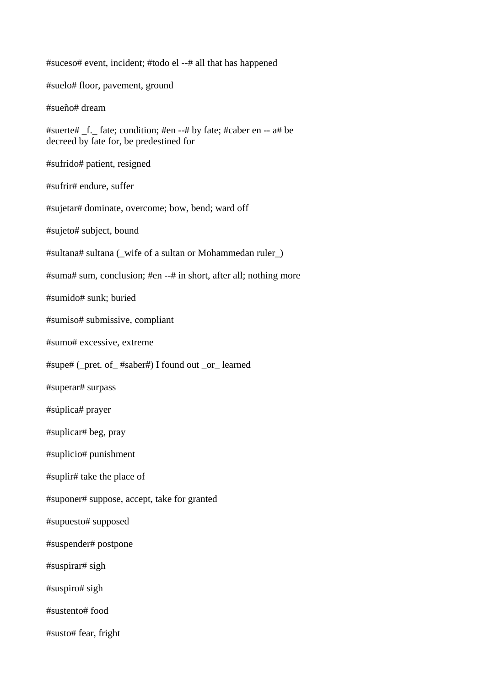#suceso# event, incident; #todo el --# all that has happened #suelo# floor, pavement, ground #sueño# dream #suerte# \_f.\_ fate; condition; #en --# by fate; #caber en -- a# be decreed by fate for, be predestined for #sufrido# patient, resigned #sufrir# endure, suffer #sujetar# dominate, overcome; bow, bend; ward off #sujeto# subject, bound #sultana# sultana (\_wife of a sultan or Mohammedan ruler\_) #suma# sum, conclusion; #en --# in short, after all; nothing more #sumido# sunk; buried #sumiso# submissive, compliant #sumo# excessive, extreme #supe# (\_pret. of\_ #saber#) I found out \_or\_ learned #superar# surpass #súplica# prayer #suplicar# beg, pray #suplicio# punishment #suplir# take the place of #suponer# suppose, accept, take for granted #supuesto# supposed #suspender# postpone #suspirar# sigh #suspiro# sigh #sustento# food #susto# fear, fright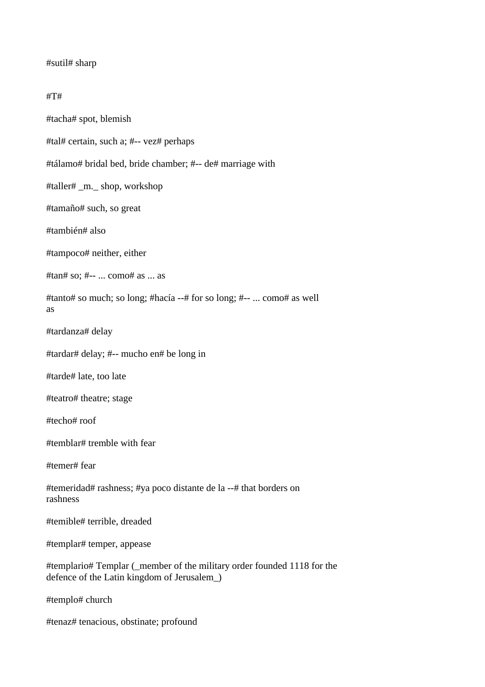### #sutil# sharp

#### #T#

#tacha# spot, blemish

#tal# certain, such a; #-- vez# perhaps

#tálamo# bridal bed, bride chamber; #-- de# marriage with

#taller# \_m.\_ shop, workshop

#tamaño# such, so great

#también# also

#tampoco# neither, either

#tan# so; #-- ... como# as ... as

#tanto# so much; so long; #hacía --# for so long; #-- ... como# as well as

#tardanza# delay

#tardar# delay; #-- mucho en# be long in

#tarde# late, too late

#teatro# theatre; stage

#techo# roof

#temblar# tremble with fear

#temer# fear

#temeridad# rashness; #ya poco distante de la --# that borders on rashness

#temible# terrible, dreaded

#templar# temper, appease

#templario# Templar (\_member of the military order founded 1118 for the defence of the Latin kingdom of Jerusalem\_)

#templo# church

#tenaz# tenacious, obstinate; profound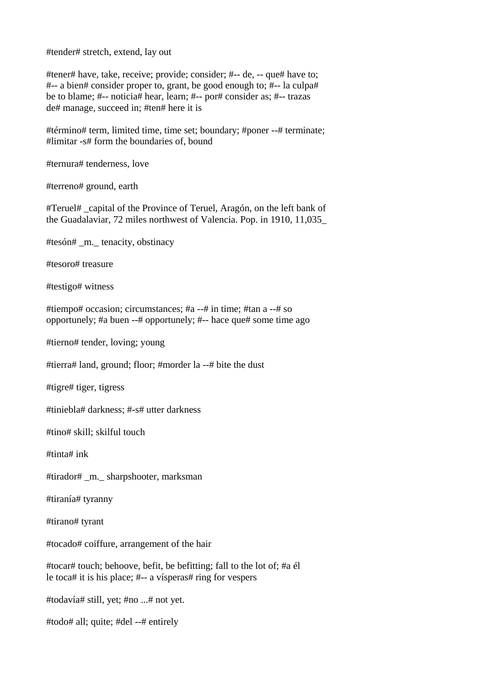#tender# stretch, extend, lay out

#tener# have, take, receive; provide; consider; #-- de, -- que# have to; #-- a bien# consider proper to, grant, be good enough to; #-- la culpa# be to blame; #-- noticia# hear, learn; #-- por# consider as; #-- trazas de# manage, succeed in; #ten# here it is

#término# term, limited time, time set; boundary; #poner --# terminate; #limitar -s# form the boundaries of, bound

#ternura# tenderness, love

#terreno# ground, earth

#Teruel# \_capital of the Province of Teruel, Aragón, on the left bank of the Guadalaviar, 72 miles northwest of Valencia. Pop. in 1910, 11,035\_

#tesón# \_m.\_ tenacity, obstinacy

#tesoro# treasure

#testigo# witness

#tiempo# occasion; circumstances; #a --# in time; #tan a --# so opportunely; #a buen --# opportunely; #-- hace que# some time ago

#tierno# tender, loving; young

#tierra# land, ground; floor; #morder la --# bite the dust

#tigre# tiger, tigress

#tiniebla# darkness; #-s# utter darkness

#tino# skill; skilful touch

#tinta# ink

#tirador# \_m.\_ sharpshooter, marksman

#tiranía# tyranny

#tirano# tyrant

#tocado# coiffure, arrangement of the hair

#tocar# touch; behoove, befit, be befitting; fall to the lot of; #a él le toca# it is his place; #-- a vísperas# ring for vespers

#todavía# still, yet; #no ...# not yet.

#todo# all; quite; #del --# entirely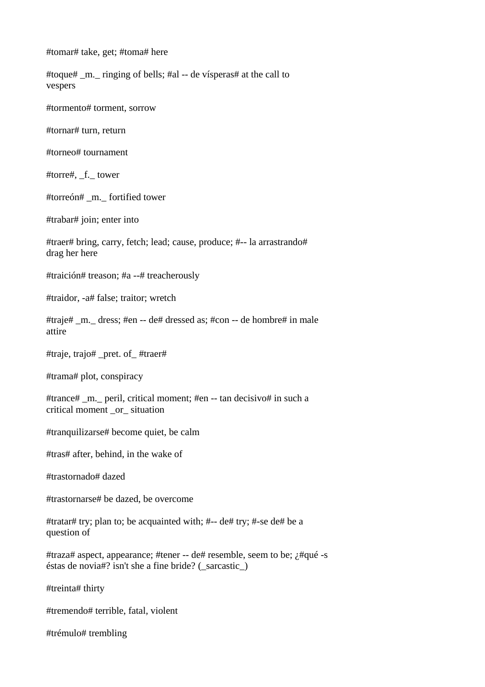#tomar# take, get; #toma# here

#toque# \_m.\_ ringing of bells; #al -- de vísperas# at the call to vespers

#tormento# torment, sorrow

#tornar# turn, return

#torneo# tournament

#torre#, f. tower

#torreón# \_m.\_ fortified tower

#trabar# join; enter into

#traer# bring, carry, fetch; lead; cause, produce; #-- la arrastrando# drag her here

#traición# treason; #a --# treacherously

#traidor, -a# false; traitor; wretch

#traje# \_m.\_ dress; #en -- de# dressed as; #con -- de hombre# in male attire

#traje, trajo# \_pret. of\_ #traer#

#trama# plot, conspiracy

#trance# \_m.\_ peril, critical moment; #en -- tan decisivo# in such a critical moment \_or\_ situation

#tranquilizarse# become quiet, be calm

#tras# after, behind, in the wake of

#trastornado# dazed

#trastornarse# be dazed, be overcome

#tratar# try; plan to; be acquainted with; #-- de# try; #-se de# be a question of

#traza# aspect, appearance; #tener -- de# resemble, seem to be; ¿#qué -s éstas de novia#? isn't she a fine bride? (\_sarcastic\_)

#treinta# thirty

#tremendo# terrible, fatal, violent

#trémulo# trembling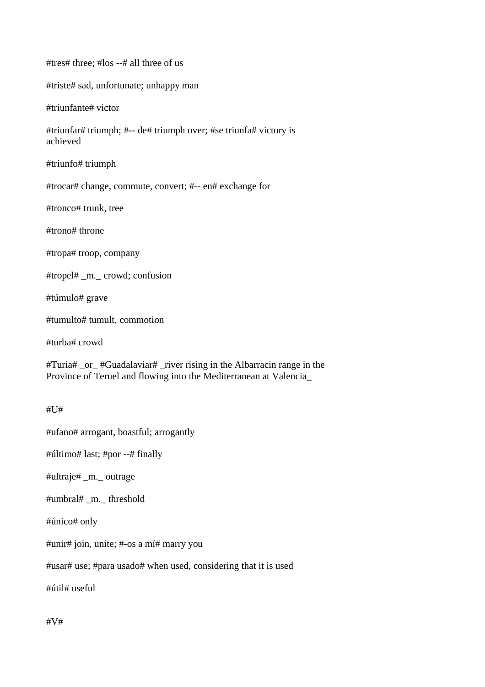#tres# three; #los --# all three of us

#triste# sad, unfortunate; unhappy man

#triunfante# victor

#triunfar# triumph; #-- de# triumph over; #se triunfa# victory is achieved

#triunfo# triumph

#trocar# change, commute, convert; #-- en# exchange for

#tronco# trunk, tree

#trono# throne

#tropa# troop, company

#tropel# \_m.\_ crowd; confusion

#túmulo# grave

#tumulto# tumult, commotion

#turba# crowd

#Turia# \_or\_ #Guadalaviar# \_river rising in the Albarracin range in the Province of Teruel and flowing into the Mediterranean at Valencia\_

#U#

#ufano# arrogant, boastful; arrogantly

#último# last; #por --# finally

#ultraje# \_m.\_ outrage

#umbral# \_m.\_ threshold

#único# only

#unir# join, unite; #-os a mí# marry you

#usar# use; #para usado# when used, considering that it is used

#útil# useful

#V#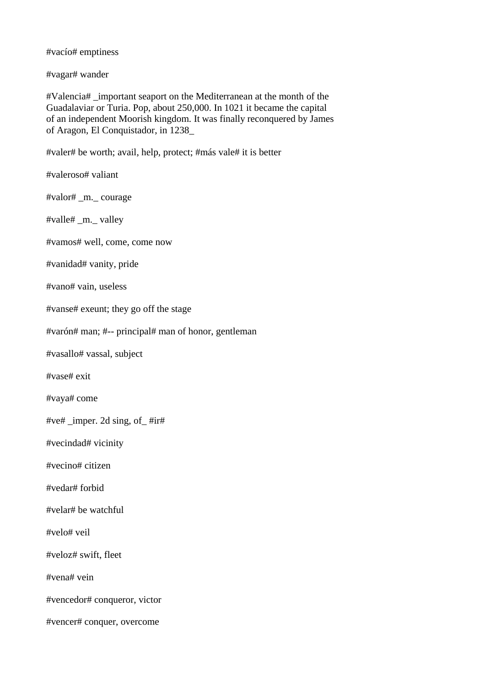#vacío# emptiness

#vagar# wander

#Valencia# \_important seaport on the Mediterranean at the month of the Guadalaviar or Turia. Pop, about 250,000. In 1021 it became the capital of an independent Moorish kingdom. It was finally reconquered by James of Aragon, El Conquistador, in 1238\_

#valer# be worth; avail, help, protect; #más vale# it is better

#valeroso# valiant

#valor# \_m.\_ courage

#valle# \_m.\_ valley

#vamos# well, come, come now

#vanidad# vanity, pride

#vano# vain, useless

#vanse# exeunt; they go off the stage

#varón# man; #-- principal# man of honor, gentleman

#vasallo# vassal, subject

#vase# exit

#vaya# come

#ve# \_imper. 2d sing, of\_ #ir#

#vecindad# vicinity

#vecino# citizen

#vedar# forbid

#velar# be watchful

#velo# veil

#veloz# swift, fleet

#vena# vein

#vencedor# conqueror, victor

#vencer# conquer, overcome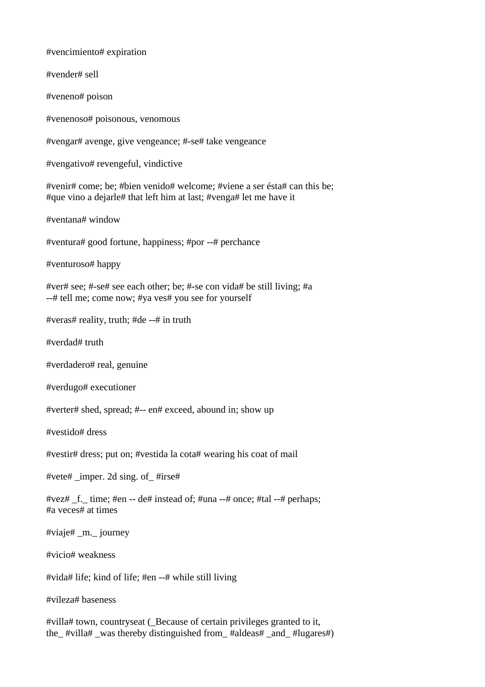#vencimiento# expiration #vender# sell #veneno# poison #venenoso# poisonous, venomous #vengar# avenge, give vengeance; #-se# take vengeance #vengativo# revengeful, vindictive #venir# come; be; #bien venido# welcome; #viene a ser ésta# can this be; #que vino a dejarle# that left him at last; #venga# let me have it #ventana# window #ventura# good fortune, happiness; #por --# perchance #venturoso# happy #ver# see; #-se# see each other; be; #-se con vida# be still living; #a --# tell me; come now; #ya ves# you see for yourself #veras# reality, truth; #de --# in truth #verdad# truth #verdadero# real, genuine #verdugo# executioner #verter# shed, spread; #-- en# exceed, abound in; show up #vestido# dress #vestir# dress; put on; #vestida la cota# wearing his coat of mail #vete# imper. 2d sing. of  $\#i$ rse# #vez# \_f.\_ time; #en -- de# instead of; #una --# once; #tal --# perhaps; #a veces# at times #viaje# \_m.\_ journey #vicio# weakness #vida# life; kind of life; #en --# while still living #vileza# baseness #villa# town, countryseat (\_Because of certain privileges granted to it,

the\_ #villa# \_was thereby distinguished from\_ #aldeas# \_and\_ #lugares#)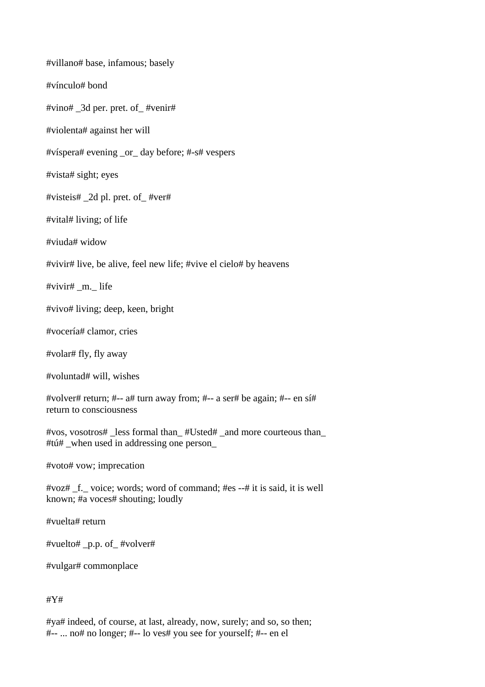#villano# base, infamous; basely #vínculo# bond #vino# \_3d per. pret. of\_ #venir# #violenta# against her will #víspera# evening \_or\_ day before; #-s# vespers #vista# sight; eyes #visteis# \_2d pl. pret. of\_ #ver# #vital# living; of life #viuda# widow #vivir# live, be alive, feel new life; #vive el cielo# by heavens #vivir# \_m.\_ life #vivo# living; deep, keen, bright #vocería# clamor, cries #volar# fly, fly away #voluntad# will, wishes #volver# return; #-- a# turn away from; #-- a ser# be again; #-- en sí# return to consciousness #vos, vosotros# \_less formal than\_ #Usted# \_and more courteous than\_ #tú# \_when used in addressing one person\_ #voto# vow; imprecation #voz# \_f.\_ voice; words; word of command; #es --# it is said, it is well known; #a voces# shouting; loudly #vuelta# return #vuelto# \_p.p. of\_ #volver# #vulgar# commonplace

#Y#

#ya# indeed, of course, at last, already, now, surely; and so, so then; #-- ... no# no longer; #-- lo ves# you see for yourself; #-- en el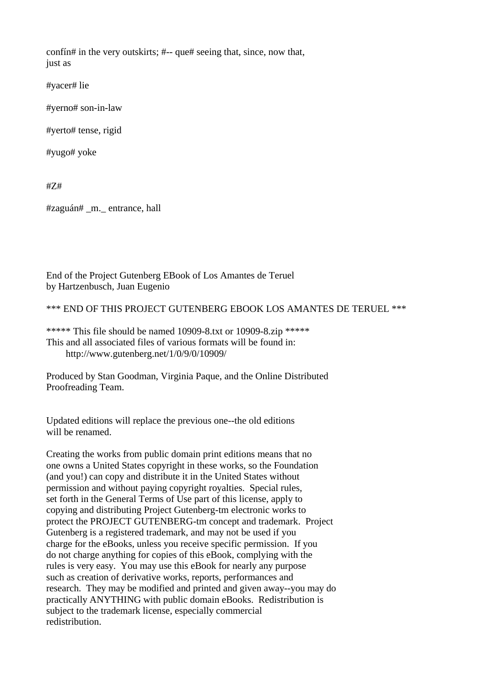confín# in the very outskirts; #-- que# seeing that, since, now that, just as

#yacer# lie

#yerno# son-in-law

#yerto# tense, rigid

#yugo# yoke

#Z#

#zaguán# \_m.\_ entrance, hall

End of the Project Gutenberg EBook of Los Amantes de Teruel by Hartzenbusch, Juan Eugenio

\*\*\* END OF THIS PROJECT GUTENBERG EBOOK LOS AMANTES DE TERUEL \*\*\*

\*\*\*\*\* This file should be named 10909-8.txt or 10909-8.zip \*\*\*\*\* This and all associated files of various formats will be found in: http://www.gutenberg.net/1/0/9/0/10909/

Produced by Stan Goodman, Virginia Paque, and the Online Distributed Proofreading Team.

Updated editions will replace the previous one--the old editions will be renamed.

Creating the works from public domain print editions means that no one owns a United States copyright in these works, so the Foundation (and you!) can copy and distribute it in the United States without permission and without paying copyright royalties. Special rules, set forth in the General Terms of Use part of this license, apply to copying and distributing Project Gutenberg-tm electronic works to protect the PROJECT GUTENBERG-tm concept and trademark. Project Gutenberg is a registered trademark, and may not be used if you charge for the eBooks, unless you receive specific permission. If you do not charge anything for copies of this eBook, complying with the rules is very easy. You may use this eBook for nearly any purpose such as creation of derivative works, reports, performances and research. They may be modified and printed and given away--you may do practically ANYTHING with public domain eBooks. Redistribution is subject to the trademark license, especially commercial redistribution.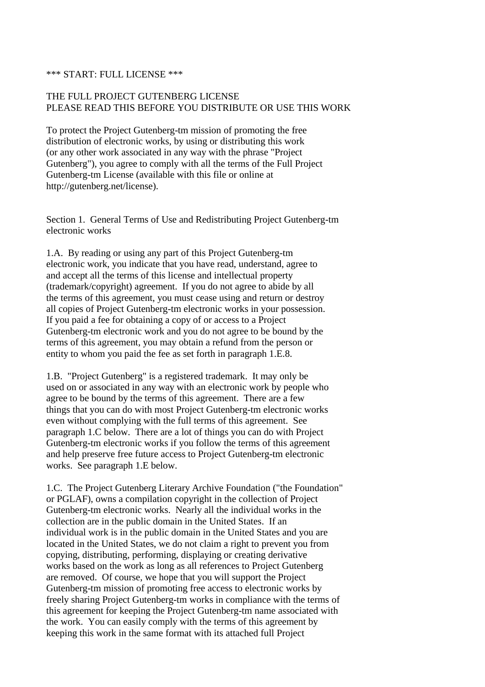#### \*\*\* START: FULL LICENSE \*\*\*

# THE FULL PROJECT GUTENBERG LICENSE PLEASE READ THIS BEFORE YOU DISTRIBUTE OR USE THIS WORK

To protect the Project Gutenberg-tm mission of promoting the free distribution of electronic works, by using or distributing this work (or any other work associated in any way with the phrase "Project Gutenberg"), you agree to comply with all the terms of the Full Project Gutenberg-tm License (available with this file or online at http://gutenberg.net/license).

Section 1. General Terms of Use and Redistributing Project Gutenberg-tm electronic works

1.A. By reading or using any part of this Project Gutenberg-tm electronic work, you indicate that you have read, understand, agree to and accept all the terms of this license and intellectual property (trademark/copyright) agreement. If you do not agree to abide by all the terms of this agreement, you must cease using and return or destroy all copies of Project Gutenberg-tm electronic works in your possession. If you paid a fee for obtaining a copy of or access to a Project Gutenberg-tm electronic work and you do not agree to be bound by the terms of this agreement, you may obtain a refund from the person or entity to whom you paid the fee as set forth in paragraph 1.E.8.

1.B. "Project Gutenberg" is a registered trademark. It may only be used on or associated in any way with an electronic work by people who agree to be bound by the terms of this agreement. There are a few things that you can do with most Project Gutenberg-tm electronic works even without complying with the full terms of this agreement. See paragraph 1.C below. There are a lot of things you can do with Project Gutenberg-tm electronic works if you follow the terms of this agreement and help preserve free future access to Project Gutenberg-tm electronic works. See paragraph 1.E below.

1.C. The Project Gutenberg Literary Archive Foundation ("the Foundation" or PGLAF), owns a compilation copyright in the collection of Project Gutenberg-tm electronic works. Nearly all the individual works in the collection are in the public domain in the United States. If an individual work is in the public domain in the United States and you are located in the United States, we do not claim a right to prevent you from copying, distributing, performing, displaying or creating derivative works based on the work as long as all references to Project Gutenberg are removed. Of course, we hope that you will support the Project Gutenberg-tm mission of promoting free access to electronic works by freely sharing Project Gutenberg-tm works in compliance with the terms of this agreement for keeping the Project Gutenberg-tm name associated with the work. You can easily comply with the terms of this agreement by keeping this work in the same format with its attached full Project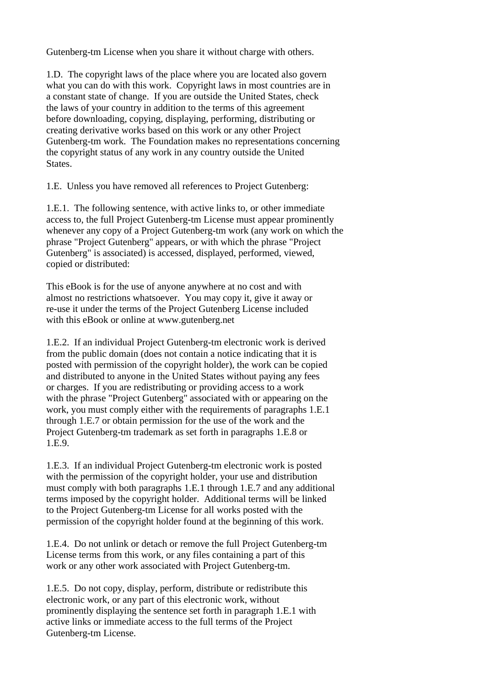Gutenberg-tm License when you share it without charge with others.

1.D. The copyright laws of the place where you are located also govern what you can do with this work. Copyright laws in most countries are in a constant state of change. If you are outside the United States, check the laws of your country in addition to the terms of this agreement before downloading, copying, displaying, performing, distributing or creating derivative works based on this work or any other Project Gutenberg-tm work. The Foundation makes no representations concerning the copyright status of any work in any country outside the United States.

1.E. Unless you have removed all references to Project Gutenberg:

1.E.1. The following sentence, with active links to, or other immediate access to, the full Project Gutenberg-tm License must appear prominently whenever any copy of a Project Gutenberg-tm work (any work on which the phrase "Project Gutenberg" appears, or with which the phrase "Project Gutenberg" is associated) is accessed, displayed, performed, viewed, copied or distributed:

This eBook is for the use of anyone anywhere at no cost and with almost no restrictions whatsoever. You may copy it, give it away or re-use it under the terms of the Project Gutenberg License included with this eBook or online at www.gutenberg.net

1.E.2. If an individual Project Gutenberg-tm electronic work is derived from the public domain (does not contain a notice indicating that it is posted with permission of the copyright holder), the work can be copied and distributed to anyone in the United States without paying any fees or charges. If you are redistributing or providing access to a work with the phrase "Project Gutenberg" associated with or appearing on the work, you must comply either with the requirements of paragraphs 1.E.1 through 1.E.7 or obtain permission for the use of the work and the Project Gutenberg-tm trademark as set forth in paragraphs 1.E.8 or 1.E.9.

1.E.3. If an individual Project Gutenberg-tm electronic work is posted with the permission of the copyright holder, your use and distribution must comply with both paragraphs 1.E.1 through 1.E.7 and any additional terms imposed by the copyright holder. Additional terms will be linked to the Project Gutenberg-tm License for all works posted with the permission of the copyright holder found at the beginning of this work.

1.E.4. Do not unlink or detach or remove the full Project Gutenberg-tm License terms from this work, or any files containing a part of this work or any other work associated with Project Gutenberg-tm.

1.E.5. Do not copy, display, perform, distribute or redistribute this electronic work, or any part of this electronic work, without prominently displaying the sentence set forth in paragraph 1.E.1 with active links or immediate access to the full terms of the Project Gutenberg-tm License.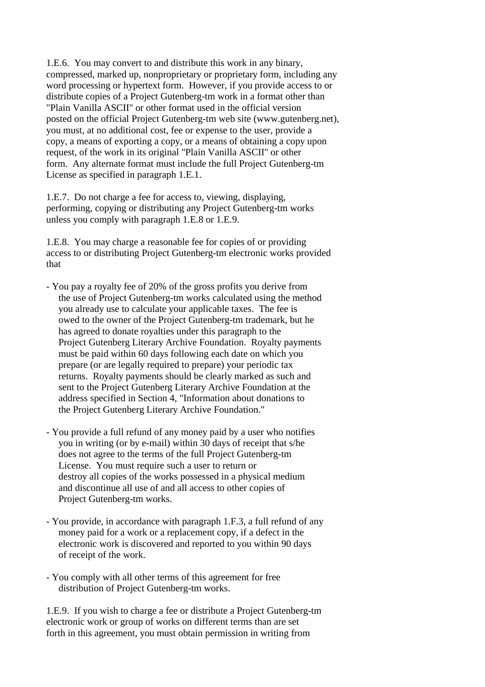1.E.6. You may convert to and distribute this work in any binary, compressed, marked up, nonproprietary or proprietary form, including any word processing or hypertext form. However, if you provide access to or distribute copies of a Project Gutenberg-tm work in a format other than "Plain Vanilla ASCII" or other format used in the official version posted on the official Project Gutenberg-tm web site (www.gutenberg.net), you must, at no additional cost, fee or expense to the user, provide a copy, a means of exporting a copy, or a means of obtaining a copy upon request, of the work in its original "Plain Vanilla ASCII" or other form. Any alternate format must include the full Project Gutenberg-tm License as specified in paragraph 1.E.1.

1.E.7. Do not charge a fee for access to, viewing, displaying, performing, copying or distributing any Project Gutenberg-tm works unless you comply with paragraph 1.E.8 or 1.E.9.

1.E.8. You may charge a reasonable fee for copies of or providing access to or distributing Project Gutenberg-tm electronic works provided that

- You pay a royalty fee of 20% of the gross profits you derive from the use of Project Gutenberg-tm works calculated using the method you already use to calculate your applicable taxes. The fee is owed to the owner of the Project Gutenberg-tm trademark, but he has agreed to donate royalties under this paragraph to the Project Gutenberg Literary Archive Foundation. Royalty payments must be paid within 60 days following each date on which you prepare (or are legally required to prepare) your periodic tax returns. Royalty payments should be clearly marked as such and sent to the Project Gutenberg Literary Archive Foundation at the address specified in Section 4, "Information about donations to the Project Gutenberg Literary Archive Foundation."
- You provide a full refund of any money paid by a user who notifies you in writing (or by e-mail) within 30 days of receipt that s/he does not agree to the terms of the full Project Gutenberg-tm License. You must require such a user to return or destroy all copies of the works possessed in a physical medium and discontinue all use of and all access to other copies of Project Gutenberg-tm works.
- You provide, in accordance with paragraph 1.F.3, a full refund of any money paid for a work or a replacement copy, if a defect in the electronic work is discovered and reported to you within 90 days of receipt of the work.
- You comply with all other terms of this agreement for free distribution of Project Gutenberg-tm works.

1.E.9. If you wish to charge a fee or distribute a Project Gutenberg-tm electronic work or group of works on different terms than are set forth in this agreement, you must obtain permission in writing from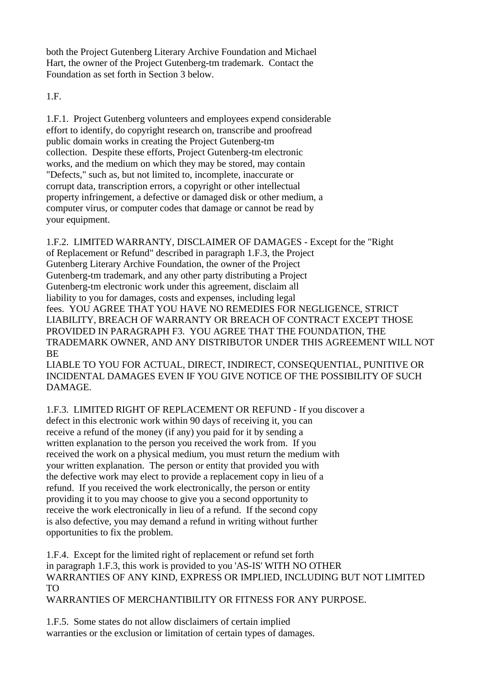both the Project Gutenberg Literary Archive Foundation and Michael Hart, the owner of the Project Gutenberg-tm trademark. Contact the Foundation as set forth in Section 3 below.

1.F.

1.F.1. Project Gutenberg volunteers and employees expend considerable effort to identify, do copyright research on, transcribe and proofread public domain works in creating the Project Gutenberg-tm collection. Despite these efforts, Project Gutenberg-tm electronic works, and the medium on which they may be stored, may contain "Defects," such as, but not limited to, incomplete, inaccurate or corrupt data, transcription errors, a copyright or other intellectual property infringement, a defective or damaged disk or other medium, a computer virus, or computer codes that damage or cannot be read by your equipment.

1.F.2. LIMITED WARRANTY, DISCLAIMER OF DAMAGES - Except for the "Right of Replacement or Refund" described in paragraph 1.F.3, the Project Gutenberg Literary Archive Foundation, the owner of the Project Gutenberg-tm trademark, and any other party distributing a Project Gutenberg-tm electronic work under this agreement, disclaim all liability to you for damages, costs and expenses, including legal fees. YOU AGREE THAT YOU HAVE NO REMEDIES FOR NEGLIGENCE, STRICT LIABILITY, BREACH OF WARRANTY OR BREACH OF CONTRACT EXCEPT THOSE PROVIDED IN PARAGRAPH F3. YOU AGREE THAT THE FOUNDATION, THE TRADEMARK OWNER, AND ANY DISTRIBUTOR UNDER THIS AGREEMENT WILL NOT **BE** 

LIABLE TO YOU FOR ACTUAL, DIRECT, INDIRECT, CONSEQUENTIAL, PUNITIVE OR INCIDENTAL DAMAGES EVEN IF YOU GIVE NOTICE OF THE POSSIBILITY OF SUCH DAMAGE.

1.F.3. LIMITED RIGHT OF REPLACEMENT OR REFUND - If you discover a

defect in this electronic work within 90 days of receiving it, you can receive a refund of the money (if any) you paid for it by sending a written explanation to the person you received the work from. If you received the work on a physical medium, you must return the medium with your written explanation. The person or entity that provided you with the defective work may elect to provide a replacement copy in lieu of a refund. If you received the work electronically, the person or entity providing it to you may choose to give you a second opportunity to receive the work electronically in lieu of a refund. If the second copy is also defective, you may demand a refund in writing without further opportunities to fix the problem.

1.F.4. Except for the limited right of replacement or refund set forth in paragraph 1.F.3, this work is provided to you 'AS-IS' WITH NO OTHER WARRANTIES OF ANY KIND, EXPRESS OR IMPLIED, INCLUDING BUT NOT LIMITED TO

WARRANTIES OF MERCHANTIBILITY OR FITNESS FOR ANY PURPOSE.

1.F.5. Some states do not allow disclaimers of certain implied warranties or the exclusion or limitation of certain types of damages.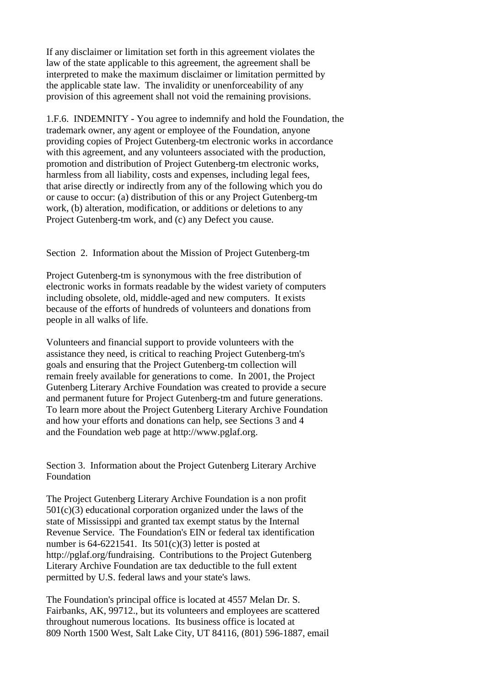If any disclaimer or limitation set forth in this agreement violates the law of the state applicable to this agreement, the agreement shall be interpreted to make the maximum disclaimer or limitation permitted by the applicable state law. The invalidity or unenforceability of any provision of this agreement shall not void the remaining provisions.

1.F.6. INDEMNITY - You agree to indemnify and hold the Foundation, the trademark owner, any agent or employee of the Foundation, anyone providing copies of Project Gutenberg-tm electronic works in accordance with this agreement, and any volunteers associated with the production, promotion and distribution of Project Gutenberg-tm electronic works, harmless from all liability, costs and expenses, including legal fees, that arise directly or indirectly from any of the following which you do or cause to occur: (a) distribution of this or any Project Gutenberg-tm work, (b) alteration, modification, or additions or deletions to any Project Gutenberg-tm work, and (c) any Defect you cause.

## Section 2. Information about the Mission of Project Gutenberg-tm

Project Gutenberg-tm is synonymous with the free distribution of electronic works in formats readable by the widest variety of computers including obsolete, old, middle-aged and new computers. It exists because of the efforts of hundreds of volunteers and donations from people in all walks of life.

Volunteers and financial support to provide volunteers with the assistance they need, is critical to reaching Project Gutenberg-tm's goals and ensuring that the Project Gutenberg-tm collection will remain freely available for generations to come. In 2001, the Project Gutenberg Literary Archive Foundation was created to provide a secure and permanent future for Project Gutenberg-tm and future generations. To learn more about the Project Gutenberg Literary Archive Foundation and how your efforts and donations can help, see Sections 3 and 4 and the Foundation web page at http://www.pglaf.org.

Section 3. Information about the Project Gutenberg Literary Archive Foundation

The Project Gutenberg Literary Archive Foundation is a non profit 501(c)(3) educational corporation organized under the laws of the state of Mississippi and granted tax exempt status by the Internal Revenue Service. The Foundation's EIN or federal tax identification number is  $64-6221541$ . Its  $501(c)(3)$  letter is posted at http://pglaf.org/fundraising. Contributions to the Project Gutenberg Literary Archive Foundation are tax deductible to the full extent permitted by U.S. federal laws and your state's laws.

The Foundation's principal office is located at 4557 Melan Dr. S. Fairbanks, AK, 99712., but its volunteers and employees are scattered throughout numerous locations. Its business office is located at 809 North 1500 West, Salt Lake City, UT 84116, (801) 596-1887, email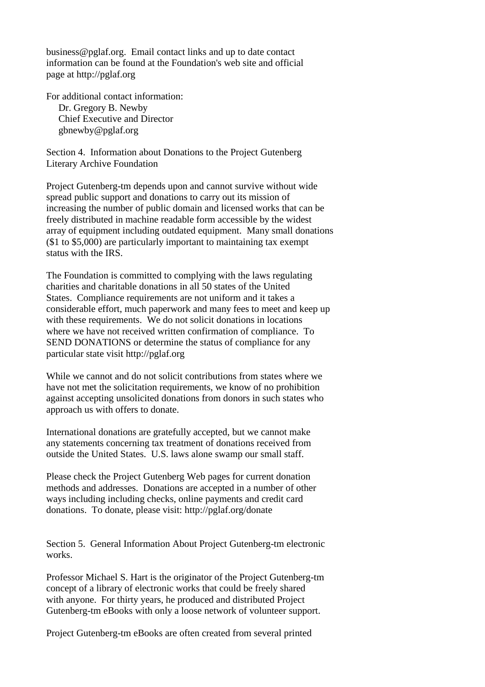business@pglaf.org. Email contact links and up to date contact information can be found at the Foundation's web site and official page at http://pglaf.org

For additional contact information: Dr. Gregory B. Newby Chief Executive and Director gbnewby@pglaf.org

Section 4. Information about Donations to the Project Gutenberg Literary Archive Foundation

Project Gutenberg-tm depends upon and cannot survive without wide spread public support and donations to carry out its mission of increasing the number of public domain and licensed works that can be freely distributed in machine readable form accessible by the widest array of equipment including outdated equipment. Many small donations (\$1 to \$5,000) are particularly important to maintaining tax exempt status with the IRS.

The Foundation is committed to complying with the laws regulating charities and charitable donations in all 50 states of the United States. Compliance requirements are not uniform and it takes a considerable effort, much paperwork and many fees to meet and keep up with these requirements. We do not solicit donations in locations where we have not received written confirmation of compliance. To SEND DONATIONS or determine the status of compliance for any particular state visit http://pglaf.org

While we cannot and do not solicit contributions from states where we have not met the solicitation requirements, we know of no prohibition against accepting unsolicited donations from donors in such states who approach us with offers to donate.

International donations are gratefully accepted, but we cannot make any statements concerning tax treatment of donations received from outside the United States. U.S. laws alone swamp our small staff.

Please check the Project Gutenberg Web pages for current donation methods and addresses. Donations are accepted in a number of other ways including including checks, online payments and credit card donations. To donate, please visit: http://pglaf.org/donate

Section 5. General Information About Project Gutenberg-tm electronic works.

Professor Michael S. Hart is the originator of the Project Gutenberg-tm concept of a library of electronic works that could be freely shared with anyone. For thirty years, he produced and distributed Project Gutenberg-tm eBooks with only a loose network of volunteer support.

Project Gutenberg-tm eBooks are often created from several printed